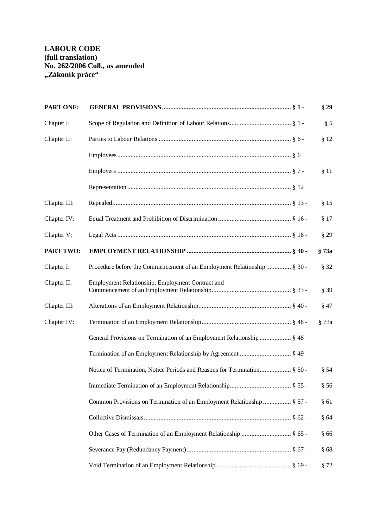| <b>PART ONE:</b> |                                                                         | §29    |
|------------------|-------------------------------------------------------------------------|--------|
| Chapter I:       |                                                                         | § 5    |
| Chapter II:      |                                                                         | § 12   |
|                  |                                                                         |        |
|                  |                                                                         | § 11   |
|                  |                                                                         |        |
| Chapter III:     |                                                                         | § 15   |
| Chapter IV:      |                                                                         | § 17   |
| Chapter V:       |                                                                         | §29    |
| <b>PART TWO:</b> |                                                                         | § 73a  |
| Chapter I:       | Procedure before the Commencement of an Employment Relationship  § 30 - | § 32   |
| Chapter II:      | Employment Relationship, Employment Contract and                        | § 39   |
| Chapter III:     |                                                                         | $§$ 47 |
| Chapter IV:      |                                                                         | § 73a  |
|                  | General Provisions on Termination of an Employment Relationship  § 48   |        |
|                  |                                                                         |        |
|                  |                                                                         | § 54   |
|                  |                                                                         | § 56   |
|                  | Common Provisions on Termination of an Employment Relationship  § 57 -  | §61    |
|                  |                                                                         | §64    |
|                  | Other Cases of Termination of an Employment Relationship  § 65 -        | §66    |
|                  |                                                                         | §68    |
|                  |                                                                         | § 72   |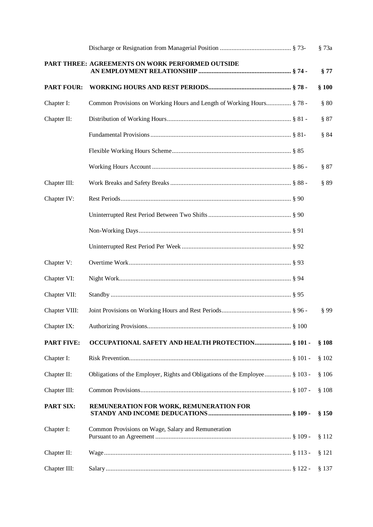|                   |                                                                             | § 73a   |
|-------------------|-----------------------------------------------------------------------------|---------|
|                   | PART THREE: AGREEMENTS ON WORK PERFORMED OUTSIDE                            | §77     |
| <b>PART FOUR:</b> |                                                                             | §100    |
| Chapter I:        | Common Provisions on Working Hours and Length of Working Hours § 78 -       | § 80    |
| Chapter II:       |                                                                             | § 87    |
|                   |                                                                             | § 84    |
|                   |                                                                             |         |
|                   |                                                                             | § 87    |
| Chapter III:      |                                                                             | § 89    |
| Chapter IV:       |                                                                             |         |
|                   |                                                                             |         |
|                   |                                                                             |         |
|                   |                                                                             |         |
| Chapter V:        | 00 \$ 93                                                                    |         |
| Chapter VI:       |                                                                             |         |
| Chapter VII:      |                                                                             |         |
| Chapter VIII:     |                                                                             | § 99    |
| Chapter IX:       |                                                                             |         |
| <b>PART FIVE:</b> | OCCUPATIONAL SAFETY AND HEALTH PROTECTION § 101 -                           | §108    |
| Chapter I:        |                                                                             | \$102   |
| Chapter II:       | Obligations of the Employer, Rights and Obligations of the Employee § 103 - | \$106   |
| Chapter III:      |                                                                             | \$108   |
| <b>PART SIX:</b>  | REMUNERATION FOR WORK, REMUNERATION FOR                                     | § 150   |
| Chapter I:        | Common Provisions on Wage, Salary and Remuneration                          | §112    |
| Chapter II:       |                                                                             | § 121   |
| Chapter III:      |                                                                             | $§$ 137 |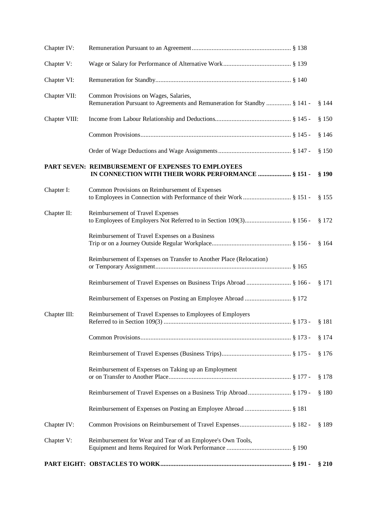| Chapter IV:   |                                                                                                                      |         |
|---------------|----------------------------------------------------------------------------------------------------------------------|---------|
| Chapter V:    |                                                                                                                      |         |
| Chapter VI:   |                                                                                                                      |         |
| Chapter VII:  | Common Provisions on Wages, Salaries,<br>Remuneration Pursuant to Agreements and Remuneration for Standby  § 141 -   | \$144   |
| Chapter VIII: |                                                                                                                      | §150    |
|               |                                                                                                                      | §146    |
|               |                                                                                                                      | §150    |
|               | PART SEVEN: REIMBURSEMENT OF EXPENSES TO EMPLOYEES<br>IN CONNECTION WITH THEIR WORK PERFORMANCE  § 151 -             | $§$ 190 |
| Chapter I:    | Common Provisions on Reimbursement of Expenses<br>to Employees in Connection with Performance of their Work  § 151 - | § 155   |
| Chapter II:   | Reimbursement of Travel Expenses                                                                                     | § 172   |
|               | Reimbursement of Travel Expenses on a Business                                                                       | § 164   |
|               | Reimbursement of Expenses on Transfer to Another Place (Relocation)                                                  |         |
|               | Reimbursement of Travel Expenses on Business Trips Abroad  § 166 -                                                   | § 171   |
|               |                                                                                                                      |         |
| Chapter III:  | Reimbursement of Travel Expenses to Employees of Employers                                                           | § 181   |
|               |                                                                                                                      | § 174   |
|               |                                                                                                                      | § 176   |
|               | Reimbursement of Expenses on Taking up an Employment                                                                 | \$178   |
|               |                                                                                                                      | §180    |
|               |                                                                                                                      |         |
| Chapter IV:   |                                                                                                                      | $§$ 189 |
| Chapter V:    | Reimbursement for Wear and Tear of an Employee's Own Tools,                                                          |         |
|               |                                                                                                                      | §210    |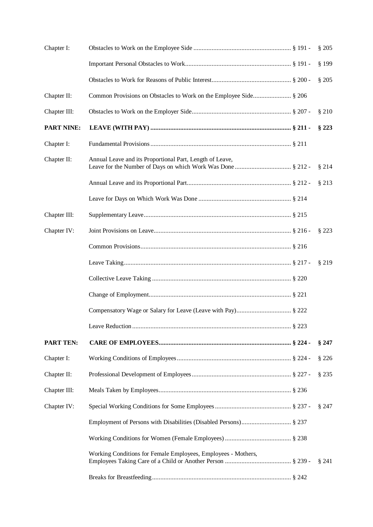| Chapter I:        |                                                                   | \$205   |
|-------------------|-------------------------------------------------------------------|---------|
|                   |                                                                   | § 199   |
|                   |                                                                   | \$205   |
| Chapter II:       | Common Provisions on Obstacles to Work on the Employee Side § 206 |         |
| Chapter III:      |                                                                   | §210    |
| <b>PART NINE:</b> |                                                                   | § 223   |
| Chapter I:        |                                                                   |         |
| Chapter II:       | Annual Leave and its Proportional Part, Length of Leave,          | §214    |
|                   |                                                                   | $§$ 213 |
|                   |                                                                   |         |
| Chapter III:      |                                                                   |         |
| Chapter IV:       |                                                                   | § 223   |
|                   |                                                                   |         |
|                   |                                                                   | §219    |
|                   |                                                                   |         |
|                   |                                                                   |         |
|                   |                                                                   |         |
|                   |                                                                   |         |
| <b>PART TEN:</b>  |                                                                   | §247    |
| Chapter I:        |                                                                   | § 226   |
| Chapter II:       |                                                                   | §235    |
| Chapter III:      |                                                                   |         |
| Chapter IV:       |                                                                   | §247    |
|                   |                                                                   |         |
|                   |                                                                   |         |
|                   | Working Conditions for Female Employees, Employees - Mothers,     | $§$ 241 |
|                   |                                                                   |         |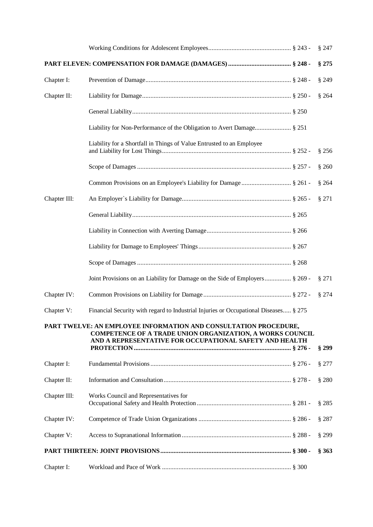|              |                                                                                                                                                                                                 | §247    |
|--------------|-------------------------------------------------------------------------------------------------------------------------------------------------------------------------------------------------|---------|
|              |                                                                                                                                                                                                 | § 275   |
| Chapter I:   |                                                                                                                                                                                                 | §249    |
| Chapter II:  |                                                                                                                                                                                                 | \$264   |
|              |                                                                                                                                                                                                 |         |
|              |                                                                                                                                                                                                 |         |
|              | Liability for a Shortfall in Things of Value Entrusted to an Employee                                                                                                                           | § 256   |
|              |                                                                                                                                                                                                 | \$260   |
|              |                                                                                                                                                                                                 | § 264   |
| Chapter III: |                                                                                                                                                                                                 | § 271   |
|              |                                                                                                                                                                                                 |         |
|              |                                                                                                                                                                                                 |         |
|              |                                                                                                                                                                                                 |         |
|              |                                                                                                                                                                                                 |         |
|              | Joint Provisions on an Liability for Damage on the Side of Employers § 269 -                                                                                                                    | § 271   |
| Chapter IV:  |                                                                                                                                                                                                 | § 274   |
| Chapter V:   | Financial Security with regard to Industrial Injuries or Occupational Diseases § 275                                                                                                            |         |
|              | PART TWELVE: AN EMPLOYEE INFORMATION AND CONSULTATION PROCEDURE,<br><b>COMPETENCE OF A TRADE UNION ORGANIZATION, A WORKS COUNCIL</b><br>AND A REPRESENTATIVE FOR OCCUPATIONAL SAFETY AND HEALTH | § 299   |
| Chapter I:   |                                                                                                                                                                                                 | $§$ 277 |
| Chapter II:  |                                                                                                                                                                                                 | $§$ 280 |
| Chapter III: | Works Council and Representatives for                                                                                                                                                           | § 285   |
| Chapter IV:  |                                                                                                                                                                                                 | §287    |
| Chapter V:   |                                                                                                                                                                                                 | § 299   |
|              |                                                                                                                                                                                                 | § 363   |
| Chapter I:   |                                                                                                                                                                                                 |         |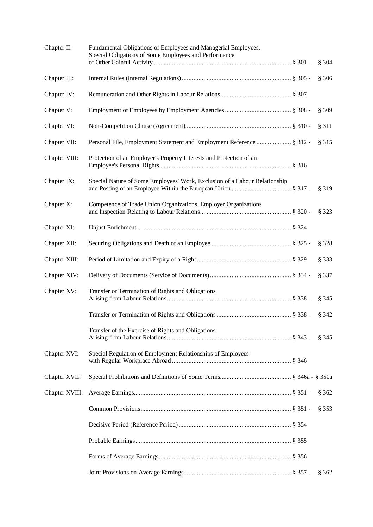| Chapter II:    | Fundamental Obligations of Employees and Managerial Employees,<br>Special Obligations of Some Employees and Performance | \$304 |
|----------------|-------------------------------------------------------------------------------------------------------------------------|-------|
| Chapter III:   |                                                                                                                         | \$306 |
| Chapter IV:    |                                                                                                                         |       |
| Chapter V:     |                                                                                                                         | § 309 |
| Chapter VI:    |                                                                                                                         | § 311 |
| Chapter VII:   | Personal File, Employment Statement and Employment Reference  § 312 -                                                   | § 315 |
| Chapter VIII:  | Protection of an Employer's Property Interests and Protection of an                                                     |       |
| Chapter IX:    | Special Nature of Some Employees' Work, Exclusion of a Labour Relationship                                              | § 319 |
| Chapter X:     | Competence of Trade Union Organizations, Employer Organizations                                                         | § 323 |
| Chapter XI:    |                                                                                                                         |       |
| Chapter XII:   |                                                                                                                         | § 328 |
| Chapter XIII:  |                                                                                                                         | § 333 |
| Chapter XIV:   |                                                                                                                         | § 337 |
| Chapter XV:    | Transfer or Termination of Rights and Obligations                                                                       | § 345 |
|                |                                                                                                                         | § 342 |
|                | Transfer of the Exercise of Rights and Obligations                                                                      | § 345 |
| Chapter XVI:   | Special Regulation of Employment Relationships of Employees                                                             |       |
| Chapter XVII:  |                                                                                                                         |       |
| Chapter XVIII: |                                                                                                                         | § 362 |
|                |                                                                                                                         | § 353 |
|                |                                                                                                                         |       |
|                |                                                                                                                         |       |
|                |                                                                                                                         |       |
|                |                                                                                                                         | § 362 |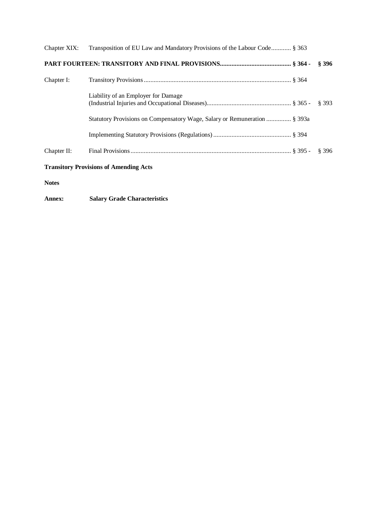|             | Chapter XIX: Transposition of EU Law and Mandatory Provisions of the Labour Code § 363 |       |
|-------------|----------------------------------------------------------------------------------------|-------|
|             |                                                                                        | \$396 |
| Chapter I:  |                                                                                        |       |
|             | Liability of an Employer for Damage                                                    | \$393 |
|             | Statutory Provisions on Compensatory Wage, Salary or Remuneration  § 393a              |       |
|             |                                                                                        |       |
| Chapter II: |                                                                                        | \$396 |
|             |                                                                                        |       |

## **Transitory Provisions of Amending Acts**

**Notes** 

**Annex: Salary Grade Characteristics**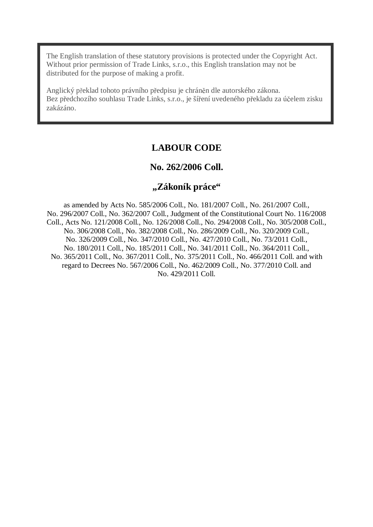The English translation of these statutory provisions is protected under the Copyright Act. Without prior permission of Trade Links, s.r.o., this English translation may not be distributed for the purpose of making a profit.

Anglický překlad tohoto právního předpisu je chráněn dle autorského zákona. Bez předchozího souhlasu Trade Links, s.r.o., je šíření uvedeného překladu za účelem zisku zakázáno.

# **LABOUR CODE**

# **No. 262/2006 Coll.**

# **"Zákoník práce"**

as amended by Acts No. 585/2006 Coll., No. 181/2007 Coll., No. 261/2007 Coll., No. 296/2007 Coll., No. 362/2007 Coll., Judgment of the Constitutional Court No. 116/2008 Coll., Acts No. 121/2008 Coll., No. 126/2008 Coll., No. 294/2008 Coll., No. 305/2008 Coll., No. 306/2008 Coll., No. 382/2008 Coll., No. 286/2009 Coll., No. 320/2009 Coll., No. 326/2009 Coll., No. 347/2010 Coll., No. 427/2010 Coll., No. 73/2011 Coll., No. 180/2011 Coll., No. 185/2011 Coll., No. 341/2011 Coll., No. 364/2011 Coll., No. 365/2011 Coll., No. 367/2011 Coll., No. 375/2011 Coll., No. 466/2011 Coll. and with regard to Decrees No. 567/2006 Coll., No. 462/2009 Coll., No. 377/2010 Coll. and No. 429/2011 Coll.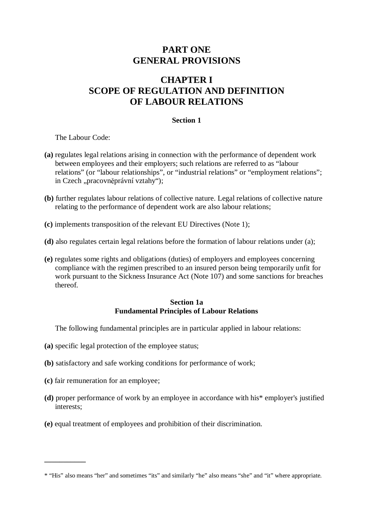# **PART ONE GENERAL PROVISIONS**

# **CHAPTER I SCOPE OF REGULATION AND DEFINITION OF LABOUR RELATIONS**

### **Section 1**

The Labour Code:

- **(a)** regulates legal relations arising in connection with the performance of dependent work between employees and their employers; such relations are referred to as "labour relations" (or "labour relationships", or "industrial relations" or "employment relations"; in Czech "pracovněprávní vztahy");
- **(b)** further regulates labour relations of collective nature. Legal relations of collective nature relating to the performance of dependent work are also labour relations;
- **(c)** implements transposition of the relevant EU Directives (Note 1);
- **(d)** also regulates certain legal relations before the formation of labour relations under (a);
- **(e)** regulates some rights and obligations (duties) of employers and employees concerning compliance with the regimen prescribed to an insured person being temporarily unfit for work pursuant to the Sickness Insurance Act (Note 107) and some sanctions for breaches thereof.

#### **Section 1a Fundamental Principles of Labour Relations**

The following fundamental principles are in particular applied in labour relations:

- **(a)** specific legal protection of the employee status;
- **(b)** satisfactory and safe working conditions for performance of work;
- **(c)** fair remuneration for an employee;

**\_\_\_\_\_\_\_\_\_\_\_**

- **(d)** proper performance of work by an employee in accordance with his\* employer's justified interests;
- **(e)** equal treatment of employees and prohibition of their discrimination.

<sup>\* &</sup>quot;His" also means "her" and sometimes "its" and similarly "he" also means "she" and "it" where appropriate.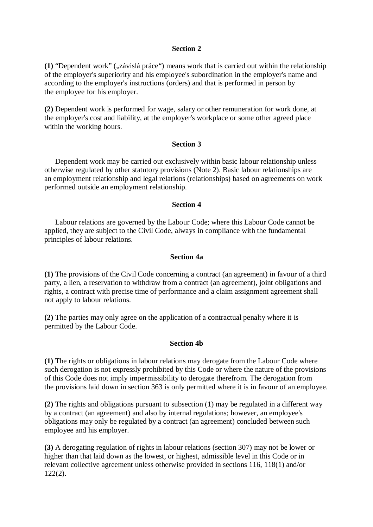**(1)** "Dependent work" ( $\vec{x}$ závislá práce") means work that is carried out within the relationship of the employer's superiority and his employee's subordination in the employer's name and according to the employer's instructions (orders) and that is performed in person by the employee for his employer.

**(2)** Dependent work is performed for wage, salary or other remuneration for work done, at the employer's cost and liability, at the employer's workplace or some other agreed place within the working hours.

#### **Section 3**

Dependent work may be carried out exclusively within basic labour relationship unless otherwise regulated by other statutory provisions (Note 2). Basic labour relationships are an employment relationship and legal relations (relationships) based on agreements on work performed outside an employment relationship.

#### **Section 4**

Labour relations are governed by the Labour Code; where this Labour Code cannot be applied, they are subject to the Civil Code, always in compliance with the fundamental principles of labour relations.

#### **Section 4a**

**(1)** The provisions of the Civil Code concerning a contract (an agreement) in favour of a third party, a lien, a reservation to withdraw from a contract (an agreement), joint obligations and rights, a contract with precise time of performance and a claim assignment agreement shall not apply to labour relations.

**(2)** The parties may only agree on the application of a contractual penalty where it is permitted by the Labour Code.

#### **Section 4b**

**(1)** The rights or obligations in labour relations may derogate from the Labour Code where such derogation is not expressly prohibited by this Code or where the nature of the provisions of this Code does not imply impermissibility to derogate therefrom. The derogation from the provisions laid down in section 363 is only permitted where it is in favour of an employee.

**(2)** The rights and obligations pursuant to subsection (1) may be regulated in a different way by a contract (an agreement) and also by internal regulations; however, an employee's obligations may only be regulated by a contract (an agreement) concluded between such employee and his employer.

**(3)** A derogating regulation of rights in labour relations (section 307) may not be lower or higher than that laid down as the lowest, or highest, admissible level in this Code or in relevant collective agreement unless otherwise provided in sections 116, 118(1) and/or 122(2).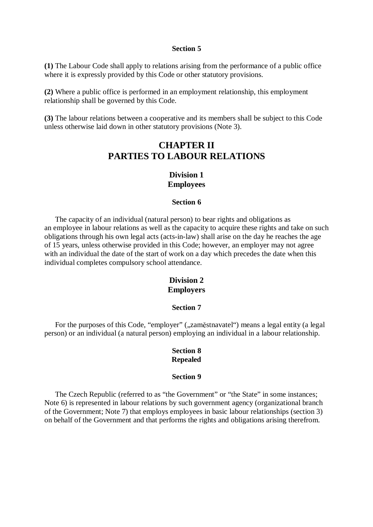**(1)** The Labour Code shall apply to relations arising from the performance of a public office where it is expressly provided by this Code or other statutory provisions.

**(2)** Where a public office is performed in an employment relationship, this employment relationship shall be governed by this Code.

**(3)** The labour relations between a cooperative and its members shall be subject to this Code unless otherwise laid down in other statutory provisions (Note 3).

# **CHAPTER II PARTIES TO LABOUR RELATIONS**

### **Division 1 Employees**

#### **Section 6**

The capacity of an individual (natural person) to bear rights and obligations as an employee in labour relations as well as the capacity to acquire these rights and take on such obligations through his own legal acts (acts-in-law) shall arise on the day he reaches the age of 15 years, unless otherwise provided in this Code; however, an employer may not agree with an individual the date of the start of work on a day which precedes the date when this individual completes compulsory school attendance.

### **Division 2 Employers**

#### **Section 7**

For the purposes of this Code, "employer" ("zaměstnavatel") means a legal entity (a legal person) or an individual (a natural person) employing an individual in a labour relationship.

#### **Section 8 Repealed**

#### **Section 9**

The Czech Republic (referred to as "the Government" or "the State" in some instances; Note 6) is represented in labour relations by such government agency (organizational branch of the Government; Note 7) that employs employees in basic labour relationships (section 3) on behalf of the Government and that performs the rights and obligations arising therefrom.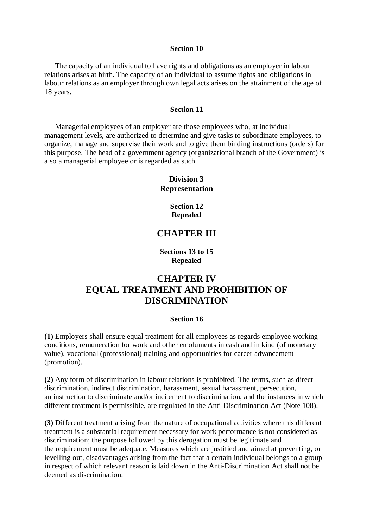The capacity of an individual to have rights and obligations as an employer in labour relations arises at birth. The capacity of an individual to assume rights and obligations in labour relations as an employer through own legal acts arises on the attainment of the age of 18 years.

#### **Section 11**

Managerial employees of an employer are those employees who, at individual management levels, are authorized to determine and give tasks to subordinate employees, to organize, manage and supervise their work and to give them binding instructions (orders) for this purpose. The head of a government agency (organizational branch of the Government) is also a managerial employee or is regarded as such.

## **Division 3 Representation**

**Section 12 Repealed** 

# **CHAPTER III**

**Sections 13 to 15 Repealed** 

# **CHAPTER IV EQUAL TREATMENT AND PROHIBITION OF DISCRIMINATION**

#### **Section 16**

**(1)** Employers shall ensure equal treatment for all employees as regards employee working conditions, remuneration for work and other emoluments in cash and in kind (of monetary value), vocational (professional) training and opportunities for career advancement (promotion).

**(2)** Any form of discrimination in labour relations is prohibited. The terms, such as direct discrimination, indirect discrimination, harassment, sexual harassment, persecution, an instruction to discriminate and/or incitement to discrimination, and the instances in which different treatment is permissible, are regulated in the Anti-Discrimination Act (Note 108).

**(3)** Different treatment arising from the nature of occupational activities where this different treatment is a substantial requirement necessary for work performance is not considered as discrimination; the purpose followed by this derogation must be legitimate and the requirement must be adequate. Measures which are justified and aimed at preventing, or levelling out, disadvantages arising from the fact that a certain individual belongs to a group in respect of which relevant reason is laid down in the Anti-Discrimination Act shall not be deemed as discrimination.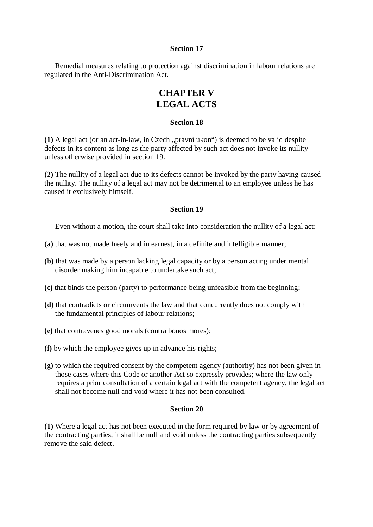Remedial measures relating to protection against discrimination in labour relations are regulated in the Anti-Discrimination Act.

# **CHAPTER V LEGAL ACTS**

#### **Section 18**

(1) A legal act (or an act-in-law, in Czech "právní úkon") is deemed to be valid despite defects in its content as long as the party affected by such act does not invoke its nullity unless otherwise provided in section 19.

**(2)** The nullity of a legal act due to its defects cannot be invoked by the party having caused the nullity. The nullity of a legal act may not be detrimental to an employee unless he has caused it exclusively himself.

#### **Section 19**

Even without a motion, the court shall take into consideration the nullity of a legal act:

- **(a)** that was not made freely and in earnest, in a definite and intelligible manner;
- **(b)** that was made by a person lacking legal capacity or by a person acting under mental disorder making him incapable to undertake such act;
- **(c)** that binds the person (party) to performance being unfeasible from the beginning;
- **(d)** that contradicts or circumvents the law and that concurrently does not comply with the fundamental principles of labour relations;
- **(e)** that contravenes good morals (contra bonos mores);
- **(f)** by which the employee gives up in advance his rights;
- **(g)** to which the required consent by the competent agency (authority) has not been given in those cases where this Code or another Act so expressly provides; where the law only requires a prior consultation of a certain legal act with the competent agency, the legal act shall not become null and void where it has not been consulted.

#### **Section 20**

**(1)** Where a legal act has not been executed in the form required by law or by agreement of the contracting parties, it shall be null and void unless the contracting parties subsequently remove the said defect.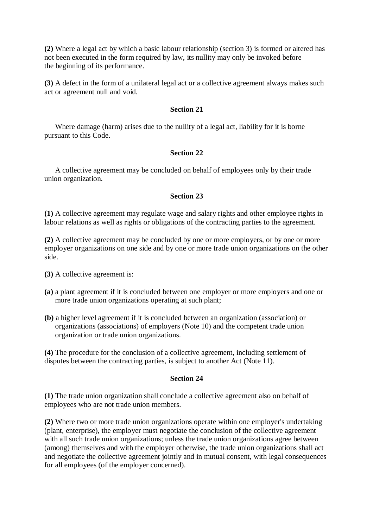**(2)** Where a legal act by which a basic labour relationship (section 3) is formed or altered has not been executed in the form required by law, its nullity may only be invoked before the beginning of its performance.

**(3)** A defect in the form of a unilateral legal act or a collective agreement always makes such act or agreement null and void.

#### **Section 21**

Where damage (harm) arises due to the nullity of a legal act, liability for it is borne pursuant to this Code.

#### **Section 22**

A collective agreement may be concluded on behalf of employees only by their trade union organization.

#### **Section 23**

**(1)** A collective agreement may regulate wage and salary rights and other employee rights in labour relations as well as rights or obligations of the contracting parties to the agreement.

**(2)** A collective agreement may be concluded by one or more employers, or by one or more employer organizations on one side and by one or more trade union organizations on the other side.

**(3)** A collective agreement is:

- **(a)** a plant agreement if it is concluded between one employer or more employers and one or more trade union organizations operating at such plant;
- **(b)** a higher level agreement if it is concluded between an organization (association) or organizations (associations) of employers (Note 10) and the competent trade union organization or trade union organizations.

**(4)** The procedure for the conclusion of a collective agreement, including settlement of disputes between the contracting parties, is subject to another Act (Note 11).

#### **Section 24**

**(1)** The trade union organization shall conclude a collective agreement also on behalf of employees who are not trade union members.

**(2)** Where two or more trade union organizations operate within one employer's undertaking (plant, enterprise), the employer must negotiate the conclusion of the collective agreement with all such trade union organizations; unless the trade union organizations agree between (among) themselves and with the employer otherwise, the trade union organizations shall act and negotiate the collective agreement jointly and in mutual consent, with legal consequences for all employees (of the employer concerned).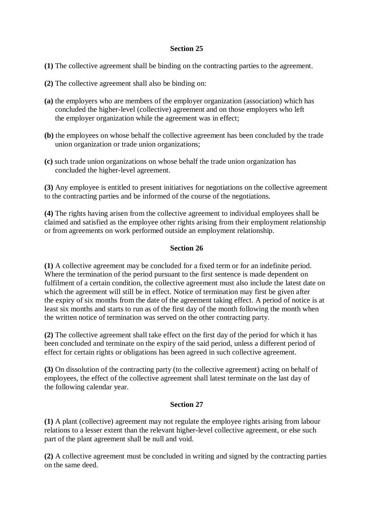- **(1)** The collective agreement shall be binding on the contracting parties to the agreement.
- **(2)** The collective agreement shall also be binding on:
- **(a)** the employers who are members of the employer organization (association) which has concluded the higher-level (collective) agreement and on those employers who left the employer organization while the agreement was in effect;
- **(b)** the employees on whose behalf the collective agreement has been concluded by the trade union organization or trade union organizations;
- **(c)** such trade union organizations on whose behalf the trade union organization has concluded the higher-level agreement.

**(3)** Any employee is entitled to present initiatives for negotiations on the collective agreement to the contracting parties and be informed of the course of the negotiations.

**(4)** The rights having arisen from the collective agreement to individual employees shall be claimed and satisfied as the employee other rights arising from their employment relationship or from agreements on work performed outside an employment relationship.

### **Section 26**

**(1)** A collective agreement may be concluded for a fixed term or for an indefinite period. Where the termination of the period pursuant to the first sentence is made dependent on fulfilment of a certain condition, the collective agreement must also include the latest date on which the agreement will still be in effect. Notice of termination may first be given after the expiry of six months from the date of the agreement taking effect. A period of notice is at least six months and starts to run as of the first day of the month following the month when the written notice of termination was served on the other contracting party.

**(2)** The collective agreement shall take effect on the first day of the period for which it has been concluded and terminate on the expiry of the said period, unless a different period of effect for certain rights or obligations has been agreed in such collective agreement.

**(3)** On dissolution of the contracting party (to the collective agreement) acting on behalf of employees, the effect of the collective agreement shall latest terminate on the last day of the following calendar year.

#### **Section 27**

**(1)** A plant (collective) agreement may not regulate the employee rights arising from labour relations to a lesser extent than the relevant higher-level collective agreement, or else such part of the plant agreement shall be null and void.

**(2)** A collective agreement must be concluded in writing and signed by the contracting parties on the same deed.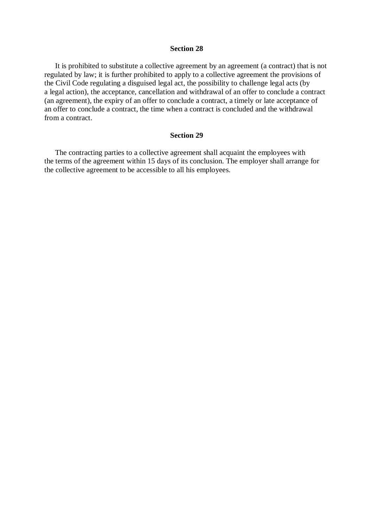It is prohibited to substitute a collective agreement by an agreement (a contract) that is not regulated by law; it is further prohibited to apply to a collective agreement the provisions of the Civil Code regulating a disguised legal act, the possibility to challenge legal acts (by a legal action), the acceptance, cancellation and withdrawal of an offer to conclude a contract (an agreement), the expiry of an offer to conclude a contract, a timely or late acceptance of an offer to conclude a contract, the time when a contract is concluded and the withdrawal from a contract.

#### **Section 29**

The contracting parties to a collective agreement shall acquaint the employees with the terms of the agreement within 15 days of its conclusion. The employer shall arrange for the collective agreement to be accessible to all his employees.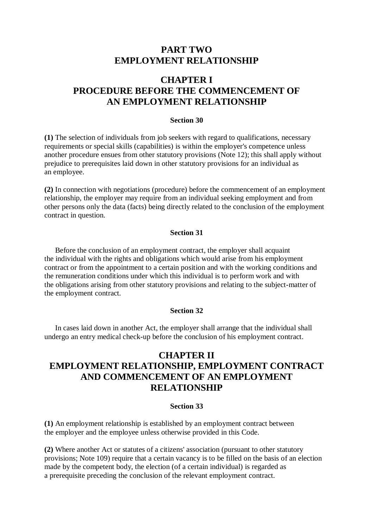# **PART TWO EMPLOYMENT RELATIONSHIP**

# **CHAPTER I PROCEDURE BEFORE THE COMMENCEMENT OF AN EMPLOYMENT RELATIONSHIP**

#### **Section 30**

**(1)** The selection of individuals from job seekers with regard to qualifications, necessary requirements or special skills (capabilities) is within the employer's competence unless another procedure ensues from other statutory provisions (Note 12); this shall apply without prejudice to prerequisites laid down in other statutory provisions for an individual as an employee.

**(2)** In connection with negotiations (procedure) before the commencement of an employment relationship, the employer may require from an individual seeking employment and from other persons only the data (facts) being directly related to the conclusion of the employment contract in question.

#### **Section 31**

Before the conclusion of an employment contract, the employer shall acquaint the individual with the rights and obligations which would arise from his employment contract or from the appointment to a certain position and with the working conditions and the remuneration conditions under which this individual is to perform work and with the obligations arising from other statutory provisions and relating to the subject-matter of the employment contract.

#### **Section 32**

In cases laid down in another Act, the employer shall arrange that the individual shall undergo an entry medical check-up before the conclusion of his employment contract.

# **CHAPTER II EMPLOYMENT RELATIONSHIP, EMPLOYMENT CONTRACT AND COMMENCEMENT OF AN EMPLOYMENT RELATIONSHIP**

#### **Section 33**

**(1)** An employment relationship is established by an employment contract between the employer and the employee unless otherwise provided in this Code.

**(2)** Where another Act or statutes of a citizens' association (pursuant to other statutory provisions; Note 109) require that a certain vacancy is to be filled on the basis of an election made by the competent body, the election (of a certain individual) is regarded as a prerequisite preceding the conclusion of the relevant employment contract.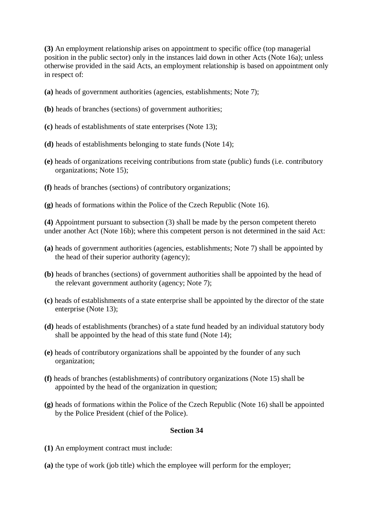**(3)** An employment relationship arises on appointment to specific office (top managerial position in the public sector) only in the instances laid down in other Acts (Note 16a); unless otherwise provided in the said Acts, an employment relationship is based on appointment only in respect of:

- **(a)** heads of government authorities (agencies, establishments; Note 7);
- **(b)** heads of branches (sections) of government authorities;
- **(c)** heads of establishments of state enterprises (Note 13);
- **(d)** heads of establishments belonging to state funds (Note 14);
- **(e)** heads of organizations receiving contributions from state (public) funds (i.e. contributory organizations; Note 15);
- **(f)** heads of branches (sections) of contributory organizations;
- **(g)** heads of formations within the Police of the Czech Republic (Note 16).

**(4)** Appointment pursuant to subsection (3) shall be made by the person competent thereto under another Act (Note 16b); where this competent person is not determined in the said Act:

- **(a)** heads of government authorities (agencies, establishments; Note 7) shall be appointed by the head of their superior authority (agency);
- **(b)** heads of branches (sections) of government authorities shall be appointed by the head of the relevant government authority (agency; Note 7);
- **(c)** heads of establishments of a state enterprise shall be appointed by the director of the state enterprise (Note 13);
- **(d)** heads of establishments (branches) of a state fund headed by an individual statutory body shall be appointed by the head of this state fund (Note 14);
- **(e)** heads of contributory organizations shall be appointed by the founder of any such organization;
- **(f)** heads of branches (establishments) of contributory organizations (Note 15) shall be appointed by the head of the organization in question;
- **(g)** heads of formations within the Police of the Czech Republic (Note 16) shall be appointed by the Police President (chief of the Police).

#### **Section 34**

- **(1)** An employment contract must include:
- **(a)** the type of work (job title) which the employee will perform for the employer;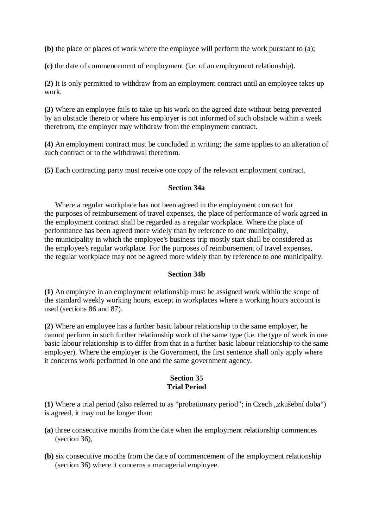**(b)** the place or places of work where the employee will perform the work pursuant to (a);

**(c)** the date of commencement of employment (i.e. of an employment relationship).

**(2)** It is only permitted to withdraw from an employment contract until an employee takes up work.

**(3)** Where an employee fails to take up his work on the agreed date without being prevented by an obstacle thereto or where his employer is not informed of such obstacle within a week therefrom, the employer may withdraw from the employment contract.

**(4)** An employment contract must be concluded in writing; the same applies to an alteration of such contract or to the withdrawal therefrom.

**(5)** Each contracting party must receive one copy of the relevant employment contract.

#### **Section 34a**

Where a regular workplace has not been agreed in the employment contract for the purposes of reimbursement of travel expenses, the place of performance of work agreed in the employment contract shall be regarded as a regular workplace. Where the place of performance has been agreed more widely than by reference to one municipality, the municipality in which the employee's business trip mostly start shall be considered as the employee's regular workplace. For the purposes of reimbursement of travel expenses, the regular workplace may not be agreed more widely than by reference to one municipality.

#### **Section 34b**

**(1)** An employee in an employment relationship must be assigned work within the scope of the standard weekly working hours, except in workplaces where a working hours account is used (sections 86 and 87).

**(2)** Where an employee has a further basic labour relationship to the same employer, he cannot perform in such further relationship work of the same type (i.e. the type of work in one basic labour relationship is to differ from that in a further basic labour relationship to the same employer). Where the employer is the Government, the first sentence shall only apply where it concerns work performed in one and the same government agency.

## **Section 35 Trial Period**

(1) Where a trial period (also referred to as "probationary period"; in Czech "zkušební doba") is agreed, it may not be longer than:

- **(a)** three consecutive months from the date when the employment relationship commences (section 36),
- **(b)** six consecutive months from the date of commencement of the employment relationship (section 36) where it concerns a managerial employee.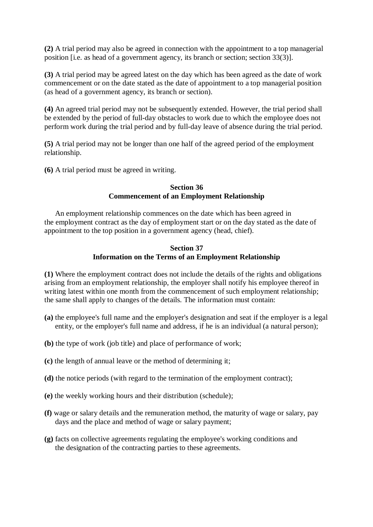**(2)** A trial period may also be agreed in connection with the appointment to a top managerial position [i.e. as head of a government agency, its branch or section; section 33(3)].

**(3)** A trial period may be agreed latest on the day which has been agreed as the date of work commencement or on the date stated as the date of appointment to a top managerial position (as head of a government agency, its branch or section).

**(4)** An agreed trial period may not be subsequently extended. However, the trial period shall be extended by the period of full-day obstacles to work due to which the employee does not perform work during the trial period and by full-day leave of absence during the trial period.

**(5)** A trial period may not be longer than one half of the agreed period of the employment relationship.

**(6)** A trial period must be agreed in writing.

#### **Section 36 Commencement of an Employment Relationship**

An employment relationship commences on the date which has been agreed in the employment contract as the day of employment start or on the day stated as the date of appointment to the top position in a government agency (head, chief).

## **Section 37 Information on the Terms of an Employment Relationship**

**(1)** Where the employment contract does not include the details of the rights and obligations arising from an employment relationship, the employer shall notify his employee thereof in writing latest within one month from the commencement of such employment relationship: the same shall apply to changes of the details. The information must contain:

- **(a)** the employee's full name and the employer's designation and seat if the employer is a legal entity, or the employer's full name and address, if he is an individual (a natural person);
- **(b)** the type of work (job title) and place of performance of work;
- **(c)** the length of annual leave or the method of determining it;
- **(d)** the notice periods (with regard to the termination of the employment contract);
- **(e)** the weekly working hours and their distribution (schedule);
- **(f)** wage or salary details and the remuneration method, the maturity of wage or salary, pay days and the place and method of wage or salary payment;
- **(g)** facts on collective agreements regulating the employee's working conditions and the designation of the contracting parties to these agreements.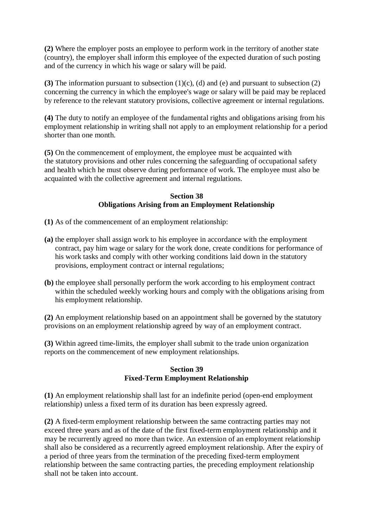**(2)** Where the employer posts an employee to perform work in the territory of another state (country), the employer shall inform this employee of the expected duration of such posting and of the currency in which his wage or salary will be paid.

**(3)** The information pursuant to subsection (1)(c), (d) and (e) and pursuant to subsection (2) concerning the currency in which the employee's wage or salary will be paid may be replaced by reference to the relevant statutory provisions, collective agreement or internal regulations.

**(4)** The duty to notify an employee of the fundamental rights and obligations arising from his employment relationship in writing shall not apply to an employment relationship for a period shorter than one month.

**(5)** On the commencement of employment, the employee must be acquainted with the statutory provisions and other rules concerning the safeguarding of occupational safety and health which he must observe during performance of work. The employee must also be acquainted with the collective agreement and internal regulations.

### **Section 38 Obligations Arising from an Employment Relationship**

- **(1)** As of the commencement of an employment relationship:
- **(a)** the employer shall assign work to his employee in accordance with the employment contract, pay him wage or salary for the work done, create conditions for performance of his work tasks and comply with other working conditions laid down in the statutory provisions, employment contract or internal regulations;
- **(b)** the employee shall personally perform the work according to his employment contract within the scheduled weekly working hours and comply with the obligations arising from his employment relationship.

**(2)** An employment relationship based on an appointment shall be governed by the statutory provisions on an employment relationship agreed by way of an employment contract.

**(3)** Within agreed time-limits, the employer shall submit to the trade union organization reports on the commencement of new employment relationships.

### **Section 39 Fixed-Term Employment Relationship**

**(1)** An employment relationship shall last for an indefinite period (open-end employment relationship) unless a fixed term of its duration has been expressly agreed.

**(2)** A fixed-term employment relationship between the same contracting parties may not exceed three years and as of the date of the first fixed-term employment relationship and it may be recurrently agreed no more than twice. An extension of an employment relationship shall also be considered as a recurrently agreed employment relationship. After the expiry of a period of three years from the termination of the preceding fixed-term employment relationship between the same contracting parties, the preceding employment relationship shall not be taken into account.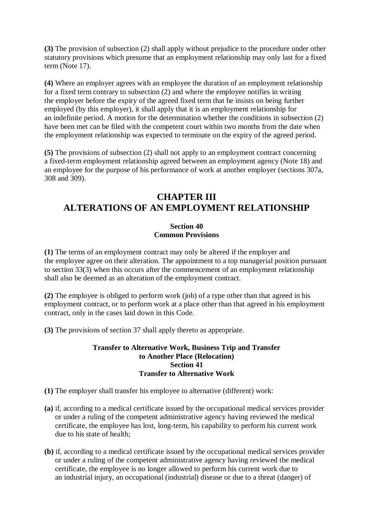**(3)** The provision of subsection (2) shall apply without prejudice to the procedure under other statutory provisions which presume that an employment relationship may only last for a fixed term (Note 17).

**(4)** Where an employer agrees with an employee the duration of an employment relationship for a fixed term contrary to subsection (2) and where the employee notifies in writing the employer before the expiry of the agreed fixed term that he insists on being further employed (by this employer), it shall apply that it is an employment relationship for an indefinite period. A motion for the determination whether the conditions in subsection (2) have been met can be filed with the competent court within two months from the date when the employment relationship was expected to terminate on the expiry of the agreed period.

**(5)** The provisions of subsection (2) shall not apply to an employment contract concerning a fixed-term employment relationship agreed between an employment agency (Note 18) and an employee for the purpose of his performance of work at another employer (sections 307a, 308 and 309).

# **CHAPTER III ALTERATIONS OF AN EMPLOYMENT RELATIONSHIP**

## **Section 40 Common Provisions**

**(1)** The terms of an employment contract may only be altered if the employer and the employee agree on their alteration. The appointment to a top managerial position pursuant to section 33(3) when this occurs after the commencement of an employment relationship shall also be deemed as an alteration of the employment contract.

**(2)** The employee is obliged to perform work (job) of a type other than that agreed in his employment contract, or to perform work at a place other than that agreed in his employment contract, only in the cases laid down in this Code.

**(3)** The provisions of section 37 shall apply thereto as appropriate.

## **Transfer to Alternative Work, Business Trip and Transfer to Another Place (Relocation) Section 41 Transfer to Alternative Work**

**(1)** The employer shall transfer his employee to alternative (different) work:

- **(a)** if, according to a medical certificate issued by the occupational medical services provider or under a ruling of the competent administrative agency having reviewed the medical certificate, the employee has lost, long-term, his capability to perform his current work due to his state of health;
- **(b)** if, according to a medical certificate issued by the occupational medical services provider or under a ruling of the competent administrative agency having reviewed the medical certificate, the employee is no longer allowed to perform his current work due to an industrial injury, an occupational (industrial) disease or due to a threat (danger) of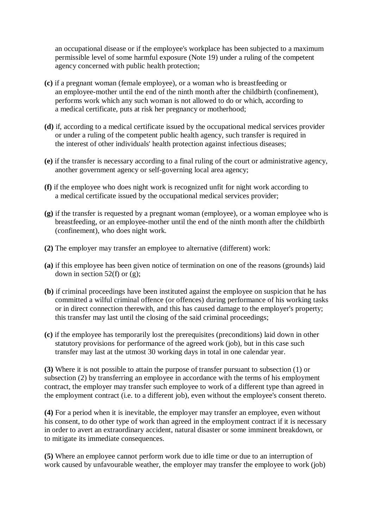an occupational disease or if the employee's workplace has been subjected to a maximum permissible level of some harmful exposure (Note 19) under a ruling of the competent agency concerned with public health protection;

- **(c)** if a pregnant woman (female employee), or a woman who is breastfeeding or an employee-mother until the end of the ninth month after the childbirth (confinement), performs work which any such woman is not allowed to do or which, according to a medical certificate, puts at risk her pregnancy or motherhood;
- **(d)** if, according to a medical certificate issued by the occupational medical services provider or under a ruling of the competent public health agency, such transfer is required in the interest of other individuals' health protection against infectious diseases;
- **(e)** if the transfer is necessary according to a final ruling of the court or administrative agency, another government agency or self-governing local area agency;
- **(f)** if the employee who does night work is recognized unfit for night work according to a medical certificate issued by the occupational medical services provider;
- **(g)** if the transfer is requested by a pregnant woman (employee), or a woman employee who is breastfeeding, or an employee-mother until the end of the ninth month after the childbirth (confinement), who does night work.
- **(2)** The employer may transfer an employee to alternative (different) work:
- **(a)** if this employee has been given notice of termination on one of the reasons (grounds) laid down in section 52(f) or  $(g)$ ;
- **(b)** if criminal proceedings have been instituted against the employee on suspicion that he has committed a wilful criminal offence (or offences) during performance of his working tasks or in direct connection therewith, and this has caused damage to the employer's property; this transfer may last until the closing of the said criminal proceedings;
- **(c)** if the employee has temporarily lost the prerequisites (preconditions) laid down in other statutory provisions for performance of the agreed work (job), but in this case such transfer may last at the utmost 30 working days in total in one calendar year.

**(3)** Where it is not possible to attain the purpose of transfer pursuant to subsection (1) or subsection (2) by transferring an employee in accordance with the terms of his employment contract, the employer may transfer such employee to work of a different type than agreed in the employment contract (i.e. to a different job), even without the employee's consent thereto.

**(4)** For a period when it is inevitable, the employer may transfer an employee, even without his consent, to do other type of work than agreed in the employment contract if it is necessary in order to avert an extraordinary accident, natural disaster or some imminent breakdown, or to mitigate its immediate consequences.

**(5)** Where an employee cannot perform work due to idle time or due to an interruption of work caused by unfavourable weather, the employer may transfer the employee to work (job)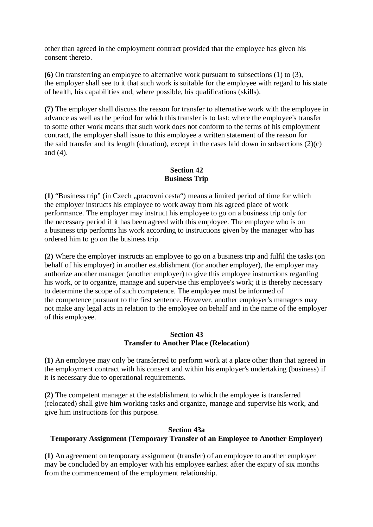other than agreed in the employment contract provided that the employee has given his consent thereto.

**(6)** On transferring an employee to alternative work pursuant to subsections (1) to (3), the employer shall see to it that such work is suitable for the employee with regard to his state of health, his capabilities and, where possible, his qualifications (skills).

**(7)** The employer shall discuss the reason for transfer to alternative work with the employee in advance as well as the period for which this transfer is to last; where the employee's transfer to some other work means that such work does not conform to the terms of his employment contract, the employer shall issue to this employee a written statement of the reason for the said transfer and its length (duration), except in the cases laid down in subsections  $(2)(c)$ and (4).

## **Section 42 Business Trip**

(1) "Business trip" (in Czech "pracovní cesta") means a limited period of time for which the employer instructs his employee to work away from his agreed place of work performance. The employer may instruct his employee to go on a business trip only for the necessary period if it has been agreed with this employee. The employee who is on a business trip performs his work according to instructions given by the manager who has ordered him to go on the business trip.

**(2)** Where the employer instructs an employee to go on a business trip and fulfil the tasks (on behalf of his employer) in another establishment (for another employer), the employer may authorize another manager (another employer) to give this employee instructions regarding his work, or to organize, manage and supervise this employee's work; it is thereby necessary to determine the scope of such competence. The employee must be informed of the competence pursuant to the first sentence. However, another employer's managers may not make any legal acts in relation to the employee on behalf and in the name of the employer of this employee.

### **Section 43 Transfer to Another Place (Relocation)**

**(1)** An employee may only be transferred to perform work at a place other than that agreed in the employment contract with his consent and within his employer's undertaking (business) if it is necessary due to operational requirements.

**(2)** The competent manager at the establishment to which the employee is transferred (relocated) shall give him working tasks and organize, manage and supervise his work, and give him instructions for this purpose.

## **Section 43a Temporary Assignment (Temporary Transfer of an Employee to Another Employer)**

**(1)** An agreement on temporary assignment (transfer) of an employee to another employer may be concluded by an employer with his employee earliest after the expiry of six months from the commencement of the employment relationship.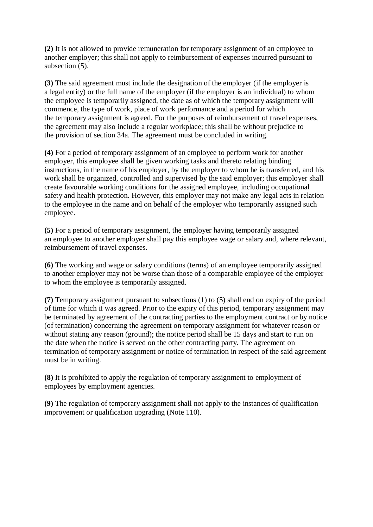**(2)** It is not allowed to provide remuneration for temporary assignment of an employee to another employer; this shall not apply to reimbursement of expenses incurred pursuant to subsection (5).

**(3)** The said agreement must include the designation of the employer (if the employer is a legal entity) or the full name of the employer (if the employer is an individual) to whom the employee is temporarily assigned, the date as of which the temporary assignment will commence, the type of work, place of work performance and a period for which the temporary assignment is agreed. For the purposes of reimbursement of travel expenses, the agreement may also include a regular workplace; this shall be without prejudice to the provision of section 34a. The agreement must be concluded in writing.

**(4)** For a period of temporary assignment of an employee to perform work for another employer, this employee shall be given working tasks and thereto relating binding instructions, in the name of his employer, by the employer to whom he is transferred, and his work shall be organized, controlled and supervised by the said employer; this employer shall create favourable working conditions for the assigned employee, including occupational safety and health protection. However, this employer may not make any legal acts in relation to the employee in the name and on behalf of the employer who temporarily assigned such employee.

**(5)** For a period of temporary assignment, the employer having temporarily assigned an employee to another employer shall pay this employee wage or salary and, where relevant, reimbursement of travel expenses.

**(6)** The working and wage or salary conditions (terms) of an employee temporarily assigned to another employer may not be worse than those of a comparable employee of the employer to whom the employee is temporarily assigned.

**(7)** Temporary assignment pursuant to subsections (1) to (5) shall end on expiry of the period of time for which it was agreed. Prior to the expiry of this period, temporary assignment may be terminated by agreement of the contracting parties to the employment contract or by notice (of termination) concerning the agreement on temporary assignment for whatever reason or without stating any reason (ground); the notice period shall be 15 days and start to run on the date when the notice is served on the other contracting party. The agreement on termination of temporary assignment or notice of termination in respect of the said agreement must be in writing.

**(8)** It is prohibited to apply the regulation of temporary assignment to employment of employees by employment agencies.

**(9)** The regulation of temporary assignment shall not apply to the instances of qualification improvement or qualification upgrading (Note 110).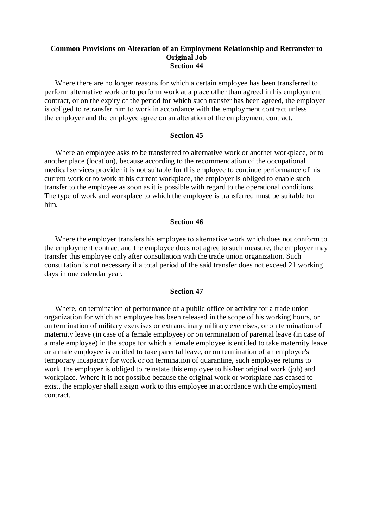#### **Common Provisions on Alteration of an Employment Relationship and Retransfer to Original Job Section 44**

Where there are no longer reasons for which a certain employee has been transferred to perform alternative work or to perform work at a place other than agreed in his employment contract, or on the expiry of the period for which such transfer has been agreed, the employer is obliged to retransfer him to work in accordance with the employment contract unless the employer and the employee agree on an alteration of the employment contract.

#### **Section 45**

Where an employee asks to be transferred to alternative work or another workplace, or to another place (location), because according to the recommendation of the occupational medical services provider it is not suitable for this employee to continue performance of his current work or to work at his current workplace, the employer is obliged to enable such transfer to the employee as soon as it is possible with regard to the operational conditions. The type of work and workplace to which the employee is transferred must be suitable for him.

#### **Section 46**

Where the employer transfers his employee to alternative work which does not conform to the employment contract and the employee does not agree to such measure, the employer may transfer this employee only after consultation with the trade union organization. Such consultation is not necessary if a total period of the said transfer does not exceed 21 working days in one calendar year.

#### **Section 47**

Where, on termination of performance of a public office or activity for a trade union organization for which an employee has been released in the scope of his working hours, or on termination of military exercises or extraordinary military exercises, or on termination of maternity leave (in case of a female employee) or on termination of parental leave (in case of a male employee) in the scope for which a female employee is entitled to take maternity leave or a male employee is entitled to take parental leave, or on termination of an employee's temporary incapacity for work or on termination of quarantine, such employee returns to work, the employer is obliged to reinstate this employee to his/her original work (job) and workplace. Where it is not possible because the original work or workplace has ceased to exist, the employer shall assign work to this employee in accordance with the employment contract.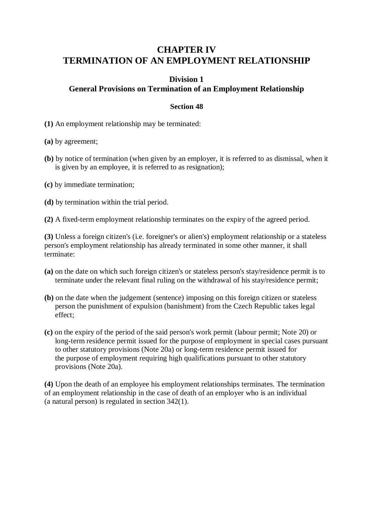# **CHAPTER IV TERMINATION OF AN EMPLOYMENT RELATIONSHIP**

# **Division 1 General Provisions on Termination of an Employment Relationship**

## **Section 48**

**(1)** An employment relationship may be terminated:

**(a)** by agreement;

- **(b)** by notice of termination (when given by an employer, it is referred to as dismissal, when it is given by an employee, it is referred to as resignation);
- **(c)** by immediate termination;
- **(d)** by termination within the trial period.

**(2)** A fixed-term employment relationship terminates on the expiry of the agreed period.

**(3)** Unless a foreign citizen's (i.e. foreigner's or alien's) employment relationship or a stateless person's employment relationship has already terminated in some other manner, it shall terminate:

- **(a)** on the date on which such foreign citizen's or stateless person's stay/residence permit is to terminate under the relevant final ruling on the withdrawal of his stay/residence permit;
- **(b)** on the date when the judgement (sentence) imposing on this foreign citizen or stateless person the punishment of expulsion (banishment) from the Czech Republic takes legal effect;
- **(c)** on the expiry of the period of the said person's work permit (labour permit; Note 20) or long-term residence permit issued for the purpose of employment in special cases pursuant to other statutory provisions (Note 20a) or long-term residence permit issued for the purpose of employment requiring high qualifications pursuant to other statutory provisions (Note 20a).

**(4)** Upon the death of an employee his employment relationships terminates. The termination of an employment relationship in the case of death of an employer who is an individual (a natural person) is regulated in section 342(1).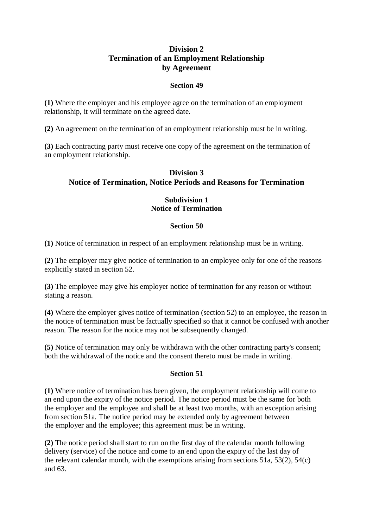## **Division 2 Termination of an Employment Relationship by Agreement**

## **Section 49**

**(1)** Where the employer and his employee agree on the termination of an employment relationship, it will terminate on the agreed date.

**(2)** An agreement on the termination of an employment relationship must be in writing.

**(3)** Each contracting party must receive one copy of the agreement on the termination of an employment relationship.

# **Division 3 Notice of Termination, Notice Periods and Reasons for Termination**

## **Subdivision 1 Notice of Termination**

### **Section 50**

**(1)** Notice of termination in respect of an employment relationship must be in writing.

**(2)** The employer may give notice of termination to an employee only for one of the reasons explicitly stated in section 52.

**(3)** The employee may give his employer notice of termination for any reason or without stating a reason.

**(4)** Where the employer gives notice of termination (section 52) to an employee, the reason in the notice of termination must be factually specified so that it cannot be confused with another reason. The reason for the notice may not be subsequently changed.

**(5)** Notice of termination may only be withdrawn with the other contracting party's consent; both the withdrawal of the notice and the consent thereto must be made in writing.

## **Section 51**

**(1)** Where notice of termination has been given, the employment relationship will come to an end upon the expiry of the notice period. The notice period must be the same for both the employer and the employee and shall be at least two months, with an exception arising from section 51a. The notice period may be extended only by agreement between the employer and the employee; this agreement must be in writing.

**(2)** The notice period shall start to run on the first day of the calendar month following delivery (service) of the notice and come to an end upon the expiry of the last day of the relevant calendar month, with the exemptions arising from sections 51a, 53(2), 54(c) and 63.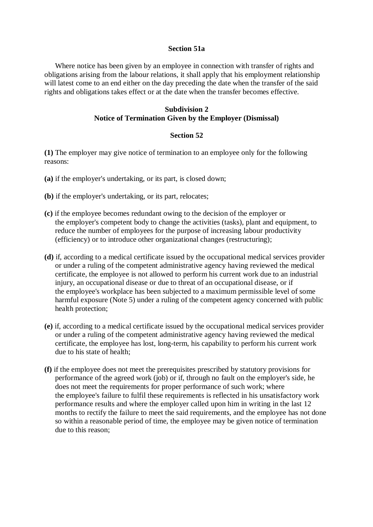#### **Section 51a**

Where notice has been given by an employee in connection with transfer of rights and obligations arising from the labour relations, it shall apply that his employment relationship will latest come to an end either on the day preceding the date when the transfer of the said rights and obligations takes effect or at the date when the transfer becomes effective.

### **Subdivision 2 Notice of Termination Given by the Employer (Dismissal)**

#### **Section 52**

**(1)** The employer may give notice of termination to an employee only for the following reasons:

- **(a)** if the employer's undertaking, or its part, is closed down;
- **(b)** if the employer's undertaking, or its part, relocates;
- **(c)** if the employee becomes redundant owing to the decision of the employer or the employer's competent body to change the activities (tasks), plant and equipment, to reduce the number of employees for the purpose of increasing labour productivity (efficiency) or to introduce other organizational changes (restructuring);
- **(d)** if, according to a medical certificate issued by the occupational medical services provider or under a ruling of the competent administrative agency having reviewed the medical certificate, the employee is not allowed to perform his current work due to an industrial injury, an occupational disease or due to threat of an occupational disease, or if the employee's workplace has been subjected to a maximum permissible level of some harmful exposure (Note 5) under a ruling of the competent agency concerned with public health protection;
- **(e)** if, according to a medical certificate issued by the occupational medical services provider or under a ruling of the competent administrative agency having reviewed the medical certificate, the employee has lost, long-term, his capability to perform his current work due to his state of health;
- **(f)** if the employee does not meet the prerequisites prescribed by statutory provisions for performance of the agreed work (job) or if, through no fault on the employer's side, he does not meet the requirements for proper performance of such work; where the employee's failure to fulfil these requirements is reflected in his unsatisfactory work performance results and where the employer called upon him in writing in the last 12 months to rectify the failure to meet the said requirements, and the employee has not done so within a reasonable period of time, the employee may be given notice of termination due to this reason;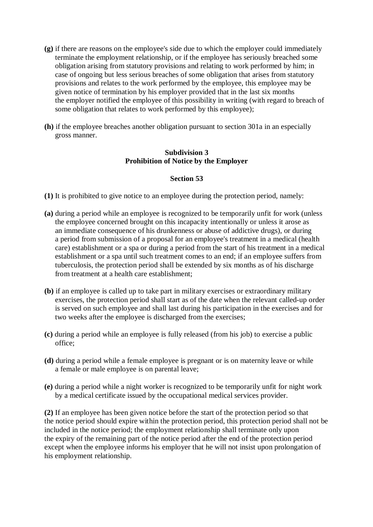- **(g)** if there are reasons on the employee's side due to which the employer could immediately terminate the employment relationship, or if the employee has seriously breached some obligation arising from statutory provisions and relating to work performed by him; in case of ongoing but less serious breaches of some obligation that arises from statutory provisions and relates to the work performed by the employee, this employee may be given notice of termination by his employer provided that in the last six months the employer notified the employee of this possibility in writing (with regard to breach of some obligation that relates to work performed by this employee);
- **(h)** if the employee breaches another obligation pursuant to section 301a in an especially gross manner.

## **Subdivision 3 Prohibition of Notice by the Employer**

### **Section 53**

- **(1)** It is prohibited to give notice to an employee during the protection period, namely:
- **(a)** during a period while an employee is recognized to be temporarily unfit for work (unless the employee concerned brought on this incapacity intentionally or unless it arose as an immediate consequence of his drunkenness or abuse of addictive drugs), or during a period from submission of a proposal for an employee's treatment in a medical (health care) establishment or a spa or during a period from the start of his treatment in a medical establishment or a spa until such treatment comes to an end; if an employee suffers from tuberculosis, the protection period shall be extended by six months as of his discharge from treatment at a health care establishment;
- **(b)** if an employee is called up to take part in military exercises or extraordinary military exercises, the protection period shall start as of the date when the relevant called-up order is served on such employee and shall last during his participation in the exercises and for two weeks after the employee is discharged from the exercises;
- **(c)** during a period while an employee is fully released (from his job) to exercise a public office;
- **(d)** during a period while a female employee is pregnant or is on maternity leave or while a female or male employee is on parental leave;
- **(e)** during a period while a night worker is recognized to be temporarily unfit for night work by a medical certificate issued by the occupational medical services provider.

**(2)** If an employee has been given notice before the start of the protection period so that the notice period should expire within the protection period, this protection period shall not be included in the notice period; the employment relationship shall terminate only upon the expiry of the remaining part of the notice period after the end of the protection period except when the employee informs his employer that he will not insist upon prolongation of his employment relationship.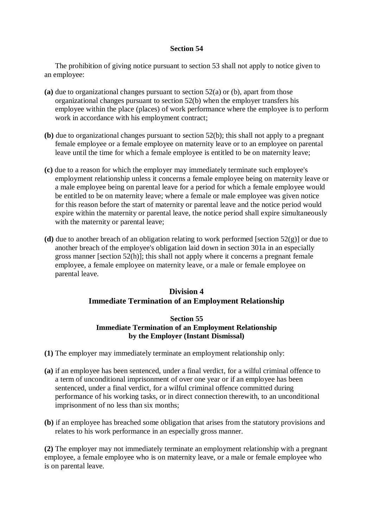The prohibition of giving notice pursuant to section 53 shall not apply to notice given to an employee:

- **(a)** due to organizational changes pursuant to section 52(a) or (b), apart from those organizational changes pursuant to section 52(b) when the employer transfers his employee within the place (places) of work performance where the employee is to perform work in accordance with his employment contract;
- **(b)** due to organizational changes pursuant to section 52(b); this shall not apply to a pregnant female employee or a female employee on maternity leave or to an employee on parental leave until the time for which a female employee is entitled to be on maternity leave;
- **(c)** due to a reason for which the employer may immediately terminate such employee's employment relationship unless it concerns a female employee being on maternity leave or a male employee being on parental leave for a period for which a female employee would be entitled to be on maternity leave; where a female or male employee was given notice for this reason before the start of maternity or parental leave and the notice period would expire within the maternity or parental leave, the notice period shall expire simultaneously with the maternity or parental leave;
- **(d)** due to another breach of an obligation relating to work performed [section 52(g)] or due to another breach of the employee's obligation laid down in section 301a in an especially gross manner [section 52(h)]; this shall not apply where it concerns a pregnant female employee, a female employee on maternity leave, or a male or female employee on parental leave.

# **Division 4 Immediate Termination of an Employment Relationship**

### **Section 55 Immediate Termination of an Employment Relationship by the Employer (Instant Dismissal)**

- **(1)** The employer may immediately terminate an employment relationship only:
- **(a)** if an employee has been sentenced, under a final verdict, for a wilful criminal offence to a term of unconditional imprisonment of over one year or if an employee has been sentenced, under a final verdict, for a wilful criminal offence committed during performance of his working tasks, or in direct connection therewith, to an unconditional imprisonment of no less than six months;
- **(b)** if an employee has breached some obligation that arises from the statutory provisions and relates to his work performance in an especially gross manner.

**(2)** The employer may not immediately terminate an employment relationship with a pregnant employee, a female employee who is on maternity leave, or a male or female employee who is on parental leave.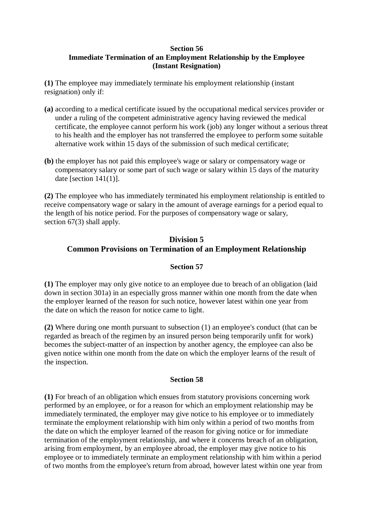## **Immediate Termination of an Employment Relationship by the Employee (Instant Resignation)**

**(1)** The employee may immediately terminate his employment relationship (instant resignation) only if:

- **(a)** according to a medical certificate issued by the occupational medical services provider or under a ruling of the competent administrative agency having reviewed the medical certificate, the employee cannot perform his work (job) any longer without a serious threat to his health and the employer has not transferred the employee to perform some suitable alternative work within 15 days of the submission of such medical certificate;
- **(b)** the employer has not paid this employee's wage or salary or compensatory wage or compensatory salary or some part of such wage or salary within 15 days of the maturity date [section  $141(1)$ ].

**(2)** The employee who has immediately terminated his employment relationship is entitled to receive compensatory wage or salary in the amount of average earnings for a period equal to the length of his notice period. For the purposes of compensatory wage or salary, section 67(3) shall apply.

# **Division 5 Common Provisions on Termination of an Employment Relationship**

## **Section 57**

**(1)** The employer may only give notice to an employee due to breach of an obligation (laid down in section 301a) in an especially gross manner within one month from the date when the employer learned of the reason for such notice, however latest within one year from the date on which the reason for notice came to light.

**(2)** Where during one month pursuant to subsection (1) an employee's conduct (that can be regarded as breach of the regimen by an insured person being temporarily unfit for work) becomes the subject-matter of an inspection by another agency, the employee can also be given notice within one month from the date on which the employer learns of the result of the inspection.

## **Section 58**

**(1)** For breach of an obligation which ensues from statutory provisions concerning work performed by an employee, or for a reason for which an employment relationship may be immediately terminated, the employer may give notice to his employee or to immediately terminate the employment relationship with him only within a period of two months from the date on which the employer learned of the reason for giving notice or for immediate termination of the employment relationship, and where it concerns breach of an obligation, arising from employment, by an employee abroad, the employer may give notice to his employee or to immediately terminate an employment relationship with him within a period of two months from the employee's return from abroad, however latest within one year from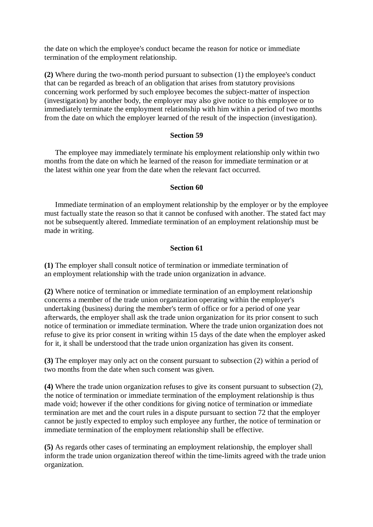the date on which the employee's conduct became the reason for notice or immediate termination of the employment relationship.

**(2)** Where during the two-month period pursuant to subsection (1) the employee's conduct that can be regarded as breach of an obligation that arises from statutory provisions concerning work performed by such employee becomes the subject-matter of inspection (investigation) by another body, the employer may also give notice to this employee or to immediately terminate the employment relationship with him within a period of two months from the date on which the employer learned of the result of the inspection (investigation).

#### **Section 59**

The employee may immediately terminate his employment relationship only within two months from the date on which he learned of the reason for immediate termination or at the latest within one year from the date when the relevant fact occurred.

#### **Section 60**

Immediate termination of an employment relationship by the employer or by the employee must factually state the reason so that it cannot be confused with another. The stated fact may not be subsequently altered. Immediate termination of an employment relationship must be made in writing.

#### **Section 61**

**(1)** The employer shall consult notice of termination or immediate termination of an employment relationship with the trade union organization in advance.

**(2)** Where notice of termination or immediate termination of an employment relationship concerns a member of the trade union organization operating within the employer's undertaking (business) during the member's term of office or for a period of one year afterwards, the employer shall ask the trade union organization for its prior consent to such notice of termination or immediate termination. Where the trade union organization does not refuse to give its prior consent in writing within 15 days of the date when the employer asked for it, it shall be understood that the trade union organization has given its consent.

**(3)** The employer may only act on the consent pursuant to subsection (2) within a period of two months from the date when such consent was given.

**(4)** Where the trade union organization refuses to give its consent pursuant to subsection (2), the notice of termination or immediate termination of the employment relationship is thus made void; however if the other conditions for giving notice of termination or immediate termination are met and the court rules in a dispute pursuant to section 72 that the employer cannot be justly expected to employ such employee any further, the notice of termination or immediate termination of the employment relationship shall be effective.

**(5)** As regards other cases of terminating an employment relationship, the employer shall inform the trade union organization thereof within the time-limits agreed with the trade union organization.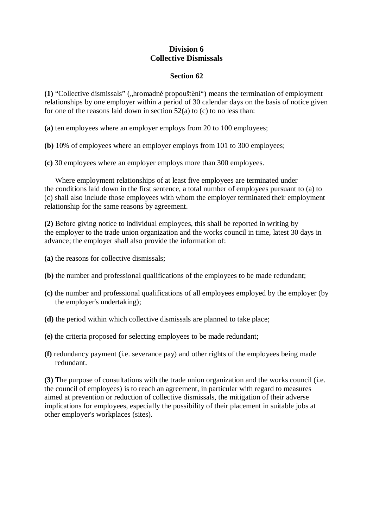## **Division 6 Collective Dismissals**

### **Section 62**

**(1)** "Collective dismissals" ("hromadné propouštění") means the termination of employment relationships by one employer within a period of 30 calendar days on the basis of notice given for one of the reasons laid down in section  $52(a)$  to (c) to no less than:

**(a)** ten employees where an employer employs from 20 to 100 employees;

**(b)** 10% of employees where an employer employs from 101 to 300 employees;

**(c)** 30 employees where an employer employs more than 300 employees.

Where employment relationships of at least five employees are terminated under the conditions laid down in the first sentence, a total number of employees pursuant to (a) to (c) shall also include those employees with whom the employer terminated their employment relationship for the same reasons by agreement.

**(2)** Before giving notice to individual employees, this shall be reported in writing by the employer to the trade union organization and the works council in time, latest 30 days in advance; the employer shall also provide the information of:

- **(a)** the reasons for collective dismissals;
- **(b)** the number and professional qualifications of the employees to be made redundant;
- **(c)** the number and professional qualifications of all employees employed by the employer (by the employer's undertaking);
- **(d)** the period within which collective dismissals are planned to take place;
- **(e)** the criteria proposed for selecting employees to be made redundant;
- **(f)** redundancy payment (i.e. severance pay) and other rights of the employees being made redundant.

**(3)** The purpose of consultations with the trade union organization and the works council (i.e. the council of employees) is to reach an agreement, in particular with regard to measures aimed at prevention or reduction of collective dismissals, the mitigation of their adverse implications for employees, especially the possibility of their placement in suitable jobs at other employer's workplaces (sites).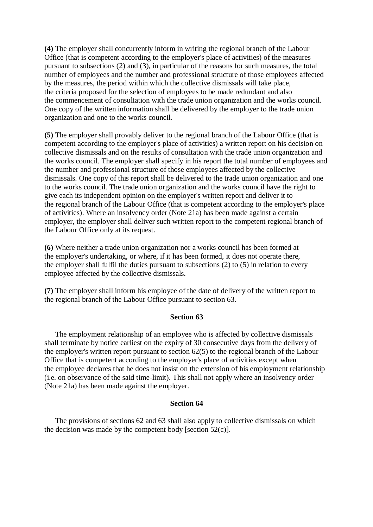**(4)** The employer shall concurrently inform in writing the regional branch of the Labour Office (that is competent according to the employer's place of activities) of the measures pursuant to subsections (2) and (3), in particular of the reasons for such measures, the total number of employees and the number and professional structure of those employees affected by the measures, the period within which the collective dismissals will take place, the criteria proposed for the selection of employees to be made redundant and also the commencement of consultation with the trade union organization and the works council. One copy of the written information shall be delivered by the employer to the trade union organization and one to the works council.

**(5)** The employer shall provably deliver to the regional branch of the Labour Office (that is competent according to the employer's place of activities) a written report on his decision on collective dismissals and on the results of consultation with the trade union organization and the works council. The employer shall specify in his report the total number of employees and the number and professional structure of those employees affected by the collective dismissals. One copy of this report shall be delivered to the trade union organization and one to the works council. The trade union organization and the works council have the right to give each its independent opinion on the employer's written report and deliver it to the regional branch of the Labour Office (that is competent according to the employer's place of activities). Where an insolvency order (Note 21a) has been made against a certain employer, the employer shall deliver such written report to the competent regional branch of the Labour Office only at its request.

**(6)** Where neither a trade union organization nor a works council has been formed at the employer's undertaking, or where, if it has been formed, it does not operate there, the employer shall fulfil the duties pursuant to subsections (2) to (5) in relation to every employee affected by the collective dismissals.

**(7)** The employer shall inform his employee of the date of delivery of the written report to the regional branch of the Labour Office pursuant to section 63.

#### **Section 63**

The employment relationship of an employee who is affected by collective dismissals shall terminate by notice earliest on the expiry of 30 consecutive days from the delivery of the employer's written report pursuant to section 62(5) to the regional branch of the Labour Office that is competent according to the employer's place of activities except when the employee declares that he does not insist on the extension of his employment relationship (i.e. on observance of the said time-limit). This shall not apply where an insolvency order (Note 21a) has been made against the employer.

#### **Section 64**

The provisions of sections 62 and 63 shall also apply to collective dismissals on which the decision was made by the competent body [section  $52(c)$ ].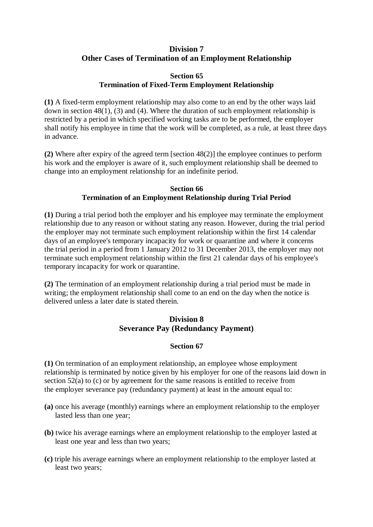## **Division 7 Other Cases of Termination of an Employment Relationship**

### **Section 65 Termination of Fixed-Term Employment Relationship**

**(1)** A fixed-term employment relationship may also come to an end by the other ways laid down in section 48(1), (3) and (4). Where the duration of such employment relationship is restricted by a period in which specified working tasks are to be performed, the employer shall notify his employee in time that the work will be completed, as a rule, at least three days in advance.

**(2)** Where after expiry of the agreed term [section 48(2)] the employee continues to perform his work and the employer is aware of it, such employment relationship shall be deemed to change into an employment relationship for an indefinite period.

#### **Section 66 Termination of an Employment Relationship during Trial Period**

**(1)** During a trial period both the employer and his employee may terminate the employment relationship due to any reason or without stating any reason. However, during the trial period the employer may not terminate such employment relationship within the first 14 calendar days of an employee's temporary incapacity for work or quarantine and where it concerns the trial period in a period from 1 January 2012 to 31 December 2013, the employer may not terminate such employment relationship within the first 21 calendar days of his employee's temporary incapacity for work or quarantine.

**(2)** The termination of an employment relationship during a trial period must be made in writing; the employment relationship shall come to an end on the day when the notice is delivered unless a later date is stated therein.

# **Division 8 Severance Pay (Redundancy Payment)**

## **Section 67**

**(1)** On termination of an employment relationship, an employee whose employment relationship is terminated by notice given by his employer for one of the reasons laid down in section 52(a) to (c) or by agreement for the same reasons is entitled to receive from the employer severance pay (redundancy payment) at least in the amount equal to:

- **(a)** once his average (monthly) earnings where an employment relationship to the employer lasted less than one year;
- **(b)** twice his average earnings where an employment relationship to the employer lasted at least one year and less than two years;
- **(c)** triple his average earnings where an employment relationship to the employer lasted at least two years;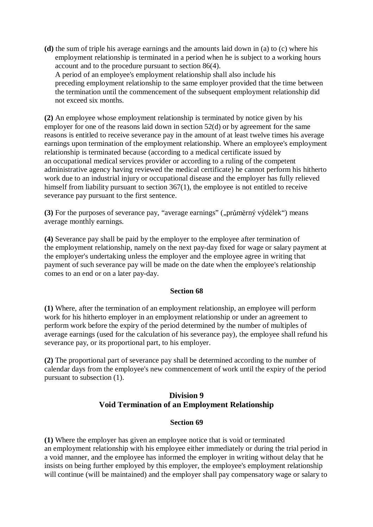**(d)** the sum of triple his average earnings and the amounts laid down in (a) to (c) where his employment relationship is terminated in a period when he is subject to a working hours account and to the procedure pursuant to section 86(4).

A period of an employee's employment relationship shall also include his preceding employment relationship to the same employer provided that the time between the termination until the commencement of the subsequent employment relationship did not exceed six months.

**(2)** An employee whose employment relationship is terminated by notice given by his employer for one of the reasons laid down in section 52(d) or by agreement for the same reasons is entitled to receive severance pay in the amount of at least twelve times his average earnings upon termination of the employment relationship. Where an employee's employment relationship is terminated because (according to a medical certificate issued by an occupational medical services provider or according to a ruling of the competent administrative agency having reviewed the medical certificate) he cannot perform his hitherto work due to an industrial injury or occupational disease and the employer has fully relieved himself from liability pursuant to section 367(1), the employee is not entitled to receive severance pay pursuant to the first sentence.

**(3)** For the purposes of severance pay, "average earnings" ("průměrný výdělek") means average monthly earnings.

**(4)** Severance pay shall be paid by the employer to the employee after termination of the employment relationship, namely on the next pay-day fixed for wage or salary payment at the employer's undertaking unless the employer and the employee agree in writing that payment of such severance pay will be made on the date when the employee's relationship comes to an end or on a later pay-day.

#### **Section 68**

**(1)** Where, after the termination of an employment relationship, an employee will perform work for his hitherto employer in an employment relationship or under an agreement to perform work before the expiry of the period determined by the number of multiples of average earnings (used for the calculation of his severance pay), the employee shall refund his severance pay, or its proportional part, to his employer.

**(2)** The proportional part of severance pay shall be determined according to the number of calendar days from the employee's new commencement of work until the expiry of the period pursuant to subsection (1).

## **Division 9 Void Termination of an Employment Relationship**

## **Section 69**

**(1)** Where the employer has given an employee notice that is void or terminated an employment relationship with his employee either immediately or during the trial period in a void manner, and the employee has informed the employer in writing without delay that he insists on being further employed by this employer, the employee's employment relationship will continue (will be maintained) and the employer shall pay compensatory wage or salary to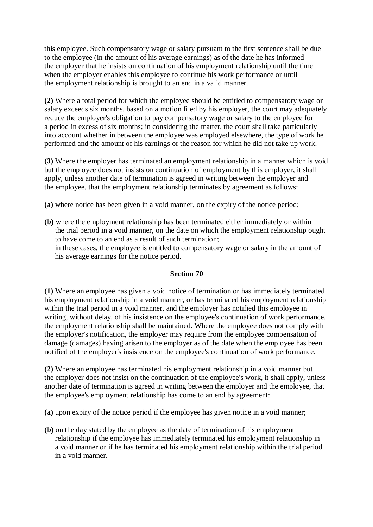this employee. Such compensatory wage or salary pursuant to the first sentence shall be due to the employee (in the amount of his average earnings) as of the date he has informed the employer that he insists on continuation of his employment relationship until the time when the employer enables this employee to continue his work performance or until the employment relationship is brought to an end in a valid manner.

**(2)** Where a total period for which the employee should be entitled to compensatory wage or salary exceeds six months, based on a motion filed by his employer, the court may adequately reduce the employer's obligation to pay compensatory wage or salary to the employee for a period in excess of six months; in considering the matter, the court shall take particularly into account whether in between the employee was employed elsewhere, the type of work he performed and the amount of his earnings or the reason for which he did not take up work.

**(3)** Where the employer has terminated an employment relationship in a manner which is void but the employee does not insists on continuation of employment by this employer, it shall apply, unless another date of termination is agreed in writing between the employer and the employee, that the employment relationship terminates by agreement as follows:

- **(a)** where notice has been given in a void manner, on the expiry of the notice period;
- **(b)** where the employment relationship has been terminated either immediately or within the trial period in a void manner, on the date on which the employment relationship ought to have come to an end as a result of such termination; in these cases, the employee is entitled to compensatory wage or salary in the amount of his average earnings for the notice period.

#### **Section 70**

**(1)** Where an employee has given a void notice of termination or has immediately terminated his employment relationship in a void manner, or has terminated his employment relationship within the trial period in a void manner, and the employer has notified this employee in writing, without delay, of his insistence on the employee's continuation of work performance, the employment relationship shall be maintained. Where the employee does not comply with the employer's notification, the employer may require from the employee compensation of damage (damages) having arisen to the employer as of the date when the employee has been notified of the employer's insistence on the employee's continuation of work performance.

**(2)** Where an employee has terminated his employment relationship in a void manner but the employer does not insist on the continuation of the employee's work, it shall apply, unless another date of termination is agreed in writing between the employer and the employee, that the employee's employment relationship has come to an end by agreement:

**(a)** upon expiry of the notice period if the employee has given notice in a void manner;

**(b)** on the day stated by the employee as the date of termination of his employment relationship if the employee has immediately terminated his employment relationship in a void manner or if he has terminated his employment relationship within the trial period in a void manner.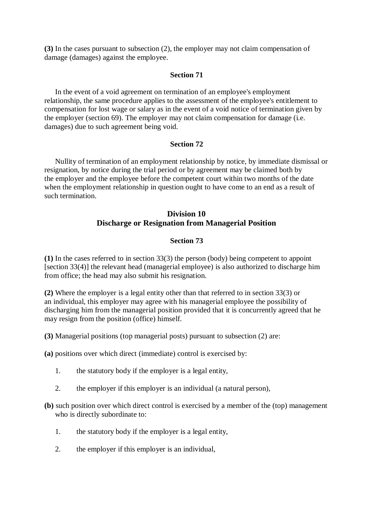**(3)** In the cases pursuant to subsection (2), the employer may not claim compensation of damage (damages) against the employee.

#### **Section 71**

In the event of a void agreement on termination of an employee's employment relationship, the same procedure applies to the assessment of the employee's entitlement to compensation for lost wage or salary as in the event of a void notice of termination given by the employer (section 69). The employer may not claim compensation for damage (i.e. damages) due to such agreement being void.

#### **Section 72**

Nullity of termination of an employment relationship by notice, by immediate dismissal or resignation, by notice during the trial period or by agreement may be claimed both by the employer and the employee before the competent court within two months of the date when the employment relationship in question ought to have come to an end as a result of such termination.

## **Division 10 Discharge or Resignation from Managerial Position**

#### **Section 73**

**(1)** In the cases referred to in section 33(3) the person (body) being competent to appoint [section 33(4)] the relevant head (managerial employee) is also authorized to discharge him from office; the head may also submit his resignation.

**(2)** Where the employer is a legal entity other than that referred to in section 33(3) or an individual, this employer may agree with his managerial employee the possibility of discharging him from the managerial position provided that it is concurrently agreed that he may resign from the position (office) himself.

**(3)** Managerial positions (top managerial posts) pursuant to subsection (2) are:

**(a)** positions over which direct (immediate) control is exercised by:

- 1. the statutory body if the employer is a legal entity,
- 2. the employer if this employer is an individual (a natural person),
- **(b)** such position over which direct control is exercised by a member of the (top) management who is directly subordinate to:
	- 1. the statutory body if the employer is a legal entity,
	- 2. the employer if this employer is an individual,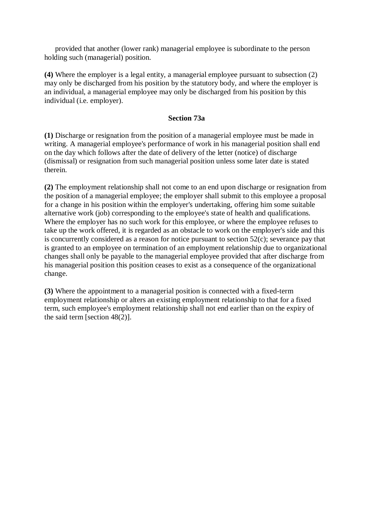provided that another (lower rank) managerial employee is subordinate to the person holding such (managerial) position.

**(4)** Where the employer is a legal entity, a managerial employee pursuant to subsection (2) may only be discharged from his position by the statutory body, and where the employer is an individual, a managerial employee may only be discharged from his position by this individual (i.e. employer).

#### **Section 73a**

**(1)** Discharge or resignation from the position of a managerial employee must be made in writing. A managerial employee's performance of work in his managerial position shall end on the day which follows after the date of delivery of the letter (notice) of discharge (dismissal) or resignation from such managerial position unless some later date is stated therein.

**(2)** The employment relationship shall not come to an end upon discharge or resignation from the position of a managerial employee; the employer shall submit to this employee a proposal for a change in his position within the employer's undertaking, offering him some suitable alternative work (job) corresponding to the employee's state of health and qualifications. Where the employer has no such work for this employee, or where the employee refuses to take up the work offered, it is regarded as an obstacle to work on the employer's side and this is concurrently considered as a reason for notice pursuant to section 52(c); severance pay that is granted to an employee on termination of an employment relationship due to organizational changes shall only be payable to the managerial employee provided that after discharge from his managerial position this position ceases to exist as a consequence of the organizational change.

**(3)** Where the appointment to a managerial position is connected with a fixed-term employment relationship or alters an existing employment relationship to that for a fixed term, such employee's employment relationship shall not end earlier than on the expiry of the said term [section 48(2)].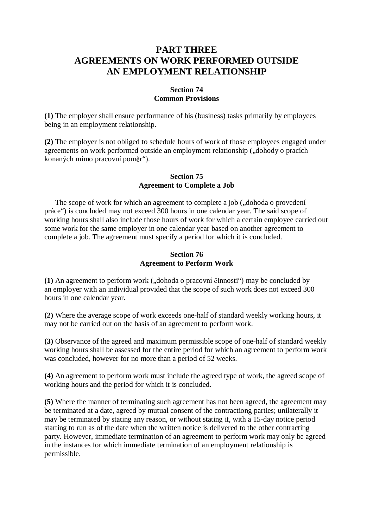## **PART THREE AGREEMENTS ON WORK PERFORMED OUTSIDE AN EMPLOYMENT RELATIONSHIP**

### **Section 74 Common Provisions**

**(1)** The employer shall ensure performance of his (business) tasks primarily by employees being in an employment relationship.

**(2)** The employer is not obliged to schedule hours of work of those employees engaged under agreements on work performed outside an employment relationship ("dohody o pracích konaných mimo pracovní poměr").

#### **Section 75 Agreement to Complete a Job**

The scope of work for which an agreement to complete a job (,,dohoda o provedení práce") is concluded may not exceed 300 hours in one calendar year. The said scope of working hours shall also include those hours of work for which a certain employee carried out some work for the same employer in one calendar year based on another agreement to complete a job. The agreement must specify a period for which it is concluded.

### **Section 76 Agreement to Perform Work**

(1) An agreement to perform work ("dohoda o pracovní činnosti") may be concluded by an employer with an individual provided that the scope of such work does not exceed 300 hours in one calendar year.

**(2)** Where the average scope of work exceeds one-half of standard weekly working hours, it may not be carried out on the basis of an agreement to perform work.

**(3)** Observance of the agreed and maximum permissible scope of one-half of standard weekly working hours shall be assessed for the entire period for which an agreement to perform work was concluded, however for no more than a period of 52 weeks.

**(4)** An agreement to perform work must include the agreed type of work, the agreed scope of working hours and the period for which it is concluded.

**(5)** Where the manner of terminating such agreement has not been agreed, the agreement may be terminated at a date, agreed by mutual consent of the contractiong parties; unilaterally it may be terminated by stating any reason, or without stating it, with a 15-day notice period starting to run as of the date when the written notice is delivered to the other contracting party. However, immediate termination of an agreement to perform work may only be agreed in the instances for which immediate termination of an employment relationship is permissible.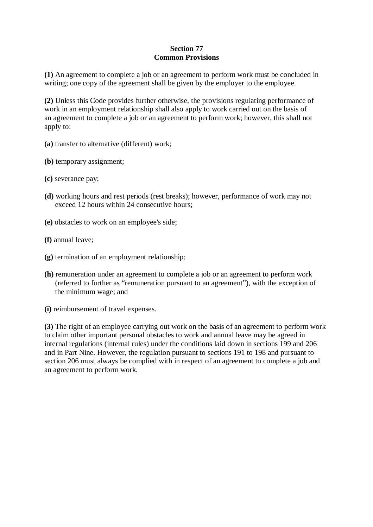## **Section 77 Common Provisions**

**(1)** An agreement to complete a job or an agreement to perform work must be concluded in writing; one copy of the agreement shall be given by the employer to the employee.

**(2)** Unless this Code provides further otherwise, the provisions regulating performance of work in an employment relationship shall also apply to work carried out on the basis of an agreement to complete a job or an agreement to perform work; however, this shall not apply to:

- **(a)** transfer to alternative (different) work;
- **(b)** temporary assignment;
- **(c)** severance pay;
- **(d)** working hours and rest periods (rest breaks); however, performance of work may not exceed 12 hours within 24 consecutive hours;
- **(e)** obstacles to work on an employee's side;
- **(f)** annual leave;
- **(g)** termination of an employment relationship;
- **(h)** remuneration under an agreement to complete a job or an agreement to perform work (referred to further as "remuneration pursuant to an agreement"), with the exception of the minimum wage; and
- **(i)** reimbursement of travel expenses.

**(3)** The right of an employee carrying out work on the basis of an agreement to perform work to claim other important personal obstacles to work and annual leave may be agreed in internal regulations (internal rules) under the conditions laid down in sections 199 and 206 and in Part Nine. However, the regulation pursuant to sections 191 to 198 and pursuant to section 206 must always be complied with in respect of an agreement to complete a job and an agreement to perform work.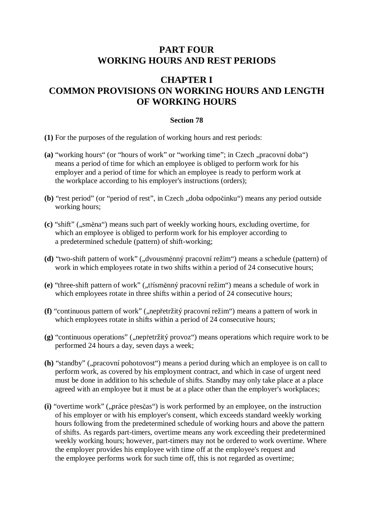# **PART FOUR WORKING HOURS AND REST PERIODS**

# **CHAPTER I COMMON PROVISIONS ON WORKING HOURS AND LENGTH OF WORKING HOURS**

### **Section 78**

- **(1)** For the purposes of the regulation of working hours and rest periods:
- (a) "working hours" (or "hours of work" or "working time"; in Czech "pracovní doba") means a period of time for which an employee is obliged to perform work for his employer and a period of time for which an employee is ready to perform work at the workplace according to his employer's instructions (orders);
- (b) "rest period" (or "period of rest", in Czech , doba odpočinku") means any period outside working hours;
- **(c)** "shift" ("směna") means such part of weekly working hours, excluding overtime, for which an employee is obliged to perform work for his employer according to a predetermined schedule (pattern) of shift-working;
- (d) "two-shift pattern of work" ("dvousměnný pracovní režim") means a schedule (pattern) of work in which employees rotate in two shifts within a period of 24 consecutive hours;
- (e) "three-shift pattern of work" ("třísměnný pracovní režim") means a schedule of work in which employees rotate in three shifts within a period of 24 consecutive hours;
- (f) "continuous pattern of work" ("nepřetržitý pracovní režim") means a pattern of work in which employees rotate in shifts within a period of 24 consecutive hours;
- (g) "continuous operations" ("nepřetržitý provoz") means operations which require work to be performed 24 hours a day, seven days a week;
- (h) "standby" ("pracovní pohotovost") means a period during which an employee is on call to perform work, as covered by his employment contract, and which in case of urgent need must be done in addition to his schedule of shifts. Standby may only take place at a place agreed with an employee but it must be at a place other than the employer's workplaces;
- (i) "overtime work" ("práce přesčas") is work performed by an employee, on the instruction of his employer or with his employer's consent, which exceeds standard weekly working hours following from the predetermined schedule of working hours and above the pattern of shifts. As regards part-timers, overtime means any work exceeding their predetermined weekly working hours; however, part-timers may not be ordered to work overtime. Where the employer provides his employee with time off at the employee's request and the employee performs work for such time off, this is not regarded as overtime;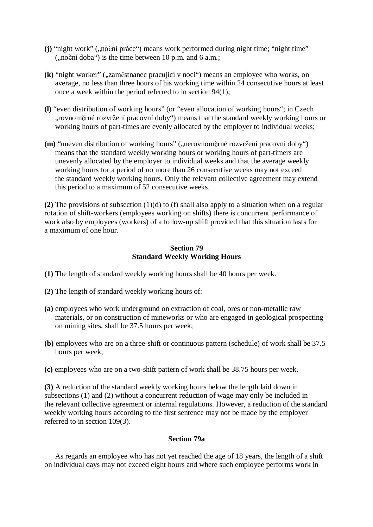- (j) "night work" ("noční práce") means work performed during night time; "night time"  $($ "noční doba") is the time between 10 p.m. and 6 a.m.;
- **(k)** "night worker" ("zaměstnanec pracující v noci") means an employee who works, on average, no less than three hours of his working time within 24 consecutive hours at least once a week within the period referred to in section 94(1);
- **(l)** "even distribution of working hours" (or "even allocation of working hours"; in Czech "rovnoměrné rozvržení pracovní doby") means that the standard weekly working hours or working hours of part-times are evenly allocated by the employer to individual weeks;
- (m) "uneven distribution of working hours" ("nerovnoměrné rozvržení pracovní doby") means that the standard weekly working hours or working hours of part-timers are unevenly allocated by the employer to individual weeks and that the average weekly working hours for a period of no more than 26 consecutive weeks may not exceed the standard weekly working hours. Only the relevant collective agreement may extend this period to a maximum of 52 consecutive weeks.

**(2)** The provisions of subsection (1)(d) to (f) shall also apply to a situation when on a regular rotation of shift-workers (employees working on shifts) there is concurrent performance of work also by employees (workers) of a follow-up shift provided that this situation lasts for a maximum of one hour.

### **Section 79 Standard Weekly Working Hours**

- **(1)** The length of standard weekly working hours shall be 40 hours per week.
- **(2)** The length of standard weekly working hours of:
- **(a)** employees who work underground on extraction of coal, ores or non-metallic raw materials, or on construction of mineworks or who are engaged in geological prospecting on mining sites, shall be 37.5 hours per week;
- **(b)** employees who are on a three-shift or continuous pattern (schedule) of work shall be 37.5 hours per week;
- **(c)** employees who are on a two-shift pattern of work shall be 38.75 hours per week.

**(3)** A reduction of the standard weekly working hours below the length laid down in subsections (1) and (2) without a concurrent reduction of wage may only be included in the relevant collective agreement or internal regulations. However, a reduction of the standard weekly working hours according to the first sentence may not be made by the employer referred to in section 109(3).

### **Section 79a**

As regards an employee who has not yet reached the age of 18 years, the length of a shift on individual days may not exceed eight hours and where such employee performs work in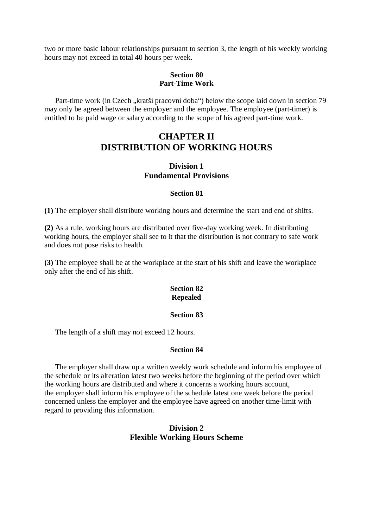two or more basic labour relationships pursuant to section 3, the length of his weekly working hours may not exceed in total 40 hours per week.

#### **Section 80 Part-Time Work**

Part-time work (in Czech "kratší pracovní doba") below the scope laid down in section 79 may only be agreed between the employer and the employee. The employee (part-timer) is entitled to be paid wage or salary according to the scope of his agreed part-time work.

## **CHAPTER II DISTRIBUTION OF WORKING HOURS**

### **Division 1 Fundamental Provisions**

#### **Section 81**

**(1)** The employer shall distribute working hours and determine the start and end of shifts.

**(2)** As a rule, working hours are distributed over five-day working week. In distributing working hours, the employer shall see to it that the distribution is not contrary to safe work and does not pose risks to health.

**(3)** The employee shall be at the workplace at the start of his shift and leave the workplace only after the end of his shift.

## **Section 82 Repealed**

#### **Section 83**

The length of a shift may not exceed 12 hours.

#### **Section 84**

The employer shall draw up a written weekly work schedule and inform his employee of the schedule or its alteration latest two weeks before the beginning of the period over which the working hours are distributed and where it concerns a working hours account, the employer shall inform his employee of the schedule latest one week before the period concerned unless the employer and the employee have agreed on another time-limit with regard to providing this information.

## **Division 2 Flexible Working Hours Scheme**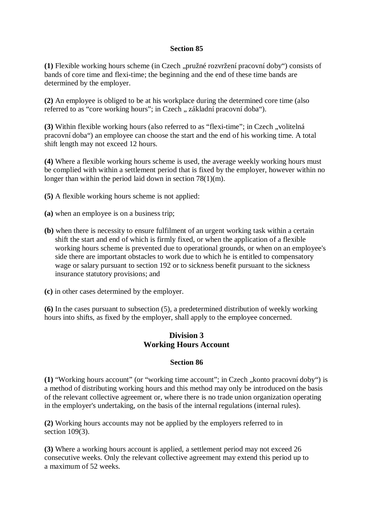### **Section 85**

**(1)** Flexible working hours scheme (in Czech "pružné rozvržení pracovní doby") consists of bands of core time and flexi-time; the beginning and the end of these time bands are determined by the employer.

**(2)** An employee is obliged to be at his workplace during the determined core time (also referred to as "core working hours"; in Czech "základní pracovní doba").

**(3)** Within flexible working hours (also referred to as "flexi-time"; in Czech "volitelná pracovní doba") an employee can choose the start and the end of his working time. A total shift length may not exceed 12 hours.

**(4)** Where a flexible working hours scheme is used, the average weekly working hours must be complied with within a settlement period that is fixed by the employer, however within no longer than within the period laid down in section 78(1)(m).

**(5)** A flexible working hours scheme is not applied:

- **(a)** when an employee is on a business trip;
- **(b)** when there is necessity to ensure fulfilment of an urgent working task within a certain shift the start and end of which is firmly fixed, or when the application of a flexible working hours scheme is prevented due to operational grounds, or when on an employee's side there are important obstacles to work due to which he is entitled to compensatory wage or salary pursuant to section 192 or to sickness benefit pursuant to the sickness insurance statutory provisions; and

**(c)** in other cases determined by the employer.

**(6)** In the cases pursuant to subsection (5), a predetermined distribution of weekly working hours into shifts, as fixed by the employer, shall apply to the employee concerned.

## **Division 3 Working Hours Account**

#### **Section 86**

(1) "Working hours account" (or "working time account"; in Czech "konto pracovní doby") is a method of distributing working hours and this method may only be introduced on the basis of the relevant collective agreement or, where there is no trade union organization operating in the employer's undertaking, on the basis of the internal regulations (internal rules).

**(2)** Working hours accounts may not be applied by the employers referred to in section 109(3).

**(3)** Where a working hours account is applied, a settlement period may not exceed 26 consecutive weeks. Only the relevant collective agreement may extend this period up to a maximum of 52 weeks.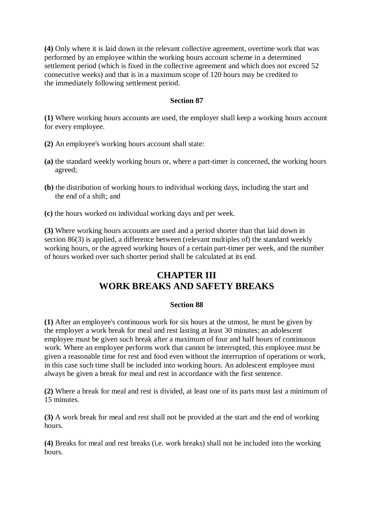**(4)** Only where it is laid down in the relevant collective agreement, overtime work that was performed by an employee within the working hours account scheme in a determined settlement period (which is fixed in the collective agreement and which does not exceed 52 consecutive weeks) and that is in a maximum scope of 120 hours may be credited to the immediately following settlement period.

### **Section 87**

**(1)** Where working hours accounts are used, the employer shall keep a working hours account for every employee.

- **(2)** An employee's working hours account shall state:
- **(a)** the standard weekly working hours or, where a part-timer is concerned, the working hours agreed;
- **(b)** the distribution of working hours to individual working days, including the start and the end of a shift; and
- **(c)** the hours worked on individual working days and per week.

**(3)** Where working hours accounts are used and a period shorter than that laid down in section 86(3) is applied, a difference between (relevant multiples of) the standard weekly working hours, or the agreed working hours of a certain part-timer per week, and the number of hours worked over such shorter period shall be calculated at its end.

# **CHAPTER III WORK BREAKS AND SAFETY BREAKS**

#### **Section 88**

**(1)** After an employee's continuous work for six hours at the utmost, he must be given by the employer a work break for meal and rest lasting at least 30 minutes; an adolescent employee must be given such break after a maximum of four and half hours of continuous work. Where an employee performs work that cannot be interrupted, this employee must be given a reasonable time for rest and food even without the interruption of operations or work, in this case such time shall be included into working hours. An adolescent employee must always be given a break for meal and rest in accordance with the first sentence.

**(2)** Where a break for meal and rest is divided, at least one of its parts must last a minimum of 15 minutes.

**(3)** A work break for meal and rest shall not be provided at the start and the end of working hours.

**(4)** Breaks for meal and rest breaks (i.e. work breaks) shall not be included into the working hours.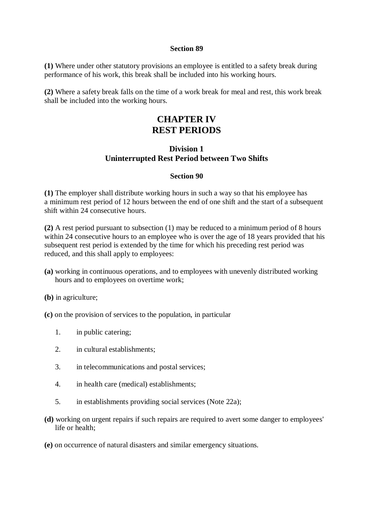#### **Section 89**

**(1)** Where under other statutory provisions an employee is entitled to a safety break during performance of his work, this break shall be included into his working hours.

**(2)** Where a safety break falls on the time of a work break for meal and rest, this work break shall be included into the working hours.

## **CHAPTER IV REST PERIODS**

## **Division 1 Uninterrupted Rest Period between Two Shifts**

#### **Section 90**

**(1)** The employer shall distribute working hours in such a way so that his employee has a minimum rest period of 12 hours between the end of one shift and the start of a subsequent shift within 24 consecutive hours.

**(2)** A rest period pursuant to subsection (1) may be reduced to a minimum period of 8 hours within 24 consecutive hours to an employee who is over the age of 18 years provided that his subsequent rest period is extended by the time for which his preceding rest period was reduced, and this shall apply to employees:

- **(a)** working in continuous operations, and to employees with unevenly distributed working hours and to employees on overtime work;
- **(b)** in agriculture;
- **(c)** on the provision of services to the population, in particular
	- 1. in public catering;
	- 2. in cultural establishments;
	- 3. in telecommunications and postal services;
	- 4. in health care (medical) establishments;
	- 5. in establishments providing social services (Note 22a);
- **(d)** working on urgent repairs if such repairs are required to avert some danger to employees' life or health;
- **(e)** on occurrence of natural disasters and similar emergency situations.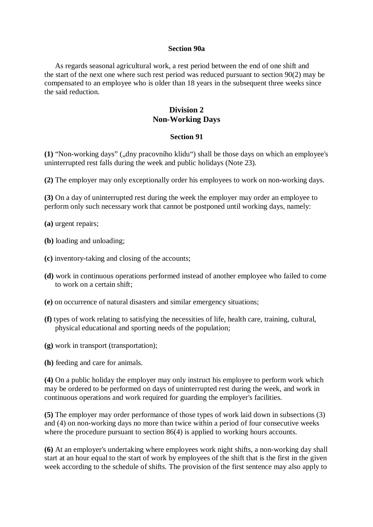#### **Section 90a**

As regards seasonal agricultural work, a rest period between the end of one shift and the start of the next one where such rest period was reduced pursuant to section 90(2) may be compensated to an employee who is older than 18 years in the subsequent three weeks since the said reduction.

## **Division 2 Non-Working Days**

#### **Section 91**

(1) "Non-working days" ("dny pracovního klidu") shall be those days on which an employee's uninterrupted rest falls during the week and public holidays (Note 23).

**(2)** The employer may only exceptionally order his employees to work on non-working days.

**(3)** On a day of uninterrupted rest during the week the employer may order an employee to perform only such necessary work that cannot be postponed until working days, namely:

**(a)** urgent repairs;

**(b)** loading and unloading;

- **(c)** inventory-taking and closing of the accounts;
- **(d)** work in continuous operations performed instead of another employee who failed to come to work on a certain shift;
- **(e)** on occurrence of natural disasters and similar emergency situations;
- **(f)** types of work relating to satisfying the necessities of life, health care, training, cultural, physical educational and sporting needs of the population;
- **(g)** work in transport (transportation);
- **(h)** feeding and care for animals.

**(4)** On a public holiday the employer may only instruct his employee to perform work which may be ordered to be performed on days of uninterrupted rest during the week, and work in continuous operations and work required for guarding the employer's facilities.

**(5)** The employer may order performance of those types of work laid down in subsections (3) and (4) on non-working days no more than twice within a period of four consecutive weeks where the procedure pursuant to section 86(4) is applied to working hours accounts.

**(6)** At an employer's undertaking where employees work night shifts, a non-working day shall start at an hour equal to the start of work by employees of the shift that is the first in the given week according to the schedule of shifts. The provision of the first sentence may also apply to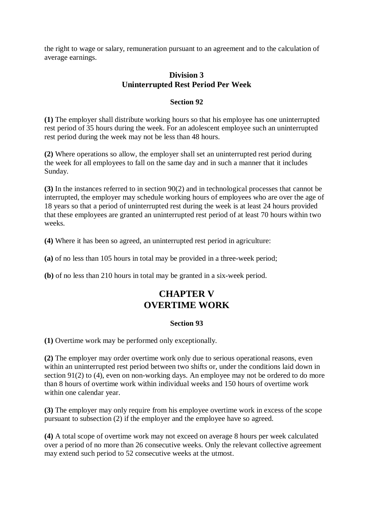the right to wage or salary, remuneration pursuant to an agreement and to the calculation of average earnings.

## **Division 3 Uninterrupted Rest Period Per Week**

## **Section 92**

**(1)** The employer shall distribute working hours so that his employee has one uninterrupted rest period of 35 hours during the week. For an adolescent employee such an uninterrupted rest period during the week may not be less than 48 hours.

**(2)** Where operations so allow, the employer shall set an uninterrupted rest period during the week for all employees to fall on the same day and in such a manner that it includes Sunday.

**(3)** In the instances referred to in section 90(2) and in technological processes that cannot be interrupted, the employer may schedule working hours of employees who are over the age of 18 years so that a period of uninterrupted rest during the week is at least 24 hours provided that these employees are granted an uninterrupted rest period of at least 70 hours within two weeks.

**(4)** Where it has been so agreed, an uninterrupted rest period in agriculture:

**(a)** of no less than 105 hours in total may be provided in a three-week period;

**(b)** of no less than 210 hours in total may be granted in a six-week period.

# **CHAPTER V OVERTIME WORK**

#### **Section 93**

**(1)** Overtime work may be performed only exceptionally.

**(2)** The employer may order overtime work only due to serious operational reasons, even within an uninterrupted rest period between two shifts or, under the conditions laid down in section 91(2) to (4), even on non-working days. An employee may not be ordered to do more than 8 hours of overtime work within individual weeks and 150 hours of overtime work within one calendar year.

**(3)** The employer may only require from his employee overtime work in excess of the scope pursuant to subsection (2) if the employer and the employee have so agreed.

**(4)** A total scope of overtime work may not exceed on average 8 hours per week calculated over a period of no more than 26 consecutive weeks. Only the relevant collective agreement may extend such period to 52 consecutive weeks at the utmost.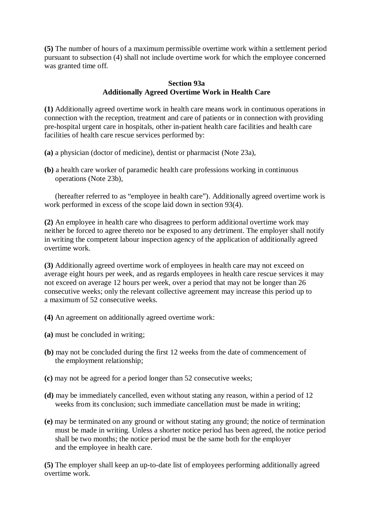**(5)** The number of hours of a maximum permissible overtime work within a settlement period pursuant to subsection (4) shall not include overtime work for which the employee concerned was granted time off.

### **Section 93a Additionally Agreed Overtime Work in Health Care**

**(1)** Additionally agreed overtime work in health care means work in continuous operations in connection with the reception, treatment and care of patients or in connection with providing pre-hospital urgent care in hospitals, other in-patient health care facilities and health care facilities of health care rescue services performed by:

- **(a)** a physician (doctor of medicine), dentist or pharmacist (Note 23a),
- **(b)** a health care worker of paramedic health care professions working in continuous operations (Note 23b),

(hereafter referred to as "employee in health care"). Additionally agreed overtime work is work performed in excess of the scope laid down in section 93(4).

**(2)** An employee in health care who disagrees to perform additional overtime work may neither be forced to agree thereto nor be exposed to any detriment. The employer shall notify in writing the competent labour inspection agency of the application of additionally agreed overtime work.

**(3)** Additionally agreed overtime work of employees in health care may not exceed on average eight hours per week, and as regards employees in health care rescue services it may not exceed on average 12 hours per week, over a period that may not be longer than 26 consecutive weeks; only the relevant collective agreement may increase this period up to a maximum of 52 consecutive weeks.

- **(4)** An agreement on additionally agreed overtime work:
- **(a)** must be concluded in writing;
- **(b)** may not be concluded during the first 12 weeks from the date of commencement of the employment relationship;
- **(c)** may not be agreed for a period longer than 52 consecutive weeks;
- **(d)** may be immediately cancelled, even without stating any reason, within a period of 12 weeks from its conclusion; such immediate cancellation must be made in writing;
- **(e)** may be terminated on any ground or without stating any ground; the notice of termination must be made in writing. Unless a shorter notice period has been agreed, the notice period shall be two months; the notice period must be the same both for the employer and the employee in health care.

**(5)** The employer shall keep an up-to-date list of employees performing additionally agreed overtime work.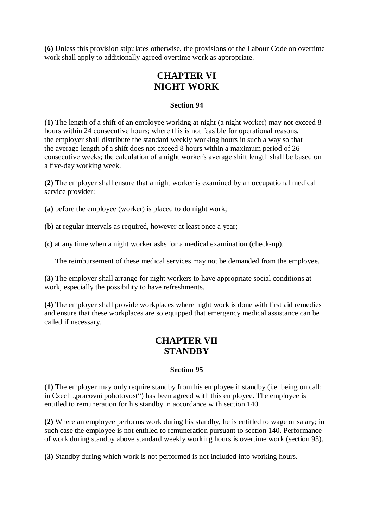**(6)** Unless this provision stipulates otherwise, the provisions of the Labour Code on overtime work shall apply to additionally agreed overtime work as appropriate.

# **CHAPTER VI NIGHT WORK**

### **Section 94**

**(1)** The length of a shift of an employee working at night (a night worker) may not exceed 8 hours within 24 consecutive hours; where this is not feasible for operational reasons, the employer shall distribute the standard weekly working hours in such a way so that the average length of a shift does not exceed 8 hours within a maximum period of 26 consecutive weeks; the calculation of a night worker's average shift length shall be based on a five-day working week.

**(2)** The employer shall ensure that a night worker is examined by an occupational medical service provider:

**(a)** before the employee (worker) is placed to do night work;

**(b)** at regular intervals as required, however at least once a year;

**(c)** at any time when a night worker asks for a medical examination (check-up).

The reimbursement of these medical services may not be demanded from the employee.

**(3)** The employer shall arrange for night workers to have appropriate social conditions at work, especially the possibility to have refreshments.

**(4)** The employer shall provide workplaces where night work is done with first aid remedies and ensure that these workplaces are so equipped that emergency medical assistance can be called if necessary.

# **CHAPTER VII STANDBY**

## **Section 95**

**(1)** The employer may only require standby from his employee if standby (i.e. being on call; in Czech "pracovní pohotovost") has been agreed with this employee. The employee is entitled to remuneration for his standby in accordance with section 140.

**(2)** Where an employee performs work during his standby, he is entitled to wage or salary; in such case the employee is not entitled to remuneration pursuant to section 140. Performance of work during standby above standard weekly working hours is overtime work (section 93).

**(3)** Standby during which work is not performed is not included into working hours.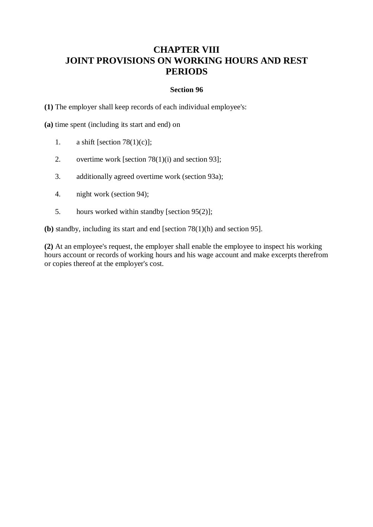# **CHAPTER VIII JOINT PROVISIONS ON WORKING HOURS AND REST PERIODS**

#### **Section 96**

**(1)** The employer shall keep records of each individual employee's:

**(a)** time spent (including its start and end) on

- 1. a shift [section 78(1)(c)];
- 2. overtime work [section 78(1)(i) and section 93];
- 3. additionally agreed overtime work (section 93a);
- 4. night work (section 94);
- 5. hours worked within standby [section 95(2)];

**(b)** standby, including its start and end [section 78(1)(h) and section 95].

**(2)** At an employee's request, the employer shall enable the employee to inspect his working hours account or records of working hours and his wage account and make excerpts therefrom or copies thereof at the employer's cost.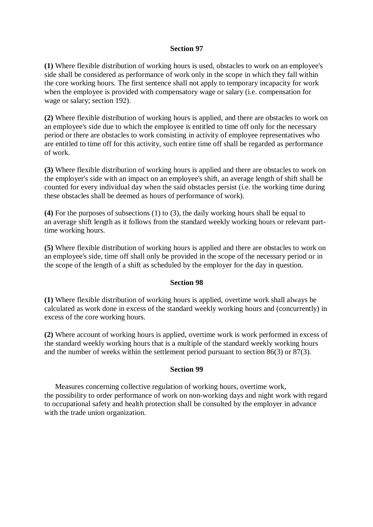#### **Section 97**

**(1)** Where flexible distribution of working hours is used, obstacles to work on an employee's side shall be considered as performance of work only in the scope in which they fall within the core working hours. The first sentence shall not apply to temporary incapacity for work when the employee is provided with compensatory wage or salary (i.e. compensation for wage or salary; section 192).

**(2)** Where flexible distribution of working hours is applied, and there are obstacles to work on an employee's side due to which the employee is entitled to time off only for the necessary period or there are obstacles to work consisting in activity of employee representatives who are entitled to time off for this activity, such entire time off shall be regarded as performance of work.

**(3)** Where flexible distribution of working hours is applied and there are obstacles to work on the employer's side with an impact on an employee's shift, an average length of shift shall be counted for every individual day when the said obstacles persist (i.e. the working time during these obstacles shall be deemed as hours of performance of work).

**(4)** For the purposes of subsections (1) to (3), the daily working hours shall be equal to an average shift length as it follows from the standard weekly working hours or relevant parttime working hours.

**(5)** Where flexible distribution of working hours is applied and there are obstacles to work on an employee's side, time off shall only be provided in the scope of the necessary period or in the scope of the length of a shift as scheduled by the employer for the day in question.

#### **Section 98**

**(1)** Where flexible distribution of working hours is applied, overtime work shall always be calculated as work done in excess of the standard weekly working hours and (concurrently) in excess of the core working hours.

**(2)** Where account of working hours is applied, overtime work is work performed in excess of the standard weekly working hours that is a multiple of the standard weekly working hours and the number of weeks within the settlement period pursuant to section 86(3) or 87(3).

#### **Section 99**

Measures concerning collective regulation of working hours, overtime work, the possibility to order performance of work on non-working days and night work with regard to occupational safety and health protection shall be consulted by the employer in advance with the trade union organization.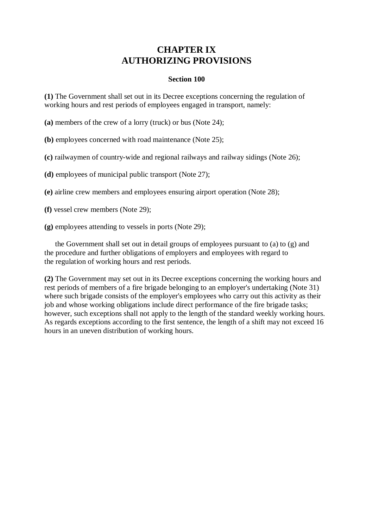# **CHAPTER IX AUTHORIZING PROVISIONS**

### **Section 100**

**(1)** The Government shall set out in its Decree exceptions concerning the regulation of working hours and rest periods of employees engaged in transport, namely:

**(a)** members of the crew of a lorry (truck) or bus (Note 24);

**(b)** employees concerned with road maintenance (Note 25);

**(c)** railwaymen of country-wide and regional railways and railway sidings (Note 26);

**(d)** employees of municipal public transport (Note 27);

**(e)** airline crew members and employees ensuring airport operation (Note 28);

**(f)** vessel crew members (Note 29);

**(g)** employees attending to vessels in ports (Note 29);

the Government shall set out in detail groups of employees pursuant to (a) to (g) and the procedure and further obligations of employers and employees with regard to the regulation of working hours and rest periods.

**(2)** The Government may set out in its Decree exceptions concerning the working hours and rest periods of members of a fire brigade belonging to an employer's undertaking (Note 31) where such brigade consists of the employer's employees who carry out this activity as their job and whose working obligations include direct performance of the fire brigade tasks; however, such exceptions shall not apply to the length of the standard weekly working hours. As regards exceptions according to the first sentence, the length of a shift may not exceed 16 hours in an uneven distribution of working hours.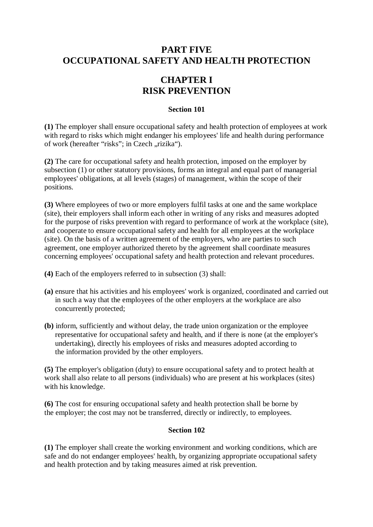# **PART FIVE OCCUPATIONAL SAFETY AND HEALTH PROTECTION**

# **CHAPTER I RISK PREVENTION**

### **Section 101**

**(1)** The employer shall ensure occupational safety and health protection of employees at work with regard to risks which might endanger his employees' life and health during performance of work (hereafter "risks"; in Czech "rizika").

**(2)** The care for occupational safety and health protection, imposed on the employer by subsection (1) or other statutory provisions, forms an integral and equal part of managerial employees' obligations, at all levels (stages) of management, within the scope of their positions.

**(3)** Where employees of two or more employers fulfil tasks at one and the same workplace (site), their employers shall inform each other in writing of any risks and measures adopted for the purpose of risks prevention with regard to performance of work at the workplace (site), and cooperate to ensure occupational safety and health for all employees at the workplace (site). On the basis of a written agreement of the employers, who are parties to such agreement, one employer authorized thereto by the agreement shall coordinate measures concerning employees' occupational safety and health protection and relevant procedures.

- **(4)** Each of the employers referred to in subsection (3) shall:
- **(a)** ensure that his activities and his employees' work is organized, coordinated and carried out in such a way that the employees of the other employers at the workplace are also concurrently protected;
- **(b)** inform, sufficiently and without delay, the trade union organization or the employee representative for occupational safety and health, and if there is none (at the employer's undertaking), directly his employees of risks and measures adopted according to the information provided by the other employers.

**(5)** The employer's obligation (duty) to ensure occupational safety and to protect health at work shall also relate to all persons (individuals) who are present at his workplaces (sites) with his knowledge.

**(6)** The cost for ensuring occupational safety and health protection shall be borne by the employer; the cost may not be transferred, directly or indirectly, to employees.

## **Section 102**

**(1)** The employer shall create the working environment and working conditions, which are safe and do not endanger employees' health, by organizing appropriate occupational safety and health protection and by taking measures aimed at risk prevention.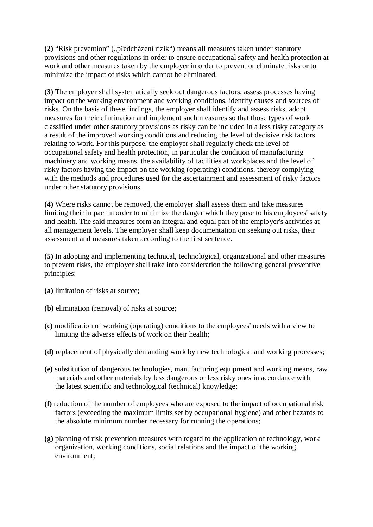**(2)** "Risk prevention" ("předcházení rizik") means all measures taken under statutory provisions and other regulations in order to ensure occupational safety and health protection at work and other measures taken by the employer in order to prevent or eliminate risks or to minimize the impact of risks which cannot be eliminated.

**(3)** The employer shall systematically seek out dangerous factors, assess processes having impact on the working environment and working conditions, identify causes and sources of risks. On the basis of these findings, the employer shall identify and assess risks, adopt measures for their elimination and implement such measures so that those types of work classified under other statutory provisions as risky can be included in a less risky category as a result of the improved working conditions and reducing the level of decisive risk factors relating to work. For this purpose, the employer shall regularly check the level of occupational safety and health protection, in particular the condition of manufacturing machinery and working means, the availability of facilities at workplaces and the level of risky factors having the impact on the working (operating) conditions, thereby complying with the methods and procedures used for the ascertainment and assessment of risky factors under other statutory provisions.

**(4)** Where risks cannot be removed, the employer shall assess them and take measures limiting their impact in order to minimize the danger which they pose to his employees' safety and health. The said measures form an integral and equal part of the employer's activities at all management levels. The employer shall keep documentation on seeking out risks, their assessment and measures taken according to the first sentence.

**(5)** In adopting and implementing technical, technological, organizational and other measures to prevent risks, the employer shall take into consideration the following general preventive principles:

- **(a)** limitation of risks at source;
- **(b)** elimination (removal) of risks at source;
- **(c)** modification of working (operating) conditions to the employees' needs with a view to limiting the adverse effects of work on their health;
- **(d)** replacement of physically demanding work by new technological and working processes;
- **(e)** substitution of dangerous technologies, manufacturing equipment and working means, raw materials and other materials by less dangerous or less risky ones in accordance with the latest scientific and technological (technical) knowledge;
- **(f)** reduction of the number of employees who are exposed to the impact of occupational risk factors (exceeding the maximum limits set by occupational hygiene) and other hazards to the absolute minimum number necessary for running the operations;
- **(g)** planning of risk prevention measures with regard to the application of technology, work organization, working conditions, social relations and the impact of the working environment;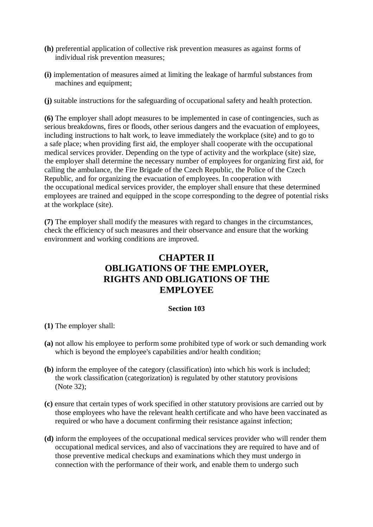- **(h)** preferential application of collective risk prevention measures as against forms of individual risk prevention measures;
- **(i)** implementation of measures aimed at limiting the leakage of harmful substances from machines and equipment;

**(j)** suitable instructions for the safeguarding of occupational safety and health protection.

**(6)** The employer shall adopt measures to be implemented in case of contingencies, such as serious breakdowns, fires or floods, other serious dangers and the evacuation of employees, including instructions to halt work, to leave immediately the workplace (site) and to go to a safe place; when providing first aid, the employer shall cooperate with the occupational medical services provider. Depending on the type of activity and the workplace (site) size, the employer shall determine the necessary number of employees for organizing first aid, for calling the ambulance, the Fire Brigade of the Czech Republic, the Police of the Czech Republic, and for organizing the evacuation of employees. In cooperation with the occupational medical services provider, the employer shall ensure that these determined employees are trained and equipped in the scope corresponding to the degree of potential risks at the workplace (site).

**(7)** The employer shall modify the measures with regard to changes in the circumstances, check the efficiency of such measures and their observance and ensure that the working environment and working conditions are improved.

# **CHAPTER II OBLIGATIONS OF THE EMPLOYER, RIGHTS AND OBLIGATIONS OF THE EMPLOYEE**

## **Section 103**

- **(1)** The employer shall:
- **(a)** not allow his employee to perform some prohibited type of work or such demanding work which is beyond the employee's capabilities and/or health condition;
- **(b)** inform the employee of the category (classification) into which his work is included; the work classification (categorization) is regulated by other statutory provisions (Note 32);
- **(c)** ensure that certain types of work specified in other statutory provisions are carried out by those employees who have the relevant health certificate and who have been vaccinated as required or who have a document confirming their resistance against infection;
- **(d)** inform the employees of the occupational medical services provider who will render them occupational medical services, and also of vaccinations they are required to have and of those preventive medical checkups and examinations which they must undergo in connection with the performance of their work, and enable them to undergo such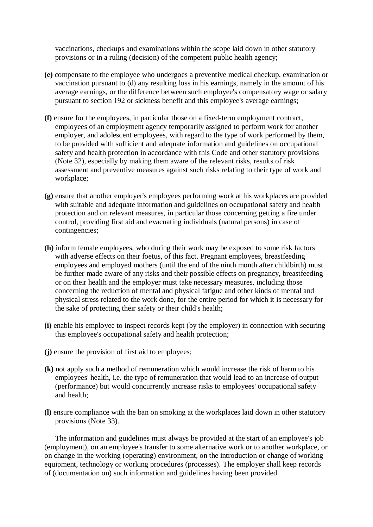vaccinations, checkups and examinations within the scope laid down in other statutory provisions or in a ruling (decision) of the competent public health agency;

- **(e)** compensate to the employee who undergoes a preventive medical checkup, examination or vaccination pursuant to (d) any resulting loss in his earnings, namely in the amount of his average earnings, or the difference between such employee's compensatory wage or salary pursuant to section 192 or sickness benefit and this employee's average earnings;
- **(f)** ensure for the employees, in particular those on a fixed-term employment contract, employees of an employment agency temporarily assigned to perform work for another employer, and adolescent employees, with regard to the type of work performed by them, to be provided with sufficient and adequate information and guidelines on occupational safety and health protection in accordance with this Code and other statutory provisions (Note 32), especially by making them aware of the relevant risks, results of risk assessment and preventive measures against such risks relating to their type of work and workplace;
- **(g)** ensure that another employer's employees performing work at his workplaces are provided with suitable and adequate information and guidelines on occupational safety and health protection and on relevant measures, in particular those concerning getting a fire under control, providing first aid and evacuating individuals (natural persons) in case of contingencies;
- **(h)** inform female employees, who during their work may be exposed to some risk factors with adverse effects on their foetus, of this fact. Pregnant employees, breastfeeding employees and employed mothers (until the end of the ninth month after childbirth) must be further made aware of any risks and their possible effects on pregnancy, breastfeeding or on their health and the employer must take necessary measures, including those concerning the reduction of mental and physical fatigue and other kinds of mental and physical stress related to the work done, for the entire period for which it is necessary for the sake of protecting their safety or their child's health;
- **(i)** enable his employee to inspect records kept (by the employer) in connection with securing this employee's occupational safety and health protection;
- **(j)** ensure the provision of first aid to employees;
- **(k)** not apply such a method of remuneration which would increase the risk of harm to his employees' health, i.e. the type of remuneration that would lead to an increase of output (performance) but would concurrently increase risks to employees' occupational safety and health;
- **(l)** ensure compliance with the ban on smoking at the workplaces laid down in other statutory provisions (Note 33).

The information and guidelines must always be provided at the start of an employee's job (employment), on an employee's transfer to some alternative work or to another workplace, or on change in the working (operating) environment, on the introduction or change of working equipment, technology or working procedures (processes). The employer shall keep records of (documentation on) such information and guidelines having been provided.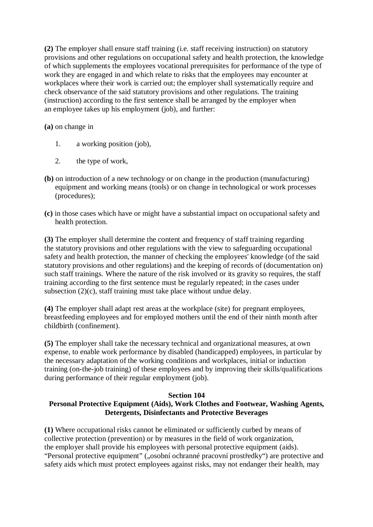**(2)** The employer shall ensure staff training (i.e. staff receiving instruction) on statutory provisions and other regulations on occupational safety and health protection, the knowledge of which supplements the employees vocational prerequisites for performance of the type of work they are engaged in and which relate to risks that the employees may encounter at workplaces where their work is carried out; the employer shall systematically require and check observance of the said statutory provisions and other regulations. The training (instruction) according to the first sentence shall be arranged by the employer when an employee takes up his employment (job), and further:

**(a)** on change in

- 1. a working position (job),
- 2. the type of work,
- **(b)** on introduction of a new technology or on change in the production (manufacturing) equipment and working means (tools) or on change in technological or work processes (procedures);
- **(c)** in those cases which have or might have a substantial impact on occupational safety and health protection.

**(3)** The employer shall determine the content and frequency of staff training regarding the statutory provisions and other regulations with the view to safeguarding occupational safety and health protection, the manner of checking the employees' knowledge (of the said statutory provisions and other regulations) and the keeping of records of (documentation on) such staff trainings. Where the nature of the risk involved or its gravity so requires, the staff training according to the first sentence must be regularly repeated; in the cases under subsection (2)(c), staff training must take place without undue delay.

**(4)** The employer shall adapt rest areas at the workplace (site) for pregnant employees, breastfeeding employees and for employed mothers until the end of their ninth month after childbirth (confinement).

**(5)** The employer shall take the necessary technical and organizational measures, at own expense, to enable work performance by disabled (handicapped) employees, in particular by the necessary adaptation of the working conditions and workplaces, initial or induction training (on-the-job training) of these employees and by improving their skills/qualifications during performance of their regular employment (job).

## **Section 104**

## **Personal Protective Equipment (Aids), Work Clothes and Footwear, Washing Agents, Detergents, Disinfectants and Protective Beverages**

**(1)** Where occupational risks cannot be eliminated or sufficiently curbed by means of collective protection (prevention) or by measures in the field of work organization, the employer shall provide his employees with personal protective equipment (aids). "Personal protective equipment" ("osobní ochranné pracovní prostředky") are protective and safety aids which must protect employees against risks, may not endanger their health, may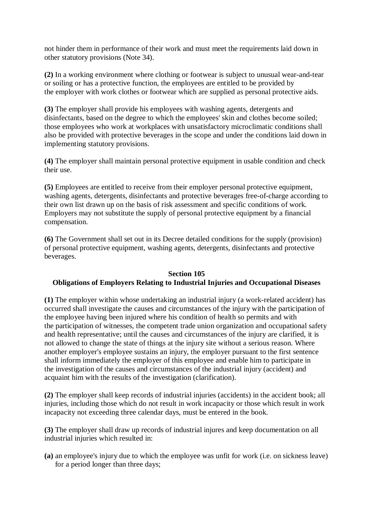not hinder them in performance of their work and must meet the requirements laid down in other statutory provisions (Note 34).

**(2)** In a working environment where clothing or footwear is subject to unusual wear-and-tear or soiling or has a protective function, the employees are entitled to be provided by the employer with work clothes or footwear which are supplied as personal protective aids.

**(3)** The employer shall provide his employees with washing agents, detergents and disinfectants, based on the degree to which the employees' skin and clothes become soiled; those employees who work at workplaces with unsatisfactory microclimatic conditions shall also be provided with protective beverages in the scope and under the conditions laid down in implementing statutory provisions.

**(4)** The employer shall maintain personal protective equipment in usable condition and check their use.

**(5)** Employees are entitled to receive from their employer personal protective equipment, washing agents, detergents, disinfectants and protective beverages free-of-charge according to their own list drawn up on the basis of risk assessment and specific conditions of work. Employers may not substitute the supply of personal protective equipment by a financial compensation.

**(6)** The Government shall set out in its Decree detailed conditions for the supply (provision) of personal protective equipment, washing agents, detergents, disinfectants and protective beverages.

## **Section 105 Obligations of Employers Relating to Industrial Injuries and Occupational Diseases**

**(1)** The employer within whose undertaking an industrial injury (a work-related accident) has occurred shall investigate the causes and circumstances of the injury with the participation of the employee having been injured where his condition of health so permits and with the participation of witnesses, the competent trade union organization and occupational safety and health representative; until the causes and circumstances of the injury are clarified, it is not allowed to change the state of things at the injury site without a serious reason. Where another employer's employee sustains an injury, the employer pursuant to the first sentence shall inform immediately the employer of this employee and enable him to participate in the investigation of the causes and circumstances of the industrial injury (accident) and acquaint him with the results of the investigation (clarification).

**(2)** The employer shall keep records of industrial injuries (accidents) in the accident book; all injuries, including those which do not result in work incapacity or those which result in work incapacity not exceeding three calendar days, must be entered in the book.

**(3)** The employer shall draw up records of industrial injures and keep documentation on all industrial injuries which resulted in:

**(a)** an employee's injury due to which the employee was unfit for work (i.e. on sickness leave) for a period longer than three days;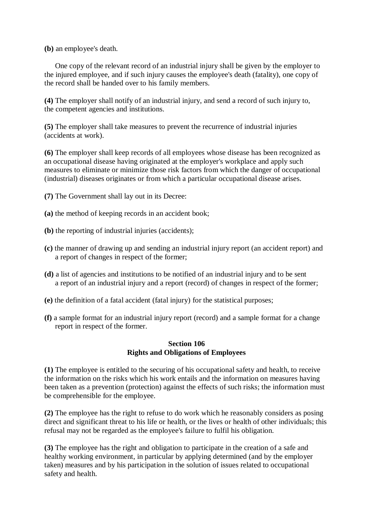**(b)** an employee's death.

One copy of the relevant record of an industrial injury shall be given by the employer to the injured employee, and if such injury causes the employee's death (fatality), one copy of the record shall be handed over to his family members.

**(4)** The employer shall notify of an industrial injury, and send a record of such injury to, the competent agencies and institutions.

**(5)** The employer shall take measures to prevent the recurrence of industrial injuries (accidents at work).

**(6)** The employer shall keep records of all employees whose disease has been recognized as an occupational disease having originated at the employer's workplace and apply such measures to eliminate or minimize those risk factors from which the danger of occupational (industrial) diseases originates or from which a particular occupational disease arises.

**(7)** The Government shall lay out in its Decree:

- **(a)** the method of keeping records in an accident book;
- **(b)** the reporting of industrial injuries (accidents);
- **(c)** the manner of drawing up and sending an industrial injury report (an accident report) and a report of changes in respect of the former;
- **(d)** a list of agencies and institutions to be notified of an industrial injury and to be sent a report of an industrial injury and a report (record) of changes in respect of the former;
- **(e)** the definition of a fatal accident (fatal injury) for the statistical purposes;
- **(f)** a sample format for an industrial injury report (record) and a sample format for a change report in respect of the former.

### **Section 106 Rights and Obligations of Employees**

**(1)** The employee is entitled to the securing of his occupational safety and health, to receive the information on the risks which his work entails and the information on measures having been taken as a prevention (protection) against the effects of such risks; the information must be comprehensible for the employee.

**(2)** The employee has the right to refuse to do work which he reasonably considers as posing direct and significant threat to his life or health, or the lives or health of other individuals; this refusal may not be regarded as the employee's failure to fulfil his obligation.

**(3)** The employee has the right and obligation to participate in the creation of a safe and healthy working environment, in particular by applying determined (and by the employer taken) measures and by his participation in the solution of issues related to occupational safety and health.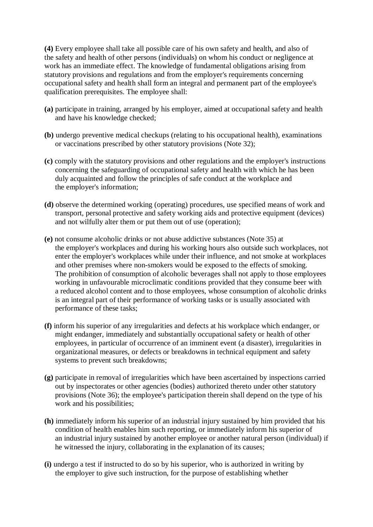**(4)** Every employee shall take all possible care of his own safety and health, and also of the safety and health of other persons (individuals) on whom his conduct or negligence at work has an immediate effect. The knowledge of fundamental obligations arising from statutory provisions and regulations and from the employer's requirements concerning occupational safety and health shall form an integral and permanent part of the employee's qualification prerequisites. The employee shall:

- **(a)** participate in training, arranged by his employer, aimed at occupational safety and health and have his knowledge checked;
- **(b)** undergo preventive medical checkups (relating to his occupational health), examinations or vaccinations prescribed by other statutory provisions (Note 32);
- **(c)** comply with the statutory provisions and other regulations and the employer's instructions concerning the safeguarding of occupational safety and health with which he has been duly acquainted and follow the principles of safe conduct at the workplace and the employer's information;
- **(d)** observe the determined working (operating) procedures, use specified means of work and transport, personal protective and safety working aids and protective equipment (devices) and not wilfully alter them or put them out of use (operation);
- **(e)** not consume alcoholic drinks or not abuse addictive substances (Note 35) at the employer's workplaces and during his working hours also outside such workplaces, not enter the employer's workplaces while under their influence, and not smoke at workplaces and other premises where non-smokers would be exposed to the effects of smoking. The prohibition of consumption of alcoholic beverages shall not apply to those employees working in unfavourable microclimatic conditions provided that they consume beer with a reduced alcohol content and to those employees, whose consumption of alcoholic drinks is an integral part of their performance of working tasks or is usually associated with performance of these tasks;
- **(f)** inform his superior of any irregularities and defects at his workplace which endanger, or might endanger, immediately and substantially occupational safety or health of other employees, in particular of occurrence of an imminent event (a disaster), irregularities in organizational measures, or defects or breakdowns in technical equipment and safety systems to prevent such breakdowns;
- **(g)** participate in removal of irregularities which have been ascertained by inspections carried out by inspectorates or other agencies (bodies) authorized thereto under other statutory provisions (Note 36); the employee's participation therein shall depend on the type of his work and his possibilities;
- **(h)** immediately inform his superior of an industrial injury sustained by him provided that his condition of health enables him such reporting, or immediately inform his superior of an industrial injury sustained by another employee or another natural person (individual) if he witnessed the injury, collaborating in the explanation of its causes;
- **(i)** undergo a test if instructed to do so by his superior, who is authorized in writing by the employer to give such instruction, for the purpose of establishing whether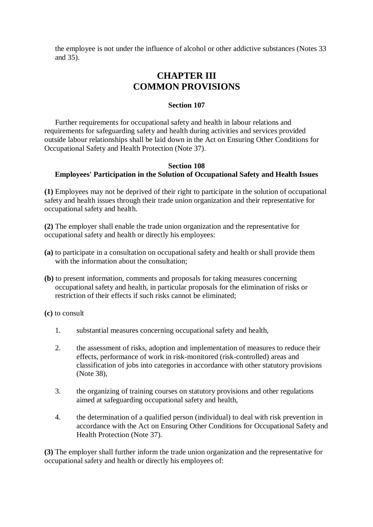the employee is not under the influence of alcohol or other addictive substances (Notes 33 and 35).

# **CHAPTER III COMMON PROVISIONS**

### **Section 107**

Further requirements for occupational safety and health in labour relations and requirements for safeguarding safety and health during activities and services provided outside labour relationships shall be laid down in the Act on Ensuring Other Conditions for Occupational Safety and Health Protection (Note 37).

### **Section 108 Employees' Participation in the Solution of Occupational Safety and Health Issues**

**(1)** Employees may not be deprived of their right to participate in the solution of occupational safety and health issues through their trade union organization and their representative for occupational safety and health.

**(2)** The employer shall enable the trade union organization and the representative for occupational safety and health or directly his employees:

- **(a)** to participate in a consultation on occupational safety and health or shall provide them with the information about the consultation:
- **(b)** to present information, comments and proposals for taking measures concerning occupational safety and health, in particular proposals for the elimination of risks or restriction of their effects if such risks cannot be eliminated;

**(c)** to consult

- 1. substantial measures concerning occupational safety and health,
- 2. the assessment of risks, adoption and implementation of measures to reduce their effects, performance of work in risk-monitored (risk-controlled) areas and classification of jobs into categories in accordance with other statutory provisions (Note 38),
- 3. the organizing of training courses on statutory provisions and other regulations aimed at safeguarding occupational safety and health,
- 4. the determination of a qualified person (individual) to deal with risk prevention in accordance with the Act on Ensuring Other Conditions for Occupational Safety and Health Protection (Note 37).

**(3)** The employer shall further inform the trade union organization and the representative for occupational safety and health or directly his employees of: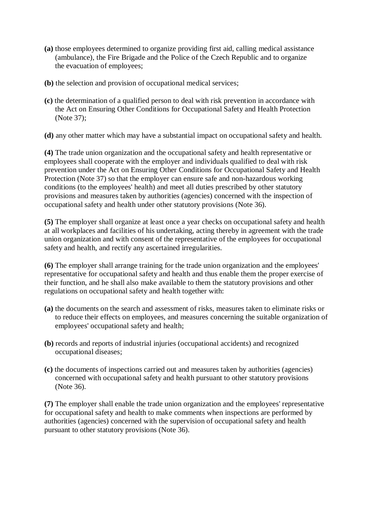- **(a)** those employees determined to organize providing first aid, calling medical assistance (ambulance), the Fire Brigade and the Police of the Czech Republic and to organize the evacuation of employees;
- **(b)** the selection and provision of occupational medical services;
- **(c)** the determination of a qualified person to deal with risk prevention in accordance with the Act on Ensuring Other Conditions for Occupational Safety and Health Protection (Note 37);
- **(d)** any other matter which may have a substantial impact on occupational safety and health.

**(4)** The trade union organization and the occupational safety and health representative or employees shall cooperate with the employer and individuals qualified to deal with risk prevention under the Act on Ensuring Other Conditions for Occupational Safety and Health Protection (Note 37) so that the employer can ensure safe and non-hazardous working conditions (to the employees' health) and meet all duties prescribed by other statutory provisions and measures taken by authorities (agencies) concerned with the inspection of occupational safety and health under other statutory provisions (Note 36).

**(5)** The employer shall organize at least once a year checks on occupational safety and health at all workplaces and facilities of his undertaking, acting thereby in agreement with the trade union organization and with consent of the representative of the employees for occupational safety and health, and rectify any ascertained irregularities.

**(6)** The employer shall arrange training for the trade union organization and the employees' representative for occupational safety and health and thus enable them the proper exercise of their function, and he shall also make available to them the statutory provisions and other regulations on occupational safety and health together with:

- **(a)** the documents on the search and assessment of risks, measures taken to eliminate risks or to reduce their effects on employees, and measures concerning the suitable organization of employees' occupational safety and health;
- **(b)** records and reports of industrial injuries (occupational accidents) and recognized occupational diseases;
- **(c)** the documents of inspections carried out and measures taken by authorities (agencies) concerned with occupational safety and health pursuant to other statutory provisions (Note 36).

**(7)** The employer shall enable the trade union organization and the employees' representative for occupational safety and health to make comments when inspections are performed by authorities (agencies) concerned with the supervision of occupational safety and health pursuant to other statutory provisions (Note 36).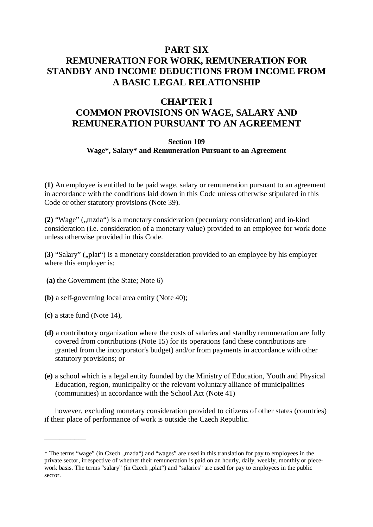# **PART SIX REMUNERATION FOR WORK, REMUNERATION FOR STANDBY AND INCOME DEDUCTIONS FROM INCOME FROM A BASIC LEGAL RELATIONSHIP**

## **CHAPTER I COMMON PROVISIONS ON WAGE, SALARY AND REMUNERATION PURSUANT TO AN AGREEMENT**

### **Section 109**

### **Wage\*, Salary\* and Remuneration Pursuant to an Agreement**

**(1)** An employee is entitled to be paid wage, salary or remuneration pursuant to an agreement in accordance with the conditions laid down in this Code unless otherwise stipulated in this Code or other statutory provisions (Note 39).

(2) "Wage" (,,mzda") is a monetary consideration (pecuniary consideration) and in-kind consideration (i.e. consideration of a monetary value) provided to an employee for work done unless otherwise provided in this Code.

**(3)** "Salary" (", plat") is a monetary consideration provided to an employee by his employer where this employer is:

- **(a)** the Government (the State; Note 6)
- **(b)** a self-governing local area entity (Note 40);
- **(c)** a state fund (Note 14),

\_\_\_\_\_\_\_\_\_\_\_

- **(d)** a contributory organization where the costs of salaries and standby remuneration are fully covered from contributions (Note 15) for its operations (and these contributions are granted from the incorporator's budget) and/or from payments in accordance with other statutory provisions; or
- **(e)** a school which is a legal entity founded by the Ministry of Education, Youth and Physical Education, region, municipality or the relevant voluntary alliance of municipalities (communities) in accordance with the School Act (Note 41)

however, excluding monetary consideration provided to citizens of other states (countries) if their place of performance of work is outside the Czech Republic.

<sup>\*</sup> The terms "wage" (in Czech ,,mzda") and "wages" are used in this translation for pay to employees in the private sector, irrespective of whether their remuneration is paid on an hourly, daily, weekly, monthly or piecework basis. The terms "salary" (in Czech "plat") and "salaries" are used for pay to employees in the public sector.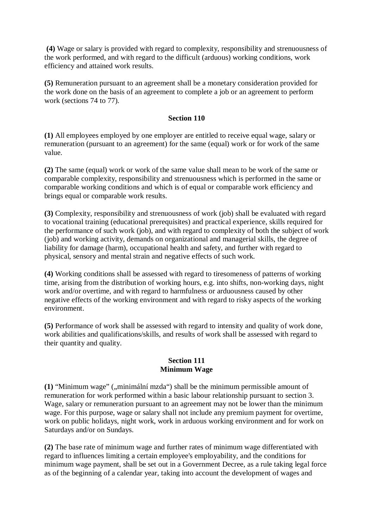**(4)** Wage or salary is provided with regard to complexity, responsibility and strenuousness of the work performed, and with regard to the difficult (arduous) working conditions, work efficiency and attained work results.

**(5)** Remuneration pursuant to an agreement shall be a monetary consideration provided for the work done on the basis of an agreement to complete a job or an agreement to perform work (sections 74 to 77).

### **Section 110**

**(1)** All employees employed by one employer are entitled to receive equal wage, salary or remuneration (pursuant to an agreement) for the same (equal) work or for work of the same value.

**(2)** The same (equal) work or work of the same value shall mean to be work of the same or comparable complexity, responsibility and strenuousness which is performed in the same or comparable working conditions and which is of equal or comparable work efficiency and brings equal or comparable work results.

**(3)** Complexity, responsibility and strenuousness of work (job) shall be evaluated with regard to vocational training (educational prerequisites) and practical experience, skills required for the performance of such work (job), and with regard to complexity of both the subject of work (job) and working activity, demands on organizational and managerial skills, the degree of liability for damage (harm), occupational health and safety, and further with regard to physical, sensory and mental strain and negative effects of such work.

**(4)** Working conditions shall be assessed with regard to tiresomeness of patterns of working time, arising from the distribution of working hours, e.g. into shifts, non-working days, night work and/or overtime, and with regard to harmfulness or arduousness caused by other negative effects of the working environment and with regard to risky aspects of the working environment.

**(5)** Performance of work shall be assessed with regard to intensity and quality of work done, work abilities and qualifications/skills, and results of work shall be assessed with regard to their quantity and quality.

#### **Section 111 Minimum Wage**

(1) "Minimum wage" ("minimální mzda") shall be the minimum permissible amount of remuneration for work performed within a basic labour relationship pursuant to section 3. Wage, salary or remuneration pursuant to an agreement may not be lower than the minimum wage. For this purpose, wage or salary shall not include any premium payment for overtime, work on public holidays, night work, work in arduous working environment and for work on Saturdays and/or on Sundays.

**(2)** The base rate of minimum wage and further rates of minimum wage differentiated with regard to influences limiting a certain employee's employability, and the conditions for minimum wage payment, shall be set out in a Government Decree, as a rule taking legal force as of the beginning of a calendar year, taking into account the development of wages and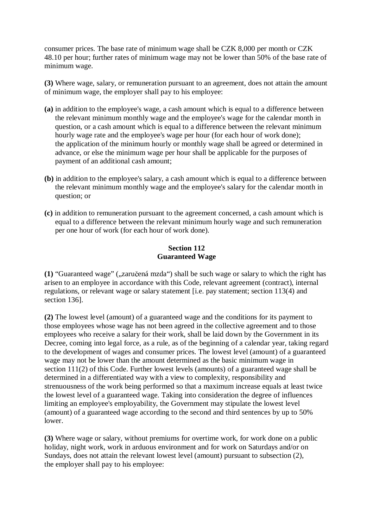consumer prices. The base rate of minimum wage shall be CZK 8,000 per month or CZK 48.10 per hour; further rates of minimum wage may not be lower than 50% of the base rate of minimum wage.

**(3)** Where wage, salary, or remuneration pursuant to an agreement, does not attain the amount of minimum wage, the employer shall pay to his employee:

- **(a)** in addition to the employee's wage, a cash amount which is equal to a difference between the relevant minimum monthly wage and the employee's wage for the calendar month in question, or a cash amount which is equal to a difference between the relevant minimum hourly wage rate and the employee's wage per hour (for each hour of work done); the application of the minimum hourly or monthly wage shall be agreed or determined in advance, or else the minimum wage per hour shall be applicable for the purposes of payment of an additional cash amount;
- **(b)** in addition to the employee's salary, a cash amount which is equal to a difference between the relevant minimum monthly wage and the employee's salary for the calendar month in question; or
- **(c)** in addition to remuneration pursuant to the agreement concerned, a cash amount which is equal to a difference between the relevant minimum hourly wage and such remuneration per one hour of work (for each hour of work done).

#### **Section 112 Guaranteed Wage**

**(1)** "Guaranteed wage" (",zaručená mzda") shall be such wage or salary to which the right has arisen to an employee in accordance with this Code, relevant agreement (contract), internal regulations, or relevant wage or salary statement [i.e. pay statement; section 113(4) and section 136].

**(2)** The lowest level (amount) of a guaranteed wage and the conditions for its payment to those employees whose wage has not been agreed in the collective agreement and to those employees who receive a salary for their work, shall be laid down by the Government in its Decree, coming into legal force, as a rule, as of the beginning of a calendar year, taking regard to the development of wages and consumer prices. The lowest level (amount) of a guaranteed wage may not be lower than the amount determined as the basic minimum wage in section 111(2) of this Code. Further lowest levels (amounts) of a guaranteed wage shall be determined in a differentiated way with a view to complexity, responsibility and strenuousness of the work being performed so that a maximum increase equals at least twice the lowest level of a guaranteed wage. Taking into consideration the degree of influences limiting an employee's employability, the Government may stipulate the lowest level (amount) of a guaranteed wage according to the second and third sentences by up to 50% lower.

**(3)** Where wage or salary, without premiums for overtime work, for work done on a public holiday, night work, work in arduous environment and for work on Saturdays and/or on Sundays, does not attain the relevant lowest level (amount) pursuant to subsection (2), the employer shall pay to his employee: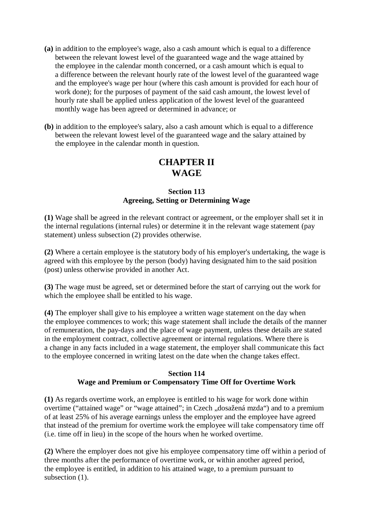- **(a)** in addition to the employee's wage, also a cash amount which is equal to a difference between the relevant lowest level of the guaranteed wage and the wage attained by the employee in the calendar month concerned, or a cash amount which is equal to a difference between the relevant hourly rate of the lowest level of the guaranteed wage and the employee's wage per hour (where this cash amount is provided for each hour of work done); for the purposes of payment of the said cash amount, the lowest level of hourly rate shall be applied unless application of the lowest level of the guaranteed monthly wage has been agreed or determined in advance; or
- **(b)** in addition to the employee's salary, also a cash amount which is equal to a difference between the relevant lowest level of the guaranteed wage and the salary attained by the employee in the calendar month in question.

# **CHAPTER II WAGE**

## **Section 113 Agreeing, Setting or Determining Wage**

**(1)** Wage shall be agreed in the relevant contract or agreement, or the employer shall set it in the internal regulations (internal rules) or determine it in the relevant wage statement (pay statement) unless subsection (2) provides otherwise.

**(2)** Where a certain employee is the statutory body of his employer's undertaking, the wage is agreed with this employee by the person (body) having designated him to the said position (post) unless otherwise provided in another Act.

**(3)** The wage must be agreed, set or determined before the start of carrying out the work for which the employee shall be entitled to his wage.

**(4)** The employer shall give to his employee a written wage statement on the day when the employee commences to work; this wage statement shall include the details of the manner of remuneration, the pay-days and the place of wage payment, unless these details are stated in the employment contract, collective agreement or internal regulations. Where there is a change in any facts included in a wage statement, the employer shall communicate this fact to the employee concerned in writing latest on the date when the change takes effect.

## **Section 114 Wage and Premium or Compensatory Time Off for Overtime Work**

**(1)** As regards overtime work, an employee is entitled to his wage for work done within overtime ("attained wage" or "wage attained"; in Czech "dosažená mzda") and to a premium of at least 25% of his average earnings unless the employer and the employee have agreed that instead of the premium for overtime work the employee will take compensatory time off (i.e. time off in lieu) in the scope of the hours when he worked overtime.

**(2)** Where the employer does not give his employee compensatory time off within a period of three months after the performance of overtime work, or within another agreed period, the employee is entitled, in addition to his attained wage, to a premium pursuant to subsection (1).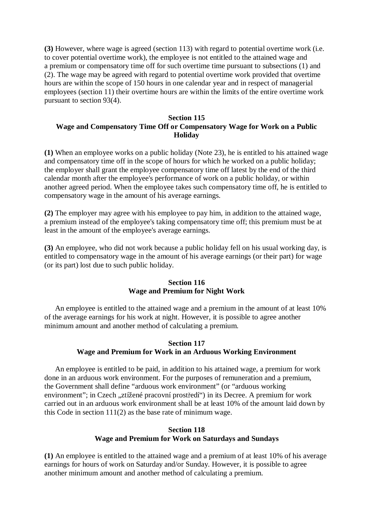**(3)** However, where wage is agreed (section 113) with regard to potential overtime work (i.e. to cover potential overtime work), the employee is not entitled to the attained wage and a premium or compensatory time off for such overtime time pursuant to subsections (1) and (2). The wage may be agreed with regard to potential overtime work provided that overtime hours are within the scope of 150 hours in one calendar year and in respect of managerial employees (section 11) their overtime hours are within the limits of the entire overtime work pursuant to section 93(4).

### **Section 115 Wage and Compensatory Time Off or Compensatory Wage for Work on a Public Holiday**

**(1)** When an employee works on a public holiday (Note 23), he is entitled to his attained wage and compensatory time off in the scope of hours for which he worked on a public holiday; the employer shall grant the employee compensatory time off latest by the end of the third calendar month after the employee's performance of work on a public holiday, or within another agreed period. When the employee takes such compensatory time off, he is entitled to compensatory wage in the amount of his average earnings.

**(2)** The employer may agree with his employee to pay him, in addition to the attained wage, a premium instead of the employee's taking compensatory time off; this premium must be at least in the amount of the employee's average earnings.

**(3)** An employee, who did not work because a public holiday fell on his usual working day, is entitled to compensatory wage in the amount of his average earnings (or their part) for wage (or its part) lost due to such public holiday.

#### **Section 116 Wage and Premium for Night Work**

An employee is entitled to the attained wage and a premium in the amount of at least 10% of the average earnings for his work at night. However, it is possible to agree another minimum amount and another method of calculating a premium.

#### **Section 117 Wage and Premium for Work in an Arduous Working Environment**

An employee is entitled to be paid, in addition to his attained wage, a premium for work done in an arduous work environment. For the purposes of remuneration and a premium, the Government shall define "arduous work environment" (or "arduous working environment"; in Czech "ztížené pracovní prostředí") in its Decree. A premium for work carried out in an arduous work environment shall be at least 10% of the amount laid down by this Code in section 111(2) as the base rate of minimum wage.

## **Section 118 Wage and Premium for Work on Saturdays and Sundays**

**(1)** An employee is entitled to the attained wage and a premium of at least 10% of his average earnings for hours of work on Saturday and/or Sunday. However, it is possible to agree another minimum amount and another method of calculating a premium.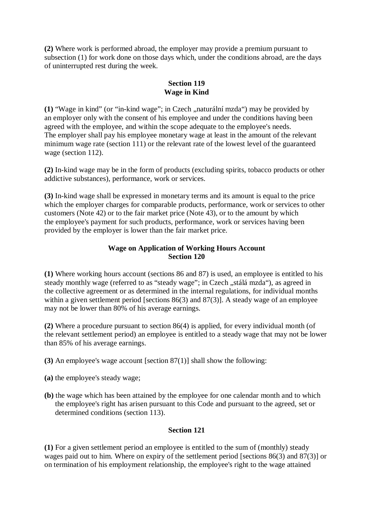**(2)** Where work is performed abroad, the employer may provide a premium pursuant to subsection (1) for work done on those days which, under the conditions abroad, are the days of uninterrupted rest during the week.

## **Section 119 Wage in Kind**

(1) "Wage in kind" (or "in-kind wage"; in Czech , naturální mzda") may be provided by an employer only with the consent of his employee and under the conditions having been agreed with the employee, and within the scope adequate to the employee's needs. The employer shall pay his employee monetary wage at least in the amount of the relevant minimum wage rate (section 111) or the relevant rate of the lowest level of the guaranteed wage (section 112).

**(2)** In-kind wage may be in the form of products (excluding spirits, tobacco products or other addictive substances), performance, work or services.

**(3)** In-kind wage shall be expressed in monetary terms and its amount is equal to the price which the employer charges for comparable products, performance, work or services to other customers (Note 42) or to the fair market price (Note 43), or to the amount by which the employee's payment for such products, performance, work or services having been provided by the employer is lower than the fair market price.

## **Wage on Application of Working Hours Account Section 120**

**(1)** Where working hours account (sections 86 and 87) is used, an employee is entitled to his steady monthly wage (referred to as "steady wage"; in Czech "stálá mzda"), as agreed in the collective agreement or as determined in the internal regulations, for individual months within a given settlement period [sections 86(3) and 87(3)]. A steady wage of an employee may not be lower than 80% of his average earnings.

**(2)** Where a procedure pursuant to section 86(4) is applied, for every individual month (of the relevant settlement period) an employee is entitled to a steady wage that may not be lower than 85% of his average earnings.

- **(3)** An employee's wage account [section 87(1)] shall show the following:
- **(a)** the employee's steady wage;
- **(b)** the wage which has been attained by the employee for one calendar month and to which the employee's right has arisen pursuant to this Code and pursuant to the agreed, set or determined conditions (section 113).

## **Section 121**

**(1)** For a given settlement period an employee is entitled to the sum of (monthly) steady wages paid out to him. Where on expiry of the settlement period [sections 86(3) and 87(3)] or on termination of his employment relationship, the employee's right to the wage attained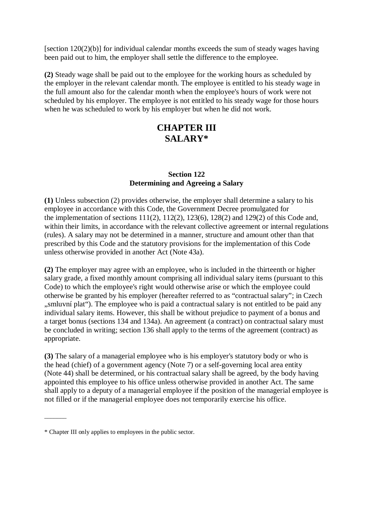[section 120(2)(b)] for individual calendar months exceeds the sum of steady wages having been paid out to him, the employer shall settle the difference to the employee.

**(2)** Steady wage shall be paid out to the employee for the working hours as scheduled by the employer in the relevant calendar month. The employee is entitled to his steady wage in the full amount also for the calendar month when the employee's hours of work were not scheduled by his employer. The employee is not entitled to his steady wage for those hours when he was scheduled to work by his employer but when he did not work.

# **CHAPTER III SALARY\***

## **Section 122 Determining and Agreeing a Salary**

**(1)** Unless subsection (2) provides otherwise, the employer shall determine a salary to his employee in accordance with this Code, the Government Decree promulgated for the implementation of sections  $111(2)$ ,  $112(2)$ ,  $123(6)$ ,  $128(2)$  and  $129(2)$  of this Code and, within their limits, in accordance with the relevant collective agreement or internal regulations (rules). A salary may not be determined in a manner, structure and amount other than that prescribed by this Code and the statutory provisions for the implementation of this Code unless otherwise provided in another Act (Note 43a).

**(2)** The employer may agree with an employee, who is included in the thirteenth or higher salary grade, a fixed monthly amount comprising all individual salary items (pursuant to this Code) to which the employee's right would otherwise arise or which the employee could otherwise be granted by his employer (hereafter referred to as "contractual salary"; in Czech ,, smluvní plat"). The employee who is paid a contractual salary is not entitled to be paid any individual salary items. However, this shall be without prejudice to payment of a bonus and a target bonus (sections 134 and 134a). An agreement (a contract) on contractual salary must be concluded in writing; section 136 shall apply to the terms of the agreement (contract) as appropriate.

**(3)** The salary of a managerial employee who is his employer's statutory body or who is the head (chief) of a government agency (Note 7) or a self-governing local area entity (Note 44) shall be determined, or his contractual salary shall be agreed, by the body having appointed this employee to his office unless otherwise provided in another Act. The same shall apply to a deputy of a managerial employee if the position of the managerial employee is not filled or if the managerial employee does not temporarily exercise his office.

\_\_\_\_\_\_\_

<sup>\*</sup> Chapter III only applies to employees in the public sector.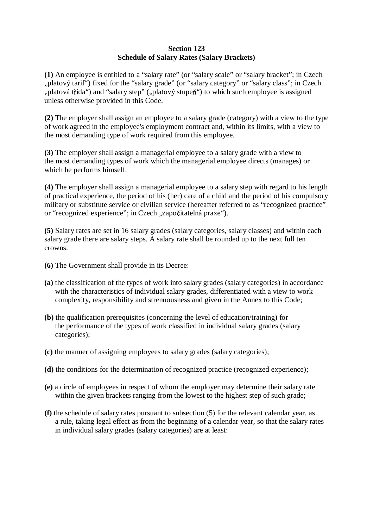### **Section 123 Schedule of Salary Rates (Salary Brackets)**

**(1)** An employee is entitled to a "salary rate" (or "salary scale" or "salary bracket"; in Czech "platový tarif") fixed for the "salary grade" (or "salary category" or "salary class"; in Czech "platová třída") and "salary step" ("platový stupeň") to which such employee is assigned unless otherwise provided in this Code.

**(2)** The employer shall assign an employee to a salary grade (category) with a view to the type of work agreed in the employee's employment contract and, within its limits, with a view to the most demanding type of work required from this employee.

**(3)** The employer shall assign a managerial employee to a salary grade with a view to the most demanding types of work which the managerial employee directs (manages) or which he performs himself.

**(4)** The employer shall assign a managerial employee to a salary step with regard to his length of practical experience, the period of his (her) care of a child and the period of his compulsory military or substitute service or civilian service (hereafter referred to as "recognized practice" or "recognized experience"; in Czech "započitatelná praxe").

**(5)** Salary rates are set in 16 salary grades (salary categories, salary classes) and within each salary grade there are salary steps. A salary rate shall be rounded up to the next full ten crowns.

- **(6)** The Government shall provide in its Decree:
- **(a)** the classification of the types of work into salary grades (salary categories) in accordance with the characteristics of individual salary grades, differentiated with a view to work complexity, responsibility and strenuousness and given in the Annex to this Code;
- **(b)** the qualification prerequisites (concerning the level of education/training) for the performance of the types of work classified in individual salary grades (salary categories);
- **(c)** the manner of assigning employees to salary grades (salary categories);
- **(d)** the conditions for the determination of recognized practice (recognized experience);
- **(e)** a circle of employees in respect of whom the employer may determine their salary rate within the given brackets ranging from the lowest to the highest step of such grade;
- **(f)** the schedule of salary rates pursuant to subsection (5) for the relevant calendar year, as a rule, taking legal effect as from the beginning of a calendar year, so that the salary rates in individual salary grades (salary categories) are at least: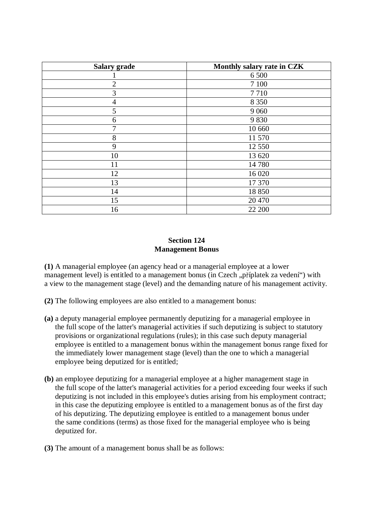| <b>Salary grade</b> | Monthly salary rate in CZK |
|---------------------|----------------------------|
|                     | 6 500                      |
| $\overline{2}$      | 7 100                      |
| 3                   | 7710                       |
| $\overline{4}$      | 8 3 5 0                    |
| 5                   | 9 0 6 0                    |
| 6                   | 9830                       |
| $\tau$              | 10 660                     |
| 8                   | 11 570                     |
| 9                   | 12 550                     |
| 10                  | 13 620                     |
| 11                  | 14 780                     |
| 12                  | 16 0 20                    |
| 13                  | 17 370                     |
| 14                  | 18 850                     |
| 15                  | 20 470                     |
| 16                  | 22 200                     |

### **Section 124 Management Bonus**

**(1)** A managerial employee (an agency head or a managerial employee at a lower management level) is entitled to a management bonus (in Czech "příplatek za vedení") with a view to the management stage (level) and the demanding nature of his management activity.

**(2)** The following employees are also entitled to a management bonus:

- **(a)** a deputy managerial employee permanently deputizing for a managerial employee in the full scope of the latter's managerial activities if such deputizing is subject to statutory provisions or organizational regulations (rules); in this case such deputy managerial employee is entitled to a management bonus within the management bonus range fixed for the immediately lower management stage (level) than the one to which a managerial employee being deputized for is entitled;
- **(b)** an employee deputizing for a managerial employee at a higher management stage in the full scope of the latter's managerial activities for a period exceeding four weeks if such deputizing is not included in this employee's duties arising from his employment contract; in this case the deputizing employee is entitled to a management bonus as of the first day of his deputizing. The deputizing employee is entitled to a management bonus under the same conditions (terms) as those fixed for the managerial employee who is being deputized for.
- **(3)** The amount of a management bonus shall be as follows: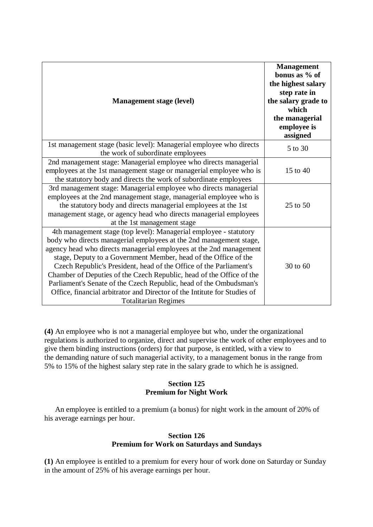| <b>Management stage (level)</b>                                                                                                                                                                                                                                                                                                                                                                                                                                                                                                                                                                                 | <b>Management</b><br>bonus as % of<br>the highest salary<br>step rate in<br>the salary grade to<br>which<br>the managerial<br>employee is<br>assigned |
|-----------------------------------------------------------------------------------------------------------------------------------------------------------------------------------------------------------------------------------------------------------------------------------------------------------------------------------------------------------------------------------------------------------------------------------------------------------------------------------------------------------------------------------------------------------------------------------------------------------------|-------------------------------------------------------------------------------------------------------------------------------------------------------|
| 1st management stage (basic level): Managerial employee who directs<br>the work of subordinate employees                                                                                                                                                                                                                                                                                                                                                                                                                                                                                                        | 5 to 30                                                                                                                                               |
| 2nd management stage: Managerial employee who directs managerial<br>employees at the 1st management stage or managerial employee who is<br>the statutory body and directs the work of subordinate employees                                                                                                                                                                                                                                                                                                                                                                                                     | 15 to 40                                                                                                                                              |
| 3rd management stage: Managerial employee who directs managerial<br>employees at the 2nd management stage, managerial employee who is<br>the statutory body and directs managerial employees at the 1st<br>management stage, or agency head who directs managerial employees<br>at the 1st management stage                                                                                                                                                                                                                                                                                                     | 25 to 50                                                                                                                                              |
| 4th management stage (top level): Managerial employee - statutory<br>body who directs managerial employees at the 2nd management stage,<br>agency head who directs managerial employees at the 2nd management<br>stage, Deputy to a Government Member, head of the Office of the<br>Czech Republic's President, head of the Office of the Parliament's<br>Chamber of Deputies of the Czech Republic, head of the Office of the<br>Parliament's Senate of the Czech Republic, head of the Ombudsman's<br>Office, financial arbitrator and Director of the Intitute for Studies of<br><b>Totalitarian Regimes</b> | 30 to 60                                                                                                                                              |

**(4)** An employee who is not a managerial employee but who, under the organizational regulations is authorized to organize, direct and supervise the work of other employees and to give them binding instructions (orders) for that purpose, is entitled, with a view to the demanding nature of such managerial activity, to a management bonus in the range from 5% to 15% of the highest salary step rate in the salary grade to which he is assigned.

### **Section 125 Premium for Night Work**

An employee is entitled to a premium (a bonus) for night work in the amount of 20% of his average earnings per hour.

### **Section 126 Premium for Work on Saturdays and Sundays**

**(1)** An employee is entitled to a premium for every hour of work done on Saturday or Sunday in the amount of 25% of his average earnings per hour.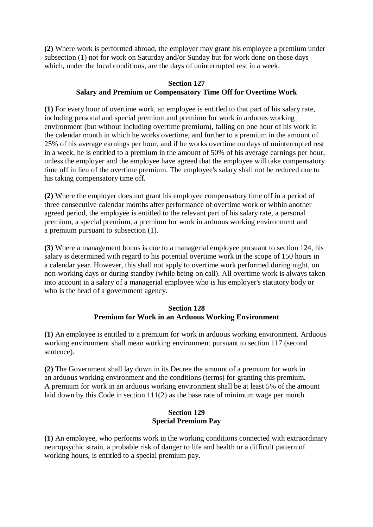**(2)** Where work is performed abroad, the employer may grant his employee a premium under subsection (1) not for work on Saturday and/or Sunday but for work done on those days which, under the local conditions, are the days of uninterrupted rest in a week.

## **Section 127 Salary and Premium or Compensatory Time Off for Overtime Work**

**(1)** For every hour of overtime work, an employee is entitled to that part of his salary rate, including personal and special premium and premium for work in arduous working environment (but without including overtime premium), falling on one hour of his work in the calendar month in which he works overtime, and further to a premium in the amount of 25% of his average earnings per hour, and if he works overtime on days of uninterrupted rest in a week, he is entitled to a premium in the amount of 50% of his average earnings per hour, unless the employer and the employee have agreed that the employee will take compensatory time off in lieu of the overtime premium. The employee's salary shall not be reduced due to his taking compensatory time off.

**(2)** Where the employer does not grant his employee compensatory time off in a period of three consecutive calendar months after performance of overtime work or within another agreed period, the employee is entitled to the relevant part of his salary rate, a personal premium, a special premium, a premium for work in arduous working environment and a premium pursuant to subsection (1).

**(3)** Where a management bonus is due to a managerial employee pursuant to section 124, his salary is determined with regard to his potential overtime work in the scope of 150 hours in a calendar year. However, this shall not apply to overtime work performed during night, on non-working days or during standby (while being on call). All overtime work is always taken into account in a salary of a managerial employee who is his employer's statutory body or who is the head of a government agency.

## **Section 128 Premium for Work in an Arduous Working Environment**

**(1)** An employee is entitled to a premium for work in arduous working environment. Arduous working environment shall mean working environment pursuant to section 117 (second sentence).

**(2)** The Government shall lay down in its Decree the amount of a premium for work in an arduous working environment and the conditions (terms) for granting this premium. A premium for work in an arduous working environment shall be at least 5% of the amount laid down by this Code in section 111(2) as the base rate of minimum wage per month.

## **Section 129 Special Premium Pay**

**(1)** An employee, who performs work in the working conditions connected with extraordinary neuropsychic strain, a probable risk of danger to life and health or a difficult pattern of working hours, is entitled to a special premium pay.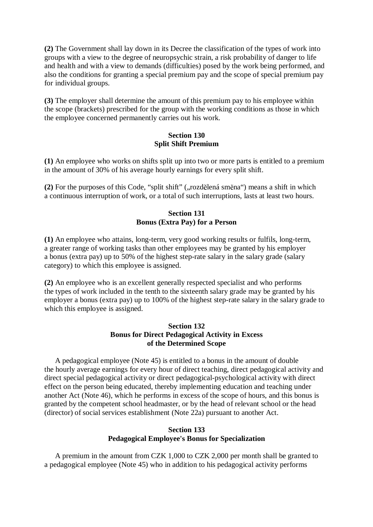**(2)** The Government shall lay down in its Decree the classification of the types of work into groups with a view to the degree of neuropsychic strain, a risk probability of danger to life and health and with a view to demands (difficulties) posed by the work being performed, and also the conditions for granting a special premium pay and the scope of special premium pay for individual groups.

**(3)** The employer shall determine the amount of this premium pay to his employee within the scope (brackets) prescribed for the group with the working conditions as those in which the employee concerned permanently carries out his work.

### **Section 130 Split Shift Premium**

**(1)** An employee who works on shifts split up into two or more parts is entitled to a premium in the amount of 30% of his average hourly earnings for every split shift.

(2) For the purposes of this Code, "split shift" ("rozdělená směna") means a shift in which a continuous interruption of work, or a total of such interruptions, lasts at least two hours.

### **Section 131 Bonus (Extra Pay) for a Person**

**(1)** An employee who attains, long-term, very good working results or fulfils, long-term, a greater range of working tasks than other employees may be granted by his employer a bonus (extra pay) up to 50% of the highest step-rate salary in the salary grade (salary category) to which this employee is assigned.

**(2)** An employee who is an excellent generally respected specialist and who performs the types of work included in the tenth to the sixteenth salary grade may be granted by his employer a bonus (extra pay) up to 100% of the highest step-rate salary in the salary grade to which this employee is assigned.

### **Section 132 Bonus for Direct Pedagogical Activity in Excess of the Determined Scope**

A pedagogical employee (Note 45) is entitled to a bonus in the amount of double the hourly average earnings for every hour of direct teaching, direct pedagogical activity and direct special pedagogical activity or direct pedagogical-psychological activity with direct effect on the person being educated, thereby implementing education and teaching under another Act (Note 46), which he performs in excess of the scope of hours, and this bonus is granted by the competent school headmaster, or by the head of relevant school or the head (director) of social services establishment (Note 22a) pursuant to another Act.

### **Section 133 Pedagogical Employee's Bonus for Specialization**

A premium in the amount from CZK 1,000 to CZK 2,000 per month shall be granted to a pedagogical employee (Note 45) who in addition to his pedagogical activity performs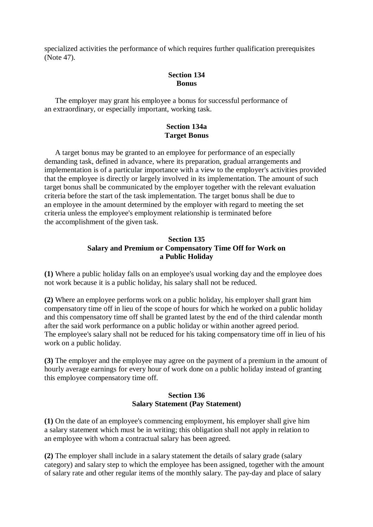specialized activities the performance of which requires further qualification prerequisites (Note 47).

#### **Section 134 Bonus**

The employer may grant his employee a bonus for successful performance of an extraordinary, or especially important, working task.

### **Section 134a Target Bonus**

A target bonus may be granted to an employee for performance of an especially demanding task, defined in advance, where its preparation, gradual arrangements and implementation is of a particular importance with a view to the employer's activities provided that the employee is directly or largely involved in its implementation. The amount of such target bonus shall be communicated by the employer together with the relevant evaluation criteria before the start of the task implementation. The target bonus shall be due to an employee in the amount determined by the employer with regard to meeting the set criteria unless the employee's employment relationship is terminated before the accomplishment of the given task.

### **Section 135 Salary and Premium or Compensatory Time Off for Work on a Public Holiday**

**(1)** Where a public holiday falls on an employee's usual working day and the employee does not work because it is a public holiday, his salary shall not be reduced.

**(2)** Where an employee performs work on a public holiday, his employer shall grant him compensatory time off in lieu of the scope of hours for which he worked on a public holiday and this compensatory time off shall be granted latest by the end of the third calendar month after the said work performance on a public holiday or within another agreed period. The employee's salary shall not be reduced for his taking compensatory time off in lieu of his work on a public holiday.

**(3)** The employer and the employee may agree on the payment of a premium in the amount of hourly average earnings for every hour of work done on a public holiday instead of granting this employee compensatory time off.

### **Section 136 Salary Statement (Pay Statement)**

**(1)** On the date of an employee's commencing employment, his employer shall give him a salary statement which must be in writing; this obligation shall not apply in relation to an employee with whom a contractual salary has been agreed.

**(2)** The employer shall include in a salary statement the details of salary grade (salary category) and salary step to which the employee has been assigned, together with the amount of salary rate and other regular items of the monthly salary. The pay-day and place of salary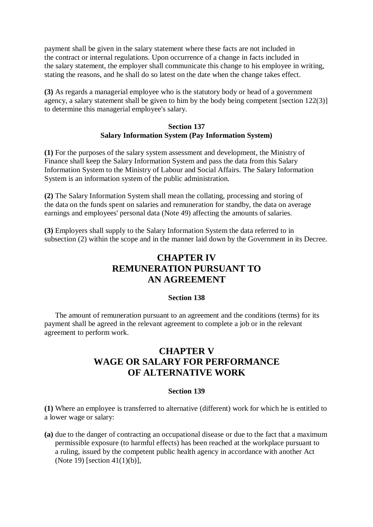payment shall be given in the salary statement where these facts are not included in the contract or internal regulations. Upon occurrence of a change in facts included in the salary statement, the employer shall communicate this change to his employee in writing, stating the reasons, and he shall do so latest on the date when the change takes effect.

**(3)** As regards a managerial employee who is the statutory body or head of a government agency, a salary statement shall be given to him by the body being competent [section 122(3)] to determine this managerial employee's salary.

### **Section 137 Salary Information System (Pay Information System)**

**(1)** For the purposes of the salary system assessment and development, the Ministry of Finance shall keep the Salary Information System and pass the data from this Salary Information System to the Ministry of Labour and Social Affairs. The Salary Information System is an information system of the public administration.

**(2)** The Salary Information System shall mean the collating, processing and storing of the data on the funds spent on salaries and remuneration for standby, the data on average earnings and employees' personal data (Note 49) affecting the amounts of salaries.

**(3)** Employers shall supply to the Salary Information System the data referred to in subsection (2) within the scope and in the manner laid down by the Government in its Decree.

# **CHAPTER IV REMUNERATION PURSUANT TO AN AGREEMENT**

### **Section 138**

The amount of remuneration pursuant to an agreement and the conditions (terms) for its payment shall be agreed in the relevant agreement to complete a job or in the relevant agreement to perform work.

# **CHAPTER V WAGE OR SALARY FOR PERFORMANCE OF ALTERNATIVE WORK**

### **Section 139**

**(1)** Where an employee is transferred to alternative (different) work for which he is entitled to a lower wage or salary:

**(a)** due to the danger of contracting an occupational disease or due to the fact that a maximum permissible exposure (to harmful effects) has been reached at the workplace pursuant to a ruling, issued by the competent public health agency in accordance with another Act (Note 19) [section 41(1)(b)],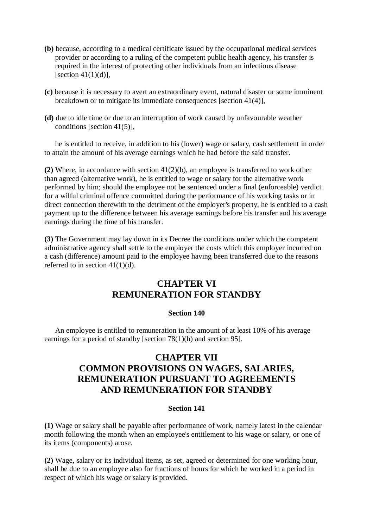- **(b)** because, according to a medical certificate issued by the occupational medical services provider or according to a ruling of the competent public health agency, his transfer is required in the interest of protecting other individuals from an infectious disease [section  $41(1)(d)$ ],
- **(c)** because it is necessary to avert an extraordinary event, natural disaster or some imminent breakdown or to mitigate its immediate consequences [section 41(4)],
- **(d)** due to idle time or due to an interruption of work caused by unfavourable weather conditions [section 41(5)],

he is entitled to receive, in addition to his (lower) wage or salary, cash settlement in order to attain the amount of his average earnings which he had before the said transfer.

**(2)** Where, in accordance with section 41(2)(b), an employee is transferred to work other than agreed (alternative work), he is entitled to wage or salary for the alternative work performed by him; should the employee not be sentenced under a final (enforceable) verdict for a wilful criminal offence committed during the performance of his working tasks or in direct connection therewith to the detriment of the employer's property, he is entitled to a cash payment up to the difference between his average earnings before his transfer and his average earnings during the time of his transfer.

**(3)** The Government may lay down in its Decree the conditions under which the competent administrative agency shall settle to the employer the costs which this employer incurred on a cash (difference) amount paid to the employee having been transferred due to the reasons referred to in section 41(1)(d).

# **CHAPTER VI REMUNERATION FOR STANDBY**

### **Section 140**

An employee is entitled to remuneration in the amount of at least 10% of his average earnings for a period of standby [section 78(1)(h) and section 95].

# **CHAPTER VII COMMON PROVISIONS ON WAGES, SALARIES, REMUNERATION PURSUANT TO AGREEMENTS AND REMUNERATION FOR STANDBY**

### **Section 141**

**(1)** Wage or salary shall be payable after performance of work, namely latest in the calendar month following the month when an employee's entitlement to his wage or salary, or one of its items (components) arose.

**(2)** Wage, salary or its individual items, as set, agreed or determined for one working hour, shall be due to an employee also for fractions of hours for which he worked in a period in respect of which his wage or salary is provided.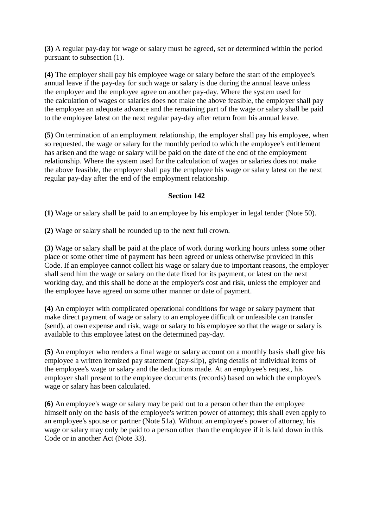**(3)** A regular pay-day for wage or salary must be agreed, set or determined within the period pursuant to subsection (1).

**(4)** The employer shall pay his employee wage or salary before the start of the employee's annual leave if the pay-day for such wage or salary is due during the annual leave unless the employer and the employee agree on another pay-day. Where the system used for the calculation of wages or salaries does not make the above feasible, the employer shall pay the employee an adequate advance and the remaining part of the wage or salary shall be paid to the employee latest on the next regular pay-day after return from his annual leave.

**(5)** On termination of an employment relationship, the employer shall pay his employee, when so requested, the wage or salary for the monthly period to which the employee's entitlement has arisen and the wage or salary will be paid on the date of the end of the employment relationship. Where the system used for the calculation of wages or salaries does not make the above feasible, the employer shall pay the employee his wage or salary latest on the next regular pay-day after the end of the employment relationship.

### **Section 142**

**(1)** Wage or salary shall be paid to an employee by his employer in legal tender (Note 50).

**(2)** Wage or salary shall be rounded up to the next full crown.

**(3)** Wage or salary shall be paid at the place of work during working hours unless some other place or some other time of payment has been agreed or unless otherwise provided in this Code. If an employee cannot collect his wage or salary due to important reasons, the employer shall send him the wage or salary on the date fixed for its payment, or latest on the next working day, and this shall be done at the employer's cost and risk, unless the employer and the employee have agreed on some other manner or date of payment.

**(4)** An employer with complicated operational conditions for wage or salary payment that make direct payment of wage or salary to an employee difficult or unfeasible can transfer (send), at own expense and risk, wage or salary to his employee so that the wage or salary is available to this employee latest on the determined pay-day.

**(5)** An employer who renders a final wage or salary account on a monthly basis shall give his employee a written itemized pay statement (pay-slip), giving details of individual items of the employee's wage or salary and the deductions made. At an employee's request, his employer shall present to the employee documents (records) based on which the employee's wage or salary has been calculated.

**(6)** An employee's wage or salary may be paid out to a person other than the employee himself only on the basis of the employee's written power of attorney; this shall even apply to an employee's spouse or partner (Note 51a). Without an employee's power of attorney, his wage or salary may only be paid to a person other than the employee if it is laid down in this Code or in another Act (Note 33).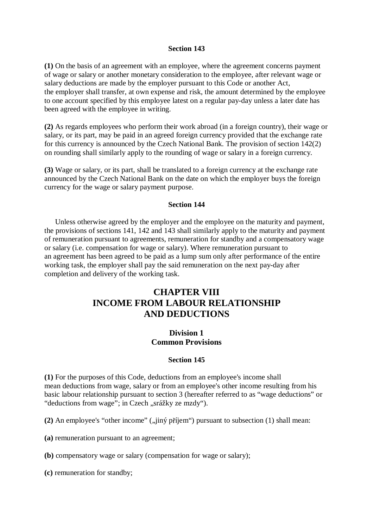### **Section 143**

**(1)** On the basis of an agreement with an employee, where the agreement concerns payment of wage or salary or another monetary consideration to the employee, after relevant wage or salary deductions are made by the employer pursuant to this Code or another Act, the employer shall transfer, at own expense and risk, the amount determined by the employee to one account specified by this employee latest on a regular pay-day unless a later date has been agreed with the employee in writing.

**(2)** As regards employees who perform their work abroad (in a foreign country), their wage or salary, or its part, may be paid in an agreed foreign currency provided that the exchange rate for this currency is announced by the Czech National Bank. The provision of section 142(2) on rounding shall similarly apply to the rounding of wage or salary in a foreign currency.

**(3)** Wage or salary, or its part, shall be translated to a foreign currency at the exchange rate announced by the Czech National Bank on the date on which the employer buys the foreign currency for the wage or salary payment purpose.

### **Section 144**

Unless otherwise agreed by the employer and the employee on the maturity and payment, the provisions of sections 141, 142 and 143 shall similarly apply to the maturity and payment of remuneration pursuant to agreements, remuneration for standby and a compensatory wage or salary (i.e. compensation for wage or salary). Where remuneration pursuant to an agreement has been agreed to be paid as a lump sum only after performance of the entire working task, the employer shall pay the said remuneration on the next pay-day after completion and delivery of the working task.

# **CHAPTER VIII INCOME FROM LABOUR RELATIONSHIP AND DEDUCTIONS**

## **Division 1 Common Provisions**

#### **Section 145**

**(1)** For the purposes of this Code, deductions from an employee's income shall mean deductions from wage, salary or from an employee's other income resulting from his basic labour relationship pursuant to section 3 (hereafter referred to as "wage deductions" or "deductions from wage"; in Czech "srážky ze mzdy").

 $(2)$  An employee's "other income"  $\ldots$  in proportion" pursuant to subsection  $(1)$  shall mean:

**(a)** remuneration pursuant to an agreement;

**(b)** compensatory wage or salary (compensation for wage or salary);

**(c)** remuneration for standby;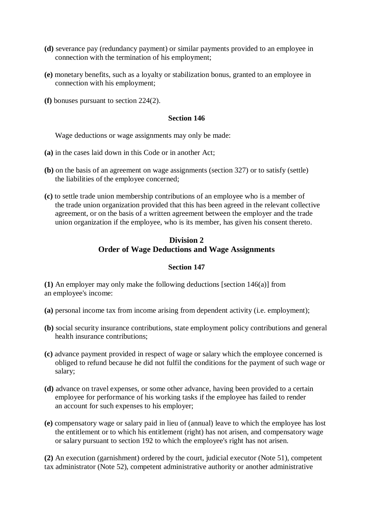- **(d)** severance pay (redundancy payment) or similar payments provided to an employee in connection with the termination of his employment;
- **(e)** monetary benefits, such as a loyalty or stabilization bonus, granted to an employee in connection with his employment;
- **(f)** bonuses pursuant to section 224(2).

#### **Section 146**

Wage deductions or wage assignments may only be made:

- **(a)** in the cases laid down in this Code or in another Act;
- **(b)** on the basis of an agreement on wage assignments (section 327) or to satisfy (settle) the liabilities of the employee concerned;
- **(c)** to settle trade union membership contributions of an employee who is a member of the trade union organization provided that this has been agreed in the relevant collective agreement, or on the basis of a written agreement between the employer and the trade union organization if the employee, who is its member, has given his consent thereto.

## **Division 2 Order of Wage Deductions and Wage Assignments**

### **Section 147**

**(1)** An employer may only make the following deductions [section 146(a)] from an employee's income:

**(a)** personal income tax from income arising from dependent activity (i.e. employment);

- **(b)** social security insurance contributions, state employment policy contributions and general health insurance contributions;
- **(c)** advance payment provided in respect of wage or salary which the employee concerned is obliged to refund because he did not fulfil the conditions for the payment of such wage or salary;
- **(d)** advance on travel expenses, or some other advance, having been provided to a certain employee for performance of his working tasks if the employee has failed to render an account for such expenses to his employer;
- **(e)** compensatory wage or salary paid in lieu of (annual) leave to which the employee has lost the entitlement or to which his entitlement (right) has not arisen, and compensatory wage or salary pursuant to section 192 to which the employee's right has not arisen.

**(2)** An execution (garnishment) ordered by the court, judicial executor (Note 51), competent tax administrator (Note 52), competent administrative authority or another administrative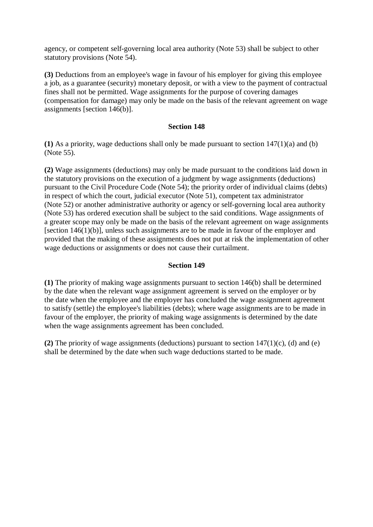agency, or competent self-governing local area authority (Note 53) shall be subject to other statutory provisions (Note 54).

**(3)** Deductions from an employee's wage in favour of his employer for giving this employee a job, as a guarantee (security) monetary deposit, or with a view to the payment of contractual fines shall not be permitted. Wage assignments for the purpose of covering damages (compensation for damage) may only be made on the basis of the relevant agreement on wage assignments [section 146(b)].

### **Section 148**

**(1)** As a priority, wage deductions shall only be made pursuant to section 147(1)(a) and (b) (Note 55).

**(2)** Wage assignments (deductions) may only be made pursuant to the conditions laid down in the statutory provisions on the execution of a judgment by wage assignments (deductions) pursuant to the Civil Procedure Code (Note 54); the priority order of individual claims (debts) in respect of which the court, judicial executor (Note 51), competent tax administrator (Note 52) or another administrative authority or agency or self-governing local area authority (Note 53) has ordered execution shall be subject to the said conditions. Wage assignments of a greater scope may only be made on the basis of the relevant agreement on wage assignments [section 146(1)(b)], unless such assignments are to be made in favour of the employer and provided that the making of these assignments does not put at risk the implementation of other wage deductions or assignments or does not cause their curtailment.

### **Section 149**

**(1)** The priority of making wage assignments pursuant to section 146(b) shall be determined by the date when the relevant wage assignment agreement is served on the employer or by the date when the employee and the employer has concluded the wage assignment agreement to satisfy (settle) the employee's liabilities (debts); where wage assignments are to be made in favour of the employer, the priority of making wage assignments is determined by the date when the wage assignments agreement has been concluded.

**(2)** The priority of wage assignments (deductions) pursuant to section 147(1)(c), (d) and (e) shall be determined by the date when such wage deductions started to be made.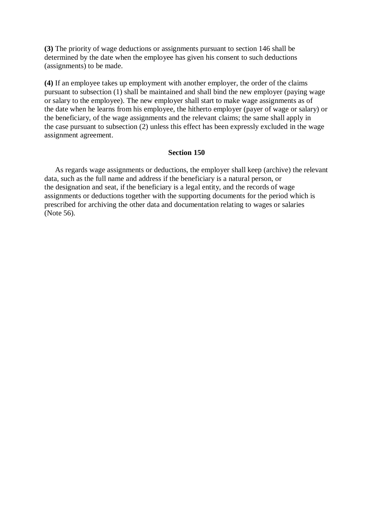**(3)** The priority of wage deductions or assignments pursuant to section 146 shall be determined by the date when the employee has given his consent to such deductions (assignments) to be made.

**(4)** If an employee takes up employment with another employer, the order of the claims pursuant to subsection (1) shall be maintained and shall bind the new employer (paying wage or salary to the employee). The new employer shall start to make wage assignments as of the date when he learns from his employee, the hitherto employer (payer of wage or salary) or the beneficiary, of the wage assignments and the relevant claims; the same shall apply in the case pursuant to subsection (2) unless this effect has been expressly excluded in the wage assignment agreement.

#### **Section 150**

As regards wage assignments or deductions, the employer shall keep (archive) the relevant data, such as the full name and address if the beneficiary is a natural person, or the designation and seat, if the beneficiary is a legal entity, and the records of wage assignments or deductions together with the supporting documents for the period which is prescribed for archiving the other data and documentation relating to wages or salaries (Note 56).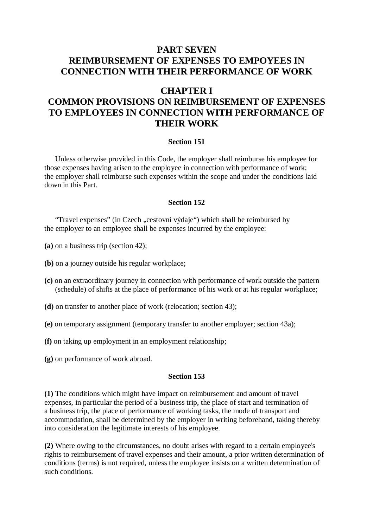# **PART SEVEN REIMBURSEMENT OF EXPENSES TO EMPOYEES IN CONNECTION WITH THEIR PERFORMANCE OF WORK**

# **CHAPTER I**

# **COMMON PROVISIONS ON REIMBURSEMENT OF EXPENSES TO EMPLOYEES IN CONNECTION WITH PERFORMANCE OF THEIR WORK**

### **Section 151**

Unless otherwise provided in this Code, the employer shall reimburse his employee for those expenses having arisen to the employee in connection with performance of work; the employer shall reimburse such expenses within the scope and under the conditions laid down in this Part.

### **Section 152**

"Travel expenses" (in Czech "cestovní výdaje") which shall be reimbursed by the employer to an employee shall be expenses incurred by the employee:

- **(a)** on a business trip (section 42);
- **(b)** on a journey outside his regular workplace;
- **(c)** on an extraordinary journey in connection with performance of work outside the pattern (schedule) of shifts at the place of performance of his work or at his regular workplace;
- **(d)** on transfer to another place of work (relocation; section 43);
- **(e)** on temporary assignment (temporary transfer to another employer; section 43a);
- **(f)** on taking up employment in an employment relationship;
- **(g)** on performance of work abroad.

#### **Section 153**

**(1)** The conditions which might have impact on reimbursement and amount of travel expenses, in particular the period of a business trip, the place of start and termination of a business trip, the place of performance of working tasks, the mode of transport and accommodation, shall be determined by the employer in writing beforehand, taking thereby into consideration the legitimate interests of his employee.

**(2)** Where owing to the circumstances, no doubt arises with regard to a certain employee's rights to reimbursement of travel expenses and their amount, a prior written determination of conditions (terms) is not required, unless the employee insists on a written determination of such conditions.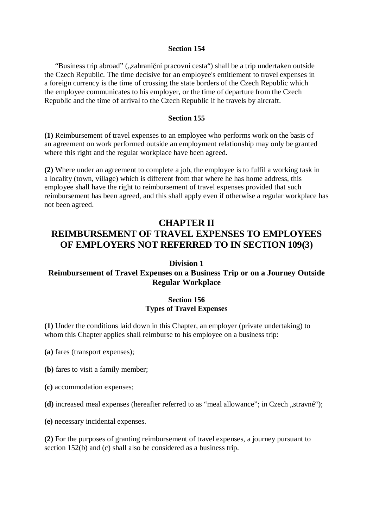#### **Section 154**

"Business trip abroad" ("zahraniční pracovní cesta") shall be a trip undertaken outside the Czech Republic. The time decisive for an employee's entitlement to travel expenses in a foreign currency is the time of crossing the state borders of the Czech Republic which the employee communicates to his employer, or the time of departure from the Czech Republic and the time of arrival to the Czech Republic if he travels by aircraft.

#### **Section 155**

**(1)** Reimbursement of travel expenses to an employee who performs work on the basis of an agreement on work performed outside an employment relationship may only be granted where this right and the regular workplace have been agreed.

**(2)** Where under an agreement to complete a job, the employee is to fulfil a working task in a locality (town, village) which is different from that where he has home address, this employee shall have the right to reimbursement of travel expenses provided that such reimbursement has been agreed, and this shall apply even if otherwise a regular workplace has not been agreed.

# **CHAPTER II**

# **REIMBURSEMENT OF TRAVEL EXPENSES TO EMPLOYEES OF EMPLOYERS NOT REFERRED TO IN SECTION 109(3)**

### **Division 1**

## **Reimbursement of Travel Expenses on a Business Trip or on a Journey Outside Regular Workplace**

### **Section 156 Types of Travel Expenses**

**(1)** Under the conditions laid down in this Chapter, an employer (private undertaking) to whom this Chapter applies shall reimburse to his employee on a business trip:

- **(a)** fares (transport expenses);
- **(b)** fares to visit a family member;
- **(c)** accommodation expenses;
- (d) increased meal expenses (hereafter referred to as "meal allowance"; in Czech "stravné");
- **(e)** necessary incidental expenses.

**(2)** For the purposes of granting reimbursement of travel expenses, a journey pursuant to section 152(b) and (c) shall also be considered as a business trip.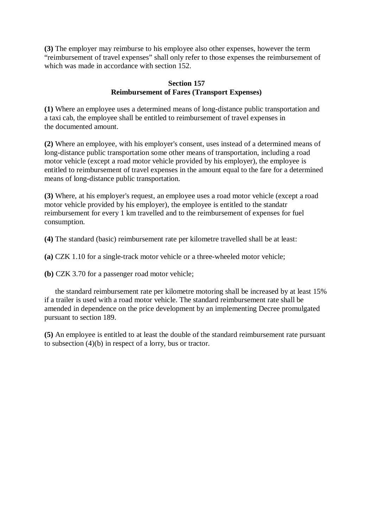**(3)** The employer may reimburse to his employee also other expenses, however the term "reimbursement of travel expenses" shall only refer to those expenses the reimbursement of which was made in accordance with section 152.

### **Section 157 Reimbursement of Fares (Transport Expenses)**

**(1)** Where an employee uses a determined means of long-distance public transportation and a taxi cab, the employee shall be entitled to reimbursement of travel expenses in the documented amount.

**(2)** Where an employee, with his employer's consent, uses instead of a determined means of long-distance public transportation some other means of transportation, including a road motor vehicle (except a road motor vehicle provided by his employer), the employee is entitled to reimbursement of travel expenses in the amount equal to the fare for a determined means of long-distance public transportation.

**(3)** Where, at his employer's request, an employee uses a road motor vehicle (except a road motor vehicle provided by his employer), the employee is entitled to the standatr reimbursement for every 1 km travelled and to the reimbursement of expenses for fuel consumption.

**(4)** The standard (basic) reimbursement rate per kilometre travelled shall be at least:

**(a)** CZK 1.10 for a single-track motor vehicle or a three-wheeled motor vehicle;

**(b)** CZK 3.70 for a passenger road motor vehicle;

the standard reimbursement rate per kilometre motoring shall be increased by at least 15% if a trailer is used with a road motor vehicle. The standard reimbursement rate shall be amended in dependence on the price development by an implementing Decree promulgated pursuant to section 189.

**(5)** An employee is entitled to at least the double of the standard reimbursement rate pursuant to subsection (4)(b) in respect of a lorry, bus or tractor.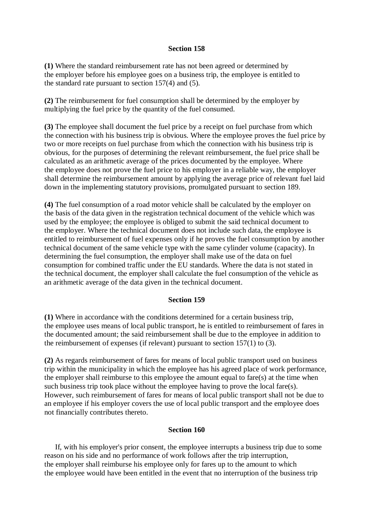### **Section 158**

**(1)** Where the standard reimbursement rate has not been agreed or determined by the employer before his employee goes on a business trip, the employee is entitled to the standard rate pursuant to section 157(4) and (5).

**(2)** The reimbursement for fuel consumption shall be determined by the employer by multiplying the fuel price by the quantity of the fuel consumed.

**(3)** The employee shall document the fuel price by a receipt on fuel purchase from which the connection with his business trip is obvious. Where the employee proves the fuel price by two or more receipts on fuel purchase from which the connection with his business trip is obvious, for the purposes of determining the relevant reimbursement, the fuel price shall be calculated as an arithmetic average of the prices documented by the employee. Where the employee does not prove the fuel price to his employer in a reliable way, the employer shall determine the reimbursement amount by applying the average price of relevant fuel laid down in the implementing statutory provisions, promulgated pursuant to section 189.

**(4)** The fuel consumption of a road motor vehicle shall be calculated by the employer on the basis of the data given in the registration technical document of the vehicle which was used by the employee; the employee is obliged to submit the said technical document to the employer. Where the technical document does not include such data, the employee is entitled to reimbursement of fuel expenses only if he proves the fuel consumption by another technical document of the same vehicle type with the same cylinder volume (capacity). In determining the fuel consumption, the employer shall make use of the data on fuel consumption for combined traffic under the EU standards. Where the data is not stated in the technical document, the employer shall calculate the fuel consumption of the vehicle as an arithmetic average of the data given in the technical document.

#### **Section 159**

**(1)** Where in accordance with the conditions determined for a certain business trip, the employee uses means of local public transport, he is entitled to reimbursement of fares in the documented amount; the said reimbursement shall be due to the employee in addition to the reimbursement of expenses (if relevant) pursuant to section 157(1) to (3).

**(2)** As regards reimbursement of fares for means of local public transport used on business trip within the municipality in which the employee has his agreed place of work performance, the employer shall reimburse to this employee the amount equal to fare(s) at the time when such business trip took place without the employee having to prove the local fare(s). However, such reimbursement of fares for means of local public transport shall not be due to an employee if his employer covers the use of local public transport and the employee does not financially contributes thereto.

#### **Section 160**

If, with his employer's prior consent, the employee interrupts a business trip due to some reason on his side and no performance of work follows after the trip interruption, the employer shall reimburse his employee only for fares up to the amount to which the employee would have been entitled in the event that no interruption of the business trip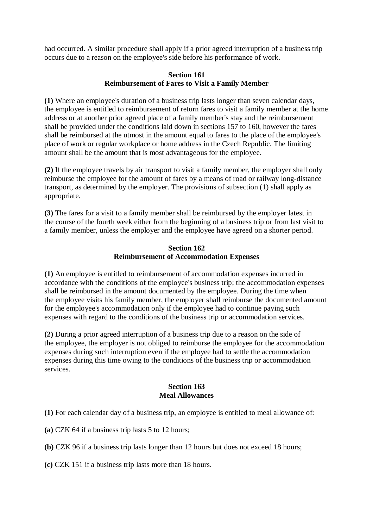had occurred. A similar procedure shall apply if a prior agreed interruption of a business trip occurs due to a reason on the employee's side before his performance of work.

### **Section 161 Reimbursement of Fares to Visit a Family Member**

**(1)** Where an employee's duration of a business trip lasts longer than seven calendar days, the employee is entitled to reimbursement of return fares to visit a family member at the home address or at another prior agreed place of a family member's stay and the reimbursement shall be provided under the conditions laid down in sections 157 to 160, however the fares shall be reimbursed at the utmost in the amount equal to fares to the place of the employee's place of work or regular workplace or home address in the Czech Republic. The limiting amount shall be the amount that is most advantageous for the employee.

**(2)** If the employee travels by air transport to visit a family member, the employer shall only reimburse the employee for the amount of fares by a means of road or railway long-distance transport, as determined by the employer. The provisions of subsection (1) shall apply as appropriate.

**(3)** The fares for a visit to a family member shall be reimbursed by the employer latest in the course of the fourth week either from the beginning of a business trip or from last visit to a family member, unless the employer and the employee have agreed on a shorter period.

### **Section 162 Reimbursement of Accommodation Expenses**

**(1)** An employee is entitled to reimbursement of accommodation expenses incurred in accordance with the conditions of the employee's business trip; the accommodation expenses shall be reimbursed in the amount documented by the employee. During the time when the employee visits his family member, the employer shall reimburse the documented amount for the employee's accommodation only if the employee had to continue paying such expenses with regard to the conditions of the business trip or accommodation services.

**(2)** During a prior agreed interruption of a business trip due to a reason on the side of the employee, the employer is not obliged to reimburse the employee for the accommodation expenses during such interruption even if the employee had to settle the accommodation expenses during this time owing to the conditions of the business trip or accommodation services.

### **Section 163 Meal Allowances**

- **(1)** For each calendar day of a business trip, an employee is entitled to meal allowance of:
- **(a)** CZK 64 if a business trip lasts 5 to 12 hours;
- **(b)** CZK 96 if a business trip lasts longer than 12 hours but does not exceed 18 hours;
- **(c)** CZK 151 if a business trip lasts more than 18 hours.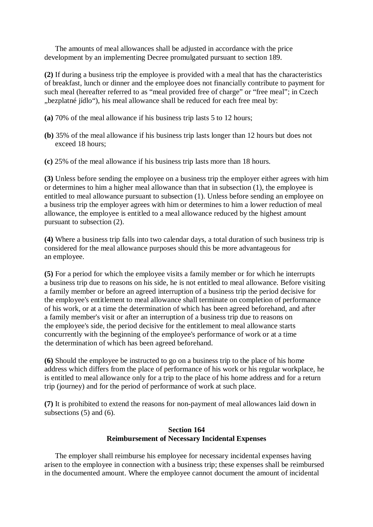The amounts of meal allowances shall be adjusted in accordance with the price development by an implementing Decree promulgated pursuant to section 189.

**(2)** If during a business trip the employee is provided with a meal that has the characteristics of breakfast, lunch or dinner and the employee does not financially contribute to payment for such meal (hereafter referred to as "meal provided free of charge" or "free meal"; in Czech "bezplatné jídlo"), his meal allowance shall be reduced for each free meal by:

- **(a)** 70% of the meal allowance if his business trip lasts 5 to 12 hours;
- **(b)** 35% of the meal allowance if his business trip lasts longer than 12 hours but does not exceed 18 hours;
- **(c)** 25% of the meal allowance if his business trip lasts more than 18 hours.

**(3)** Unless before sending the employee on a business trip the employer either agrees with him or determines to him a higher meal allowance than that in subsection (1), the employee is entitled to meal allowance pursuant to subsection (1). Unless before sending an employee on a business trip the employer agrees with him or determines to him a lower reduction of meal allowance, the employee is entitled to a meal allowance reduced by the highest amount pursuant to subsection (2).

**(4)** Where a business trip falls into two calendar days, a total duration of such business trip is considered for the meal allowance purposes should this be more advantageous for an employee.

**(5)** For a period for which the employee visits a family member or for which he interrupts a business trip due to reasons on his side, he is not entitled to meal allowance. Before visiting a family member or before an agreed interruption of a business trip the period decisive for the employee's entitlement to meal allowance shall terminate on completion of performance of his work, or at a time the determination of which has been agreed beforehand, and after a family member's visit or after an interruption of a business trip due to reasons on the employee's side, the period decisive for the entitlement to meal allowance starts concurrently with the beginning of the employee's performance of work or at a time the determination of which has been agreed beforehand.

**(6)** Should the employee be instructed to go on a business trip to the place of his home address which differs from the place of performance of his work or his regular workplace, he is entitled to meal allowance only for a trip to the place of his home address and for a return trip (journey) and for the period of performance of work at such place.

**(7)** It is prohibited to extend the reasons for non-payment of meal allowances laid down in subsections (5) and (6).

## **Section 164 Reimbursement of Necessary Incidental Expenses**

The employer shall reimburse his employee for necessary incidental expenses having arisen to the employee in connection with a business trip; these expenses shall be reimbursed in the documented amount. Where the employee cannot document the amount of incidental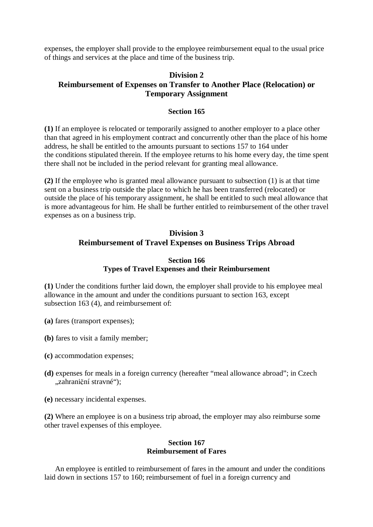expenses, the employer shall provide to the employee reimbursement equal to the usual price of things and services at the place and time of the business trip.

## **Division 2 Reimbursement of Expenses on Transfer to Another Place (Relocation) or Temporary Assignment**

### **Section 165**

**(1)** If an employee is relocated or temporarily assigned to another employer to a place other than that agreed in his employment contract and concurrently other than the place of his home address, he shall be entitled to the amounts pursuant to sections 157 to 164 under the conditions stipulated therein. If the employee returns to his home every day, the time spent there shall not be included in the period relevant for granting meal allowance.

**(2)** If the employee who is granted meal allowance pursuant to subsection (1) is at that time sent on a business trip outside the place to which he has been transferred (relocated) or outside the place of his temporary assignment, he shall be entitled to such meal allowance that is more advantageous for him. He shall be further entitled to reimbursement of the other travel expenses as on a business trip.

# **Division 3 Reimbursement of Travel Expenses on Business Trips Abroad**

### **Section 166 Types of Travel Expenses and their Reimbursement**

**(1)** Under the conditions further laid down, the employer shall provide to his employee meal allowance in the amount and under the conditions pursuant to section 163, except subsection 163 (4), and reimbursement of:

- **(a)** fares (transport expenses);
- **(b)** fares to visit a family member;
- **(c)** accommodation expenses;
- **(d)** expenses for meals in a foreign currency (hereafter "meal allowance abroad"; in Czech "zahraniční stravné");
- **(e)** necessary incidental expenses.

**(2)** Where an employee is on a business trip abroad, the employer may also reimburse some other travel expenses of this employee.

#### **Section 167 Reimbursement of Fares**

An employee is entitled to reimbursement of fares in the amount and under the conditions laid down in sections 157 to 160; reimbursement of fuel in a foreign currency and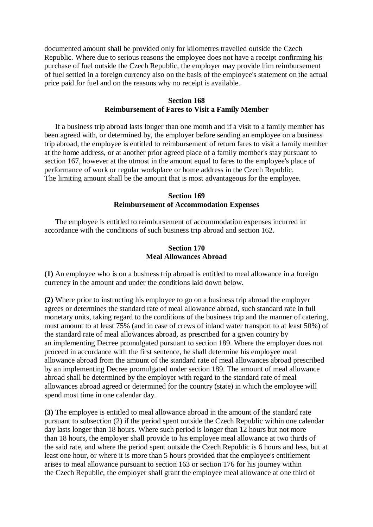documented amount shall be provided only for kilometres travelled outside the Czech Republic. Where due to serious reasons the employee does not have a receipt confirming his purchase of fuel outside the Czech Republic, the employer may provide him reimbursement of fuel settled in a foreign currency also on the basis of the employee's statement on the actual price paid for fuel and on the reasons why no receipt is available.

### **Section 168 Reimbursement of Fares to Visit a Family Member**

If a business trip abroad lasts longer than one month and if a visit to a family member has been agreed with, or determined by, the employer before sending an employee on a business trip abroad, the employee is entitled to reimbursement of return fares to visit a family member at the home address, or at another prior agreed place of a family member's stay pursuant to section 167, however at the utmost in the amount equal to fares to the employee's place of performance of work or regular workplace or home address in the Czech Republic. The limiting amount shall be the amount that is most advantageous for the employee.

### **Section 169 Reimbursement of Accommodation Expenses**

The employee is entitled to reimbursement of accommodation expenses incurred in accordance with the conditions of such business trip abroad and section 162.

#### **Section 170 Meal Allowances Abroad**

**(1)** An employee who is on a business trip abroad is entitled to meal allowance in a foreign currency in the amount and under the conditions laid down below.

**(2)** Where prior to instructing his employee to go on a business trip abroad the employer agrees or determines the standard rate of meal allowance abroad, such standard rate in full monetary units, taking regard to the conditions of the business trip and the manner of catering, must amount to at least 75% (and in case of crews of inland water transport to at least 50%) of the standard rate of meal allowances abroad, as prescribed for a given country by an implementing Decree promulgated pursuant to section 189. Where the employer does not proceed in accordance with the first sentence, he shall determine his employee meal allowance abroad from the amount of the standard rate of meal allowances abroad prescribed by an implementing Decree promulgated under section 189. The amount of meal allowance abroad shall be determined by the employer with regard to the standard rate of meal allowances abroad agreed or determined for the country (state) in which the employee will spend most time in one calendar day.

**(3)** The employee is entitled to meal allowance abroad in the amount of the standard rate pursuant to subsection (2) if the period spent outside the Czech Republic within one calendar day lasts longer than 18 hours. Where such period is longer than 12 hours but not more than 18 hours, the employer shall provide to his employee meal allowance at two thirds of the said rate, and where the period spent outside the Czech Republic is 6 hours and less, but at least one hour, or where it is more than 5 hours provided that the employee's entitlement arises to meal allowance pursuant to section 163 or section 176 for his journey within the Czech Republic, the employer shall grant the employee meal allowance at one third of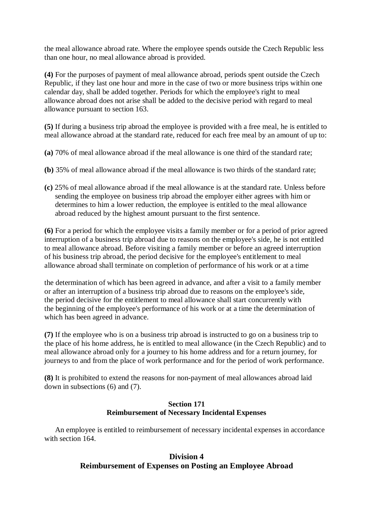the meal allowance abroad rate. Where the employee spends outside the Czech Republic less than one hour, no meal allowance abroad is provided.

**(4)** For the purposes of payment of meal allowance abroad, periods spent outside the Czech Republic, if they last one hour and more in the case of two or more business trips within one calendar day, shall be added together. Periods for which the employee's right to meal allowance abroad does not arise shall be added to the decisive period with regard to meal allowance pursuant to section 163.

**(5)** If during a business trip abroad the employee is provided with a free meal, he is entitled to meal allowance abroad at the standard rate, reduced for each free meal by an amount of up to:

- **(a)** 70% of meal allowance abroad if the meal allowance is one third of the standard rate;
- **(b)** 35% of meal allowance abroad if the meal allowance is two thirds of the standard rate;
- **(c)** 25% of meal allowance abroad if the meal allowance is at the standard rate. Unless before sending the employee on business trip abroad the employer either agrees with him or determines to him a lower reduction, the employee is entitled to the meal allowance abroad reduced by the highest amount pursuant to the first sentence.

**(6)** For a period for which the employee visits a family member or for a period of prior agreed interruption of a business trip abroad due to reasons on the employee's side, he is not entitled to meal allowance abroad. Before visiting a family member or before an agreed interruption of his business trip abroad, the period decisive for the employee's entitlement to meal allowance abroad shall terminate on completion of performance of his work or at a time

the determination of which has been agreed in advance, and after a visit to a family member or after an interruption of a business trip abroad due to reasons on the employee's side, the period decisive for the entitlement to meal allowance shall start concurrently with the beginning of the employee's performance of his work or at a time the determination of which has been agreed in advance.

**(7)** If the employee who is on a business trip abroad is instructed to go on a business trip to the place of his home address, he is entitled to meal allowance (in the Czech Republic) and to meal allowance abroad only for a journey to his home address and for a return journey, for journeys to and from the place of work performance and for the period of work performance.

**(8)** It is prohibited to extend the reasons for non-payment of meal allowances abroad laid down in subsections (6) and (7).

### **Section 171 Reimbursement of Necessary Incidental Expenses**

An employee is entitled to reimbursement of necessary incidental expenses in accordance with section 164.

### **Division 4 Reimbursement of Expenses on Posting an Employee Abroad**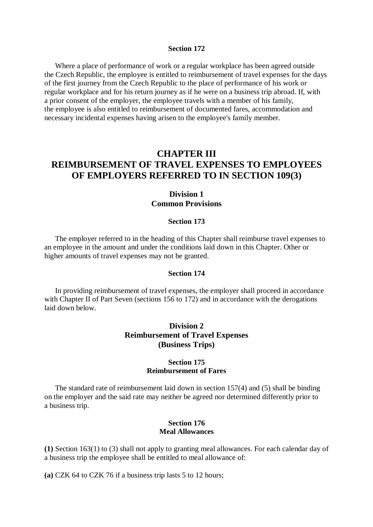#### **Section 172**

Where a place of performance of work or a regular workplace has been agreed outside the Czech Republic, the employee is entitled to reimbursement of travel expenses for the days of the first journey from the Czech Republic to the place of performance of his work or regular workplace and for his return journey as if he were on a business trip abroad. If, with a prior consent of the employer, the employee travels with a member of his family, the employee is also entitled to reimbursement of documented fares, accommodation and necessary incidental expenses having arisen to the employee's family member.

# **CHAPTER III REIMBURSEMENT OF TRAVEL EXPENSES TO EMPLOYEES OF EMPLOYERS REFERRED TO IN SECTION 109(3)**

## **Division 1 Common Provisions**

#### **Section 173**

The employer referred to in the heading of this Chapter shall reimburse travel expenses to an employee in the amount and under the conditions laid down in this Chapter. Other or higher amounts of travel expenses may not be granted.

#### **Section 174**

In providing reimbursement of travel expenses, the employer shall proceed in accordance with Chapter II of Part Seven (sections 156 to 172) and in accordance with the derogations laid down below.

## **Division 2 Reimbursement of Travel Expenses (Business Trips)**

### **Section 175 Reimbursement of Fares**

The standard rate of reimbursement laid down in section 157(4) and (5) shall be binding on the employer and the said rate may neither be agreed nor determined differently prior to a business trip.

#### **Section 176 Meal Allowances**

**(1)** Section 163(1) to (3) shall not apply to granting meal allowances. For each calendar day of a business trip the employee shall be entitled to meal allowance of:

**(a)** CZK 64 to CZK 76 if a business trip lasts 5 to 12 hours;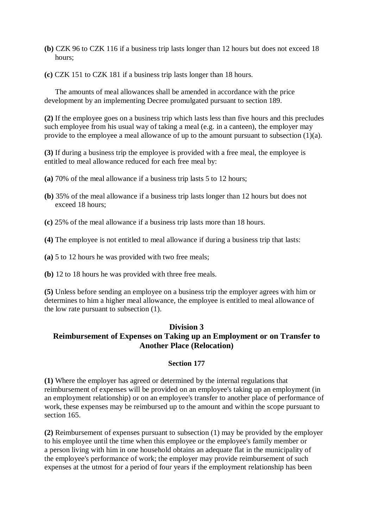- **(b)** CZK 96 to CZK 116 if a business trip lasts longer than 12 hours but does not exceed 18 hours;
- **(c)** CZK 151 to CZK 181 if a business trip lasts longer than 18 hours.

The amounts of meal allowances shall be amended in accordance with the price development by an implementing Decree promulgated pursuant to section 189.

**(2)** If the employee goes on a business trip which lasts less than five hours and this precludes such employee from his usual way of taking a meal (e.g. in a canteen), the employer may provide to the employee a meal allowance of up to the amount pursuant to subsection (1)(a).

**(3)** If during a business trip the employee is provided with a free meal, the employee is entitled to meal allowance reduced for each free meal by:

- **(a)** 70% of the meal allowance if a business trip lasts 5 to 12 hours;
- **(b)** 35% of the meal allowance if a business trip lasts longer than 12 hours but does not exceed 18 hours;
- **(c)** 25% of the meal allowance if a business trip lasts more than 18 hours.
- **(4)** The employee is not entitled to meal allowance if during a business trip that lasts:
- **(a)** 5 to 12 hours he was provided with two free meals;
- **(b)** 12 to 18 hours he was provided with three free meals.

**(5)** Unless before sending an employee on a business trip the employer agrees with him or determines to him a higher meal allowance, the employee is entitled to meal allowance of the low rate pursuant to subsection (1).

# **Division 3 Reimbursement of Expenses on Taking up an Employment or on Transfer to Another Place (Relocation)**

### **Section 177**

**(1)** Where the employer has agreed or determined by the internal regulations that reimbursement of expenses will be provided on an employee's taking up an employment (in an employment relationship) or on an employee's transfer to another place of performance of work, these expenses may be reimbursed up to the amount and within the scope pursuant to section 165.

**(2)** Reimbursement of expenses pursuant to subsection (1) may be provided by the employer to his employee until the time when this employee or the employee's family member or a person living with him in one household obtains an adequate flat in the municipality of the employee's performance of work; the employer may provide reimbursement of such expenses at the utmost for a period of four years if the employment relationship has been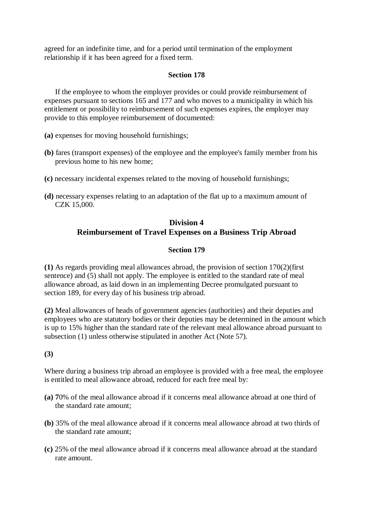agreed for an indefinite time, and for a period until termination of the employment relationship if it has been agreed for a fixed term.

### **Section 178**

If the employee to whom the employer provides or could provide reimbursement of expenses pursuant to sections 165 and 177 and who moves to a municipality in which his entitlement or possibility to reimbursement of such expenses expires, the employer may provide to this employee reimbursement of documented:

- **(a)** expenses for moving household furnishings;
- **(b)** fares (transport expenses) of the employee and the employee's family member from his previous home to his new home;
- **(c)** necessary incidental expenses related to the moving of household furnishings;
- **(d)** necessary expenses relating to an adaptation of the flat up to a maximum amount of CZK 15,000.

# **Division 4 Reimbursement of Travel Expenses on a Business Trip Abroad**

### **Section 179**

**(1)** As regards providing meal allowances abroad, the provision of section 170(2)(first sentence) and (5) shall not apply. The employee is entitled to the standard rate of meal allowance abroad, as laid down in an implementing Decree promulgated pursuant to section 189, for every day of his business trip abroad.

**(2)** Meal allowances of heads of government agencies (authorities) and their deputies and employees who are statutory bodies or their deputies may be determined in the amount which is up to 15% higher than the standard rate of the relevant meal allowance abroad pursuant to subsection (1) unless otherwise stipulated in another Act (Note 57).

**(3)**

Where during a business trip abroad an employee is provided with a free meal, the employee is entitled to meal allowance abroad, reduced for each free meal by:

- **(a) 7**0% of the meal allowance abroad if it concerns meal allowance abroad at one third of the standard rate amount;
- **(b)** 35% of the meal allowance abroad if it concerns meal allowance abroad at two thirds of the standard rate amount;
- **(c)** 25% of the meal allowance abroad if it concerns meal allowance abroad at the standard rate amount.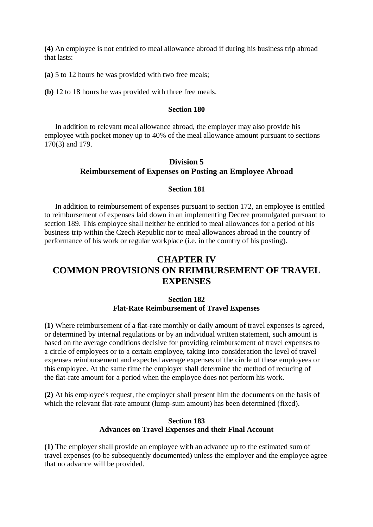**(4)** An employee is not entitled to meal allowance abroad if during his business trip abroad that lasts:

**(a)** 5 to 12 hours he was provided with two free meals;

**(b)** 12 to 18 hours he was provided with three free meals.

#### **Section 180**

In addition to relevant meal allowance abroad, the employer may also provide his employee with pocket money up to 40% of the meal allowance amount pursuant to sections 170(3) and 179.

## **Division 5 Reimbursement of Expenses on Posting an Employee Abroad**

#### **Section 181**

In addition to reimbursement of expenses pursuant to section 172, an employee is entitled to reimbursement of expenses laid down in an implementing Decree promulgated pursuant to section 189. This employee shall neither be entitled to meal allowances for a period of his business trip within the Czech Republic nor to meal allowances abroad in the country of performance of his work or regular workplace (i.e. in the country of his posting).

# **CHAPTER IV COMMON PROVISIONS ON REIMBURSEMENT OF TRAVEL EXPENSES**

### **Section 182 Flat-Rate Reimbursement of Travel Expenses**

**(1)** Where reimbursement of a flat-rate monthly or daily amount of travel expenses is agreed, or determined by internal regulations or by an individual written statement, such amount is based on the average conditions decisive for providing reimbursement of travel expenses to a circle of employees or to a certain employee, taking into consideration the level of travel expenses reimbursement and expected average expenses of the circle of these employees or this employee. At the same time the employer shall determine the method of reducing of the flat-rate amount for a period when the employee does not perform his work.

**(2)** At his employee's request, the employer shall present him the documents on the basis of which the relevant flat-rate amount (lump-sum amount) has been determined (fixed).

### **Section 183 Advances on Travel Expenses and their Final Account**

**(1)** The employer shall provide an employee with an advance up to the estimated sum of travel expenses (to be subsequently documented) unless the employer and the employee agree that no advance will be provided.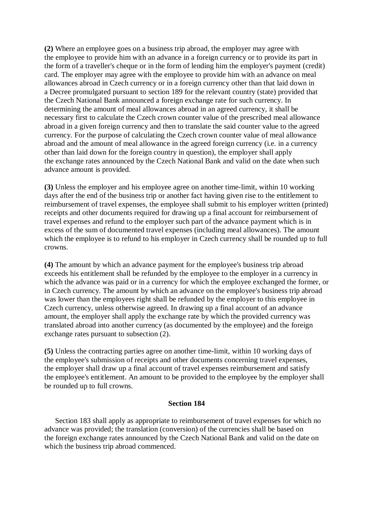**(2)** Where an employee goes on a business trip abroad, the employer may agree with the employee to provide him with an advance in a foreign currency or to provide its part in the form of a traveller's cheque or in the form of lending him the employer's payment (credit) card. The employer may agree with the employee to provide him with an advance on meal allowances abroad in Czech currency or in a foreign currency other than that laid down in a Decree promulgated pursuant to section 189 for the relevant country (state) provided that the Czech National Bank announced a foreign exchange rate for such currency. In determining the amount of meal allowances abroad in an agreed currency, it shall be necessary first to calculate the Czech crown counter value of the prescribed meal allowance abroad in a given foreign currency and then to translate the said counter value to the agreed currency. For the purpose of calculating the Czech crown counter value of meal allowance abroad and the amount of meal allowance in the agreed foreign currency (i.e. in a currency other than laid down for the foreign country in question), the employer shall apply the exchange rates announced by the Czech National Bank and valid on the date when such advance amount is provided.

**(3)** Unless the employer and his employee agree on another time-limit, within 10 working days after the end of the business trip or another fact having given rise to the entitlement to reimbursement of travel expenses, the employee shall submit to his employer written (printed) receipts and other documents required for drawing up a final account for reimbursement of travel expenses and refund to the employer such part of the advance payment which is in excess of the sum of documented travel expenses (including meal allowances). The amount which the employee is to refund to his employer in Czech currency shall be rounded up to full crowns.

**(4)** The amount by which an advance payment for the employee's business trip abroad exceeds his entitlement shall be refunded by the employee to the employer in a currency in which the advance was paid or in a currency for which the employee exchanged the former, or in Czech currency. The amount by which an advance on the employee's business trip abroad was lower than the employees right shall be refunded by the employer to this employee in Czech currency, unless otherwise agreed. In drawing up a final account of an advance amount, the employer shall apply the exchange rate by which the provided currency was translated abroad into another currency (as documented by the employee) and the foreign exchange rates pursuant to subsection (2).

**(5)** Unless the contracting parties agree on another time-limit, within 10 working days of the employee's submission of receipts and other documents concerning travel expenses, the employer shall draw up a final account of travel expenses reimbursement and satisfy the employee's entitlement. An amount to be provided to the employee by the employer shall be rounded up to full crowns.

#### **Section 184**

Section 183 shall apply as appropriate to reimbursement of travel expenses for which no advance was provided; the translation (conversion) of the currencies shall be based on the foreign exchange rates announced by the Czech National Bank and valid on the date on which the business trip abroad commenced.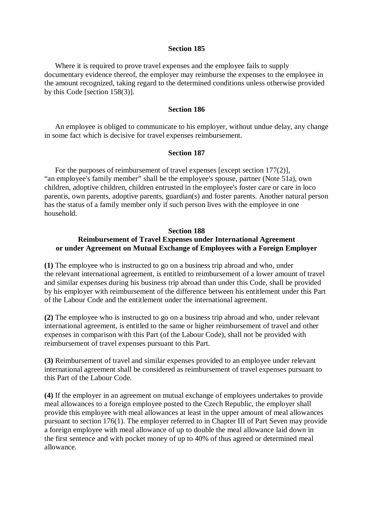#### **Section 185**

Where it is required to prove travel expenses and the employee fails to supply documentary evidence thereof, the employer may reimburse the expenses to the employee in the amount recognized, taking regard to the determined conditions unless otherwise provided by this Code [section 158(3)].

#### **Section 186**

An employee is obliged to communicate to his employer, without undue delay, any change in some fact which is decisive for travel expenses reimbursement.

#### **Section 187**

For the purposes of reimbursement of travel expenses [except section 177(2)], "an employee's family member" shall be the employee's spouse, partner (Note 51a), own children, adoptive children, children entrusted in the employee's foster care or care in loco parentis, own parents, adoptive parents, guardian(s) and foster parents. Another natural person has the status of a family member only if such person lives with the employee in one household.

### **Section 188 Reimbursement of Travel Expenses under International Agreement or under Agreement on Mutual Exchange of Employees with a Foreign Employer**

**(1)** The employee who is instructed to go on a business trip abroad and who, under the relevant international agreement, is entitled to reimbursement of a lower amount of travel and similar expenses during his business trip abroad than under this Code, shall be provided by his employer with reimbursement of the difference between his entitlement under this Part of the Labour Code and the entitlement under the international agreement.

**(2)** The employee who is instructed to go on a business trip abroad and who, under relevant international agreement, is entitled to the same or higher reimbursement of travel and other expenses in comparison with this Part (of the Labour Code), shall not be provided with reimbursement of travel expenses pursuant to this Part.

**(3)** Reimbursement of travel and similar expenses provided to an employee under relevant international agreement shall be considered as reimbursement of travel expenses pursuant to this Part of the Labour Code.

**(4)** If the employer in an agreement on mutual exchange of employees undertakes to provide meal allowances to a foreign employee posted to the Czech Republic, the employer shall provide this employee with meal allowances at least in the upper amount of meal allowances pursuant to section 176(1). The employer referred to in Chapter III of Part Seven may provide a foreign employee with meal allowance of up to double the meal allowance laid down in the first sentence and with pocket money of up to 40% of thus agreed or determined meal allowance.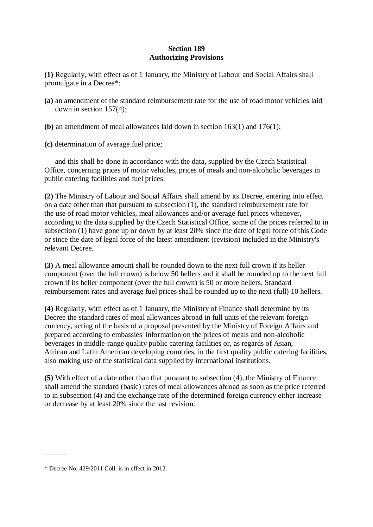### **Section 189 Authorizing Provisions**

**(1)** Regularly, with effect as of 1 January, the Ministry of Labour and Social Affairs shall promulgate in a Decree\*:

- **(a)** an amendment of the standard reimbursement rate for the use of road motor vehicles laid down in section 157(4);
- **(b)** an amendment of meal allowances laid down in section 163(1) and 176(1);
- **(c)** determination of average fuel price;

and this shall be done in accordance with the data, supplied by the Czech Statistical Office, concerning prices of motor vehicles, prices of meals and non-alcoholic beverages in public catering facilities and fuel prices.

**(2)** The Ministry of Labour and Social Affairs shall amend by its Decree, entering into effect on a date other than that pursuant to subsection (1), the standard reimbursement rate for the use of road motor vehicles, meal allowances and/or average fuel prices whenever, according to the data supplied by the Czech Statistical Office, some of the prices referred to in subsection (1) have gone up or down by at least 20% since the date of legal force of this Code or since the date of legal force of the latest amendment (revision) included in the Ministry's relevant Decree.

**(3)** A meal allowance amount shall be rounded down to the next full crown if its heller component (over the full crown) is below 50 hellers and it shall be rounded up to the next full crown if its heller component (over the full crown) is 50 or more hellers. Standard reimbursement rates and average fuel prices shall be rounded up to the next (full) 10 hellers.

**(4)** Regularly, with effect as of 1 January, the Ministry of Finance shall determine by its Decree the standard rates of meal allowances abroad in full units of the relevant foreign currency, acting of the basis of a proposal presented by the Ministry of Foreign Affairs and prepared according to embassies' information on the prices of meals and non-alcoholic beverages in middle-range quality public catering facilities or, as regards of Asian, African and Latin American developing countries, in the first quality public catering facilities, also making use of the statistical data supplied by international institutions.

**(5)** With effect of a date other than that pursuant to subsection (4), the Ministry of Finance shall amend the standard (basic) rates of meal allowances abroad as soon as the price referred to in subsection (4) and the exchange rate of the determined foreign currency either increase or decrease by at least 20% since the last revision.

 $\overline{\phantom{a}}$ 

<sup>\*</sup> Decree No. 429/2011 Coll. is in effect in 2012.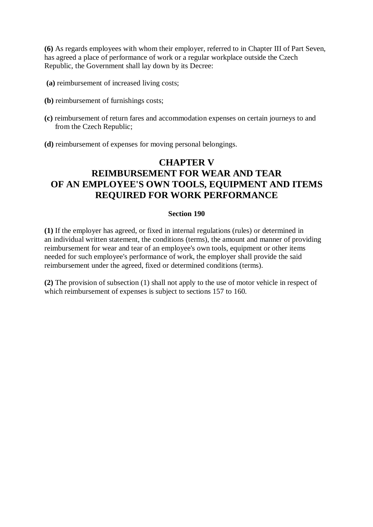**(6)** As regards employees with whom their employer, referred to in Chapter III of Part Seven, has agreed a place of performance of work or a regular workplace outside the Czech Republic, the Government shall lay down by its Decree:

- **(a)** reimbursement of increased living costs;
- **(b)** reimbursement of furnishings costs;
- **(c)** reimbursement of return fares and accommodation expenses on certain journeys to and from the Czech Republic;
- **(d)** reimbursement of expenses for moving personal belongings.

# **CHAPTER V REIMBURSEMENT FOR WEAR AND TEAR OF AN EMPLOYEE'S OWN TOOLS, EQUIPMENT AND ITEMS REQUIRED FOR WORK PERFORMANCE**

### **Section 190**

**(1)** If the employer has agreed, or fixed in internal regulations (rules) or determined in an individual written statement, the conditions (terms), the amount and manner of providing reimbursement for wear and tear of an employee's own tools, equipment or other items needed for such employee's performance of work, the employer shall provide the said reimbursement under the agreed, fixed or determined conditions (terms).

**(2)** The provision of subsection (1) shall not apply to the use of motor vehicle in respect of which reimbursement of expenses is subject to sections 157 to 160.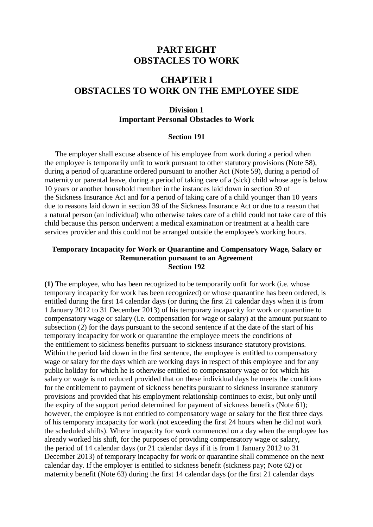# **PART EIGHT OBSTACLES TO WORK**

# **CHAPTER I OBSTACLES TO WORK ON THE EMPLOYEE SIDE**

### **Division 1 Important Personal Obstacles to Work**

#### **Section 191**

The employer shall excuse absence of his employee from work during a period when the employee is temporarily unfit to work pursuant to other statutory provisions (Note 58), during a period of quarantine ordered pursuant to another Act (Note 59), during a period of maternity or parental leave, during a period of taking care of a (sick) child whose age is below 10 years or another household member in the instances laid down in section 39 of the Sickness Insurance Act and for a period of taking care of a child younger than 10 years due to reasons laid down in section 39 of the Sickness Insurance Act or due to a reason that a natural person (an individual) who otherwise takes care of a child could not take care of this child because this person underwent a medical examination or treatment at a health care services provider and this could not be arranged outside the employee's working hours.

#### **Temporary Incapacity for Work or Quarantine and Compensatory Wage, Salary or Remuneration pursuant to an Agreement Section 192**

**(1)** The employee, who has been recognized to be temporarily unfit for work (i.e. whose temporary incapacity for work has been recognized) or whose quarantine has been ordered, is entitled during the first 14 calendar days (or during the first 21 calendar days when it is from 1 January 2012 to 31 December 2013) of his temporary incapacity for work or quarantine to compensatory wage or salary (i.e. compensation for wage or salary) at the amount pursuant to subsection (2) for the days pursuant to the second sentence if at the date of the start of his temporary incapacity for work or quarantine the employee meets the conditions of the entitlement to sickness benefits pursuant to sickness insurance statutory provisions. Within the period laid down in the first sentence, the employee is entitled to compensatory wage or salary for the days which are working days in respect of this employee and for any public holiday for which he is otherwise entitled to compensatory wage or for which his salary or wage is not reduced provided that on these individual days he meets the conditions for the entitlement to payment of sickness benefits pursuant to sickness insurance statutory provisions and provided that his employment relationship continues to exist, but only until the expiry of the support period determined for payment of sickness benefits (Note 61); however, the employee is not entitled to compensatory wage or salary for the first three days of his temporary incapacity for work (not exceeding the first 24 hours when he did not work the scheduled shifts). Where incapacity for work commenced on a day when the employee has already worked his shift, for the purposes of providing compensatory wage or salary, the period of 14 calendar days (or 21 calendar days if it is from 1 January 2012 to 31 December 2013) of temporary incapacity for work or quarantine shall commence on the next calendar day. If the employer is entitled to sickness benefit (sickness pay; Note 62) or maternity benefit (Note 63) during the first 14 calendar days (or the first 21 calendar days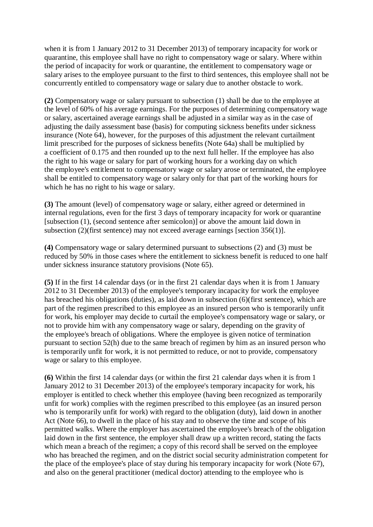when it is from 1 January 2012 to 31 December 2013) of temporary incapacity for work or quarantine, this employee shall have no right to compensatory wage or salary. Where within the period of incapacity for work or quarantine, the entitlement to compensatory wage or salary arises to the employee pursuant to the first to third sentences, this employee shall not be concurrently entitled to compensatory wage or salary due to another obstacle to work.

**(2)** Compensatory wage or salary pursuant to subsection (1) shall be due to the employee at the level of 60% of his average earnings. For the purposes of determining compensatory wage or salary, ascertained average earnings shall be adjusted in a similar way as in the case of adjusting the daily assessment base (basis) for computing sickness benefits under sickness insurance (Note 64), however, for the purposes of this adjustment the relevant curtailment limit prescribed for the purposes of sickness benefits (Note 64a) shall be multiplied by a coefficient of 0.175 and then rounded up to the next full heller. If the employee has also the right to his wage or salary for part of working hours for a working day on which the employee's entitlement to compensatory wage or salary arose or terminated, the employee shall be entitled to compensatory wage or salary only for that part of the working hours for which he has no right to his wage or salary.

**(3)** The amount (level) of compensatory wage or salary, either agreed or determined in internal regulations, even for the first 3 days of temporary incapacity for work or quarantine [subsection (1), (second sentence after semicolon)] or above the amount laid down in subsection (2)(first sentence) may not exceed average earnings [section 356(1)].

**(4)** Compensatory wage or salary determined pursuant to subsections (2) and (3) must be reduced by 50% in those cases where the entitlement to sickness benefit is reduced to one half under sickness insurance statutory provisions (Note 65).

**(5)** If in the first 14 calendar days (or in the first 21 calendar days when it is from 1 January 2012 to 31 December 2013) of the employee's temporary incapacity for work the employee has breached his obligations (duties), as laid down in subsection (6)(first sentence), which are part of the regimen prescribed to this employee as an insured person who is temporarily unfit for work, his employer may decide to curtail the employee's compensatory wage or salary, or not to provide him with any compensatory wage or salary, depending on the gravity of the employee's breach of obligations. Where the employee is given notice of termination pursuant to section 52(h) due to the same breach of regimen by him as an insured person who is temporarily unfit for work, it is not permitted to reduce, or not to provide, compensatory wage or salary to this employee.

**(6)** Within the first 14 calendar days (or within the first 21 calendar days when it is from 1 January 2012 to 31 December 2013) of the employee's temporary incapacity for work, his employer is entitled to check whether this employee (having been recognized as temporarily unfit for work) complies with the regimen prescribed to this employee (as an insured person who is temporarily unfit for work) with regard to the obligation (duty), laid down in another Act (Note 66), to dwell in the place of his stay and to observe the time and scope of his permitted walks. Where the employer has ascertained the employee's breach of the obligation laid down in the first sentence, the employer shall draw up a written record, stating the facts which mean a breach of the regimen; a copy of this record shall be served on the employee who has breached the regimen, and on the district social security administration competent for the place of the employee's place of stay during his temporary incapacity for work (Note 67), and also on the general practitioner (medical doctor) attending to the employee who is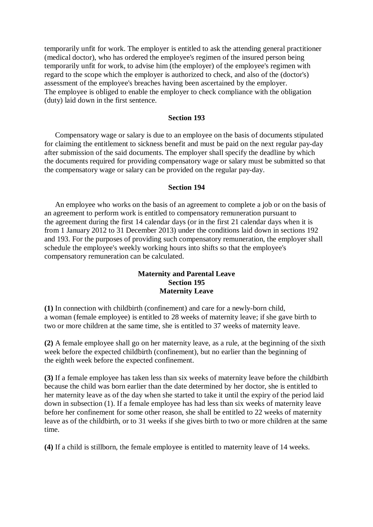temporarily unfit for work. The employer is entitled to ask the attending general practitioner (medical doctor), who has ordered the employee's regimen of the insured person being temporarily unfit for work, to advise him (the employer) of the employee's regimen with regard to the scope which the employer is authorized to check, and also of the (doctor's) assessment of the employee's breaches having been ascertained by the employer. The employee is obliged to enable the employer to check compliance with the obligation (duty) laid down in the first sentence.

#### **Section 193**

Compensatory wage or salary is due to an employee on the basis of documents stipulated for claiming the entitlement to sickness benefit and must be paid on the next regular pay-day after submission of the said documents. The employer shall specify the deadline by which the documents required for providing compensatory wage or salary must be submitted so that the compensatory wage or salary can be provided on the regular pay-day.

#### **Section 194**

An employee who works on the basis of an agreement to complete a job or on the basis of an agreement to perform work is entitled to compensatory remuneration pursuant to the agreement during the first 14 calendar days (or in the first 21 calendar days when it is from 1 January 2012 to 31 December 2013) under the conditions laid down in sections 192 and 193. For the purposes of providing such compensatory remuneration, the employer shall schedule the employee's weekly working hours into shifts so that the employee's compensatory remuneration can be calculated.

### **Maternity and Parental Leave Section 195 Maternity Leave**

**(1)** In connection with childbirth (confinement) and care for a newly-born child, a woman (female employee) is entitled to 28 weeks of maternity leave; if she gave birth to two or more children at the same time, she is entitled to 37 weeks of maternity leave.

**(2)** A female employee shall go on her maternity leave, as a rule, at the beginning of the sixth week before the expected childbirth (confinement), but no earlier than the beginning of the eighth week before the expected confinement.

**(3)** If a female employee has taken less than six weeks of maternity leave before the childbirth because the child was born earlier than the date determined by her doctor, she is entitled to her maternity leave as of the day when she started to take it until the expiry of the period laid down in subsection (1). If a female employee has had less than six weeks of maternity leave before her confinement for some other reason, she shall be entitled to 22 weeks of maternity leave as of the childbirth, or to 31 weeks if she gives birth to two or more children at the same time.

**(4)** If a child is stillborn, the female employee is entitled to maternity leave of 14 weeks.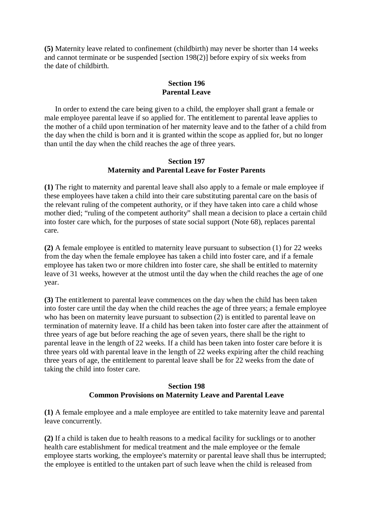**(5)** Maternity leave related to confinement (childbirth) may never be shorter than 14 weeks and cannot terminate or be suspended [section 198(2)] before expiry of six weeks from the date of childbirth.

### **Section 196 Parental Leave**

In order to extend the care being given to a child, the employer shall grant a female or male employee parental leave if so applied for. The entitlement to parental leave applies to the mother of a child upon termination of her maternity leave and to the father of a child from the day when the child is born and it is granted within the scope as applied for, but no longer than until the day when the child reaches the age of three years.

### **Section 197 Maternity and Parental Leave for Foster Parents**

**(1)** The right to maternity and parental leave shall also apply to a female or male employee if these employees have taken a child into their care substituting parental care on the basis of the relevant ruling of the competent authority, or if they have taken into care a child whose mother died; "ruling of the competent authority" shall mean a decision to place a certain child into foster care which, for the purposes of state social support (Note 68), replaces parental care.

**(2)** A female employee is entitled to maternity leave pursuant to subsection (1) for 22 weeks from the day when the female employee has taken a child into foster care, and if a female employee has taken two or more children into foster care, she shall be entitled to maternity leave of 31 weeks, however at the utmost until the day when the child reaches the age of one year.

**(3)** The entitlement to parental leave commences on the day when the child has been taken into foster care until the day when the child reaches the age of three years; a female employee who has been on maternity leave pursuant to subsection (2) is entitled to parental leave on termination of maternity leave. If a child has been taken into foster care after the attainment of three years of age but before reaching the age of seven years, there shall be the right to parental leave in the length of 22 weeks. If a child has been taken into foster care before it is three years old with parental leave in the length of 22 weeks expiring after the child reaching three years of age, the entitlement to parental leave shall be for 22 weeks from the date of taking the child into foster care.

### **Section 198 Common Provisions on Maternity Leave and Parental Leave**

**(1)** A female employee and a male employee are entitled to take maternity leave and parental leave concurrently.

**(2)** If a child is taken due to health reasons to a medical facility for sucklings or to another health care establishment for medical treatment and the male employee or the female employee starts working, the employee's maternity or parental leave shall thus be interrupted; the employee is entitled to the untaken part of such leave when the child is released from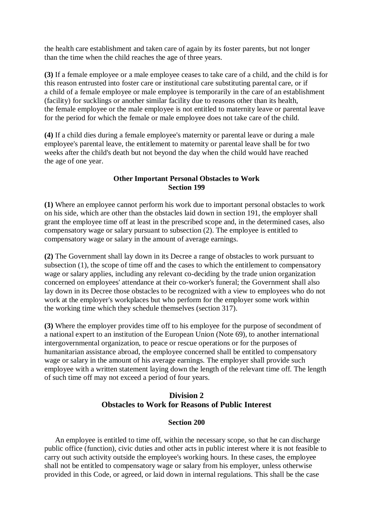the health care establishment and taken care of again by its foster parents, but not longer than the time when the child reaches the age of three years.

**(3)** If a female employee or a male employee ceases to take care of a child, and the child is for this reason entrusted into foster care or institutional care substituting parental care, or if a child of a female employee or male employee is temporarily in the care of an establishment (facility) for sucklings or another similar facility due to reasons other than its health, the female employee or the male employee is not entitled to maternity leave or parental leave for the period for which the female or male employee does not take care of the child.

**(4)** If a child dies during a female employee's maternity or parental leave or during a male employee's parental leave, the entitlement to maternity or parental leave shall be for two weeks after the child's death but not beyond the day when the child would have reached the age of one year.

### **Other Important Personal Obstacles to Work Section 199**

**(1)** Where an employee cannot perform his work due to important personal obstacles to work on his side, which are other than the obstacles laid down in section 191, the employer shall grant the employee time off at least in the prescribed scope and, in the determined cases, also compensatory wage or salary pursuant to subsection (2). The employee is entitled to compensatory wage or salary in the amount of average earnings.

**(2)** The Government shall lay down in its Decree a range of obstacles to work pursuant to subsection (1), the scope of time off and the cases to which the entitlement to compensatory wage or salary applies, including any relevant co-deciding by the trade union organization concerned on employees' attendance at their co-worker's funeral; the Government shall also lay down in its Decree those obstacles to be recognized with a view to employees who do not work at the employer's workplaces but who perform for the employer some work within the working time which they schedule themselves (section 317).

**(3)** Where the employer provides time off to his employee for the purpose of secondment of a national expert to an institution of the European Union (Note 69), to another international intergovernmental organization, to peace or rescue operations or for the purposes of humanitarian assistance abroad, the employee concerned shall be entitled to compensatory wage or salary in the amount of his average earnings. The employer shall provide such employee with a written statement laying down the length of the relevant time off. The length of such time off may not exceed a period of four years.

# **Division 2 Obstacles to Work for Reasons of Public Interest**

### **Section 200**

An employee is entitled to time off, within the necessary scope, so that he can discharge public office (function), civic duties and other acts in public interest where it is not feasible to carry out such activity outside the employee's working hours. In these cases, the employee shall not be entitled to compensatory wage or salary from his employer, unless otherwise provided in this Code, or agreed, or laid down in internal regulations. This shall be the case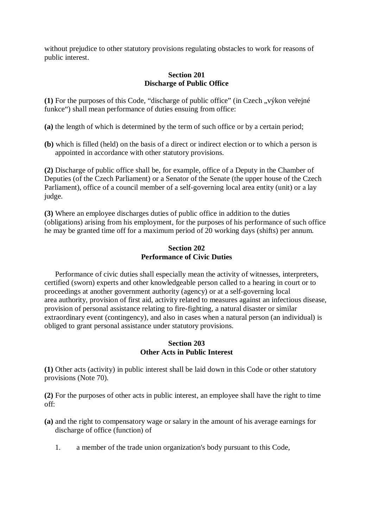without prejudice to other statutory provisions regulating obstacles to work for reasons of public interest.

### **Section 201 Discharge of Public Office**

(1) For the purposes of this Code, "discharge of public office" (in Czech "výkon veřejné funkce") shall mean performance of duties ensuing from office:

- **(a)** the length of which is determined by the term of such office or by a certain period;
- **(b)** which is filled (held) on the basis of a direct or indirect election or to which a person is appointed in accordance with other statutory provisions.

**(2)** Discharge of public office shall be, for example, office of a Deputy in the Chamber of Deputies (of the Czech Parliament) or a Senator of the Senate (the upper house of the Czech Parliament), office of a council member of a self-governing local area entity (unit) or a lay judge.

**(3)** Where an employee discharges duties of public office in addition to the duties (obligations) arising from his employment, for the purposes of his performance of such office he may be granted time off for a maximum period of 20 working days (shifts) per annum.

### **Section 202 Performance of Civic Duties**

Performance of civic duties shall especially mean the activity of witnesses, interpreters, certified (sworn) experts and other knowledgeable person called to a hearing in court or to proceedings at another government authority (agency) or at a self-governing local area authority, provision of first aid, activity related to measures against an infectious disease, provision of personal assistance relating to fire-fighting, a natural disaster or similar extraordinary event (contingency), and also in cases when a natural person (an individual) is obliged to grant personal assistance under statutory provisions.

### **Section 203 Other Acts in Public Interest**

**(1)** Other acts (activity) in public interest shall be laid down in this Code or other statutory provisions (Note 70).

**(2)** For the purposes of other acts in public interest, an employee shall have the right to time off:

- **(a)** and the right to compensatory wage or salary in the amount of his average earnings for discharge of office (function) of
	- 1. a member of the trade union organization's body pursuant to this Code,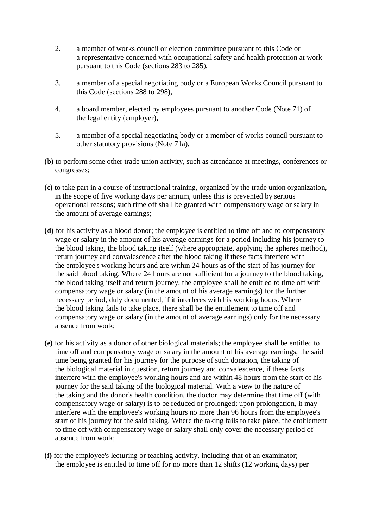- 2. a member of works council or election committee pursuant to this Code or a representative concerned with occupational safety and health protection at work pursuant to this Code (sections 283 to 285),
- 3. a member of a special negotiating body or a European Works Council pursuant to this Code (sections 288 to 298),
- 4. a board member, elected by employees pursuant to another Code (Note 71) of the legal entity (employer),
- 5. a member of a special negotiating body or a member of works council pursuant to other statutory provisions (Note 71a).
- **(b)** to perform some other trade union activity, such as attendance at meetings, conferences or congresses;
- **(c)** to take part in a course of instructional training, organized by the trade union organization, in the scope of five working days per annum, unless this is prevented by serious operational reasons; such time off shall be granted with compensatory wage or salary in the amount of average earnings;
- **(d)** for his activity as a blood donor; the employee is entitled to time off and to compensatory wage or salary in the amount of his average earnings for a period including his journey to the blood taking, the blood taking itself (where appropriate, applying the apheres method), return journey and convalescence after the blood taking if these facts interfere with the employee's working hours and are within 24 hours as of the start of his journey for the said blood taking. Where 24 hours are not sufficient for a journey to the blood taking, the blood taking itself and return journey, the employee shall be entitled to time off with compensatory wage or salary (in the amount of his average earnings) for the further necessary period, duly documented, if it interferes with his working hours. Where the blood taking fails to take place, there shall be the entitlement to time off and compensatory wage or salary (in the amount of average earnings) only for the necessary absence from work;
- **(e)** for his activity as a donor of other biological materials; the employee shall be entitled to time off and compensatory wage or salary in the amount of his average earnings, the said time being granted for his journey for the purpose of such donation, the taking of the biological material in question, return journey and convalescence, if these facts interfere with the employee's working hours and are within 48 hours from the start of his journey for the said taking of the biological material. With a view to the nature of the taking and the donor's health condition, the doctor may determine that time off (with compensatory wage or salary) is to be reduced or prolonged; upon prolongation, it may interfere with the employee's working hours no more than 96 hours from the employee's start of his journey for the said taking. Where the taking fails to take place, the entitlement to time off with compensatory wage or salary shall only cover the necessary period of absence from work;
- **(f)** for the employee's lecturing or teaching activity, including that of an examinator; the employee is entitled to time off for no more than 12 shifts (12 working days) per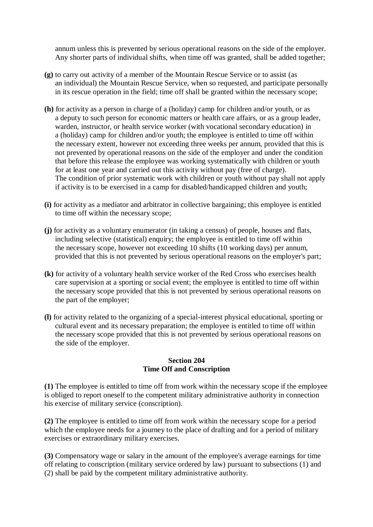annum unless this is prevented by serious operational reasons on the side of the employer. Any shorter parts of individual shifts, when time off was granted, shall be added together;

- **(g)** to carry out activity of a member of the Mountain Rescue Service or to assist (as an individual) the Mountain Rescue Service, when so requested, and participate personally in its rescue operation in the field; time off shall be granted within the necessary scope;
- **(h)** for activity as a person in charge of a (holiday) camp for children and/or youth, or as a deputy to such person for economic matters or health care affairs, or as a group leader, warden, instructor, or health service worker (with vocational secondary education) in a (holiday) camp for children and/or youth; the employee is entitled to time off within the necessary extent, however not exceeding three weeks per annum, provided that this is not prevented by operational reasons on the side of the employer and under the condition that before this release the employee was working systematically with children or youth for at least one year and carried out this activity without pay (free of charge). The condition of prior systematic work with children or youth without pay shall not apply if activity is to be exercised in a camp for disabled/handicapped children and youth;
- **(i)** for activity as a mediator and arbitrator in collective bargaining; this employee is entitled to time off within the necessary scope;
- **(j)** for activity as a voluntary enumerator (in taking a census) of people, houses and flats, including selective (statistical) enquiry; the employee is entitled to time off within the necessary scope, however not exceeding 10 shifts (10 working days) per annum, provided that this is not prevented by serious operational reasons on the employer's part;
- **(k)** for activity of a voluntary health service worker of the Red Cross who exercises health care supervision at a sporting or social event; the employee is entitled to time off within the necessary scope provided that this is not prevented by serious operational reasons on the part of the employer;
- **(l)** for activity related to the organizing of a special-interest physical educational, sporting or cultural event and its necessary preparation; the employee is entitled to time off within the necessary scope provided that this is not prevented by serious operational reasons on the side of the employer.

#### **Section 204 Time Off and Conscription**

**(1)** The employee is entitled to time off from work within the necessary scope if the employee is obliged to report oneself to the competent military administrative authority in connection his exercise of military service (conscription).

**(2)** The employee is entitled to time off from work within the necessary scope for a period which the employee needs for a journey to the place of drafting and for a period of military exercises or extraordinary military exercises.

**(3)** Compensatory wage or salary in the amount of the employee's average earnings for time off relating to conscription (military service ordered by law) pursuant to subsections (1) and (2) shall be paid by the competent military administrative authority.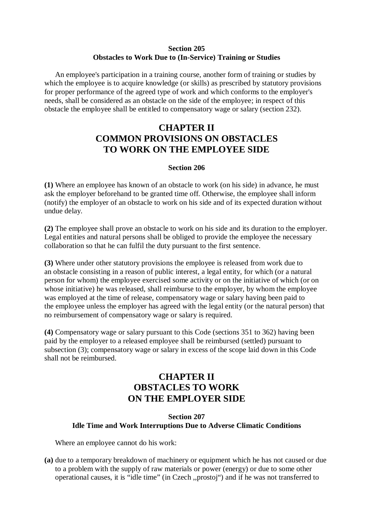#### **Section 205 Obstacles to Work Due to (In-Service) Training or Studies**

An employee's participation in a training course, another form of training or studies by which the employee is to acquire knowledge (or skills) as prescribed by statutory provisions for proper performance of the agreed type of work and which conforms to the employer's needs, shall be considered as an obstacle on the side of the employee; in respect of this obstacle the employee shall be entitled to compensatory wage or salary (section 232).

# **CHAPTER II COMMON PROVISIONS ON OBSTACLES TO WORK ON THE EMPLOYEE SIDE**

#### **Section 206**

**(1)** Where an employee has known of an obstacle to work (on his side) in advance, he must ask the employer beforehand to be granted time off. Otherwise, the employee shall inform (notify) the employer of an obstacle to work on his side and of its expected duration without undue delay.

**(2)** The employee shall prove an obstacle to work on his side and its duration to the employer. Legal entities and natural persons shall be obliged to provide the employee the necessary collaboration so that he can fulfil the duty pursuant to the first sentence.

**(3)** Where under other statutory provisions the employee is released from work due to an obstacle consisting in a reason of public interest, a legal entity, for which (or a natural person for whom) the employee exercised some activity or on the initiative of which (or on whose initiative) he was released, shall reimburse to the employer, by whom the employee was employed at the time of release, compensatory wage or salary having been paid to the employee unless the employer has agreed with the legal entity (or the natural person) that no reimbursement of compensatory wage or salary is required.

**(4)** Compensatory wage or salary pursuant to this Code (sections 351 to 362) having been paid by the employer to a released employee shall be reimbursed (settled) pursuant to subsection (3); compensatory wage or salary in excess of the scope laid down in this Code shall not be reimbursed.

# **CHAPTER II OBSTACLES TO WORK ON THE EMPLOYER SIDE**

#### **Section 207 Idle Time and Work Interruptions Due to Adverse Climatic Conditions**

Where an employee cannot do his work:

**(a)** due to a temporary breakdown of machinery or equipment which he has not caused or due to a problem with the supply of raw materials or power (energy) or due to some other operational causes, it is "idle time" (in Czech ,,prostoj") and if he was not transferred to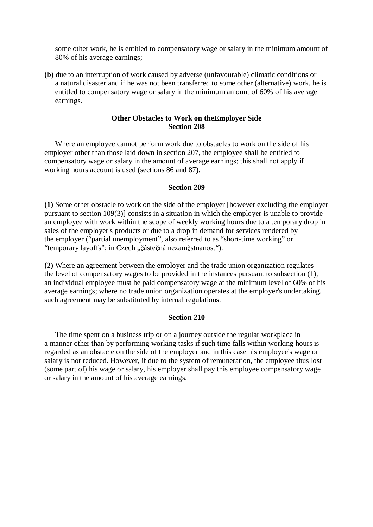some other work, he is entitled to compensatory wage or salary in the minimum amount of 80% of his average earnings;

**(b)** due to an interruption of work caused by adverse (unfavourable) climatic conditions or a natural disaster and if he was not been transferred to some other (alternative) work, he is entitled to compensatory wage or salary in the minimum amount of 60% of his average earnings.

#### **Other Obstacles to Work on theEmployer Side Section 208**

Where an employee cannot perform work due to obstacles to work on the side of his employer other than those laid down in section 207, the employee shall be entitled to compensatory wage or salary in the amount of average earnings; this shall not apply if working hours account is used (sections 86 and 87).

#### **Section 209**

**(1)** Some other obstacle to work on the side of the employer [however excluding the employer pursuant to section 109(3)] consists in a situation in which the employer is unable to provide an employee with work within the scope of weekly working hours due to a temporary drop in sales of the employer's products or due to a drop in demand for services rendered by the employer ("partial unemployment", also referred to as "short-time working" or "temporary layoffs"; in Czech "částečná nezaměstnanost").

**(2)** Where an agreement between the employer and the trade union organization regulates the level of compensatory wages to be provided in the instances pursuant to subsection (1), an individual employee must be paid compensatory wage at the minimum level of 60% of his average earnings; where no trade union organization operates at the employer's undertaking, such agreement may be substituted by internal regulations.

#### **Section 210**

The time spent on a business trip or on a journey outside the regular workplace in a manner other than by performing working tasks if such time falls within working hours is regarded as an obstacle on the side of the employer and in this case his employee's wage or salary is not reduced. However, if due to the system of remuneration, the employee thus lost (some part of) his wage or salary, his employer shall pay this employee compensatory wage or salary in the amount of his average earnings.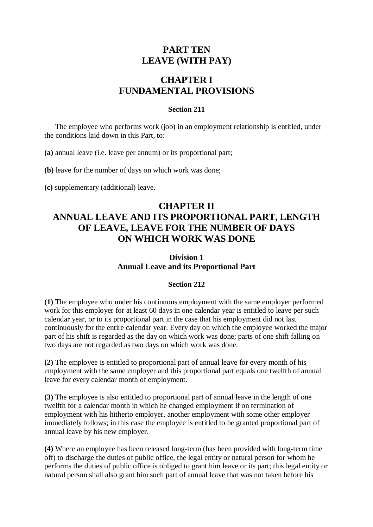## **PART TEN LEAVE (WITH PAY)**

# **CHAPTER I FUNDAMENTAL PROVISIONS**

### **Section 211**

The employee who performs work (job) in an employment relationship is entitled, under the conditions laid down in this Part, to:

**(a)** annual leave (i.e. leave per annum) or its proportional part;

**(b)** leave for the number of days on which work was done;

**(c)** supplementary (additional) leave.

# **CHAPTER II ANNUAL LEAVE AND ITS PROPORTIONAL PART, LENGTH OF LEAVE, LEAVE FOR THE NUMBER OF DAYS ON WHICH WORK WAS DONE**

## **Division 1 Annual Leave and its Proportional Part**

### **Section 212**

**(1)** The employee who under his continuous employment with the same employer performed work for this employer for at least 60 days in one calendar year is entitled to leave per such calendar year, or to its proportional part in the case that his employment did not last continuously for the entire calendar year. Every day on which the employee worked the major part of his shift is regarded as the day on which work was done; parts of one shift falling on two days are not regarded as two days on which work was done.

**(2)** The employee is entitled to proportional part of annual leave for every month of his employment with the same employer and this proportional part equals one twelfth of annual leave for every calendar month of employment.

**(3)** The employee is also entitled to proportional part of annual leave in the length of one twelfth for a calendar month in which he changed employment if on termination of employment with his hitherto employer, another employment with some other employer immediately follows; in this case the employee is entitled to be granted proportional part of annual leave by his new employer.

**(4)** Where an employee has been released long-term (has been provided with long-term time off) to discharge the duties of public office, the legal entity or natural person for whom he performs the duties of public office is obliged to grant him leave or its part; this legal entity or natural person shall also grant him such part of annual leave that was not taken before his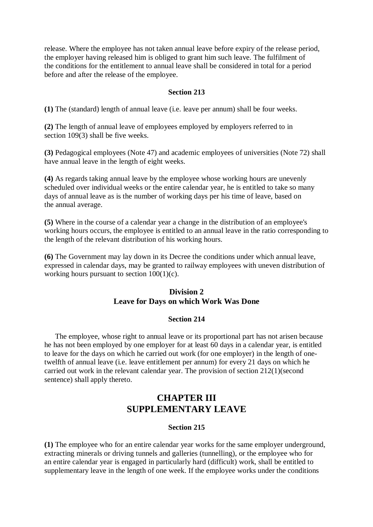release. Where the employee has not taken annual leave before expiry of the release period, the employer having released him is obliged to grant him such leave. The fulfilment of the conditions for the entitlement to annual leave shall be considered in total for a period before and after the release of the employee.

#### **Section 213**

**(1)** The (standard) length of annual leave (i.e. leave per annum) shall be four weeks.

**(2)** The length of annual leave of employees employed by employers referred to in section 109(3) shall be five weeks.

**(3)** Pedagogical employees (Note 47) and academic employees of universities (Note 72) shall have annual leave in the length of eight weeks.

**(4)** As regards taking annual leave by the employee whose working hours are unevenly scheduled over individual weeks or the entire calendar year, he is entitled to take so many days of annual leave as is the number of working days per his time of leave, based on the annual average.

**(5)** Where in the course of a calendar year a change in the distribution of an employee's working hours occurs, the employee is entitled to an annual leave in the ratio corresponding to the length of the relevant distribution of his working hours.

**(6)** The Government may lay down in its Decree the conditions under which annual leave, expressed in calendar days, may be granted to railway employees with uneven distribution of working hours pursuant to section 100(1)(c).

### **Division 2 Leave for Days on which Work Was Done**

#### **Section 214**

The employee, whose right to annual leave or its proportional part has not arisen because he has not been employed by one employer for at least 60 days in a calendar year, is entitled to leave for the days on which he carried out work (for one employer) in the length of onetwelfth of annual leave (i.e. leave entitlement per annum) for every 21 days on which he carried out work in the relevant calendar year. The provision of section 212(1)(second sentence) shall apply thereto.

## **CHAPTER III SUPPLEMENTARY LEAVE**

#### **Section 215**

**(1)** The employee who for an entire calendar year works for the same employer underground, extracting minerals or driving tunnels and galleries (tunnelling), or the employee who for an entire calendar year is engaged in particularly hard (difficult) work, shall be entitled to supplementary leave in the length of one week. If the employee works under the conditions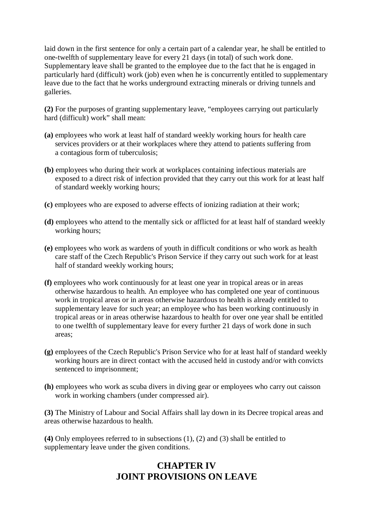laid down in the first sentence for only a certain part of a calendar year, he shall be entitled to one-twelfth of supplementary leave for every 21 days (in total) of such work done. Supplementary leave shall be granted to the employee due to the fact that he is engaged in particularly hard (difficult) work (job) even when he is concurrently entitled to supplementary leave due to the fact that he works underground extracting minerals or driving tunnels and galleries.

**(2)** For the purposes of granting supplementary leave, "employees carrying out particularly hard (difficult) work" shall mean:

- **(a)** employees who work at least half of standard weekly working hours for health care services providers or at their workplaces where they attend to patients suffering from a contagious form of tuberculosis;
- **(b)** employees who during their work at workplaces containing infectious materials are exposed to a direct risk of infection provided that they carry out this work for at least half of standard weekly working hours;
- **(c)** employees who are exposed to adverse effects of ionizing radiation at their work;
- **(d)** employees who attend to the mentally sick or afflicted for at least half of standard weekly working hours;
- **(e)** employees who work as wardens of youth in difficult conditions or who work as health care staff of the Czech Republic's Prison Service if they carry out such work for at least half of standard weekly working hours;
- **(f)** employees who work continuously for at least one year in tropical areas or in areas otherwise hazardous to health. An employee who has completed one year of continuous work in tropical areas or in areas otherwise hazardous to health is already entitled to supplementary leave for such year; an employee who has been working continuously in tropical areas or in areas otherwise hazardous to health for over one year shall be entitled to one twelfth of supplementary leave for every further 21 days of work done in such areas;
- **(g)** employees of the Czech Republic's Prison Service who for at least half of standard weekly working hours are in direct contact with the accused held in custody and/or with convicts sentenced to imprisonment;
- **(h)** employees who work as scuba divers in diving gear or employees who carry out caisson work in working chambers (under compressed air).

**(3)** The Ministry of Labour and Social Affairs shall lay down in its Decree tropical areas and areas otherwise hazardous to health.

**(4)** Only employees referred to in subsections (1), (2) and (3) shall be entitled to supplementary leave under the given conditions.

# **CHAPTER IV JOINT PROVISIONS ON LEAVE**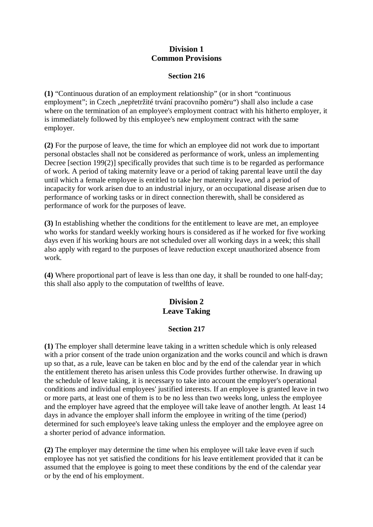### **Division 1 Common Provisions**

#### **Section 216**

**(1)** "Continuous duration of an employment relationship" (or in short "continuous employment"; in Czech "nepřetržité trvání pracovního poměru") shall also include a case where on the termination of an employee's employment contract with his hitherto employer, it is immediately followed by this employee's new employment contract with the same employer.

**(2)** For the purpose of leave, the time for which an employee did not work due to important personal obstacles shall not be considered as performance of work, unless an implementing Decree [section 199(2)] specifically provides that such time is to be regarded as performance of work. A period of taking maternity leave or a period of taking parental leave until the day until which a female employee is entitled to take her maternity leave, and a period of incapacity for work arisen due to an industrial injury, or an occupational disease arisen due to performance of working tasks or in direct connection therewith, shall be considered as performance of work for the purposes of leave.

**(3)** In establishing whether the conditions for the entitlement to leave are met, an employee who works for standard weekly working hours is considered as if he worked for five working days even if his working hours are not scheduled over all working days in a week; this shall also apply with regard to the purposes of leave reduction except unauthorized absence from work.

**(4)** Where proportional part of leave is less than one day, it shall be rounded to one half-day; this shall also apply to the computation of twelfths of leave.

## **Division 2 Leave Taking**

### **Section 217**

**(1)** The employer shall determine leave taking in a written schedule which is only released with a prior consent of the trade union organization and the works council and which is drawn up so that, as a rule, leave can be taken en bloc and by the end of the calendar year in which the entitlement thereto has arisen unless this Code provides further otherwise. In drawing up the schedule of leave taking, it is necessary to take into account the employer's operational conditions and individual employees' justified interests. If an employee is granted leave in two or more parts, at least one of them is to be no less than two weeks long, unless the employee and the employer have agreed that the employee will take leave of another length. At least 14 days in advance the employer shall inform the employee in writing of the time (period) determined for such employee's leave taking unless the employer and the employee agree on a shorter period of advance information.

**(2)** The employer may determine the time when his employee will take leave even if such employee has not yet satisfied the conditions for his leave entitlement provided that it can be assumed that the employee is going to meet these conditions by the end of the calendar year or by the end of his employment.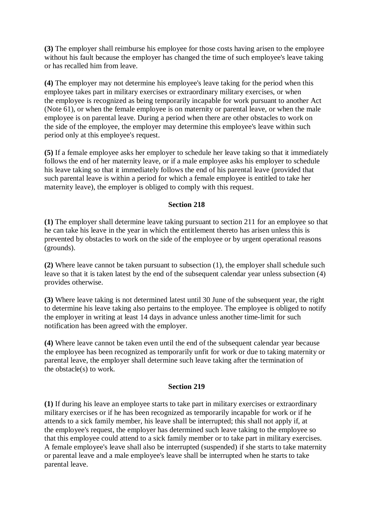**(3)** The employer shall reimburse his employee for those costs having arisen to the employee without his fault because the employer has changed the time of such employee's leave taking or has recalled him from leave.

**(4)** The employer may not determine his employee's leave taking for the period when this employee takes part in military exercises or extraordinary military exercises, or when the employee is recognized as being temporarily incapable for work pursuant to another Act (Note 61), or when the female employee is on maternity or parental leave, or when the male employee is on parental leave. During a period when there are other obstacles to work on the side of the employee, the employer may determine this employee's leave within such period only at this employee's request.

**(5)** If a female employee asks her employer to schedule her leave taking so that it immediately follows the end of her maternity leave, or if a male employee asks his employer to schedule his leave taking so that it immediately follows the end of his parental leave (provided that such parental leave is within a period for which a female employee is entitled to take her maternity leave), the employer is obliged to comply with this request.

### **Section 218**

**(1)** The employer shall determine leave taking pursuant to section 211 for an employee so that he can take his leave in the year in which the entitlement thereto has arisen unless this is prevented by obstacles to work on the side of the employee or by urgent operational reasons (grounds).

**(2)** Where leave cannot be taken pursuant to subsection (1), the employer shall schedule such leave so that it is taken latest by the end of the subsequent calendar year unless subsection (4) provides otherwise.

**(3)** Where leave taking is not determined latest until 30 June of the subsequent year, the right to determine his leave taking also pertains to the employee. The employee is obliged to notify the employer in writing at least 14 days in advance unless another time-limit for such notification has been agreed with the employer.

**(4)** Where leave cannot be taken even until the end of the subsequent calendar year because the employee has been recognized as temporarily unfit for work or due to taking maternity or parental leave, the employer shall determine such leave taking after the termination of the obstacle(s) to work.

#### **Section 219**

**(1)** If during his leave an employee starts to take part in military exercises or extraordinary military exercises or if he has been recognized as temporarily incapable for work or if he attends to a sick family member, his leave shall be interrupted; this shall not apply if, at the employee's request, the employer has determined such leave taking to the employee so that this employee could attend to a sick family member or to take part in military exercises. A female employee's leave shall also be interrupted (suspended) if she starts to take maternity or parental leave and a male employee's leave shall be interrupted when he starts to take parental leave.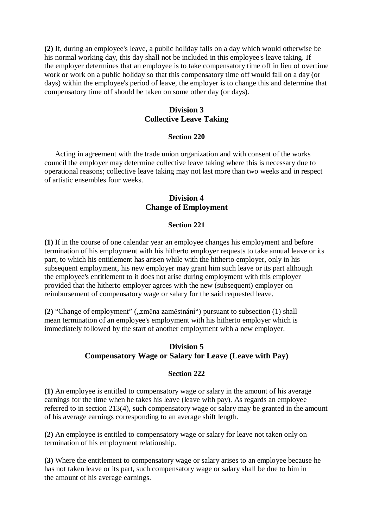**(2)** If, during an employee's leave, a public holiday falls on a day which would otherwise be his normal working day, this day shall not be included in this employee's leave taking. If the employer determines that an employee is to take compensatory time off in lieu of overtime work or work on a public holiday so that this compensatory time off would fall on a day (or days) within the employee's period of leave, the employer is to change this and determine that compensatory time off should be taken on some other day (or days).

### **Division 3 Collective Leave Taking**

#### **Section 220**

Acting in agreement with the trade union organization and with consent of the works council the employer may determine collective leave taking where this is necessary due to operational reasons; collective leave taking may not last more than two weeks and in respect of artistic ensembles four weeks.

### **Division 4 Change of Employment**

#### **Section 221**

**(1)** If in the course of one calendar year an employee changes his employment and before termination of his employment with his hitherto employer requests to take annual leave or its part, to which his entitlement has arisen while with the hitherto employer, only in his subsequent employment, his new employer may grant him such leave or its part although the employee's entitlement to it does not arise during employment with this employer provided that the hitherto employer agrees with the new (subsequent) employer on reimbursement of compensatory wage or salary for the said requested leave.

**(2)** "Change of employment" ("*změna zaměstnání*") pursuant to subsection (1) shall mean termination of an employee's employment with his hitherto employer which is immediately followed by the start of another employment with a new employer.

## **Division 5 Compensatory Wage or Salary for Leave (Leave with Pay)**

#### **Section 222**

**(1)** An employee is entitled to compensatory wage or salary in the amount of his average earnings for the time when he takes his leave (leave with pay). As regards an employee referred to in section 213(4), such compensatory wage or salary may be granted in the amount of his average earnings corresponding to an average shift length.

**(2)** An employee is entitled to compensatory wage or salary for leave not taken only on termination of his employment relationship.

**(3)** Where the entitlement to compensatory wage or salary arises to an employee because he has not taken leave or its part, such compensatory wage or salary shall be due to him in the amount of his average earnings.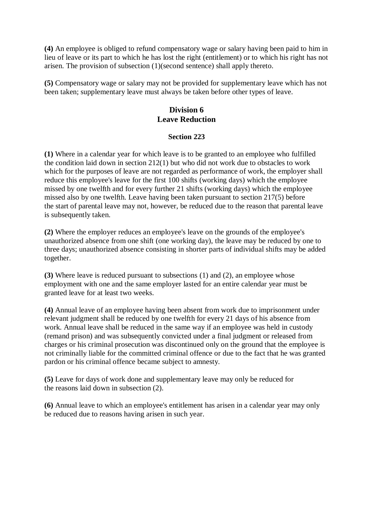**(4)** An employee is obliged to refund compensatory wage or salary having been paid to him in lieu of leave or its part to which he has lost the right (entitlement) or to which his right has not arisen. The provision of subsection (1)(second sentence) shall apply thereto.

**(5)** Compensatory wage or salary may not be provided for supplementary leave which has not been taken; supplementary leave must always be taken before other types of leave.

## **Division 6 Leave Reduction**

#### **Section 223**

**(1)** Where in a calendar year for which leave is to be granted to an employee who fulfilled the condition laid down in section 212(1) but who did not work due to obstacles to work which for the purposes of leave are not regarded as performance of work, the employer shall reduce this employee's leave for the first 100 shifts (working days) which the employee missed by one twelfth and for every further 21 shifts (working days) which the employee missed also by one twelfth. Leave having been taken pursuant to section 217(5) before the start of parental leave may not, however, be reduced due to the reason that parental leave is subsequently taken.

**(2)** Where the employer reduces an employee's leave on the grounds of the employee's unauthorized absence from one shift (one working day), the leave may be reduced by one to three days; unauthorized absence consisting in shorter parts of individual shifts may be added together.

**(3)** Where leave is reduced pursuant to subsections (1) and (2), an employee whose employment with one and the same employer lasted for an entire calendar year must be granted leave for at least two weeks.

**(4)** Annual leave of an employee having been absent from work due to imprisonment under relevant judgment shall be reduced by one twelfth for every 21 days of his absence from work. Annual leave shall be reduced in the same way if an employee was held in custody (remand prison) and was subsequently convicted under a final judgment or released from charges or his criminal prosecution was discontinued only on the ground that the employee is not criminally liable for the committed criminal offence or due to the fact that he was granted pardon or his criminal offence became subject to amnesty.

**(5)** Leave for days of work done and supplementary leave may only be reduced for the reasons laid down in subsection (2).

**(6)** Annual leave to which an employee's entitlement has arisen in a calendar year may only be reduced due to reasons having arisen in such year.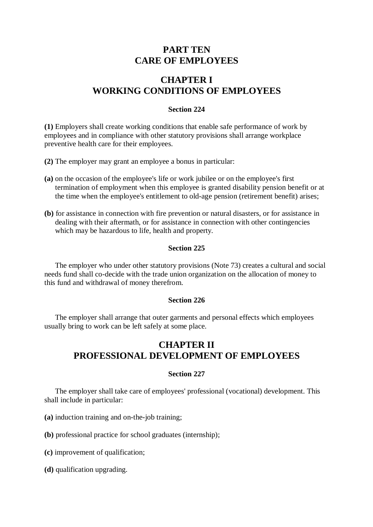## **PART TEN CARE OF EMPLOYEES**

# **CHAPTER I WORKING CONDITIONS OF EMPLOYEES**

#### **Section 224**

**(1)** Employers shall create working conditions that enable safe performance of work by employees and in compliance with other statutory provisions shall arrange workplace preventive health care for their employees.

**(2)** The employer may grant an employee a bonus in particular:

- **(a)** on the occasion of the employee's life or work jubilee or on the employee's first termination of employment when this employee is granted disability pension benefit or at the time when the employee's entitlement to old-age pension (retirement benefit) arises;
- **(b)** for assistance in connection with fire prevention or natural disasters, or for assistance in dealing with their aftermath, or for assistance in connection with other contingencies which may be hazardous to life, health and property.

#### **Section 225**

The employer who under other statutory provisions (Note 73) creates a cultural and social needs fund shall co-decide with the trade union organization on the allocation of money to this fund and withdrawal of money therefrom.

#### **Section 226**

The employer shall arrange that outer garments and personal effects which employees usually bring to work can be left safely at some place.

# **CHAPTER II PROFESSIONAL DEVELOPMENT OF EMPLOYEES**

#### **Section 227**

The employer shall take care of employees' professional (vocational) development. This shall include in particular:

**(a)** induction training and on-the-job training;

**(b)** professional practice for school graduates (internship);

- **(c)** improvement of qualification;
- **(d)** qualification upgrading.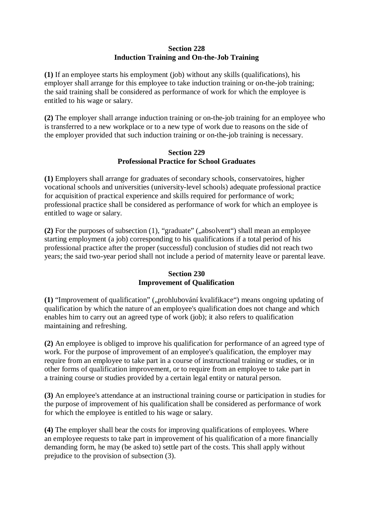### **Section 228 Induction Training and On-the-Job Training**

**(1)** If an employee starts his employment (job) without any skills (qualifications), his employer shall arrange for this employee to take induction training or on-the-job training; the said training shall be considered as performance of work for which the employee is entitled to his wage or salary.

**(2)** The employer shall arrange induction training or on-the-job training for an employee who is transferred to a new workplace or to a new type of work due to reasons on the side of the employer provided that such induction training or on-the-job training is necessary.

#### **Section 229 Professional Practice for School Graduates**

**(1)** Employers shall arrange for graduates of secondary schools, conservatoires, higher vocational schools and universities (university-level schools) adequate professional practice for acquisition of practical experience and skills required for performance of work; professional practice shall be considered as performance of work for which an employee is entitled to wage or salary.

**(2)** For the purposes of subsection (1), "graduate" (,,absolvent") shall mean an employee starting employment (a job) corresponding to his qualifications if a total period of his professional practice after the proper (successful) conclusion of studies did not reach two years; the said two-year period shall not include a period of maternity leave or parental leave.

## **Section 230 Improvement of Qualification**

(1) "Improvement of qualification" ("prohlubování kvalifikace") means ongoing updating of qualification by which the nature of an employee's qualification does not change and which enables him to carry out an agreed type of work (job); it also refers to qualification maintaining and refreshing.

**(2)** An employee is obliged to improve his qualification for performance of an agreed type of work. For the purpose of improvement of an employee's qualification, the employer may require from an employee to take part in a course of instructional training or studies, or in other forms of qualification improvement, or to require from an employee to take part in a training course or studies provided by a certain legal entity or natural person.

**(3)** An employee's attendance at an instructional training course or participation in studies for the purpose of improvement of his qualification shall be considered as performance of work for which the employee is entitled to his wage or salary.

**(4)** The employer shall bear the costs for improving qualifications of employees. Where an employee requests to take part in improvement of his qualification of a more financially demanding form, he may (be asked to) settle part of the costs. This shall apply without prejudice to the provision of subsection (3).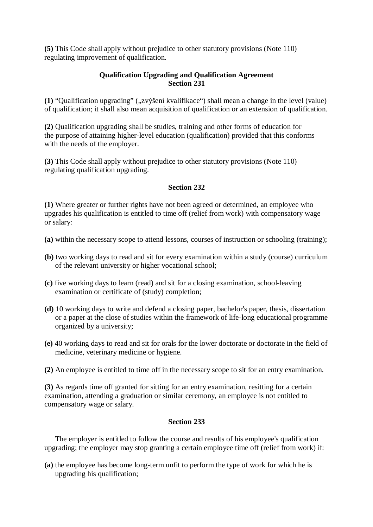**(5)** This Code shall apply without prejudice to other statutory provisions (Note 110) regulating improvement of qualification.

### **Qualification Upgrading and Qualification Agreement Section 231**

(1) "Qualification upgrading" ("*xvýšení kvalifikace*") shall mean a change in the level (value) of qualification; it shall also mean acquisition of qualification or an extension of qualification.

**(2)** Qualification upgrading shall be studies, training and other forms of education for the purpose of attaining higher-level education (qualification) provided that this conforms with the needs of the employer.

**(3)** This Code shall apply without prejudice to other statutory provisions (Note 110) regulating qualification upgrading.

### **Section 232**

**(1)** Where greater or further rights have not been agreed or determined, an employee who upgrades his qualification is entitled to time off (relief from work) with compensatory wage or salary:

- **(a)** within the necessary scope to attend lessons, courses of instruction or schooling (training);
- **(b)** two working days to read and sit for every examination within a study (course) curriculum of the relevant university or higher vocational school;
- **(c)** five working days to learn (read) and sit for a closing examination, school-leaving examination or certificate of (study) completion;
- **(d)** 10 working days to write and defend a closing paper, bachelor's paper, thesis, dissertation or a paper at the close of studies within the framework of life-long educational programme organized by a university;
- **(e)** 40 working days to read and sit for orals for the lower doctorate or doctorate in the field of medicine, veterinary medicine or hygiene.
- **(2)** An employee is entitled to time off in the necessary scope to sit for an entry examination.

**(3)** As regards time off granted for sitting for an entry examination, resitting for a certain examination, attending a graduation or similar ceremony, an employee is not entitled to compensatory wage or salary.

#### **Section 233**

The employer is entitled to follow the course and results of his employee's qualification upgrading; the employer may stop granting a certain employee time off (relief from work) if:

**(a)** the employee has become long-term unfit to perform the type of work for which he is upgrading his qualification;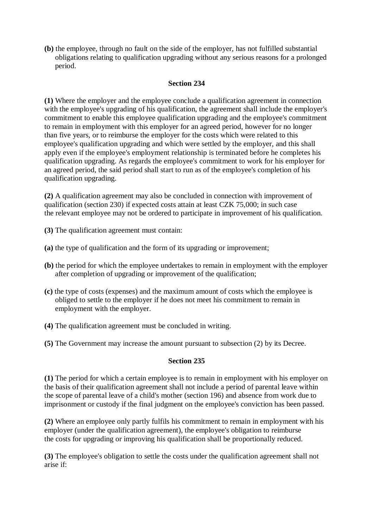**(b)** the employee, through no fault on the side of the employer, has not fulfilled substantial obligations relating to qualification upgrading without any serious reasons for a prolonged period.

#### **Section 234**

**(1)** Where the employer and the employee conclude a qualification agreement in connection with the employee's upgrading of his qualification, the agreement shall include the employer's commitment to enable this employee qualification upgrading and the employee's commitment to remain in employment with this employer for an agreed period, however for no longer than five years, or to reimburse the employer for the costs which were related to this employee's qualification upgrading and which were settled by the employer, and this shall apply even if the employee's employment relationship is terminated before he completes his qualification upgrading. As regards the employee's commitment to work for his employer for an agreed period, the said period shall start to run as of the employee's completion of his qualification upgrading.

**(2)** A qualification agreement may also be concluded in connection with improvement of qualification (section 230) if expected costs attain at least CZK 75,000; in such case the relevant employee may not be ordered to participate in improvement of his qualification.

- **(3)** The qualification agreement must contain:
- **(a)** the type of qualification and the form of its upgrading or improvement;
- **(b)** the period for which the employee undertakes to remain in employment with the employer after completion of upgrading or improvement of the qualification;
- **(c)** the type of costs (expenses) and the maximum amount of costs which the employee is obliged to settle to the employer if he does not meet his commitment to remain in employment with the employer.
- **(4)** The qualification agreement must be concluded in writing.
- **(5)** The Government may increase the amount pursuant to subsection (2) by its Decree.

#### **Section 235**

**(1)** The period for which a certain employee is to remain in employment with his employer on the basis of their qualification agreement shall not include a period of parental leave within the scope of parental leave of a child's mother (section 196) and absence from work due to imprisonment or custody if the final judgment on the employee's conviction has been passed.

**(2)** Where an employee only partly fulfils his commitment to remain in employment with his employer (under the qualification agreement), the employee's obligation to reimburse the costs for upgrading or improving his qualification shall be proportionally reduced.

**(3)** The employee's obligation to settle the costs under the qualification agreement shall not arise if: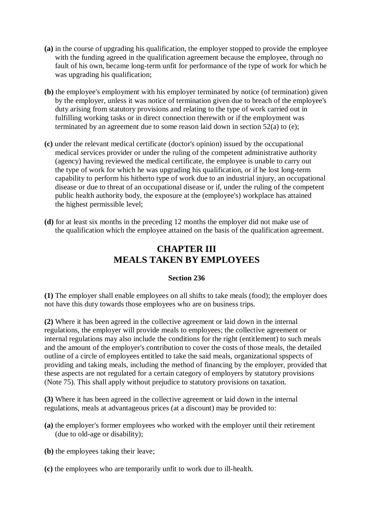- **(a)** in the course of upgrading his qualification, the employer stopped to provide the employee with the funding agreed in the qualification agreement because the employee, through no fault of his own, became long-term unfit for performance of the type of work for which he was upgrading his qualification;
- **(b)** the employee's employment with his employer terminated by notice (of termination) given by the employer, unless it was notice of termination given due to breach of the employee's duty arising from statutory provisions and relating to the type of work carried out in fulfilling working tasks or in direct connection therewith or if the employment was terminated by an agreement due to some reason laid down in section 52(a) to (e);
- **(c)** under the relevant medical certificate (doctor's opinion) issued by the occupational medical services provider or under the ruling of the competent administrative authority (agency) having reviewed the medical certificate, the employee is unable to carry out the type of work for which he was upgrading his qualification, or if he lost long-term capability to perform his hitherto type of work due to an industrial injury, an occupational disease or due to threat of an occupational disease or if, under the ruling of the competent public health authority body, the exposure at the (employee's) workplace has attained the highest permissible level;
- **(d)** for at least six months in the preceding 12 months the employer did not make use of the qualification which the employee attained on the basis of the qualification agreement.

# **CHAPTER III MEALS TAKEN BY EMPLOYEES**

### **Section 236**

**(1)** The employer shall enable employees on all shifts to take meals (food); the employer does not have this duty towards those employees who are on business trips.

**(2)** Where it has been agreed in the collective agreement or laid down in the internal regulations, the employer will provide meals to employees; the collective agreement or internal regulations may also include the conditions for the right (entitlement) to such meals and the amount of the employer's contribution to cover the costs of those meals, the detailed outline of a circle of employees entitled to take the said meals, organizational spspects of providing and taking meals, including the method of financing by the employer, provided that these aspects are not regulated for a certain category of employers by statutory provisions (Note 75). This shall apply without prejudice to statutory provisions on taxation.

**(3)** Where it has been agreed in the collective agreement or laid down in the internal regulations, meals at advantageous prices (at a discount) may be provided to:

- **(a)** the employer's former employees who worked with the employer until their retirement (due to old-age or disability);
- **(b)** the employees taking their leave;
- **(c)** the employees who are temporarily unfit to work due to ill-health.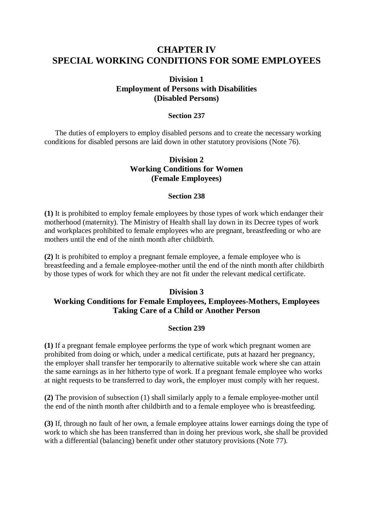## **CHAPTER IV SPECIAL WORKING CONDITIONS FOR SOME EMPLOYEES**

## **Division 1 Employment of Persons with Disabilities (Disabled Persons)**

#### **Section 237**

The duties of employers to employ disabled persons and to create the necessary working conditions for disabled persons are laid down in other statutory provisions (Note 76).

## **Division 2 Working Conditions for Women (Female Employees)**

#### **Section 238**

**(1)** It is prohibited to employ female employees by those types of work which endanger their motherhood (maternity). The Ministry of Health shall lay down in its Decree types of work and workplaces prohibited to female employees who are pregnant, breastfeeding or who are mothers until the end of the ninth month after childbirth.

**(2)** It is prohibited to employ a pregnant female employee, a female employee who is breastfeeding and a female employee-mother until the end of the ninth month after childbirth by those types of work for which they are not fit under the relevant medical certificate.

### **Division 3**

## **Working Conditions for Female Employees, Employees-Mothers, Employees Taking Care of a Child or Another Person**

#### **Section 239**

**(1)** If a pregnant female employee performs the type of work which pregnant women are prohibited from doing or which, under a medical certificate, puts at hazard her pregnancy, the employer shall transfer her temporarily to alternative suitable work where she can attain the same earnings as in her hitherto type of work. If a pregnant female employee who works at night requests to be transferred to day work, the employer must comply with her request.

**(2)** The provision of subsection (1) shall similarly apply to a female employee-mother until the end of the ninth month after childbirth and to a female employee who is breastfeeding.

**(3)** If, through no fault of her own, a female employee attains lower earnings doing the type of work to which she has been transferred than in doing her previous work, she shall be provided with a differential (balancing) benefit under other statutory provisions (Note 77).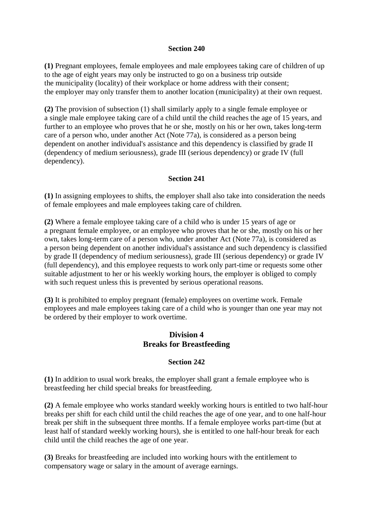#### **Section 240**

**(1)** Pregnant employees, female employees and male employees taking care of children of up to the age of eight years may only be instructed to go on a business trip outside the municipality (locality) of their workplace or home address with their consent; the employer may only transfer them to another location (municipality) at their own request.

**(2)** The provision of subsection (1) shall similarly apply to a single female employee or a single male employee taking care of a child until the child reaches the age of 15 years, and further to an employee who proves that he or she, mostly on his or her own, takes long-term care of a person who, under another Act (Note 77a), is considered as a person being dependent on another individual's assistance and this dependency is classified by grade II (dependency of medium seriousness), grade III (serious dependency) or grade IV (full dependency).

#### **Section 241**

**(1)** In assigning employees to shifts, the employer shall also take into consideration the needs of female employees and male employees taking care of children.

**(2)** Where a female employee taking care of a child who is under 15 years of age or a pregnant female employee, or an employee who proves that he or she, mostly on his or her own, takes long-term care of a person who, under another Act (Note 77a), is considered as a person being dependent on another individual's assistance and such dependency is classified by grade II (dependency of medium seriousness), grade III (serious dependency) or grade IV (full dependency), and this employee requests to work only part-time or requests some other suitable adjustment to her or his weekly working hours, the employer is obliged to comply with such request unless this is prevented by serious operational reasons.

**(3)** It is prohibited to employ pregnant (female) employees on overtime work. Female employees and male employees taking care of a child who is younger than one year may not be ordered by their employer to work overtime.

## **Division 4 Breaks for Breastfeeding**

#### **Section 242**

**(1)** In addition to usual work breaks, the employer shall grant a female employee who is breastfeeding her child special breaks for breastfeeding.

**(2)** A female employee who works standard weekly working hours is entitled to two half-hour breaks per shift for each child until the child reaches the age of one year, and to one half-hour break per shift in the subsequent three months. If a female employee works part-time (but at least half of standard weekly working hours), she is entitled to one half-hour break for each child until the child reaches the age of one year.

**(3)** Breaks for breastfeeding are included into working hours with the entitlement to compensatory wage or salary in the amount of average earnings.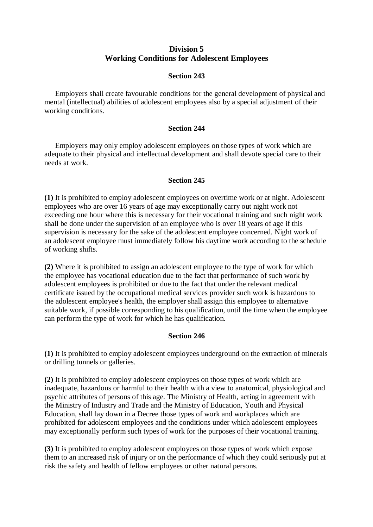### **Division 5 Working Conditions for Adolescent Employees**

#### **Section 243**

Employers shall create favourable conditions for the general development of physical and mental (intellectual) abilities of adolescent employees also by a special adjustment of their working conditions.

#### **Section 244**

Employers may only employ adolescent employees on those types of work which are adequate to their physical and intellectual development and shall devote special care to their needs at work.

### **Section 245**

**(1)** It is prohibited to employ adolescent employees on overtime work or at night. Adolescent employees who are over 16 years of age may exceptionally carry out night work not exceeding one hour where this is necessary for their vocational training and such night work shall be done under the supervision of an employee who is over 18 years of age if this supervision is necessary for the sake of the adolescent employee concerned. Night work of an adolescent employee must immediately follow his daytime work according to the schedule of working shifts.

**(2)** Where it is prohibited to assign an adolescent employee to the type of work for which the employee has vocational education due to the fact that performance of such work by adolescent employees is prohibited or due to the fact that under the relevant medical certificate issued by the occupational medical services provider such work is hazardous to the adolescent employee's health, the employer shall assign this employee to alternative suitable work, if possible corresponding to his qualification, until the time when the employee can perform the type of work for which he has qualification.

### **Section 246**

**(1)** It is prohibited to employ adolescent employees underground on the extraction of minerals or drilling tunnels or galleries.

**(2)** It is prohibited to employ adolescent employees on those types of work which are inadequate, hazardous or harmful to their health with a view to anatomical, physiological and psychic attributes of persons of this age. The Ministry of Health, acting in agreement with the Ministry of Industry and Trade and the Ministry of Education, Youth and Physical Education, shall lay down in a Decree those types of work and workplaces which are prohibited for adolescent employees and the conditions under which adolescent employees may exceptionally perform such types of work for the purposes of their vocational training.

**(3)** It is prohibited to employ adolescent employees on those types of work which expose them to an increased risk of injury or on the performance of which they could seriously put at risk the safety and health of fellow employees or other natural persons.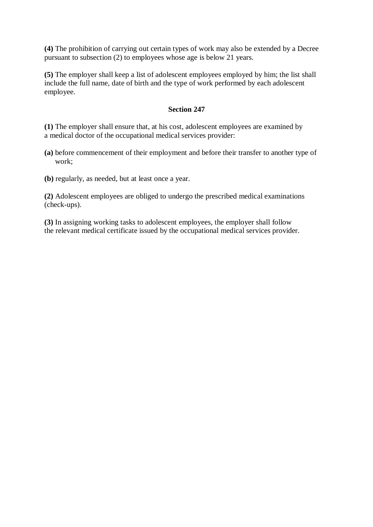**(4)** The prohibition of carrying out certain types of work may also be extended by a Decree pursuant to subsection (2) to employees whose age is below 21 years.

**(5)** The employer shall keep a list of adolescent employees employed by him; the list shall include the full name, date of birth and the type of work performed by each adolescent employee.

#### **Section 247**

**(1)** The employer shall ensure that, at his cost, adolescent employees are examined by a medical doctor of the occupational medical services provider:

- **(a)** before commencement of their employment and before their transfer to another type of work;
- **(b)** regularly, as needed, but at least once a year.

**(2)** Adolescent employees are obliged to undergo the prescribed medical examinations (check-ups).

**(3)** In assigning working tasks to adolescent employees, the employer shall follow the relevant medical certificate issued by the occupational medical services provider.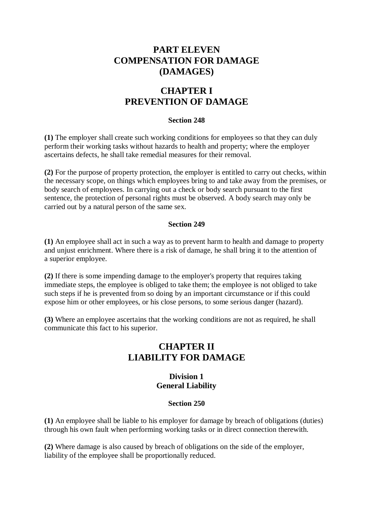# **PART ELEVEN COMPENSATION FOR DAMAGE (DAMAGES)**

# **CHAPTER I PREVENTION OF DAMAGE**

#### **Section 248**

**(1)** The employer shall create such working conditions for employees so that they can duly perform their working tasks without hazards to health and property; where the employer ascertains defects, he shall take remedial measures for their removal.

**(2)** For the purpose of property protection, the employer is entitled to carry out checks, within the necessary scope, on things which employees bring to and take away from the premises, or body search of employees. In carrying out a check or body search pursuant to the first sentence, the protection of personal rights must be observed. A body search may only be carried out by a natural person of the same sex.

#### **Section 249**

**(1)** An employee shall act in such a way as to prevent harm to health and damage to property and unjust enrichment. Where there is a risk of damage, he shall bring it to the attention of a superior employee.

**(2)** If there is some impending damage to the employer's property that requires taking immediate steps, the employee is obliged to take them; the employee is not obliged to take such steps if he is prevented from so doing by an important circumstance or if this could expose him or other employees, or his close persons, to some serious danger (hazard).

**(3)** Where an employee ascertains that the working conditions are not as required, he shall communicate this fact to his superior.

# **CHAPTER II LIABILITY FOR DAMAGE**

### **Division 1 General Liability**

#### **Section 250**

**(1)** An employee shall be liable to his employer for damage by breach of obligations (duties) through his own fault when performing working tasks or in direct connection therewith.

**(2)** Where damage is also caused by breach of obligations on the side of the employer, liability of the employee shall be proportionally reduced.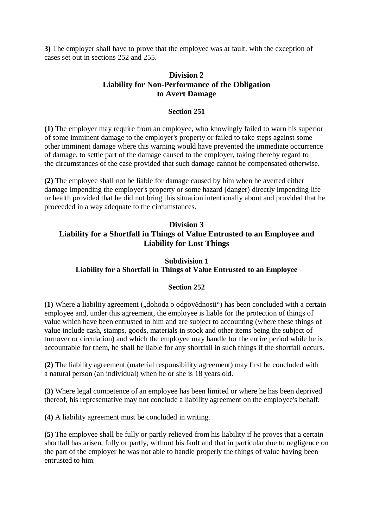**3)** The employer shall have to prove that the employee was at fault, with the exception of cases set out in sections 252 and 255.

### **Division 2 Liability for Non-Performance of the Obligation to Avert Damage**

#### **Section 251**

**(1)** The employer may require from an employee, who knowingly failed to warn his superior of some imminent damage to the employer's property or failed to take steps against some other imminent damage where this warning would have prevented the immediate occurrence of damage, to settle part of the damage caused to the employer, taking thereby regard to the circumstances of the case provided that such damage cannot be compensated otherwise.

**(2)** The employee shall not be liable for damage caused by him when he averted either damage impending the employer's property or some hazard (danger) directly impending life or health provided that he did not bring this situation intentionally about and provided that he proceeded in a way adequate to the circumstances.

## **Division 3 Liability for a Shortfall in Things of Value Entrusted to an Employee and Liability for Lost Things**

### **Subdivision 1 Liability for a Shortfall in Things of Value Entrusted to an Employee**

### **Section 252**

(1) Where a liability agreement ("dohoda o odpovědnosti") has been concluded with a certain employee and, under this agreement, the employee is liable for the protection of things of value which have been entrusted to him and are subject to accounting (where these things of value include cash, stamps, goods, materials in stock and other items being the subject of turnover or circulation) and which the employee may handle for the entire period while he is accountable for them, he shall be liable for any shortfall in such things if the shortfall occurs.

**(2)** The liability agreement (material responsibility agreement) may first be concluded with a natural person (an individual) when he or she is 18 years old.

**(3)** Where legal competence of an employee has been limited or where he has been deprived thereof, his representative may not conclude a liability agreement on the employee's behalf.

**(4)** A liability agreement must be concluded in writing.

**(5)** The employee shall be fully or partly relieved from his liability if he proves that a certain shortfall has arisen, fully or partly, without his fault and that in particular due to negligence on the part of the employer he was not able to handle properly the things of value having been entrusted to him.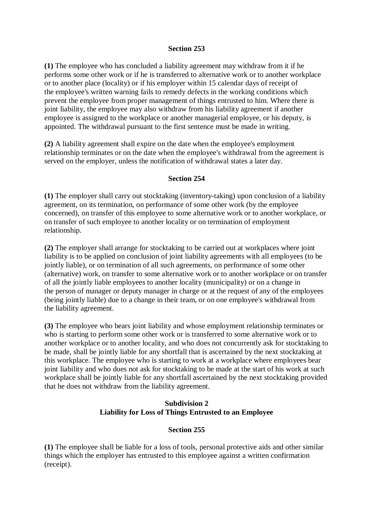#### **Section 253**

**(1)** The employee who has concluded a liability agreement may withdraw from it if he performs some other work or if he is transferred to alternative work or to another workplace or to another place (locality) or if his employer within 15 calendar days of receipt of the employee's written warning fails to remedy defects in the working conditions which prevent the employee from proper management of things entrusted to him. Where there is joint liability, the employee may also withdraw from his liability agreement if another employee is assigned to the workplace or another managerial employee, or his deputy, is appointed. The withdrawal pursuant to the first sentence must be made in writing.

**(2)** A liability agreement shall expire on the date when the employee's employment relationship terminates or on the date when the employee's withdrawal from the agreement is served on the employer, unless the notification of withdrawal states a later day.

#### **Section 254**

**(1)** The employer shall carry out stocktaking (inventory-taking) upon conclusion of a liability agreement, on its termination, on performance of some other work (by the employee concerned), on transfer of this employee to some alternative work or to another workplace, or on transfer of such employee to another locality or on termination of employment relationship.

**(2)** The employer shall arrange for stocktaking to be carried out at workplaces where joint liability is to be applied on conclusion of joint liability agreements with all employees (to be jointly liable), or on termination of all such agreements, on performance of some other (alternative) work, on transfer to some alternative work or to another workplace or on transfer of all the jointly liable employees to another locality (municipality) or on a change in the person of manager or deputy manager in charge or at the request of any of the employees (being jointly liable) due to a change in their team, or on one employee's withdrawal from the liability agreement.

**(3)** The employee who bears joint liability and whose employment relationship terminates or who is starting to perform some other work or is transferred to some alternative work or to another workplace or to another locality, and who does not concurrently ask for stocktaking to be made, shall be jointly liable for any shortfall that is ascertained by the next stocktaking at this workplace. The employee who is starting to work at a workplace where employees bear joint liability and who does not ask for stocktaking to be made at the start of his work at such workplace shall be jointly liable for any shortfall ascertained by the next stocktaking provided that he does not withdraw from the liability agreement.

### **Subdivision 2 Liability for Loss of Things Entrusted to an Employee**

### **Section 255**

**(1)** The employee shall be liable for a loss of tools, personal protective aids and other similar things which the employer has entrusted to this employee against a written confirmation (receipt).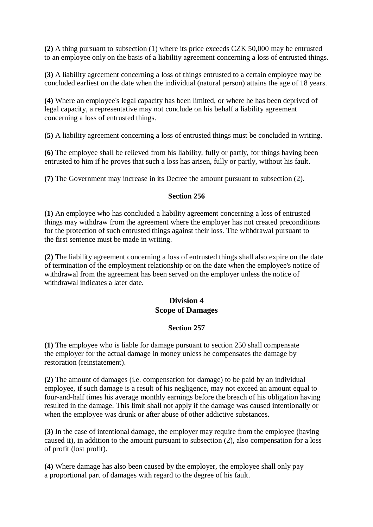**(2)** A thing pursuant to subsection (1) where its price exceeds CZK 50,000 may be entrusted to an employee only on the basis of a liability agreement concerning a loss of entrusted things.

**(3)** A liability agreement concerning a loss of things entrusted to a certain employee may be concluded earliest on the date when the individual (natural person) attains the age of 18 years.

**(4)** Where an employee's legal capacity has been limited, or where he has been deprived of legal capacity, a representative may not conclude on his behalf a liability agreement concerning a loss of entrusted things.

**(5)** A liability agreement concerning a loss of entrusted things must be concluded in writing.

**(6)** The employee shall be relieved from his liability, fully or partly, for things having been entrusted to him if he proves that such a loss has arisen, fully or partly, without his fault.

**(7)** The Government may increase in its Decree the amount pursuant to subsection (2).

#### **Section 256**

**(1)** An employee who has concluded a liability agreement concerning a loss of entrusted things may withdraw from the agreement where the employer has not created preconditions for the protection of such entrusted things against their loss. The withdrawal pursuant to the first sentence must be made in writing.

**(2)** The liability agreement concerning a loss of entrusted things shall also expire on the date of termination of the employment relationship or on the date when the employee's notice of withdrawal from the agreement has been served on the employer unless the notice of withdrawal indicates a later date.

### **Division 4 Scope of Damages**

### **Section 257**

**(1)** The employee who is liable for damage pursuant to section 250 shall compensate the employer for the actual damage in money unless he compensates the damage by restoration (reinstatement).

**(2)** The amount of damages (i.e. compensation for damage) to be paid by an individual employee, if such damage is a result of his negligence, may not exceed an amount equal to four-and-half times his average monthly earnings before the breach of his obligation having resulted in the damage. This limit shall not apply if the damage was caused intentionally or when the employee was drunk or after abuse of other addictive substances.

**(3)** In the case of intentional damage, the employer may require from the employee (having caused it), in addition to the amount pursuant to subsection (2), also compensation for a loss of profit (lost profit).

**(4)** Where damage has also been caused by the employer, the employee shall only pay a proportional part of damages with regard to the degree of his fault.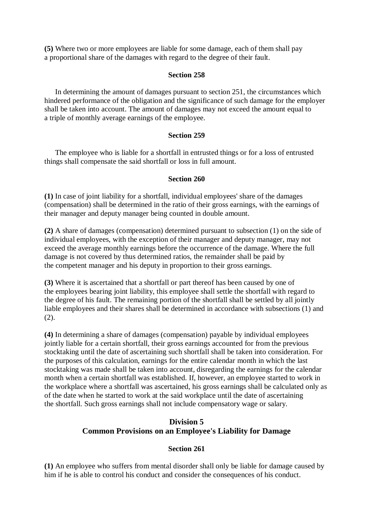**(5)** Where two or more employees are liable for some damage, each of them shall pay a proportional share of the damages with regard to the degree of their fault.

#### **Section 258**

In determining the amount of damages pursuant to section 251, the circumstances which hindered performance of the obligation and the significance of such damage for the employer shall be taken into account. The amount of damages may not exceed the amount equal to a triple of monthly average earnings of the employee.

#### **Section 259**

The employee who is liable for a shortfall in entrusted things or for a loss of entrusted things shall compensate the said shortfall or loss in full amount.

### **Section 260**

**(1)** In case of joint liability for a shortfall, individual employees' share of the damages (compensation) shall be determined in the ratio of their gross earnings, with the earnings of their manager and deputy manager being counted in double amount.

**(2)** A share of damages (compensation) determined pursuant to subsection (1) on the side of individual employees, with the exception of their manager and deputy manager, may not exceed the average monthly earnings before the occurrence of the damage. Where the full damage is not covered by thus determined ratios, the remainder shall be paid by the competent manager and his deputy in proportion to their gross earnings.

**(3)** Where it is ascertained that a shortfall or part thereof has been caused by one of the employees bearing joint liability, this employee shall settle the shortfall with regard to the degree of his fault. The remaining portion of the shortfall shall be settled by all jointly liable employees and their shares shall be determined in accordance with subsections (1) and  $(2).$ 

**(4)** In determining a share of damages (compensation) payable by individual employees jointly liable for a certain shortfall, their gross earnings accounted for from the previous stocktaking until the date of ascertaining such shortfall shall be taken into consideration. For the purposes of this calculation, earnings for the entire calendar month in which the last stocktaking was made shall be taken into account, disregarding the earnings for the calendar month when a certain shortfall was established. If, however, an employee started to work in the workplace where a shortfall was ascertained, his gross earnings shall be calculated only as of the date when he started to work at the said workplace until the date of ascertaining the shortfall. Such gross earnings shall not include compensatory wage or salary.

## **Division 5 Common Provisions on an Employee's Liability for Damage**

### **Section 261**

**(1)** An employee who suffers from mental disorder shall only be liable for damage caused by him if he is able to control his conduct and consider the consequences of his conduct.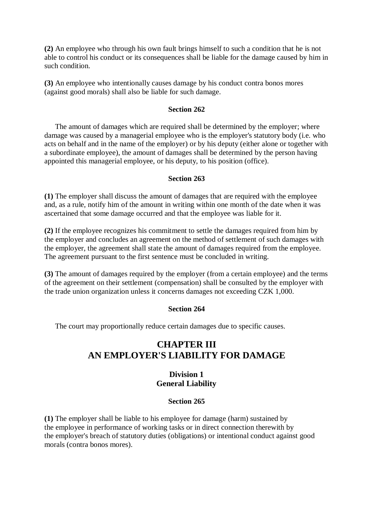**(2)** An employee who through his own fault brings himself to such a condition that he is not able to control his conduct or its consequences shall be liable for the damage caused by him in such condition.

**(3)** An employee who intentionally causes damage by his conduct contra bonos mores (against good morals) shall also be liable for such damage.

#### **Section 262**

The amount of damages which are required shall be determined by the employer; where damage was caused by a managerial employee who is the employer's statutory body (i.e. who acts on behalf and in the name of the employer) or by his deputy (either alone or together with a subordinate employee), the amount of damages shall be determined by the person having appointed this managerial employee, or his deputy, to his position (office).

#### **Section 263**

**(1)** The employer shall discuss the amount of damages that are required with the employee and, as a rule, notify him of the amount in writing within one month of the date when it was ascertained that some damage occurred and that the employee was liable for it.

**(2)** If the employee recognizes his commitment to settle the damages required from him by the employer and concludes an agreement on the method of settlement of such damages with the employer, the agreement shall state the amount of damages required from the employee. The agreement pursuant to the first sentence must be concluded in writing.

**(3)** The amount of damages required by the employer (from a certain employee) and the terms of the agreement on their settlement (compensation) shall be consulted by the employer with the trade union organization unless it concerns damages not exceeding CZK 1,000.

#### **Section 264**

The court may proportionally reduce certain damages due to specific causes.

## **CHAPTER III AN EMPLOYER'S LIABILITY FOR DAMAGE**

### **Division 1 General Liability**

#### **Section 265**

**(1)** The employer shall be liable to his employee for damage (harm) sustained by the employee in performance of working tasks or in direct connection therewith by the employer's breach of statutory duties (obligations) or intentional conduct against good morals (contra bonos mores).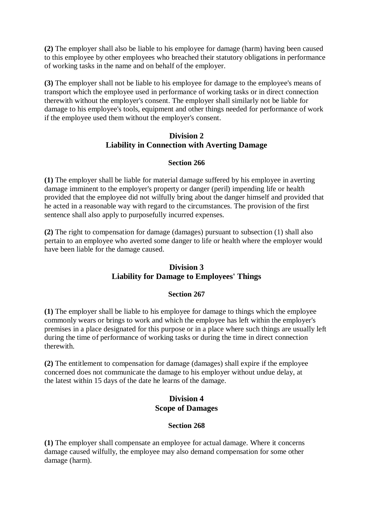**(2)** The employer shall also be liable to his employee for damage (harm) having been caused to this employee by other employees who breached their statutory obligations in performance of working tasks in the name and on behalf of the employer.

**(3)** The employer shall not be liable to his employee for damage to the employee's means of transport which the employee used in performance of working tasks or in direct connection therewith without the employer's consent. The employer shall similarly not be liable for damage to his employee's tools, equipment and other things needed for performance of work if the employee used them without the employer's consent.

### **Division 2 Liability in Connection with Averting Damage**

### **Section 266**

**(1)** The employer shall be liable for material damage suffered by his employee in averting damage imminent to the employer's property or danger (peril) impending life or health provided that the employee did not wilfully bring about the danger himself and provided that he acted in a reasonable way with regard to the circumstances. The provision of the first sentence shall also apply to purposefully incurred expenses.

**(2)** The right to compensation for damage (damages) pursuant to subsection (1) shall also pertain to an employee who averted some danger to life or health where the employer would have been liable for the damage caused.

### **Division 3 Liability for Damage to Employees' Things**

#### **Section 267**

**(1)** The employer shall be liable to his employee for damage to things which the employee commonly wears or brings to work and which the employee has left within the employer's premises in a place designated for this purpose or in a place where such things are usually left during the time of performance of working tasks or during the time in direct connection therewith.

**(2)** The entitlement to compensation for damage (damages) shall expire if the employee concerned does not communicate the damage to his employer without undue delay, at the latest within 15 days of the date he learns of the damage.

### **Division 4 Scope of Damages**

### **Section 268**

**(1)** The employer shall compensate an employee for actual damage. Where it concerns damage caused wilfully, the employee may also demand compensation for some other damage (harm).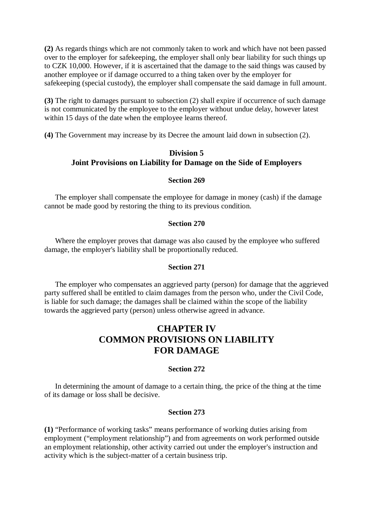**(2)** As regards things which are not commonly taken to work and which have not been passed over to the employer for safekeeping, the employer shall only bear liability for such things up to CZK 10,000. However, if it is ascertained that the damage to the said things was caused by another employee or if damage occurred to a thing taken over by the employer for safekeeping (special custody), the employer shall compensate the said damage in full amount.

**(3)** The right to damages pursuant to subsection (2) shall expire if occurrence of such damage is not communicated by the employee to the employer without undue delay, however latest within 15 days of the date when the employee learns thereof.

**(4)** The Government may increase by its Decree the amount laid down in subsection (2).

## **Division 5 Joint Provisions on Liability for Damage on the Side of Employers**

#### **Section 269**

The employer shall compensate the employee for damage in money (cash) if the damage cannot be made good by restoring the thing to its previous condition.

#### **Section 270**

Where the employer proves that damage was also caused by the employee who suffered damage, the employer's liability shall be proportionally reduced.

#### **Section 271**

The employer who compensates an aggrieved party (person) for damage that the aggrieved party suffered shall be entitled to claim damages from the person who, under the Civil Code, is liable for such damage; the damages shall be claimed within the scope of the liability towards the aggrieved party (person) unless otherwise agreed in advance.

# **CHAPTER IV COMMON PROVISIONS ON LIABILITY FOR DAMAGE**

#### **Section 272**

In determining the amount of damage to a certain thing, the price of the thing at the time of its damage or loss shall be decisive.

#### **Section 273**

**(1)** "Performance of working tasks" means performance of working duties arising from employment ("employment relationship") and from agreements on work performed outside an employment relationship, other activity carried out under the employer's instruction and activity which is the subject-matter of a certain business trip.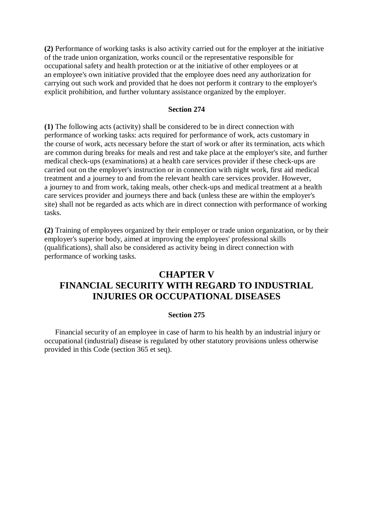**(2)** Performance of working tasks is also activity carried out for the employer at the initiative of the trade union organization, works council or the representative responsible for occupational safety and health protection or at the initiative of other employees or at an employee's own initiative provided that the employee does need any authorization for carrying out such work and provided that he does not perform it contrary to the employer's explicit prohibition, and further voluntary assistance organized by the employer.

#### **Section 274**

**(1)** The following acts (activity) shall be considered to be in direct connection with performance of working tasks: acts required for performance of work, acts customary in the course of work, acts necessary before the start of work or after its termination, acts which are common during breaks for meals and rest and take place at the employer's site, and further medical check-ups (examinations) at a health care services provider if these check-ups are carried out on the employer's instruction or in connection with night work, first aid medical treatment and a journey to and from the relevant health care services provider. However, a journey to and from work, taking meals, other check-ups and medical treatment at a health care services provider and journeys there and back (unless these are within the employer's site) shall not be regarded as acts which are in direct connection with performance of working tasks.

**(2)** Training of employees organized by their employer or trade union organization, or by their employer's superior body, aimed at improving the employees' professional skills (qualifications), shall also be considered as activity being in direct connection with performance of working tasks.

## **CHAPTER V FINANCIAL SECURITY WITH REGARD TO INDUSTRIAL INJURIES OR OCCUPATIONAL DISEASES**

#### **Section 275**

Financial security of an employee in case of harm to his health by an industrial injury or occupational (industrial) disease is regulated by other statutory provisions unless otherwise provided in this Code (section 365 et seq).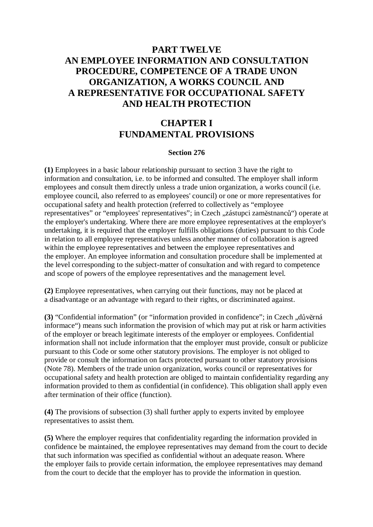# **PART TWELVE AN EMPLOYEE INFORMATION AND CONSULTATION PROCEDURE, COMPETENCE OF A TRADE UNON ORGANIZATION, A WORKS COUNCIL AND A REPRESENTATIVE FOR OCCUPATIONAL SAFETY AND HEALTH PROTECTION**

# **CHAPTER I FUNDAMENTAL PROVISIONS**

#### **Section 276**

**(1)** Employees in a basic labour relationship pursuant to section 3 have the right to information and consultation, i.e. to be informed and consulted. The employer shall inform employees and consult them directly unless a trade union organization, a works council (i.e. employee council, also referred to as employees' council) or one or more representatives for occupational safety and health protection (referred to collectively as "employee representatives" or "employees' representatives"; in Czech "zástupci zaměstnanců") operate at the employer's undertaking. Where there are more employee representatives at the employer's undertaking, it is required that the employer fulfills obligations (duties) pursuant to this Code in relation to all employee representatives unless another manner of collaboration is agreed within the employee representatives and between the employee representatives and the employer. An employee information and consultation procedure shall be implemented at the level corresponding to the subject-matter of consultation and with regard to competence and scope of powers of the employee representatives and the management level.

**(2)** Employee representatives, when carrying out their functions, may not be placed at a disadvantage or an advantage with regard to their rights, or discriminated against.

(3) "Confidential information" (or "information provided in confidence"; in Czech "důvěrná informace") means such information the provision of which may put at risk or harm activities of the employer or breach legitimate interests of the employer or employees. Confidential information shall not include information that the employer must provide, consult or publicize pursuant to this Code or some other statutory provisions. The employer is not obliged to provide or consult the information on facts protected pursuant to other statutory provisions (Note 78). Members of the trade union organization, works council or representatives for occupational safety and health protection are obliged to maintain confidentiality regarding any information provided to them as confidential (in confidence). This obligation shall apply even after termination of their office (function).

**(4)** The provisions of subsection (3) shall further apply to experts invited by employee representatives to assist them.

**(5)** Where the employer requires that confidentiality regarding the information provided in confidence be maintained, the employee representatives may demand from the court to decide that such information was specified as confidential without an adequate reason. Where the employer fails to provide certain information, the employee representatives may demand from the court to decide that the employer has to provide the information in question.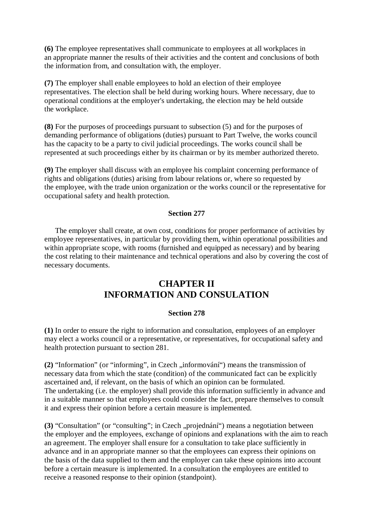**(6)** The employee representatives shall communicate to employees at all workplaces in an appropriate manner the results of their activities and the content and conclusions of both the information from, and consultation with, the employer.

**(7)** The employer shall enable employees to hold an election of their employee representatives. The election shall be held during working hours. Where necessary, due to operational conditions at the employer's undertaking, the election may be held outside the workplace.

**(8)** For the purposes of proceedings pursuant to subsection (5) and for the purposes of demanding performance of obligations (duties) pursuant to Part Twelve, the works council has the capacity to be a party to civil judicial proceedings. The works council shall be represented at such proceedings either by its chairman or by its member authorized thereto.

**(9)** The employer shall discuss with an employee his complaint concerning performance of rights and obligations (duties) arising from labour relations or, where so requested by the employee, with the trade union organization or the works council or the representative for occupational safety and health protection.

### **Section 277**

The employer shall create, at own cost, conditions for proper performance of activities by employee representatives, in particular by providing them, within operational possibilities and within appropriate scope, with rooms (furnished and equipped as necessary) and by bearing the cost relating to their maintenance and technical operations and also by covering the cost of necessary documents.

## **CHAPTER II INFORMATION AND CONSULATION**

#### **Section 278**

**(1)** In order to ensure the right to information and consultation, employees of an employer may elect a works council or a representative, or representatives, for occupational safety and health protection pursuant to section 281.

(2) "Information" (or "informing", in Czech "informování") means the transmission of necessary data from which the state (condition) of the communicated fact can be explicitly ascertained and, if relevant, on the basis of which an opinion can be formulated. The undertaking (i.e. the employer) shall provide this information sufficiently in advance and in a suitable manner so that employees could consider the fact, prepare themselves to consult it and express their opinion before a certain measure is implemented.

(3) "Consultation" (or "consulting"; in Czech "projednání") means a negotiation between the employer and the employees, exchange of opinions and explanations with the aim to reach an agreement. The employer shall ensure for a consultation to take place sufficiently in advance and in an appropriate manner so that the employees can express their opinions on the basis of the data supplied to them and the employer can take these opinions into account before a certain measure is implemented. In a consultation the employees are entitled to receive a reasoned response to their opinion (standpoint).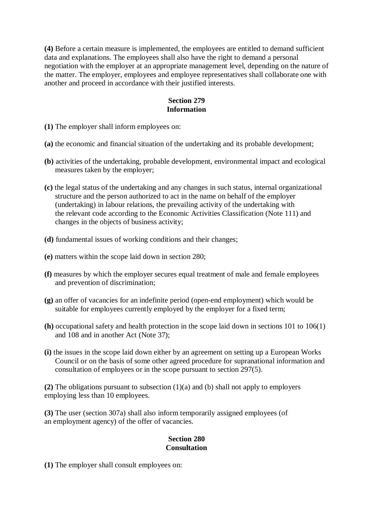**(4)** Before a certain measure is implemented, the employees are entitled to demand sufficient data and explanations. The employees shall also have the right to demand a personal negotiation with the employer at an appropriate management level, depending on the nature of the matter. The employer, employees and employee representatives shall collaborate one with another and proceed in accordance with their justified interests.

#### **Section 279 Information**

**(1)** The employer shall inform employees on:

- **(a)** the economic and financial situation of the undertaking and its probable development;
- **(b)** activities of the undertaking, probable development, environmental impact and ecological measures taken by the employer;
- **(c)** the legal status of the undertaking and any changes in such status, internal organizational structure and the person authorized to act in the name on behalf of the employer (undertaking) in labour relations, the prevailing activity of the undertaking with the relevant code according to the Economic Activities Classification (Note 111) and changes in the objects of business activity;
- **(d)** fundamental issues of working conditions and their changes;
- **(e)** matters within the scope laid down in section 280;
- **(f)** measures by which the employer secures equal treatment of male and female employees and prevention of discrimination;
- **(g)** an offer of vacancies for an indefinite period (open-end employment) which would be suitable for employees currently employed by the employer for a fixed term;
- **(h)** occupational safety and health protection in the scope laid down in sections 101 to 106(1) and 108 and in another Act (Note 37);
- **(i)** the issues in the scope laid down either by an agreement on setting up a European Works Council or on the basis of some other agreed procedure for supranational information and consultation of employees or in the scope pursuant to section 297(5).

**(2)** The obligations pursuant to subsection (1)(a) and (b) shall not apply to employers employing less than 10 employees.

**(3)** The user (section 307a) shall also inform temporarily assigned employees (of an employment agency) of the offer of vacancies.

### **Section 280 Consultation**

**(1)** The employer shall consult employees on: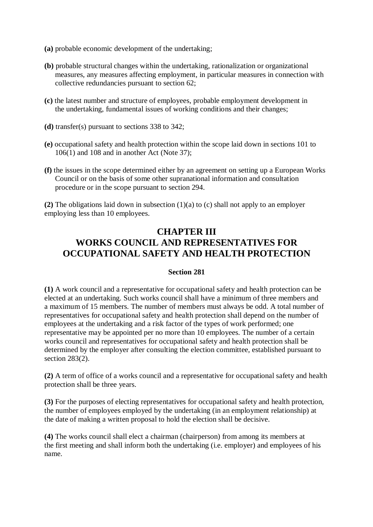- **(a)** probable economic development of the undertaking;
- **(b)** probable structural changes within the undertaking, rationalization or organizational measures, any measures affecting employment, in particular measures in connection with collective redundancies pursuant to section 62;
- **(c)** the latest number and structure of employees, probable employment development in the undertaking, fundamental issues of working conditions and their changes;
- **(d)** transfer(s) pursuant to sections 338 to 342;
- **(e)** occupational safety and health protection within the scope laid down in sections 101 to 106(1) and 108 and in another Act (Note 37);
- **(f)** the issues in the scope determined either by an agreement on setting up a European Works Council or on the basis of some other supranational information and consultation procedure or in the scope pursuant to section 294.

**(2)** The obligations laid down in subsection (1)(a) to (c) shall not apply to an employer employing less than 10 employees.

# **CHAPTER III WORKS COUNCIL AND REPRESENTATIVES FOR OCCUPATIONAL SAFETY AND HEALTH PROTECTION**

#### **Section 281**

**(1)** A work council and a representative for occupational safety and health protection can be elected at an undertaking. Such works council shall have a minimum of three members and a maximum of 15 members. The number of members must always be odd. A total number of representatives for occupational safety and health protection shall depend on the number of employees at the undertaking and a risk factor of the types of work performed; one representative may be appointed per no more than 10 employees. The number of a certain works council and representatives for occupational safety and health protection shall be determined by the employer after consulting the election committee, established pursuant to section 283(2).

**(2)** A term of office of a works council and a representative for occupational safety and health protection shall be three years.

**(3)** For the purposes of electing representatives for occupational safety and health protection, the number of employees employed by the undertaking (in an employment relationship) at the date of making a written proposal to hold the election shall be decisive.

**(4)** The works council shall elect a chairman (chairperson) from among its members at the first meeting and shall inform both the undertaking (i.e. employer) and employees of his name.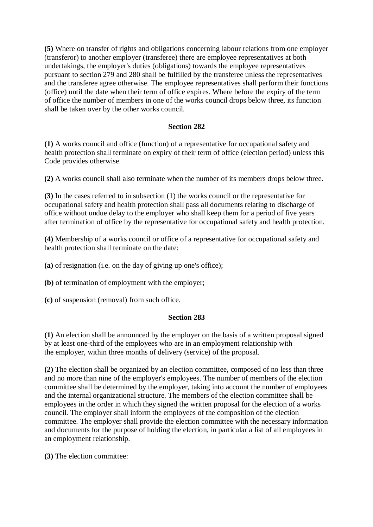**(5)** Where on transfer of rights and obligations concerning labour relations from one employer (transferor) to another employer (transferee) there are employee representatives at both undertakings, the employer's duties (obligations) towards the employee representatives pursuant to section 279 and 280 shall be fulfilled by the transferee unless the representatives and the transferee agree otherwise. The employee representatives shall perform their functions (office) until the date when their term of office expires. Where before the expiry of the term of office the number of members in one of the works council drops below three, its function shall be taken over by the other works council.

#### **Section 282**

**(1)** A works council and office (function) of a representative for occupational safety and health protection shall terminate on expiry of their term of office (election period) unless this Code provides otherwise.

**(2)** A works council shall also terminate when the number of its members drops below three.

**(3)** In the cases referred to in subsection (1) the works council or the representative for occupational safety and health protection shall pass all documents relating to discharge of office without undue delay to the employer who shall keep them for a period of five years after termination of office by the representative for occupational safety and health protection.

**(4)** Membership of a works council or office of a representative for occupational safety and health protection shall terminate on the date:

**(a)** of resignation (i.e. on the day of giving up one's office);

**(b)** of termination of employment with the employer;

**(c)** of suspension (removal) from such office.

#### **Section 283**

**(1)** An election shall be announced by the employer on the basis of a written proposal signed by at least one-third of the employees who are in an employment relationship with the employer, within three months of delivery (service) of the proposal.

**(2)** The election shall be organized by an election committee, composed of no less than three and no more than nine of the employer's employees. The number of members of the election committee shall be determined by the employer, taking into account the number of employees and the internal organizational structure. The members of the election committee shall be employees in the order in which they signed the written proposal for the election of a works council. The employer shall inform the employees of the composition of the election committee. The employer shall provide the election committee with the necessary information and documents for the purpose of holding the election, in particular a list of all employees in an employment relationship.

**(3)** The election committee: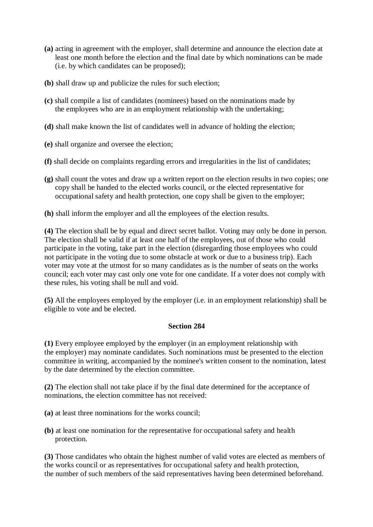- **(a)** acting in agreement with the employer, shall determine and announce the election date at least one month before the election and the final date by which nominations can be made (i.e. by which candidates can be proposed);
- **(b)** shall draw up and publicize the rules for such election;
- **(c)** shall compile a list of candidates (nominees) based on the nominations made by the employees who are in an employment relationship with the undertaking;
- **(d)** shall make known the list of candidates well in advance of holding the election;
- **(e)** shall organize and oversee the election;
- **(f)** shall decide on complaints regarding errors and irregularities in the list of candidates;
- **(g)** shall count the votes and draw up a written report on the election results in two copies; one copy shall be handed to the elected works council, or the elected representative for occupational safety and health protection, one copy shall be given to the employer;
- **(h)** shall inform the employer and all the employees of the election results.

**(4)** The election shall be by equal and direct secret ballot. Voting may only be done in person. The election shall be valid if at least one half of the employees, out of those who could participate in the voting, take part in the election (disregarding those employees who could not participate in the voting due to some obstacle at work or due to a business trip). Each voter may vote at the utmost for so many candidates as is the number of seats on the works council; each voter may cast only one vote for one candidate. If a voter does not comply with these rules, his voting shall be null and void.

**(5)** All the employees employed by the employer (i.e. in an employment relationship) shall be eligible to vote and be elected.

#### **Section 284**

**(1)** Every employee employed by the employer (in an employment relationship with the employer) may nominate candidates. Such nominations must be presented to the election committee in writing, accompanied by the nominee's written consent to the nomination, latest by the date determined by the election committee.

**(2)** The election shall not take place if by the final date determined for the acceptance of nominations, the election committee has not received:

- **(a)** at least three nominations for the works council;
- **(b)** at least one nomination for the representative for occupational safety and health protection.

**(3)** Those candidates who obtain the highest number of valid votes are elected as members of the works council or as representatives for occupational safety and health protection, the number of such members of the said representatives having been determined beforehand.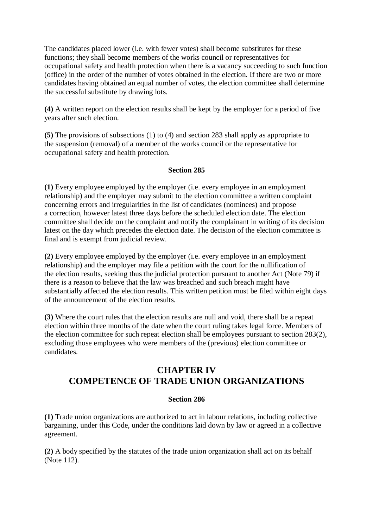The candidates placed lower (i.e. with fewer votes) shall become substitutes for these functions; they shall become members of the works council or representatives for occupational safety and health protection when there is a vacancy succeeding to such function (office) in the order of the number of votes obtained in the election. If there are two or more candidates having obtained an equal number of votes, the election committee shall determine the successful substitute by drawing lots.

**(4)** A written report on the election results shall be kept by the employer for a period of five years after such election.

**(5)** The provisions of subsections (1) to (4) and section 283 shall apply as appropriate to the suspension (removal) of a member of the works council or the representative for occupational safety and health protection.

#### **Section 285**

**(1)** Every employee employed by the employer (i.e. every employee in an employment relationship) and the employer may submit to the election committee a written complaint concerning errors and irregularities in the list of candidates (nominees) and propose a correction, however latest three days before the scheduled election date. The election committee shall decide on the complaint and notify the complainant in writing of its decision latest on the day which precedes the election date. The decision of the election committee is final and is exempt from judicial review.

**(2)** Every employee employed by the employer (i.e. every employee in an employment relationship) and the employer may file a petition with the court for the nullification of the election results, seeking thus the judicial protection pursuant to another Act (Note 79) if there is a reason to believe that the law was breached and such breach might have substantially affected the election results. This written petition must be filed within eight days of the announcement of the election results.

**(3)** Where the court rules that the election results are null and void, there shall be a repeat election within three months of the date when the court ruling takes legal force. Members of the election committee for such repeat election shall be employees pursuant to section 283(2), excluding those employees who were members of the (previous) election committee or candidates.

# **CHAPTER IV COMPETENCE OF TRADE UNION ORGANIZATIONS**

### **Section 286**

**(1)** Trade union organizations are authorized to act in labour relations, including collective bargaining, under this Code, under the conditions laid down by law or agreed in a collective agreement.

**(2)** A body specified by the statutes of the trade union organization shall act on its behalf (Note 112).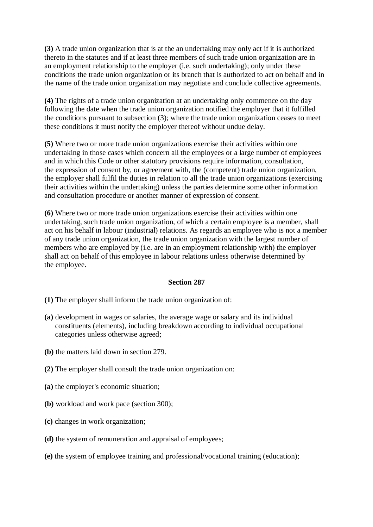**(3)** A trade union organization that is at the an undertaking may only act if it is authorized thereto in the statutes and if at least three members of such trade union organization are in an employment relationship to the employer (i.e. such undertaking); only under these conditions the trade union organization or its branch that is authorized to act on behalf and in the name of the trade union organization may negotiate and conclude collective agreements.

**(4)** The rights of a trade union organization at an undertaking only commence on the day following the date when the trade union organization notified the employer that it fulfilled the conditions pursuant to subsection (3); where the trade union organization ceases to meet these conditions it must notify the employer thereof without undue delay.

**(5)** Where two or more trade union organizations exercise their activities within one undertaking in those cases which concern all the employees or a large number of employees and in which this Code or other statutory provisions require information, consultation, the expression of consent by, or agreement with, the (competent) trade union organization, the employer shall fulfil the duties in relation to all the trade union organizations (exercising their activities within the undertaking) unless the parties determine some other information and consultation procedure or another manner of expression of consent.

**(6)** Where two or more trade union organizations exercise their activities within one undertaking, such trade union organization, of which a certain employee is a member, shall act on his behalf in labour (industrial) relations. As regards an employee who is not a member of any trade union organization, the trade union organization with the largest number of members who are employed by (i.e. are in an employment relationship with) the employer shall act on behalf of this employee in labour relations unless otherwise determined by the employee.

### **Section 287**

**(1)** The employer shall inform the trade union organization of:

- **(a)** development in wages or salaries, the average wage or salary and its individual constituents (elements), including breakdown according to individual occupational categories unless otherwise agreed;
- **(b)** the matters laid down in section 279.
- **(2)** The employer shall consult the trade union organization on:
- **(a)** the employer's economic situation;
- **(b)** workload and work pace (section 300);
- **(c)** changes in work organization;
- **(d)** the system of remuneration and appraisal of employees;
- **(e)** the system of employee training and professional/vocational training (education);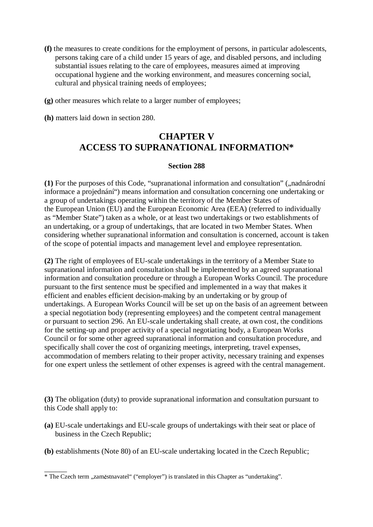- **(f)** the measures to create conditions for the employment of persons, in particular adolescents, persons taking care of a child under 15 years of age, and disabled persons, and including substantial issues relating to the care of employees, measures aimed at improving occupational hygiene and the working environment, and measures concerning social, cultural and physical training needs of employees;
- **(g)** other measures which relate to a larger number of employees;
- **(h)** matters laid down in section 280.

# **CHAPTER V ACCESS TO SUPRANATIONAL INFORMATION\***

## **Section 288**

(1) For the purposes of this Code, "supranational information and consultation" ("nadnárodní informace a projednání") means information and consultation concerning one undertaking or a group of undertakings operating within the territory of the Member States of the European Union (EU) and the European Economic Area (EEA) (referred to individually as "Member State") taken as a whole, or at least two undertakings or two establishments of an undertaking, or a group of undertakings, that are located in two Member States. When considering whether supranational information and consultation is concerned, account is taken of the scope of potential impacts and management level and employee representation.

**(2)** The right of employees of EU-scale undertakings in the territory of a Member State to supranational information and consultation shall be implemented by an agreed supranational information and consultation procedure or through a European Works Council. The procedure pursuant to the first sentence must be specified and implemented in a way that makes it efficient and enables efficient decision-making by an undertaking or by group of undertakings. A European Works Council will be set up on the basis of an agreement between a special negotiation body (representing employees) and the competent central management or pursuant to section 296. An EU-scale undertaking shall create, at own cost, the conditions for the setting-up and proper activity of a special negotiating body, a European Works Council or for some other agreed supranational information and consultation procedure, and specifically shall cover the cost of organizing meetings, interpreting, travel expenses, accommodation of members relating to their proper activity, necessary training and expenses for one expert unless the settlement of other expenses is agreed with the central management.

**(3)** The obligation (duty) to provide supranational information and consultation pursuant to this Code shall apply to:

- **(a)** EU-scale undertakings and EU-scale groups of undertakings with their seat or place of business in the Czech Republic;
- **(b)** establishments (Note 80) of an EU-scale undertaking located in the Czech Republic;

 $\overline{\phantom{a}}$ \* The Czech term "zaměstnavatel" ("employer") is translated in this Chapter as "undertaking".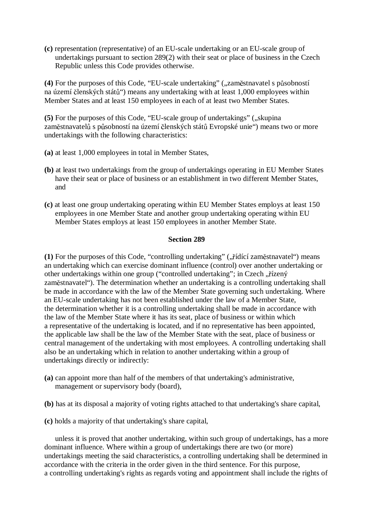**(c)** representation (representative) of an EU-scale undertaking or an EU-scale group of undertakings pursuant to section 289(2) with their seat or place of business in the Czech Republic unless this Code provides otherwise.

(4) For the purposes of this Code, "EU-scale undertaking" ("zaměstnavatel s působností na území členských států") means any undertaking with at least 1,000 employees within Member States and at least 150 employees in each of at least two Member States.

**(5)** For the purposes of this Code, "EU-scale group of undertakings" ("skupina"). zaměstnavatelů s působností na území členských států Evropské unie") means two or more undertakings with the following characteristics:

- **(a)** at least 1,000 employees in total in Member States,
- **(b)** at least two undertakings from the group of undertakings operating in EU Member States have their seat or place of business or an establishment in two different Member States, and
- **(c)** at least one group undertaking operating within EU Member States employs at least 150 employees in one Member State and another group undertaking operating within EU Member States employs at least 150 employees in another Member State.

#### **Section 289**

(1) For the purposes of this Code, "controlling undertaking" ("řídící zaměstnavatel") means an undertaking which can exercise dominant influence (control) over another undertaking or other undertakings within one group ("controlled undertaking"; in Czech "řízený zaměstnavatel"). The determination whether an undertaking is a controlling undertaking shall be made in accordance with the law of the Member State governing such undertaking. Where an EU-scale undertaking has not been established under the law of a Member State, the determination whether it is a controlling undertaking shall be made in accordance with the law of the Member State where it has its seat, place of business or within which a representative of the undertaking is located, and if no representative has been appointed, the applicable law shall be the law of the Member State with the seat, place of business or central management of the undertaking with most employees. A controlling undertaking shall also be an undertaking which in relation to another undertaking within a group of undertakings directly or indirectly:

- **(a)** can appoint more than half of the members of that undertaking's administrative, management or supervisory body (board),
- **(b)** has at its disposal a majority of voting rights attached to that undertaking's share capital,
- **(c)** holds a majority of that undertaking's share capital,

unless it is proved that another undertaking, within such group of undertakings, has a more dominant influence. Where within a group of undertakings there are two (or more) undertakings meeting the said characteristics, a controlling undertaking shall be determined in accordance with the criteria in the order given in the third sentence. For this purpose, a controlling undertaking's rights as regards voting and appointment shall include the rights of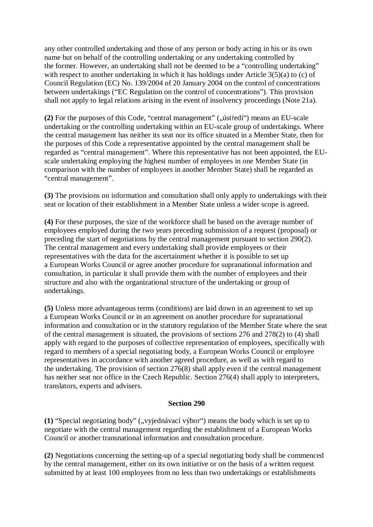any other controlled undertaking and those of any person or body acting in his or its own name but on behalf of the controlling undertaking or any undertaking controlled by the former. However, an undertaking shall not be deemed to be a "controlling undertaking" with respect to another undertaking in which it has holdings under Article 3(5)(a) to (c) of Council Regulation (EC) No. 139/2004 of 20 January 2004 on the control of concentrations between undertakings ("EC Regulation on the control of concentrations"). This provision shall not apply to legal relations arising in the event of insolvency proceedings (Note 21a).

**(2)** For the purposes of this Code, "central management" ("it is nearly means an EU-scale") undertaking or the controlling undertaking within an EU-scale group of undertakings. Where the central management has neither its seat nor its office situated in a Member State, then for the purposes of this Code a representative appointed by the central management shall be regarded as "central management". Where this representative has not been appointed, the EUscale undertaking employing the highest number of employees in one Member State (in comparison with the number of employees in another Member State) shall be regarded as "central management".

**(3)** The provisions on information and consultation shall only apply to undertakings with their seat or location of their establishment in a Member State unless a wider scope is agreed.

**(4)** For these purposes, the size of the workforce shall be based on the average number of employees employed during the two years preceding submission of a request (proposal) or preceding the start of negotiations by the central management pursuant to section 290(2). The central management and every undertaking shall provide employees or their representatives with the data for the ascertainment whether it is possible to set up a European Works Council or agree another procedure for supranational information and consultation, in particular it shall provide them with the number of employees and their structure and also with the organizational structure of the undertaking or group of undertakings.

**(5)** Unless more advantageous terms (conditions) are laid down in an agreement to set up a European Works Council or in an agreement on another procedure for supranational information and consultation or in the statutory regulation of the Member State where the seat of the central management is situated, the provisions of sections 276 and 278(2) to (4) shall apply with regard to the purposes of collective representation of employees, specifically with regard to members of a special negotiating body, a European Works Council or employee representatives in accordance with another agreed procedure, as well as with regard to the undertaking. The provision of section 276(8) shall apply even if the central management has neither seat nor office in the Czech Republic. Section 276(4) shall apply to interpreters, translators, experts and advisers.

### **Section 290**

**(1)** "Special negotiating body" (", vyjednávací výbor") means the body which is set up to negotiate with the central management regarding the establishment of a European Works Council or another transnational information and consultation procedure.

**(2)** Negotiations concerning the setting-up of a special negotiating body shall be commenced by the central management, either on its own initiative or on the basis of a written request submitted by at least 100 employees from no less than two undertakings or establishments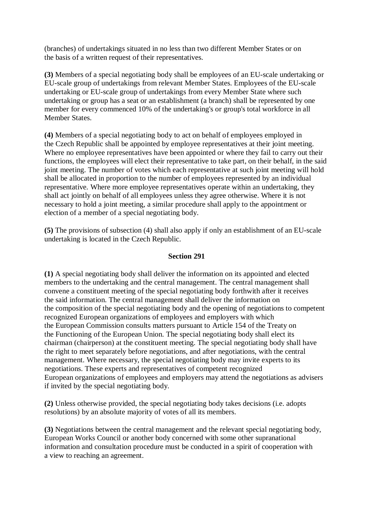(branches) of undertakings situated in no less than two different Member States or on the basis of a written request of their representatives.

**(3)** Members of a special negotiating body shall be employees of an EU-scale undertaking or EU-scale group of undertakings from relevant Member States. Employees of the EU-scale undertaking or EU-scale group of undertakings from every Member State where such undertaking or group has a seat or an establishment (a branch) shall be represented by one member for every commenced 10% of the undertaking's or group's total workforce in all Member States.

**(4)** Members of a special negotiating body to act on behalf of employees employed in the Czech Republic shall be appointed by employee representatives at their joint meeting. Where no employee representatives have been appointed or where they fail to carry out their functions, the employees will elect their representative to take part, on their behalf, in the said joint meeting. The number of votes which each representative at such joint meeting will hold shall be allocated in proportion to the number of employees represented by an individual representative. Where more employee representatives operate within an undertaking, they shall act jointly on behalf of all employees unless they agree otherwise. Where it is not necessary to hold a joint meeting, a similar procedure shall apply to the appointment or election of a member of a special negotiating body.

**(5)** The provisions of subsection (4) shall also apply if only an establishment of an EU-scale undertaking is located in the Czech Republic.

### **Section 291**

**(1)** A special negotiating body shall deliver the information on its appointed and elected members to the undertaking and the central management. The central management shall convene a constituent meeting of the special negotiating body forthwith after it receives the said information. The central management shall deliver the information on the composition of the special negotiating body and the opening of negotiations to competent recognized European organizations of employees and employers with which the European Commission consults matters pursuant to Article 154 of the Treaty on the Functioning of the European Union. The special negotiating body shall elect its chairman (chairperson) at the constituent meeting. The special negotiating body shall have the right to meet separately before negotiations, and after negotiations, with the central management. Where necessary, the special negotiating body may invite experts to its negotiations. These experts and representatives of competent recognized European organizations of employees and employers may attend the negotiations as advisers if invited by the special negotiating body.

**(2)** Unless otherwise provided, the special negotiating body takes decisions (i.e. adopts resolutions) by an absolute majority of votes of all its members.

**(3)** Negotiations between the central management and the relevant special negotiating body, European Works Council or another body concerned with some other supranational information and consultation procedure must be conducted in a spirit of cooperation with a view to reaching an agreement.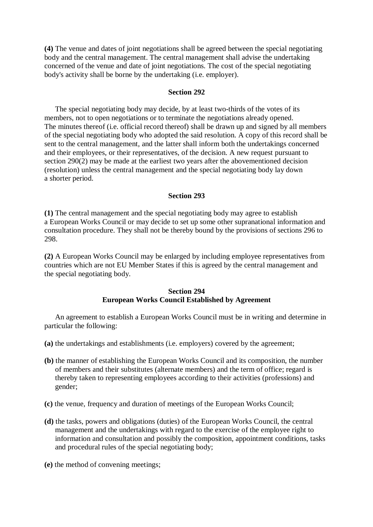**(4)** The venue and dates of joint negotiations shall be agreed between the special negotiating body and the central management. The central management shall advise the undertaking concerned of the venue and date of joint negotiations. The cost of the special negotiating body's activity shall be borne by the undertaking (i.e. employer).

#### **Section 292**

The special negotiating body may decide, by at least two-thirds of the votes of its members, not to open negotiations or to terminate the negotiations already opened. The minutes thereof (i.e. official record thereof) shall be drawn up and signed by all members of the special negotiating body who adopted the said resolution. A copy of this record shall be sent to the central management, and the latter shall inform both the undertakings concerned and their employees, or their representatives, of the decision. A new request pursuant to section 290(2) may be made at the earliest two years after the abovementioned decision (resolution) unless the central management and the special negotiating body lay down a shorter period.

#### **Section 293**

**(1)** The central management and the special negotiating body may agree to establish a European Works Council or may decide to set up some other supranational information and consultation procedure. They shall not be thereby bound by the provisions of sections 296 to 298.

**(2)** A European Works Council may be enlarged by including employee representatives from countries which are not EU Member States if this is agreed by the central management and the special negotiating body.

#### **Section 294 European Works Council Established by Agreement**

An agreement to establish a European Works Council must be in writing and determine in particular the following:

- **(a)** the undertakings and establishments (i.e. employers) covered by the agreement;
- **(b)** the manner of establishing the European Works Council and its composition, the number of members and their substitutes (alternate members) and the term of office; regard is thereby taken to representing employees according to their activities (professions) and gender;
- **(c)** the venue, frequency and duration of meetings of the European Works Council;
- **(d)** the tasks, powers and obligations (duties) of the European Works Council, the central management and the undertakings with regard to the exercise of the employee right to information and consultation and possibly the composition, appointment conditions, tasks and procedural rules of the special negotiating body;
- **(e)** the method of convening meetings;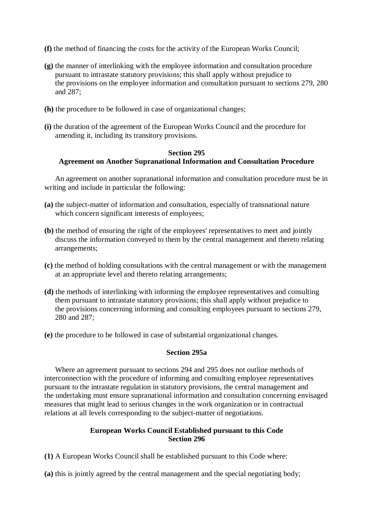- **(f)** the method of financing the costs for the activity of the European Works Council;
- **(g)** the manner of interlinking with the employee information and consultation procedure pursuant to intrastate statutory provisions; this shall apply without prejudice to the provisions on the employee information and consultation pursuant to sections 279, 280 and 287;
- **(h)** the procedure to be followed in case of organizational changes;
- **(i)** the duration of the agreement of the European Works Council and the procedure for amending it, including its transitory provisions.

### **Section 295 Agreement on Another Supranational Information and Consultation Procedure**

An agreement on another supranational information and consultation procedure must be in writing and include in particular the following:

- **(a)** the subject-matter of information and consultation, especially of transnational nature which concern significant interests of employees;
- **(b)** the method of ensuring the right of the employees' representatives to meet and jointly discuss the information conveyed to them by the central management and thereto relating arrangements;
- **(c)** the method of holding consultations with the central management or with the management at an appropriate level and thereto relating arrangements;
- **(d)** the methods of interlinking with informing the employee representatives and consulting them pursuant to intrastate statutory provisions; this shall apply without prejudice to the provisions concerning informing and consulting employees pursuant to sections 279, 280 and 287;
- **(e)** the procedure to be followed in case of substantial organizational changes.

### **Section 295a**

Where an agreement pursuant to sections 294 and 295 does not outline methods of interconnection with the procedure of informing and consulting employee representatives pursuant to the intrastate regulation in statutory provisions, the central management and the undertaking must ensure supranational information and consultation concerning envisaged measures that might lead to serious changes in the work organization or in contractual relations at all levels corresponding to the subject-matter of negotiations.

## **European Works Council Established pursuant to this Code Section 296**

**(1)** A European Works Council shall be established pursuant to this Code where:

**(a)** this is jointly agreed by the central management and the special negotiating body;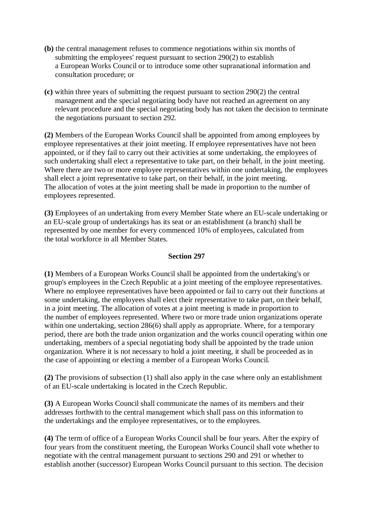- **(b)** the central management refuses to commence negotiations within six months of submitting the employees' request pursuant to section 290(2) to establish a European Works Council or to introduce some other supranational information and consultation procedure; or
- **(c)** within three years of submitting the request pursuant to section 290(2) the central management and the special negotiating body have not reached an agreement on any relevant procedure and the special negotiating body has not taken the decision to terminate the negotiations pursuant to section 292.

**(2)** Members of the European Works Council shall be appointed from among employees by employee representatives at their joint meeting. If employee representatives have not been appointed, or if they fail to carry out their activities at some undertaking, the employees of such undertaking shall elect a representative to take part, on their behalf, in the joint meeting. Where there are two or more employee representatives within one undertaking, the employees shall elect a joint representative to take part, on their behalf, in the joint meeting. The allocation of votes at the joint meeting shall be made in proportion to the number of employees represented.

**(3)** Employees of an undertaking from every Member State where an EU-scale undertaking or an EU-scale group of undertakings has its seat or an establishment (a branch) shall be represented by one member for every commenced 10% of employees, calculated from the total workforce in all Member States.

## **Section 297**

**(1)** Members of a European Works Council shall be appointed from the undertaking's or group's employees in the Czech Republic at a joint meeting of the employee representatives. Where no employee representatives have been appointed or fail to carry out their functions at some undertaking, the employees shall elect their representative to take part, on their behalf, in a joint meeting. The allocation of votes at a joint meeting is made in proportion to the number of employees represented. Where two or more trade union organizations operate within one undertaking, section 286(6) shall apply as appropriate. Where, for a temporary period, there are both the trade union organization and the works council operating within one undertaking, members of a special negotiating body shall be appointed by the trade union organization. Where it is not necessary to hold a joint meeting, it shall be proceeded as in the case of appointing or electing a member of a European Works Council.

**(2)** The provisions of subsection (1) shall also apply in the case where only an establishment of an EU-scale undertaking is located in the Czech Republic.

**(3)** A European Works Council shall communicate the names of its members and their addresses forthwith to the central management which shall pass on this information to the undertakings and the employee representatives, or to the employees.

**(4)** The term of office of a European Works Council shall be four years. After the expiry of four years from the constituent meeting, the European Works Council shall vote whether to negotiate with the central management pursuant to sections 290 and 291 or whether to establish another (successor) European Works Council pursuant to this section. The decision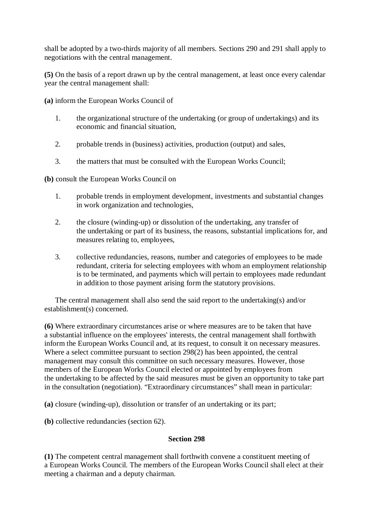shall be adopted by a two-thirds majority of all members. Sections 290 and 291 shall apply to negotiations with the central management.

**(5)** On the basis of a report drawn up by the central management, at least once every calendar year the central management shall:

**(a)** inform the European Works Council of

- 1. the organizational structure of the undertaking (or group of undertakings) and its economic and financial situation,
- 2. probable trends in (business) activities, production (output) and sales,
- 3. the matters that must be consulted with the European Works Council;

**(b)** consult the European Works Council on

- 1. probable trends in employment development, investments and substantial changes in work organization and technologies,
- 2. the closure (winding-up) or dissolution of the undertaking, any transfer of the undertaking or part of its business, the reasons, substantial implications for, and measures relating to, employees,
- 3. collective redundancies, reasons, number and categories of employees to be made redundant, criteria for selecting employees with whom an employment relationship is to be terminated, and payments which will pertain to employees made redundant in addition to those payment arising form the statutory provisions.

The central management shall also send the said report to the undertaking(s) and/or establishment(s) concerned.

**(6)** Where extraordinary circumstances arise or where measures are to be taken that have a substantial influence on the employees' interests, the central management shall forthwith inform the European Works Council and, at its request, to consult it on necessary measures. Where a select committee pursuant to section 298(2) has been appointed, the central management may consult this committee on such necessary measures. However, those members of the European Works Council elected or appointed by employees from the undertaking to be affected by the said measures must be given an opportunity to take part in the consultation (negotiation). "Extraordinary circumstances" shall mean in particular:

**(a)** closure (winding-up), dissolution or transfer of an undertaking or its part;

**(b)** collective redundancies (section 62).

## **Section 298**

**(1)** The competent central management shall forthwith convene a constituent meeting of a European Works Council. The members of the European Works Council shall elect at their meeting a chairman and a deputy chairman.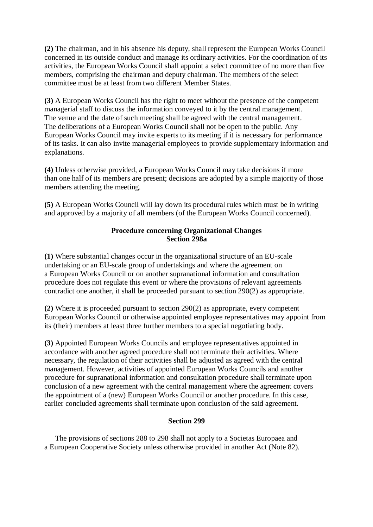**(2)** The chairman, and in his absence his deputy, shall represent the European Works Council concerned in its outside conduct and manage its ordinary activities. For the coordination of its activities, the European Works Council shall appoint a select committee of no more than five members, comprising the chairman and deputy chairman. The members of the select committee must be at least from two different Member States.

**(3)** A European Works Council has the right to meet without the presence of the competent managerial staff to discuss the information conveyed to it by the central management. The venue and the date of such meeting shall be agreed with the central management. The deliberations of a European Works Council shall not be open to the public. Any European Works Council may invite experts to its meeting if it is necessary for performance of its tasks. It can also invite managerial employees to provide supplementary information and explanations.

**(4)** Unless otherwise provided, a European Works Council may take decisions if more than one half of its members are present; decisions are adopted by a simple majority of those members attending the meeting.

**(5)** A European Works Council will lay down its procedural rules which must be in writing and approved by a majority of all members (of the European Works Council concerned).

## **Procedure concerning Organizational Changes Section 298a**

**(1)** Where substantial changes occur in the organizational structure of an EU-scale undertaking or an EU-scale group of undertakings and where the agreement on a European Works Council or on another supranational information and consultation procedure does not regulate this event or where the provisions of relevant agreements contradict one another, it shall be proceeded pursuant to section 290(2) as appropriate.

**(2)** Where it is proceeded pursuant to section 290(2) as appropriate, every competent European Works Council or otherwise appointed employee representatives may appoint from its (their) members at least three further members to a special negotiating body.

**(3)** Appointed European Works Councils and employee representatives appointed in accordance with another agreed procedure shall not terminate their activities. Where necessary, the regulation of their activities shall be adjusted as agreed with the central management. However, activities of appointed European Works Councils and another procedure for supranational information and consultation procedure shall terminate upon conclusion of a new agreement with the central management where the agreement covers the appointment of a (new) European Works Council or another procedure. In this case, earlier concluded agreements shall terminate upon conclusion of the said agreement.

## **Section 299**

The provisions of sections 288 to 298 shall not apply to a Societas Europaea and a European Cooperative Society unless otherwise provided in another Act (Note 82).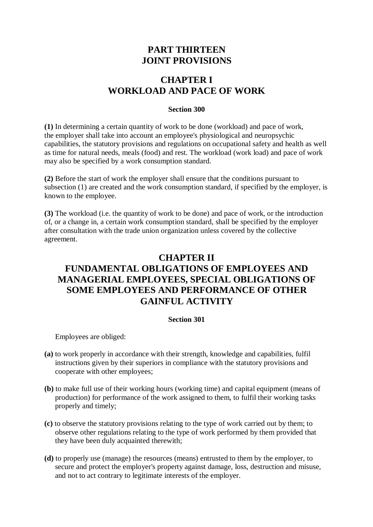# **PART THIRTEEN JOINT PROVISIONS**

# **CHAPTER I WORKLOAD AND PACE OF WORK**

### **Section 300**

**(1)** In determining a certain quantity of work to be done (workload) and pace of work, the employer shall take into account an employee's physiological and neuropsychic capabilities, the statutory provisions and regulations on occupational safety and health as well as time for natural needs, meals (food) and rest. The workload (work load) and pace of work may also be specified by a work consumption standard.

**(2)** Before the start of work the employer shall ensure that the conditions pursuant to subsection (1) are created and the work consumption standard, if specified by the employer, is known to the employee.

**(3)** The workload (i.e. the quantity of work to be done) and pace of work, or the introduction of, or a change in, a certain work consumption standard, shall be specified by the employer after consultation with the trade union organization unless covered by the collective agreement.

# **CHAPTER II FUNDAMENTAL OBLIGATIONS OF EMPLOYEES AND MANAGERIAL EMPLOYEES, SPECIAL OBLIGATIONS OF SOME EMPLOYEES AND PERFORMANCE OF OTHER GAINFUL ACTIVITY**

### **Section 301**

Employees are obliged:

- **(a)** to work properly in accordance with their strength, knowledge and capabilities, fulfil instructions given by their superiors in compliance with the statutory provisions and cooperate with other employees;
- **(b)** to make full use of their working hours (working time) and capital equipment (means of production) for performance of the work assigned to them, to fulfil their working tasks properly and timely;
- **(c)** to observe the statutory provisions relating to the type of work carried out by them; to observe other regulations relating to the type of work performed by them provided that they have been duly acquainted therewith;
- **(d)** to properly use (manage) the resources (means) entrusted to them by the employer, to secure and protect the employer's property against damage, loss, destruction and misuse, and not to act contrary to legitimate interests of the employer.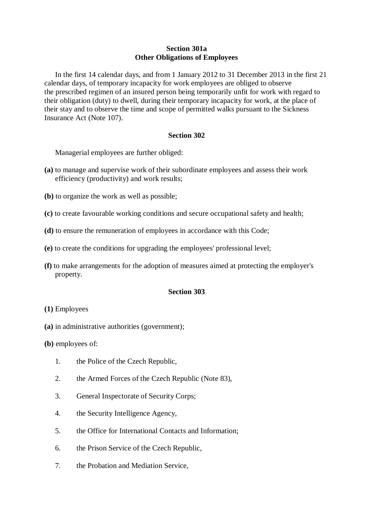### **Section 301a Other Obligations of Employees**

In the first 14 calendar days, and from 1 January 2012 to 31 December 2013 in the first 21 calendar days, of temporary incapacity for work employees are obliged to observe the prescribed regimen of an insured person being temporarily unfit for work with regard to their obligation (duty) to dwell, during their temporary incapacity for work, at the place of their stay and to observe the time and scope of permitted walks pursuant to the Sickness Insurance Act (Note 107).

#### **Section 302**

Managerial employees are further obliged:

- **(a)** to manage and supervise work of their subordinate employees and assess their work efficiency (productivity) and work results;
- **(b)** to organize the work as well as possible;
- **(c)** to create favourable working conditions and secure occupational safety and health;
- **(d)** to ensure the remuneration of employees in accordance with this Code;
- **(e)** to create the conditions for upgrading the employees' professional level;
- **(f)** to make arrangements for the adoption of measures aimed at protecting the employer's property.

#### **Section 303**

- **(1)** Employees
- **(a)** in administrative authorities (government);

**(b)** employees of:

- 1. the Police of the Czech Republic,
- 2. the Armed Forces of the Czech Republic (Note 83),
- 3. General Inspectorate of Security Corps;
- 4. the Security Intelligence Agency,
- 5. the Office for International Contacts and Information;
- 6. the Prison Service of the Czech Republic,
- 7. the Probation and Mediation Service,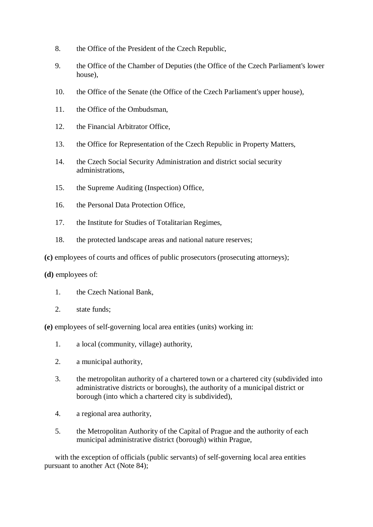- 8. the Office of the President of the Czech Republic,
- 9. the Office of the Chamber of Deputies (the Office of the Czech Parliament's lower house),
- 10. the Office of the Senate (the Office of the Czech Parliament's upper house),
- 11. the Office of the Ombudsman,
- 12. the Financial Arbitrator Office,
- 13. the Office for Representation of the Czech Republic in Property Matters,
- 14. the Czech Social Security Administration and district social security administrations,
- 15. the Supreme Auditing (Inspection) Office,
- 16. the Personal Data Protection Office,
- 17. the Institute for Studies of Totalitarian Regimes,
- 18. the protected landscape areas and national nature reserves;
- **(c)** employees of courts and offices of public prosecutors (prosecuting attorneys);
- **(d)** employees of:
	- 1. the Czech National Bank,
	- 2. state funds;

**(e)** employees of self-governing local area entities (units) working in:

- 1. a local (community, village) authority,
- 2. a municipal authority,
- 3. the metropolitan authority of a chartered town or a chartered city (subdivided into administrative districts or boroughs), the authority of a municipal district or borough (into which a chartered city is subdivided),
- 4. a regional area authority,
- 5. the Metropolitan Authority of the Capital of Prague and the authority of each municipal administrative district (borough) within Prague,

with the exception of officials (public servants) of self-governing local area entities pursuant to another Act (Note 84);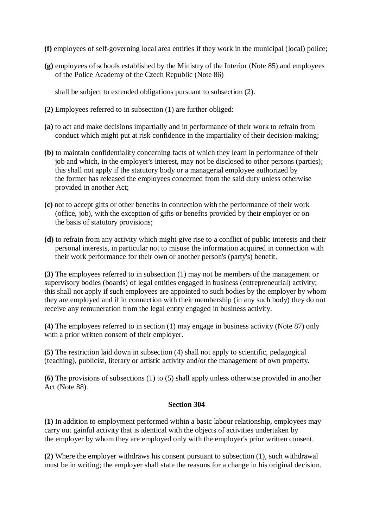- **(f)** employees of self-governing local area entities if they work in the municipal (local) police;
- **(g)** employees of schools established by the Ministry of the Interior (Note 85) and employees of the Police Academy of the Czech Republic (Note 86)

shall be subject to extended obligations pursuant to subsection (2).

- **(2)** Employees referred to in subsection (1) are further obliged:
- **(a)** to act and make decisions impartially and in performance of their work to refrain from conduct which might put at risk confidence in the impartiality of their decision-making;
- **(b)** to maintain confidentiality concerning facts of which they learn in performance of their job and which, in the employer's interest, may not be disclosed to other persons (parties); this shall not apply if the statutory body or a managerial employee authorized by the former has released the employees concerned from the said duty unless otherwise provided in another Act;
- **(c)** not to accept gifts or other benefits in connection with the performance of their work (office, job), with the exception of gifts or benefits provided by their employer or on the basis of statutory provisions;
- **(d)** to refrain from any activity which might give rise to a conflict of public interests and their personal interests, in particular not to misuse the information acquired in connection with their work performance for their own or another person's (party's) benefit.

**(3)** The employees referred to in subsection (1) may not be members of the management or supervisory bodies (boards) of legal entities engaged in business (entrepreneurial) activity; this shall not apply if such employees are appointed to such bodies by the employer by whom they are employed and if in connection with their membership (in any such body) they do not receive any remuneration from the legal entity engaged in business activity.

**(4)** The employees referred to in section (1) may engage in business activity (Note 87) only with a prior written consent of their employer.

**(5)** The restriction laid down in subsection (4) shall not apply to scientific, pedagogical (teaching), publicist, literary or artistic activity and/or the management of own property.

**(6)** The provisions of subsections (1) to (5) shall apply unless otherwise provided in another Act (Note 88).

### **Section 304**

**(1)** In addition to employment performed within a basic labour relationship, employees may carry out gainful activity that is identical with the objects of activities undertaken by the employer by whom they are employed only with the employer's prior written consent.

**(2)** Where the employer withdraws his consent pursuant to subsection (1), such withdrawal must be in writing; the employer shall state the reasons for a change in his original decision.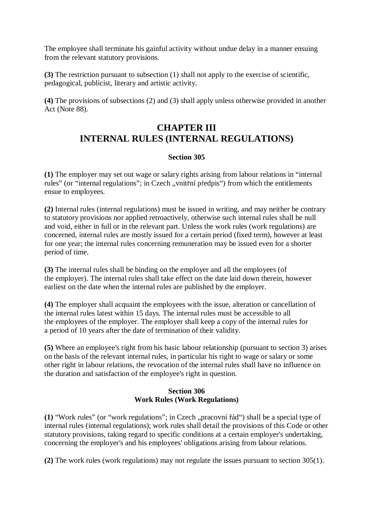The employee shall terminate his gainful activity without undue delay in a manner ensuing from the relevant statutory provisions.

**(3)** The restriction pursuant to subsection (1) shall not apply to the exercise of scientific, pedagogical, publicist, literary and artistic activity.

**(4)** The provisions of subsections (2) and (3) shall apply unless otherwise provided in another Act (Note 88).

# **CHAPTER III INTERNAL RULES (INTERNAL REGULATIONS)**

## **Section 305**

**(1)** The employer may set out wage or salary rights arising from labour relations in "internal rules" (or "internal regulations"; in Czech "vnitřní předpis") from which the entitlements ensue to employees.

**(2)** Internal rules (internal regulations) must be issued in writing, and may neither be contrary to statutory provisions nor applied retroactively, otherwise such internal rules shall be null and void, either in full or in the relevant part. Unless the work rules (work regulations) are concerned, internal rules are mostly issued for a certain period (fixed term), however at least for one year; the internal rules concerning remuneration may be issued even for a shorter period of time.

**(3)** The internal rules shall be binding on the employer and all the employees (of the employer). The internal rules shall take effect on the date laid down therein, however earliest on the date when the internal rules are published by the employer.

**(4)** The employer shall acquaint the employees with the issue, alteration or cancellation of the internal rules latest within 15 days. The internal rules must be accessible to all the employees of the employer. The employer shall keep a copy of the internal rules for a period of 10 years after the date of termination of their validity.

**(5)** Where an employee's right from his basic labour relationship (pursuant to section 3) arises on the basis of the relevant internal rules, in particular his right to wage or salary or some other right in labour relations, the revocation of the internal rules shall have no influence on the duration and satisfaction of the employee's right in question.

## **Section 306 Work Rules (Work Regulations)**

(1) "Work rules" (or "work regulations"; in Czech "pracovní řád") shall be a special type of internal rules (internal regulations); work rules shall detail the provisions of this Code or other statutory provisions, taking regard to specific conditions at a certain employer's undertaking, concerning the employer's and his employees' obligations arising from labour relations.

**(2)** The work rules (work regulations) may not regulate the issues pursuant to section 305(1).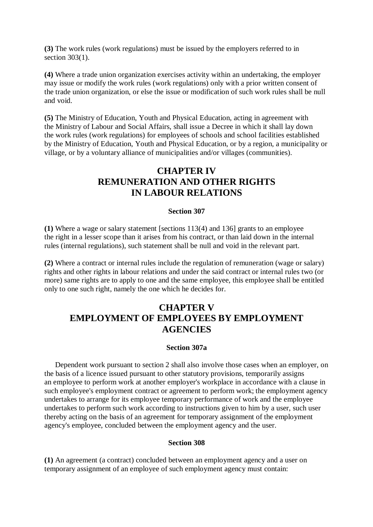**(3)** The work rules (work regulations) must be issued by the employers referred to in section 303(1).

**(4)** Where a trade union organization exercises activity within an undertaking, the employer may issue or modify the work rules (work regulations) only with a prior written consent of the trade union organization, or else the issue or modification of such work rules shall be null and void.

**(5)** The Ministry of Education, Youth and Physical Education, acting in agreement with the Ministry of Labour and Social Affairs, shall issue a Decree in which it shall lay down the work rules (work regulations) for employees of schools and school facilities established by the Ministry of Education, Youth and Physical Education, or by a region, a municipality or village, or by a voluntary alliance of municipalities and/or villages (communities).

# **CHAPTER IV REMUNERATION AND OTHER RIGHTS IN LABOUR RELATIONS**

#### **Section 307**

**(1)** Where a wage or salary statement [sections 113(4) and 136] grants to an employee the right in a lesser scope than it arises from his contract, or than laid down in the internal rules (internal regulations), such statement shall be null and void in the relevant part.

**(2)** Where a contract or internal rules include the regulation of remuneration (wage or salary) rights and other rights in labour relations and under the said contract or internal rules two (or more) same rights are to apply to one and the same employee, this employee shall be entitled only to one such right, namely the one which he decides for.

# **CHAPTER V EMPLOYMENT OF EMPLOYEES BY EMPLOYMENT AGENCIES**

#### **Section 307a**

Dependent work pursuant to section 2 shall also involve those cases when an employer, on the basis of a licence issued pursuant to other statutory provisions, temporarily assigns an employee to perform work at another employer's workplace in accordance with a clause in such employee's employment contract or agreement to perform work; the employment agency undertakes to arrange for its employee temporary performance of work and the employee undertakes to perform such work according to instructions given to him by a user, such user thereby acting on the basis of an agreement for temporary assignment of the employment agency's employee, concluded between the employment agency and the user.

### **Section 308**

**(1)** An agreement (a contract) concluded between an employment agency and a user on temporary assignment of an employee of such employment agency must contain: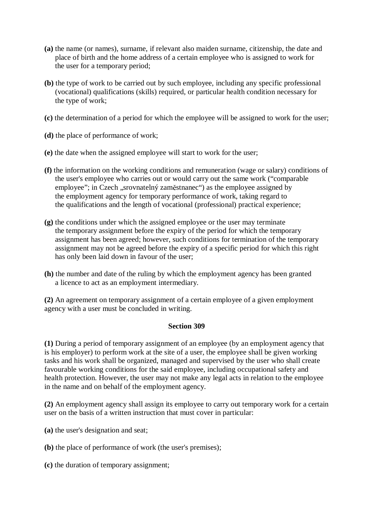- **(a)** the name (or names), surname, if relevant also maiden surname, citizenship, the date and place of birth and the home address of a certain employee who is assigned to work for the user for a temporary period;
- **(b)** the type of work to be carried out by such employee, including any specific professional (vocational) qualifications (skills) required, or particular health condition necessary for the type of work;
- **(c)** the determination of a period for which the employee will be assigned to work for the user;
- **(d)** the place of performance of work;
- **(e)** the date when the assigned employee will start to work for the user;
- **(f)** the information on the working conditions and remuneration (wage or salary) conditions of the user's employee who carries out or would carry out the same work ("comparable employee"; in Czech "srovnatelný zaměstnanec") as the employee assigned by the employment agency for temporary performance of work, taking regard to the qualifications and the length of vocational (professional) practical experience;
- **(g)** the conditions under which the assigned employee or the user may terminate the temporary assignment before the expiry of the period for which the temporary assignment has been agreed; however, such conditions for termination of the temporary assignment may not be agreed before the expiry of a specific period for which this right has only been laid down in favour of the user;
- **(h)** the number and date of the ruling by which the employment agency has been granted a licence to act as an employment intermediary.

**(2)** An agreement on temporary assignment of a certain employee of a given employment agency with a user must be concluded in writing.

### **Section 309**

**(1)** During a period of temporary assignment of an employee (by an employment agency that is his employer) to perform work at the site of a user, the employee shall be given working tasks and his work shall be organized, managed and supervised by the user who shall create favourable working conditions for the said employee, including occupational safety and health protection. However, the user may not make any legal acts in relation to the employee in the name and on behalf of the employment agency.

**(2)** An employment agency shall assign its employee to carry out temporary work for a certain user on the basis of a written instruction that must cover in particular:

- **(a)** the user's designation and seat;
- **(b)** the place of performance of work (the user's premises);
- **(c)** the duration of temporary assignment;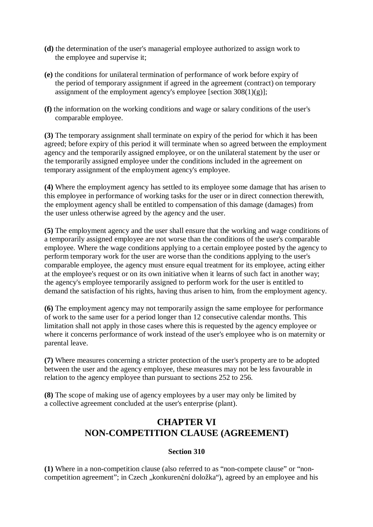- **(d)** the determination of the user's managerial employee authorized to assign work to the employee and supervise it;
- **(e)** the conditions for unilateral termination of performance of work before expiry of the period of temporary assignment if agreed in the agreement (contract) on temporary assignment of the employment agency's employee [section  $308(1)(g)$ ];
- **(f)** the information on the working conditions and wage or salary conditions of the user's comparable employee.

**(3)** The temporary assignment shall terminate on expiry of the period for which it has been agreed; before expiry of this period it will terminate when so agreed between the employment agency and the temporarily assigned employee, or on the unilateral statement by the user or the temporarily assigned employee under the conditions included in the agreement on temporary assignment of the employment agency's employee.

**(4)** Where the employment agency has settled to its employee some damage that has arisen to this employee in performance of working tasks for the user or in direct connection therewith, the employment agency shall be entitled to compensation of this damage (damages) from the user unless otherwise agreed by the agency and the user.

**(5)** The employment agency and the user shall ensure that the working and wage conditions of a temporarily assigned employee are not worse than the conditions of the user's comparable employee. Where the wage conditions applying to a certain employee posted by the agency to perform temporary work for the user are worse than the conditions applying to the user's comparable employee, the agency must ensure equal treatment for its employee, acting either at the employee's request or on its own initiative when it learns of such fact in another way; the agency's employee temporarily assigned to perform work for the user is entitled to demand the satisfaction of his rights, having thus arisen to him, from the employment agency.

**(6)** The employment agency may not temporarily assign the same employee for performance of work to the same user for a period longer than 12 consecutive calendar months. This limitation shall not apply in those cases where this is requested by the agency employee or where it concerns performance of work instead of the user's employee who is on maternity or parental leave.

**(7)** Where measures concerning a stricter protection of the user's property are to be adopted between the user and the agency employee, these measures may not be less favourable in relation to the agency employee than pursuant to sections 252 to 256.

**(8)** The scope of making use of agency employees by a user may only be limited by a collective agreement concluded at the user's enterprise (plant).

# **CHAPTER VI NON-COMPETITION CLAUSE (AGREEMENT)**

## **Section 310**

**(1)** Where in a non-competition clause (also referred to as "non-compete clause" or "noncompetition agreement"; in Czech "konkurenční doložka"), agreed by an employee and his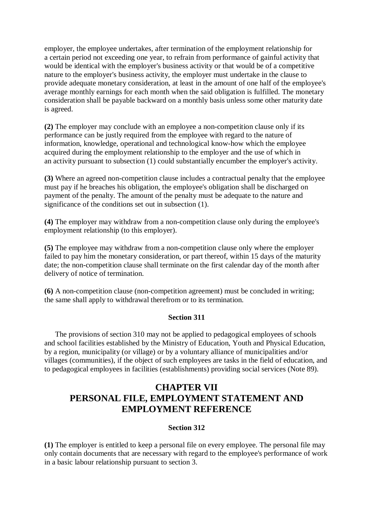employer, the employee undertakes, after termination of the employment relationship for a certain period not exceeding one year, to refrain from performance of gainful activity that would be identical with the employer's business activity or that would be of a competitive nature to the employer's business activity, the employer must undertake in the clause to provide adequate monetary consideration, at least in the amount of one half of the employee's average monthly earnings for each month when the said obligation is fulfilled. The monetary consideration shall be payable backward on a monthly basis unless some other maturity date is agreed.

**(2)** The employer may conclude with an employee a non-competition clause only if its performance can be justly required from the employee with regard to the nature of information, knowledge, operational and technological know-how which the employee acquired during the employment relationship to the employer and the use of which in an activity pursuant to subsection (1) could substantially encumber the employer's activity.

**(3)** Where an agreed non-competition clause includes a contractual penalty that the employee must pay if he breaches his obligation, the employee's obligation shall be discharged on payment of the penalty. The amount of the penalty must be adequate to the nature and significance of the conditions set out in subsection (1).

**(4)** The employer may withdraw from a non-competition clause only during the employee's employment relationship (to this employer).

**(5)** The employee may withdraw from a non-competition clause only where the employer failed to pay him the monetary consideration, or part thereof, within 15 days of the maturity date; the non-competition clause shall terminate on the first calendar day of the month after delivery of notice of termination.

**(6)** A non-competition clause (non-competition agreement) must be concluded in writing; the same shall apply to withdrawal therefrom or to its termination.

### **Section 311**

The provisions of section 310 may not be applied to pedagogical employees of schools and school facilities established by the Ministry of Education, Youth and Physical Education, by a region, municipality (or village) or by a voluntary alliance of municipalities and/or villages (communities), if the object of such employees are tasks in the field of education, and to pedagogical employees in facilities (establishments) providing social services (Note 89).

# **CHAPTER VII PERSONAL FILE, EMPLOYMENT STATEMENT AND EMPLOYMENT REFERENCE**

### **Section 312**

**(1)** The employer is entitled to keep a personal file on every employee. The personal file may only contain documents that are necessary with regard to the employee's performance of work in a basic labour relationship pursuant to section 3.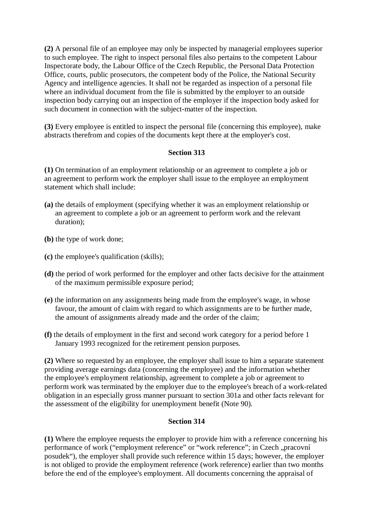**(2)** A personal file of an employee may only be inspected by managerial employees superior to such employee. The right to inspect personal files also pertains to the competent Labour Inspectorate body, the Labour Office of the Czech Republic, the Personal Data Protection Office, courts, public prosecutors, the competent body of the Police, the National Security Agency and intelligence agencies. It shall not be regarded as inspection of a personal file where an individual document from the file is submitted by the employer to an outside inspection body carrying out an inspection of the employer if the inspection body asked for such document in connection with the subject-matter of the inspection.

**(3)** Every employee is entitled to inspect the personal file (concerning this employee), make abstracts therefrom and copies of the documents kept there at the employer's cost.

## **Section 313**

**(1)** On termination of an employment relationship or an agreement to complete a job or an agreement to perform work the employer shall issue to the employee an employment statement which shall include:

- **(a)** the details of employment (specifying whether it was an employment relationship or an agreement to complete a job or an agreement to perform work and the relevant duration);
- **(b)** the type of work done;
- **(c)** the employee's qualification (skills);
- **(d)** the period of work performed for the employer and other facts decisive for the attainment of the maximum permissible exposure period;
- **(e)** the information on any assignments being made from the employee's wage, in whose favour, the amount of claim with regard to which assignments are to be further made, the amount of assignments already made and the order of the claim;
- **(f)** the details of employment in the first and second work category for a period before 1 January 1993 recognized for the retirement pension purposes.

**(2)** Where so requested by an employee, the employer shall issue to him a separate statement providing average earnings data (concerning the employee) and the information whether the employee's employment relationship, agreement to complete a job or agreement to perform work was terminated by the employer due to the employee's breach of a work-related obligation in an especially gross manner pursuant to section 301a and other facts relevant for the assessment of the eligibility for unemployment benefit (Note 90).

### **Section 314**

**(1)** Where the employee requests the employer to provide him with a reference concerning his performance of work ("employment reference" or "work reference"; in Czech "pracovní posudek"), the employer shall provide such reference within 15 days; however, the employer is not obliged to provide the employment reference (work reference) earlier than two months before the end of the employee's employment. All documents concerning the appraisal of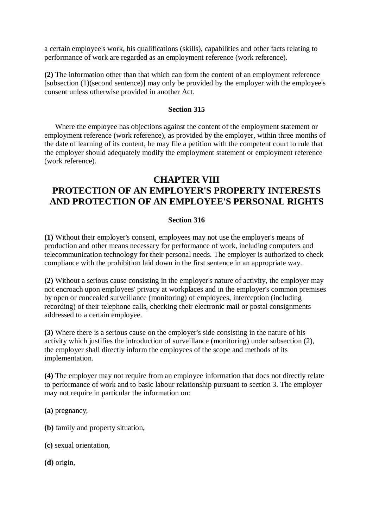a certain employee's work, his qualifications (skills), capabilities and other facts relating to performance of work are regarded as an employment reference (work reference).

**(2)** The information other than that which can form the content of an employment reference [subsection (1)(second sentence)] may only be provided by the employer with the employee's consent unless otherwise provided in another Act.

#### **Section 315**

Where the employee has objections against the content of the employment statement or employment reference (work reference), as provided by the employer, within three months of the date of learning of its content, he may file a petition with the competent court to rule that the employer should adequately modify the employment statement or employment reference (work reference).

# **CHAPTER VIII**

# **PROTECTION OF AN EMPLOYER'S PROPERTY INTERESTS AND PROTECTION OF AN EMPLOYEE'S PERSONAL RIGHTS**

### **Section 316**

**(1)** Without their employer's consent, employees may not use the employer's means of production and other means necessary for performance of work, including computers and telecommunication technology for their personal needs. The employer is authorized to check compliance with the prohibition laid down in the first sentence in an appropriate way.

**(2)** Without a serious cause consisting in the employer's nature of activity, the employer may not encroach upon employees' privacy at workplaces and in the employer's common premises by open or concealed surveillance (monitoring) of employees, interception (including recording) of their telephone calls, checking their electronic mail or postal consignments addressed to a certain employee.

**(3)** Where there is a serious cause on the employer's side consisting in the nature of his activity which justifies the introduction of surveillance (monitoring) under subsection (2), the employer shall directly inform the employees of the scope and methods of its implementation.

**(4)** The employer may not require from an employee information that does not directly relate to performance of work and to basic labour relationship pursuant to section 3. The employer may not require in particular the information on:

**(a)** pregnancy,

- **(b)** family and property situation,
- **(c)** sexual orientation,

**(d)** origin,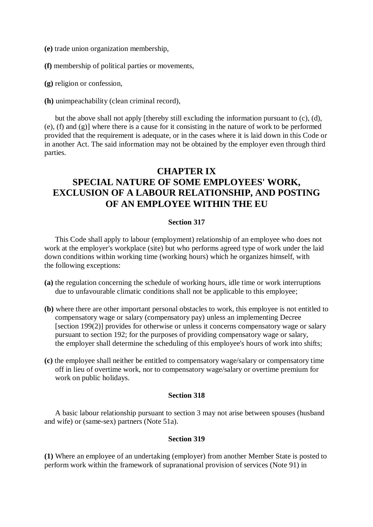**(e)** trade union organization membership,

**(f)** membership of political parties or movements,

**(g)** religion or confession,

**(h)** unimpeachability (clean criminal record),

but the above shall not apply [thereby still excluding the information pursuant to (c), (d), (e), (f) and (g)] where there is a cause for it consisting in the nature of work to be performed provided that the requirement is adequate, or in the cases where it is laid down in this Code or in another Act. The said information may not be obtained by the employer even through third parties.

# **CHAPTER IX SPECIAL NATURE OF SOME EMPLOYEES' WORK, EXCLUSION OF A LABOUR RELATIONSHIP, AND POSTING OF AN EMPLOYEE WITHIN THE EU**

#### **Section 317**

This Code shall apply to labour (employment) relationship of an employee who does not work at the employer's workplace (site) but who performs agreed type of work under the laid down conditions within working time (working hours) which he organizes himself, with the following exceptions:

- **(a)** the regulation concerning the schedule of working hours, idle time or work interruptions due to unfavourable climatic conditions shall not be applicable to this employee;
- **(b)** where there are other important personal obstacles to work, this employee is not entitled to compensatory wage or salary (compensatory pay) unless an implementing Decree [section 199(2)] provides for otherwise or unless it concerns compensatory wage or salary pursuant to section 192; for the purposes of providing compensatory wage or salary, the employer shall determine the scheduling of this employee's hours of work into shifts;
- **(c)** the employee shall neither be entitled to compensatory wage/salary or compensatory time off in lieu of overtime work, nor to compensatory wage/salary or overtime premium for work on public holidays.

### **Section 318**

A basic labour relationship pursuant to section 3 may not arise between spouses (husband and wife) or (same-sex) partners (Note 51a).

## **Section 319**

**(1)** Where an employee of an undertaking (employer) from another Member State is posted to perform work within the framework of supranational provision of services (Note 91) in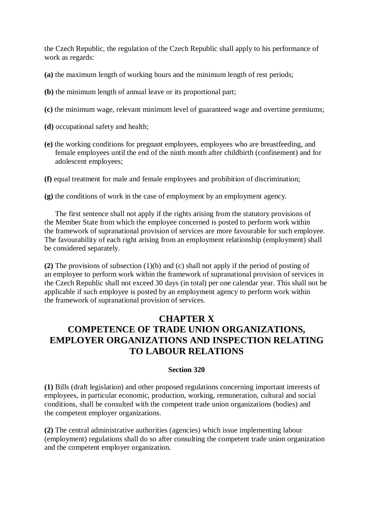the Czech Republic, the regulation of the Czech Republic shall apply to his performance of work as regards:

- **(a)** the maximum length of working hours and the minimum length of rest periods;
- **(b)** the minimum length of annual leave or its proportional part;
- **(c)** the minimum wage, relevant minimum level of guaranteed wage and overtime premiums;
- **(d)** occupational safety and health;
- **(e)** the working conditions for pregnant employees, employees who are breastfeeding, and female employees until the end of the ninth month after childbirth (confinement) and for adolescent employees;
- **(f)** equal treatment for male and female employees and prohibition of discrimination;

**(g)** the conditions of work in the case of employment by an employment agency.

The first sentence shall not apply if the rights arising from the statutory provisions of the Member State from which the employee concerned is posted to perform work within the framework of supranational provision of services are more favourable for such employee. The favourability of each right arising from an employment relationship (employment) shall be considered separately.

**(2)** The provisions of subsection (1)(b) and (c) shall not apply if the period of posting of an employee to perform work within the framework of supranational provision of services in the Czech Republic shall not exceed 30 days (in total) per one calendar year. This shall not be applicable if such employee is posted by an employment agency to perform work within the framework of supranational provision of services.

# **CHAPTER X COMPETENCE OF TRADE UNION ORGANIZATIONS, EMPLOYER ORGANIZATIONS AND INSPECTION RELATING TO LABOUR RELATIONS**

### **Section 320**

**(1)** Bills (draft legislation) and other proposed regulations concerning important interests of employees, in particular economic, production, working, remuneration, cultural and social conditions, shall be consulted with the competent trade union organizations (bodies) and the competent employer organizations.

**(2)** The central administrative authorities (agencies) which issue implementing labour (employment) regulations shall do so after consulting the competent trade union organization and the competent employer organization.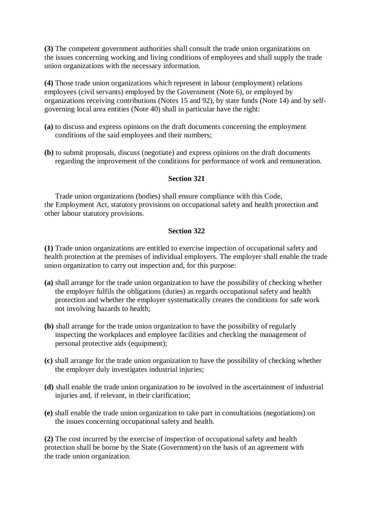**(3)** The competent government authorities shall consult the trade union organizations on the issues concerning working and living conditions of employees and shall supply the trade union organizations with the necessary information.

**(4)** Those trade union organizations which represent in labour (employment) relations employees (civil servants) employed by the Government (Note 6), or employed by organizations receiving contributions (Notes 15 and 92), by state funds (Note 14) and by selfgoverning local area entities (Note 40) shall in particular have the right:

- **(a)** to discuss and express opinions on the draft documents concerning the employment conditions of the said employees and their numbers;
- **(b)** to submit proposals, discuss (negotiate) and express opinions on the draft documents regarding the improvement of the conditions for performance of work and remuneration.

### **Section 321**

Trade union organizations (bodies) shall ensure compliance with this Code, the Employment Act, statutory provisions on occupational safety and health protection and other labour statutory provisions.

## **Section 322**

**(1)** Trade union organizations are entitled to exercise inspection of occupational safety and health protection at the premises of individual employers. The employer shall enable the trade union organization to carry out inspection and, for this purpose:

- **(a)** shall arrange for the trade union organization to have the possibility of checking whether the employer fulfils the obligations (duties) as regards occupational safety and health protection and whether the employer systematically creates the conditions for safe work not involving hazards to health;
- **(b)** shall arrange for the trade union organization to have the possibility of regularly inspecting the workplaces and employee facilities and checking the management of personal protective aids (equipment);
- **(c)** shall arrange for the trade union organization to have the possibility of checking whether the employer duly investigates industrial injuries;
- **(d)** shall enable the trade union organization to be involved in the ascertainment of industrial injuries and, if relevant, in their clarification;
- **(e)** shall enable the trade union organization to take part in consultations (negotiations) on the issues concerning occupational safety and health.

**(2)** The cost incurred by the exercise of inspection of occupational safety and health protection shall be borne by the State (Government) on the basis of an agreement with the trade union organization.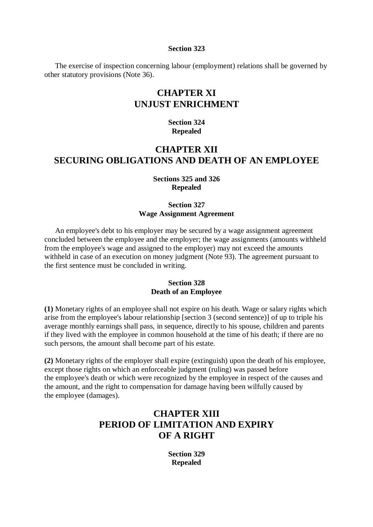#### **Section 323**

The exercise of inspection concerning labour (employment) relations shall be governed by other statutory provisions (Note 36).

# **CHAPTER XI UNJUST ENRICHMENT**

### **Section 324 Repealed**

# **CHAPTER XII SECURING OBLIGATIONS AND DEATH OF AN EMPLOYEE**

### **Sections 325 and 326 Repealed**

### **Section 327 Wage Assignment Agreement**

An employee's debt to his employer may be secured by a wage assignment agreement concluded between the employee and the employer; the wage assignments (amounts withheld from the employee's wage and assigned to the employer) may not exceed the amounts withheld in case of an execution on money judgment (Note 93). The agreement pursuant to the first sentence must be concluded in writing.

### **Section 328 Death of an Employee**

**(1)** Monetary rights of an employee shall not expire on his death. Wage or salary rights which arise from the employee's labour relationship [section 3 (second sentence)] of up to triple his average monthly earnings shall pass, in sequence, directly to his spouse, children and parents if they lived with the employee in common household at the time of his death; if there are no such persons, the amount shall become part of his estate.

**(2)** Monetary rights of the employer shall expire (extinguish) upon the death of his employee, except those rights on which an enforceable judgment (ruling) was passed before the employee's death or which were recognized by the employee in respect of the causes and the amount, and the right to compensation for damage having been wilfully caused by the employee (damages).

# **CHAPTER XIII PERIOD OF LIMITATION AND EXPIRY OF A RIGHT**

**Section 329 Repealed**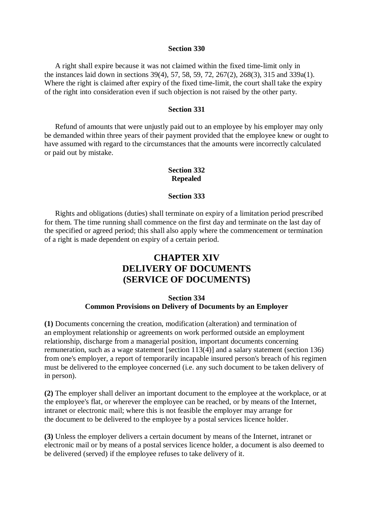#### **Section 330**

A right shall expire because it was not claimed within the fixed time-limit only in the instances laid down in sections 39(4), 57, 58, 59, 72, 267(2), 268(3), 315 and 339a(1). Where the right is claimed after expiry of the fixed time-limit, the court shall take the expiry of the right into consideration even if such objection is not raised by the other party.

#### **Section 331**

Refund of amounts that were unjustly paid out to an employee by his employer may only be demanded within three years of their payment provided that the employee knew or ought to have assumed with regard to the circumstances that the amounts were incorrectly calculated or paid out by mistake.

### **Section 332 Repealed**

#### **Section 333**

Rights and obligations (duties) shall terminate on expiry of a limitation period prescribed for them. The time running shall commence on the first day and terminate on the last day of the specified or agreed period; this shall also apply where the commencement or termination of a right is made dependent on expiry of a certain period.

# **CHAPTER XIV DELIVERY OF DOCUMENTS (SERVICE OF DOCUMENTS)**

## **Section 334 Common Provisions on Delivery of Documents by an Employer**

**(1)** Documents concerning the creation, modification (alteration) and termination of an employment relationship or agreements on work performed outside an employment relationship, discharge from a managerial position, important documents concerning remuneration, such as a wage statement [section 113(4)] and a salary statement (section 136) from one's employer, a report of temporarily incapable insured person's breach of his regimen must be delivered to the employee concerned (i.e. any such document to be taken delivery of in person).

**(2)** The employer shall deliver an important document to the employee at the workplace, or at the employee's flat, or wherever the employee can be reached, or by means of the Internet, intranet or electronic mail; where this is not feasible the employer may arrange for the document to be delivered to the employee by a postal services licence holder.

**(3)** Unless the employer delivers a certain document by means of the Internet, intranet or electronic mail or by means of a postal services licence holder, a document is also deemed to be delivered (served) if the employee refuses to take delivery of it.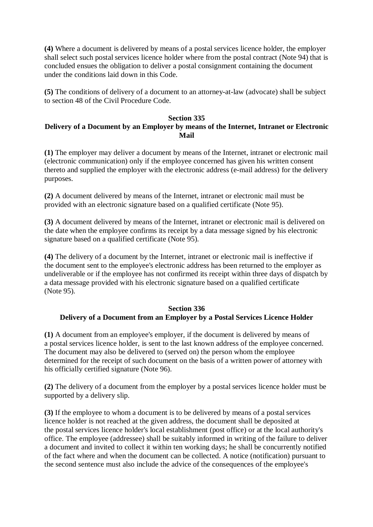**(4)** Where a document is delivered by means of a postal services licence holder, the employer shall select such postal services licence holder where from the postal contract (Note 94) that is concluded ensues the obligation to deliver a postal consignment containing the document under the conditions laid down in this Code.

**(5)** The conditions of delivery of a document to an attorney-at-law (advocate) shall be subject to section 48 of the Civil Procedure Code.

#### **Section 335 Delivery of a Document by an Employer by means of the Internet, Intranet or Electronic Mail**

**(1)** The employer may deliver a document by means of the Internet, intranet or electronic mail (electronic communication) only if the employee concerned has given his written consent thereto and supplied the employer with the electronic address (e-mail address) for the delivery purposes.

**(2)** A document delivered by means of the Internet, intranet or electronic mail must be provided with an electronic signature based on a qualified certificate (Note 95).

**(3)** A document delivered by means of the Internet, intranet or electronic mail is delivered on the date when the employee confirms its receipt by a data message signed by his electronic signature based on a qualified certificate (Note 95).

**(4)** The delivery of a document by the Internet, intranet or electronic mail is ineffective if the document sent to the employee's electronic address has been returned to the employer as undeliverable or if the employee has not confirmed its receipt within three days of dispatch by a data message provided with his electronic signature based on a qualified certificate (Note 95).

## **Section 336 Delivery of a Document from an Employer by a Postal Services Licence Holder**

**(1)** A document from an employee's employer, if the document is delivered by means of a postal services licence holder, is sent to the last known address of the employee concerned. The document may also be delivered to (served on) the person whom the employee determined for the receipt of such document on the basis of a written power of attorney with his officially certified signature (Note 96).

**(2)** The delivery of a document from the employer by a postal services licence holder must be supported by a delivery slip.

**(3)** If the employee to whom a document is to be delivered by means of a postal services licence holder is not reached at the given address, the document shall be deposited at the postal services licence holder's local establishment (post office) or at the local authority's office. The employee (addressee) shall be suitably informed in writing of the failure to deliver a document and invited to collect it within ten working days; he shall be concurrently notified of the fact where and when the document can be collected. A notice (notification) pursuant to the second sentence must also include the advice of the consequences of the employee's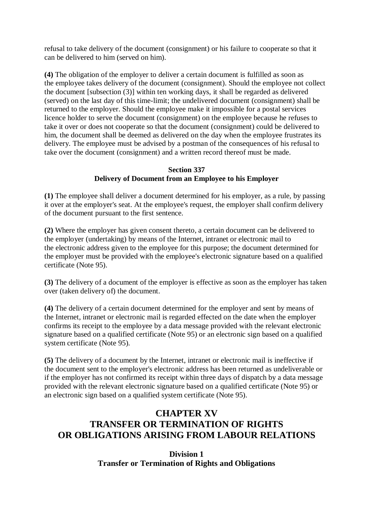refusal to take delivery of the document (consignment) or his failure to cooperate so that it can be delivered to him (served on him).

**(4)** The obligation of the employer to deliver a certain document is fulfilled as soon as the employee takes delivery of the document (consignment). Should the employee not collect the document [subsection (3)] within ten working days, it shall be regarded as delivered (served) on the last day of this time-limit; the undelivered document (consignment) shall be returned to the employer. Should the employee make it impossible for a postal services licence holder to serve the document (consignment) on the employee because he refuses to take it over or does not cooperate so that the document (consignment) could be delivered to him, the document shall be deemed as delivered on the day when the employee frustrates its delivery. The employee must be advised by a postman of the consequences of his refusal to take over the document (consignment) and a written record thereof must be made.

# **Section 337 Delivery of Document from an Employee to his Employer**

**(1)** The employee shall deliver a document determined for his employer, as a rule, by passing it over at the employer's seat. At the employee's request, the employer shall confirm delivery of the document pursuant to the first sentence.

**(2)** Where the employer has given consent thereto, a certain document can be delivered to the employer (undertaking) by means of the Internet, intranet or electronic mail to the electronic address given to the employee for this purpose; the document determined for the employer must be provided with the employee's electronic signature based on a qualified certificate (Note 95).

**(3)** The delivery of a document of the employer is effective as soon as the employer has taken over (taken delivery of) the document.

**(4)** The delivery of a certain document determined for the employer and sent by means of the Internet, intranet or electronic mail is regarded effected on the date when the employer confirms its receipt to the employee by a data message provided with the relevant electronic signature based on a qualified certificate (Note 95) or an electronic sign based on a qualified system certificate (Note 95).

**(5)** The delivery of a document by the Internet, intranet or electronic mail is ineffective if the document sent to the employer's electronic address has been returned as undeliverable or if the employer has not confirmed its receipt within three days of dispatch by a data message provided with the relevant electronic signature based on a qualified certificate (Note 95) or an electronic sign based on a qualified system certificate (Note 95).

# **CHAPTER XV TRANSFER OR TERMINATION OF RIGHTS OR OBLIGATIONS ARISING FROM LABOUR RELATIONS**

# **Division 1 Transfer or Termination of Rights and Obligations**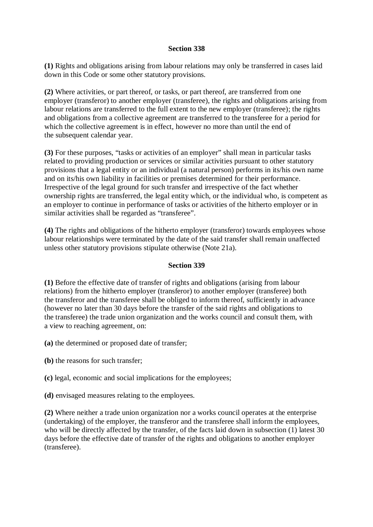## **Section 338**

**(1)** Rights and obligations arising from labour relations may only be transferred in cases laid down in this Code or some other statutory provisions.

**(2)** Where activities, or part thereof, or tasks, or part thereof, are transferred from one employer (transferor) to another employer (transferee), the rights and obligations arising from labour relations are transferred to the full extent to the new employer (transferee); the rights and obligations from a collective agreement are transferred to the transferee for a period for which the collective agreement is in effect, however no more than until the end of the subsequent calendar year.

**(3)** For these purposes, "tasks or activities of an employer" shall mean in particular tasks related to providing production or services or similar activities pursuant to other statutory provisions that a legal entity or an individual (a natural person) performs in its/his own name and on its/his own liability in facilities or premises determined for their performance. Irrespective of the legal ground for such transfer and irrespective of the fact whether ownership rights are transferred, the legal entity which, or the individual who, is competent as an employer to continue in performance of tasks or activities of the hitherto employer or in similar activities shall be regarded as "transferee".

**(4)** The rights and obligations of the hitherto employer (transferor) towards employees whose labour relationships were terminated by the date of the said transfer shall remain unaffected unless other statutory provisions stipulate otherwise (Note 21a).

### **Section 339**

**(1)** Before the effective date of transfer of rights and obligations (arising from labour relations) from the hitherto employer (transferor) to another employer (transferee) both the transferor and the transferee shall be obliged to inform thereof, sufficiently in advance (however no later than 30 days before the transfer of the said rights and obligations to the transferee) the trade union organization and the works council and consult them, with a view to reaching agreement, on:

- **(a)** the determined or proposed date of transfer;
- **(b)** the reasons for such transfer;
- **(c)** legal, economic and social implications for the employees;
- **(d)** envisaged measures relating to the employees.

**(2)** Where neither a trade union organization nor a works council operates at the enterprise (undertaking) of the employer, the transferor and the transferee shall inform the employees, who will be directly affected by the transfer, of the facts laid down in subsection (1) latest 30 days before the effective date of transfer of the rights and obligations to another employer (transferee).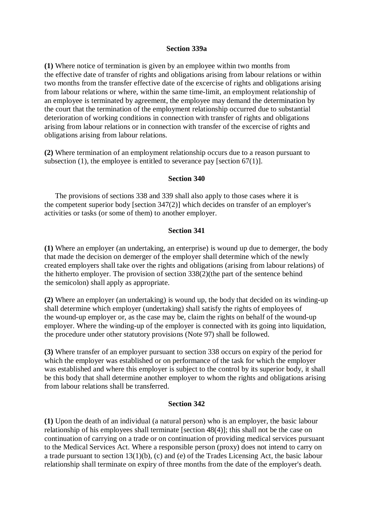#### **Section 339a**

**(1)** Where notice of termination is given by an employee within two months from the effective date of transfer of rights and obligations arising from labour relations or within two months from the transfer effective date of the excercise of rights and obligations arising from labour relations or where, within the same time-limit, an employment relationship of an employee is terminated by agreement, the employee may demand the determination by the court that the termination of the employment relationship occurred due to substantial deterioration of working conditions in connection with transfer of rights and obligations arising from labour relations or in connection with transfer of the excercise of rights and obligations arising from labour relations.

**(2)** Where termination of an employment relationship occurs due to a reason pursuant to subsection (1), the employee is entitled to severance pay [section  $67(1)$ ].

#### **Section 340**

The provisions of sections 338 and 339 shall also apply to those cases where it is the competent superior body [section 347(2)] which decides on transfer of an employer's activities or tasks (or some of them) to another employer.

#### **Section 341**

**(1)** Where an employer (an undertaking, an enterprise) is wound up due to demerger, the body that made the decision on demerger of the employer shall determine which of the newly created employers shall take over the rights and obligations (arising from labour relations) of the hitherto employer. The provision of section 338(2)(the part of the sentence behind the semicolon) shall apply as appropriate.

**(2)** Where an employer (an undertaking) is wound up, the body that decided on its winding-up shall determine which employer (undertaking) shall satisfy the rights of employees of the wound-up employer or, as the case may be, claim the rights on behalf of the wound-up employer. Where the winding-up of the employer is connected with its going into liquidation, the procedure under other statutory provisions (Note 97) shall be followed.

**(3)** Where transfer of an employer pursuant to section 338 occurs on expiry of the period for which the employer was established or on performance of the task for which the employer was established and where this employer is subject to the control by its superior body, it shall be this body that shall determine another employer to whom the rights and obligations arising from labour relations shall be transferred.

#### **Section 342**

**(1)** Upon the death of an individual (a natural person) who is an employer, the basic labour relationship of his employees shall terminate [section 48(4)]; this shall not be the case on continuation of carrying on a trade or on continuation of providing medical services pursuant to the Medical Services Act. Where a responsible person (proxy) does not intend to carry on a trade pursuant to section 13(1)(b), (c) and (e) of the Trades Licensing Act, the basic labour relationship shall terminate on expiry of three months from the date of the employer's death.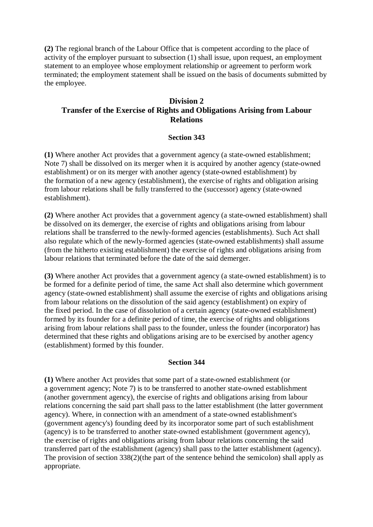**(2)** The regional branch of the Labour Office that is competent according to the place of activity of the employer pursuant to subsection (1) shall issue, upon request, an employment statement to an employee whose employment relationship or agreement to perform work terminated; the employment statement shall be issued on the basis of documents submitted by the employee.

# **Division 2 Transfer of the Exercise of Rights and Obligations Arising from Labour Relations**

## **Section 343**

**(1)** Where another Act provides that a government agency (a state-owned establishment; Note 7) shall be dissolved on its merger when it is acquired by another agency (state-owned establishment) or on its merger with another agency (state-owned establishment) by the formation of a new agency (establishment), the exercise of rights and obligation arising from labour relations shall be fully transferred to the (successor) agency (state-owned establishment).

**(2)** Where another Act provides that a government agency (a state-owned establishment) shall be dissolved on its demerger, the exercise of rights and obligations arising from labour relations shall be transferred to the newly-formed agencies (establishments). Such Act shall also regulate which of the newly-formed agencies (state-owned establishments) shall assume (from the hitherto existing establishment) the exercise of rights and obligations arising from labour relations that terminated before the date of the said demerger.

**(3)** Where another Act provides that a government agency (a state-owned establishment) is to be formed for a definite period of time, the same Act shall also determine which government agency (state-owned establishment) shall assume the exercise of rights and obligations arising from labour relations on the dissolution of the said agency (establishment) on expiry of the fixed period. In the case of dissolution of a certain agency (state-owned establishment) formed by its founder for a definite period of time, the exercise of rights and obligations arising from labour relations shall pass to the founder, unless the founder (incorporator) has determined that these rights and obligations arising are to be exercised by another agency (establishment) formed by this founder.

### **Section 344**

**(1)** Where another Act provides that some part of a state-owned establishment (or a government agency; Note 7) is to be transferred to another state-owned establishment (another government agency), the exercise of rights and obligations arising from labour relations concerning the said part shall pass to the latter establishment (the latter government agency). Where, in connection with an amendment of a state-owned establishment's (government agency's) founding deed by its incorporator some part of such establishment (agency) is to be transferred to another state-owned establishment (government agency), the exercise of rights and obligations arising from labour relations concerning the said transferred part of the establishment (agency) shall pass to the latter establishment (agency). The provision of section 338(2)(the part of the sentence behind the semicolon) shall apply as appropriate.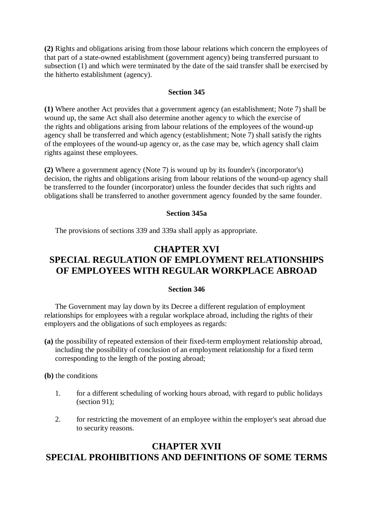**(2)** Rights and obligations arising from those labour relations which concern the employees of that part of a state-owned establishment (government agency) being transferred pursuant to subsection (1) and which were terminated by the date of the said transfer shall be exercised by the hitherto establishment (agency).

### **Section 345**

**(1)** Where another Act provides that a government agency (an establishment; Note 7) shall be wound up, the same Act shall also determine another agency to which the exercise of the rights and obligations arising from labour relations of the employees of the wound-up agency shall be transferred and which agency (establishment; Note 7) shall satisfy the rights of the employees of the wound-up agency or, as the case may be, which agency shall claim rights against these employees.

**(2)** Where a government agency (Note 7) is wound up by its founder's (incorporator's) decision, the rights and obligations arising from labour relations of the wound-up agency shall be transferred to the founder (incorporator) unless the founder decides that such rights and obligations shall be transferred to another government agency founded by the same founder.

## **Section 345a**

The provisions of sections 339 and 339a shall apply as appropriate.

# **CHAPTER XVI SPECIAL REGULATION OF EMPLOYMENT RELATIONSHIPS OF EMPLOYEES WITH REGULAR WORKPLACE ABROAD**

### **Section 346**

The Government may lay down by its Decree a different regulation of employment relationships for employees with a regular workplace abroad, including the rights of their employers and the obligations of such employees as regards:

**(a)** the possibility of repeated extension of their fixed-term employment relationship abroad, including the possibility of conclusion of an employment relationship for a fixed term corresponding to the length of the posting abroad;

**(b)** the conditions

- 1. for a different scheduling of working hours abroad, with regard to public holidays (section 91);
- 2. for restricting the movement of an employee within the employer's seat abroad due to security reasons.

# **CHAPTER XVII SPECIAL PROHIBITIONS AND DEFINITIONS OF SOME TERMS**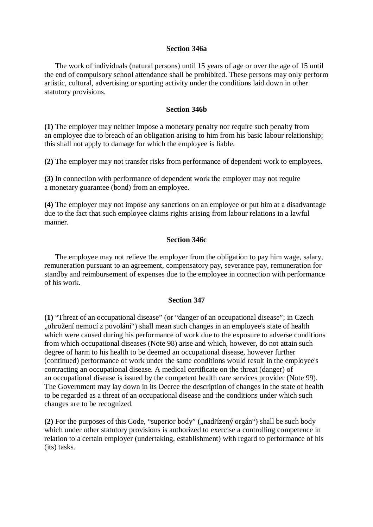#### **Section 346a**

The work of individuals (natural persons) until 15 years of age or over the age of 15 until the end of compulsory school attendance shall be prohibited. These persons may only perform artistic, cultural, advertising or sporting activity under the conditions laid down in other statutory provisions.

#### **Section 346b**

**(1)** The employer may neither impose a monetary penalty nor require such penalty from an employee due to breach of an obligation arising to him from his basic labour relationship; this shall not apply to damage for which the employee is liable.

**(2)** The employer may not transfer risks from performance of dependent work to employees.

**(3)** In connection with performance of dependent work the employer may not require a monetary guarantee (bond) from an employee.

**(4)** The employer may not impose any sanctions on an employee or put him at a disadvantage due to the fact that such employee claims rights arising from labour relations in a lawful manner.

# **Section 346c**

The employee may not relieve the employer from the obligation to pay him wage, salary, remuneration pursuant to an agreement, compensatory pay, severance pay, remuneration for standby and reimbursement of expenses due to the employee in connection with performance of his work.

#### **Section 347**

**(1)** "Threat of an occupational disease" (or "danger of an occupational disease"; in Czech "ohrožení nemocí z povolání") shall mean such changes in an employee's state of health which were caused during his performance of work due to the exposure to adverse conditions from which occupational diseases (Note 98) arise and which, however, do not attain such degree of harm to his health to be deemed an occupational disease, however further (continued) performance of work under the same conditions would result in the employee's contracting an occupational disease. A medical certificate on the threat (danger) of an occupational disease is issued by the competent health care services provider (Note 99). The Government may lay down in its Decree the description of changes in the state of health to be regarded as a threat of an occupational disease and the conditions under which such changes are to be recognized.

(2) For the purposes of this Code, "superior body" ("nadřízený orgán") shall be such body which under other statutory provisions is authorized to exercise a controlling competence in relation to a certain employer (undertaking, establishment) with regard to performance of his (its) tasks.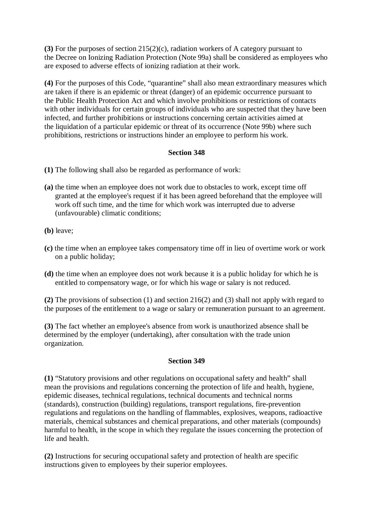**(3)** For the purposes of section 215(2)(c), radiation workers of A category pursuant to the Decree on Ionizing Radiation Protection (Note 99a) shall be considered as employees who are exposed to adverse effects of ionizing radiation at their work.

**(4)** For the purposes of this Code, "quarantine" shall also mean extraordinary measures which are taken if there is an epidemic or threat (danger) of an epidemic occurrence pursuant to the Public Health Protection Act and which involve prohibitions or restrictions of contacts with other individuals for certain groups of individuals who are suspected that they have been infected, and further prohibitions or instructions concerning certain activities aimed at the liquidation of a particular epidemic or threat of its occurrence (Note 99b) where such prohibitions, restrictions or instructions hinder an employee to perform his work.

## **Section 348**

- **(1)** The following shall also be regarded as performance of work:
- **(a)** the time when an employee does not work due to obstacles to work, except time off granted at the employee's request if it has been agreed beforehand that the employee will work off such time, and the time for which work was interrupted due to adverse (unfavourable) climatic conditions;
- **(b)** leave;
- **(c)** the time when an employee takes compensatory time off in lieu of overtime work or work on a public holiday;
- **(d)** the time when an employee does not work because it is a public holiday for which he is entitled to compensatory wage, or for which his wage or salary is not reduced.

**(2)** The provisions of subsection (1) and section 216(2) and (3) shall not apply with regard to the purposes of the entitlement to a wage or salary or remuneration pursuant to an agreement.

**(3)** The fact whether an employee's absence from work is unauthorized absence shall be determined by the employer (undertaking), after consultation with the trade union organization.

### **Section 349**

**(1)** "Statutory provisions and other regulations on occupational safety and health" shall mean the provisions and regulations concerning the protection of life and health, hygiene, epidemic diseases, technical regulations, technical documents and technical norms (standards), construction (building) regulations, transport regulations, fire-prevention regulations and regulations on the handling of flammables, explosives, weapons, radioactive materials, chemical substances and chemical preparations, and other materials (compounds) harmful to health, in the scope in which they regulate the issues concerning the protection of life and health.

**(2)** Instructions for securing occupational safety and protection of health are specific instructions given to employees by their superior employees.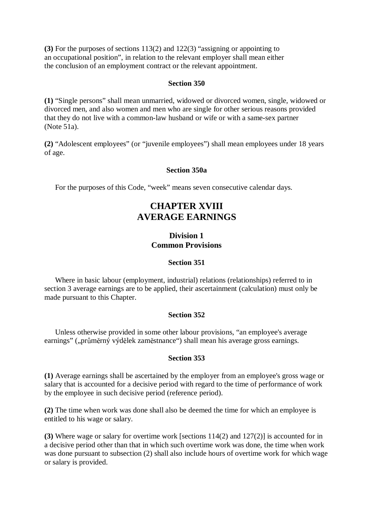**(3)** For the purposes of sections 113(2) and 122(3) "assigning or appointing to an occupational position", in relation to the relevant employer shall mean either the conclusion of an employment contract or the relevant appointment.

#### **Section 350**

**(1)** "Single persons" shall mean unmarried, widowed or divorced women, single, widowed or divorced men, and also women and men who are single for other serious reasons provided that they do not live with a common-law husband or wife or with a same-sex partner (Note 51a).

**(2)** "Adolescent employees" (or "juvenile employees") shall mean employees under 18 years of age.

### **Section 350a**

For the purposes of this Code, "week" means seven consecutive calendar days.

# **CHAPTER XVIII AVERAGE EARNINGS**

## **Division 1 Common Provisions**

#### **Section 351**

Where in basic labour (employment, industrial) relations (relationships) referred to in section 3 average earnings are to be applied, their ascertainment (calculation) must only be made pursuant to this Chapter.

#### **Section 352**

Unless otherwise provided in some other labour provisions, "an employee's average earnings" ("průměrný výdělek zaměstnance") shall mean his average gross earnings.

#### **Section 353**

**(1)** Average earnings shall be ascertained by the employer from an employee's gross wage or salary that is accounted for a decisive period with regard to the time of performance of work by the employee in such decisive period (reference period).

**(2)** The time when work was done shall also be deemed the time for which an employee is entitled to his wage or salary.

**(3)** Where wage or salary for overtime work [sections 114(2) and 127(2)] is accounted for in a decisive period other than that in which such overtime work was done, the time when work was done pursuant to subsection (2) shall also include hours of overtime work for which wage or salary is provided.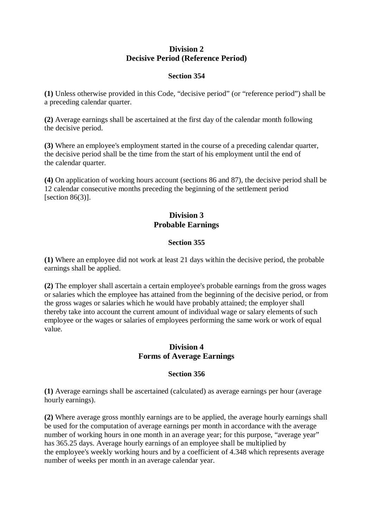# **Division 2 Decisive Period (Reference Period)**

## **Section 354**

**(1)** Unless otherwise provided in this Code, "decisive period" (or "reference period") shall be a preceding calendar quarter.

**(2)** Average earnings shall be ascertained at the first day of the calendar month following the decisive period.

**(3)** Where an employee's employment started in the course of a preceding calendar quarter, the decisive period shall be the time from the start of his employment until the end of the calendar quarter.

**(4)** On application of working hours account (sections 86 and 87), the decisive period shall be 12 calendar consecutive months preceding the beginning of the settlement period [section  $86(3)$ ].

# **Division 3 Probable Earnings**

## **Section 355**

**(1)** Where an employee did not work at least 21 days within the decisive period, the probable earnings shall be applied.

**(2)** The employer shall ascertain a certain employee's probable earnings from the gross wages or salaries which the employee has attained from the beginning of the decisive period, or from the gross wages or salaries which he would have probably attained; the employer shall thereby take into account the current amount of individual wage or salary elements of such employee or the wages or salaries of employees performing the same work or work of equal value.

# **Division 4 Forms of Average Earnings**

## **Section 356**

**(1)** Average earnings shall be ascertained (calculated) as average earnings per hour (average hourly earnings).

**(2)** Where average gross monthly earnings are to be applied, the average hourly earnings shall be used for the computation of average earnings per month in accordance with the average number of working hours in one month in an average year; for this purpose, "average year" has 365.25 days. Average hourly earnings of an employee shall be multiplied by the employee's weekly working hours and by a coefficient of 4.348 which represents average number of weeks per month in an average calendar year.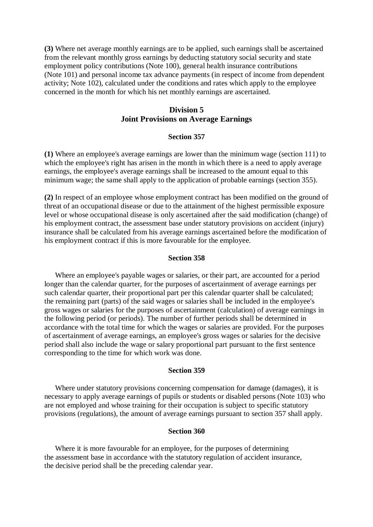**(3)** Where net average monthly earnings are to be applied, such earnings shall be ascertained from the relevant monthly gross earnings by deducting statutory social security and state employment policy contributions (Note 100), general health insurance contributions (Note 101) and personal income tax advance payments (in respect of income from dependent activity; Note 102), calculated under the conditions and rates which apply to the employee concerned in the month for which his net monthly earnings are ascertained.

## **Division 5 Joint Provisions on Average Earnings**

#### **Section 357**

**(1)** Where an employee's average earnings are lower than the minimum wage (section 111) to which the employee's right has arisen in the month in which there is a need to apply average earnings, the employee's average earnings shall be increased to the amount equal to this minimum wage; the same shall apply to the application of probable earnings (section 355).

**(2)** In respect of an employee whose employment contract has been modified on the ground of threat of an occupational disease or due to the attainment of the highest permissible exposure level or whose occupational disease is only ascertained after the said modification (change) of his employment contract, the assessment base under statutory provisions on accident (injury) insurance shall be calculated from his average earnings ascertained before the modification of his employment contract if this is more favourable for the employee.

#### **Section 358**

Where an employee's payable wages or salaries, or their part, are accounted for a period longer than the calendar quarter, for the purposes of ascertainment of average earnings per such calendar quarter, their proportional part per this calendar quarter shall be calculated; the remaining part (parts) of the said wages or salaries shall be included in the employee's gross wages or salaries for the purposes of ascertainment (calculation) of average earnings in the following period (or periods). The number of further periods shall be determined in accordance with the total time for which the wages or salaries are provided. For the purposes of ascertainment of average earnings, an employee's gross wages or salaries for the decisive period shall also include the wage or salary proportional part pursuant to the first sentence corresponding to the time for which work was done.

#### **Section 359**

Where under statutory provisions concerning compensation for damage (damages), it is necessary to apply average earnings of pupils or students or disabled persons (Note 103) who are not employed and whose training for their occupation is subject to specific statutory provisions (regulations), the amount of average earnings pursuant to section 357 shall apply.

#### **Section 360**

Where it is more favourable for an employee, for the purposes of determining the assessment base in accordance with the statutory regulation of accident insurance, the decisive period shall be the preceding calendar year.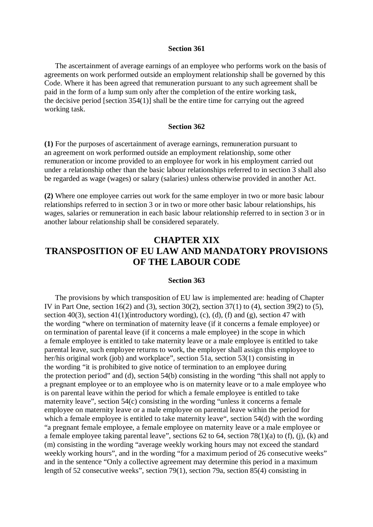#### **Section 361**

The ascertainment of average earnings of an employee who performs work on the basis of agreements on work performed outside an employment relationship shall be governed by this Code. Where it has been agreed that remuneration pursuant to any such agreement shall be paid in the form of a lump sum only after the completion of the entire working task, the decisive period [section 354(1)] shall be the entire time for carrying out the agreed working task.

#### **Section 362**

**(1)** For the purposes of ascertainment of average earnings, remuneration pursuant to an agreement on work performed outside an employment relationship, some other remuneration or income provided to an employee for work in his employment carried out under a relationship other than the basic labour relationships referred to in section 3 shall also be regarded as wage (wages) or salary (salaries) unless otherwise provided in another Act.

**(2)** Where one employee carries out work for the same employer in two or more basic labour relationships referred to in section 3 or in two or more other basic labour relationships, his wages, salaries or remuneration in each basic labour relationship referred to in section 3 or in another labour relationship shall be considered separately.

# **CHAPTER XIX TRANSPOSITION OF EU LAW AND MANDATORY PROVISIONS OF THE LABOUR CODE**

## **Section 363**

The provisions by which transposition of EU law is implemented are: heading of Chapter IV in Part One, section 16(2) and (3), section 30(2), section 37(1) to (4), section 39(2) to (5), section 40(3), section 41(1)(introductory wording), (c), (d), (f) and (g), section 47 with the wording "where on termination of maternity leave (if it concerns a female employee) or on termination of parental leave (if it concerns a male employee) in the scope in which a female employee is entitled to take maternity leave or a male employee is entitled to take parental leave, such employee returns to work, the employer shall assign this employee to her/his original work (job) and workplace", section 51a, section 53(1) consisting in the wording "it is prohibited to give notice of termination to an employee during the protection period" and (d), section 54(b) consisting in the wording "this shall not apply to a pregnant employee or to an employee who is on maternity leave or to a male employee who is on parental leave within the period for which a female employee is entitled to take maternity leave", section 54(c) consisting in the wording "unless it concerns a female employee on maternity leave or a male employee on parental leave within the period for which a female employee is entitled to take maternity leave", section 54(d) with the wording "a pregnant female employee, a female employee on maternity leave or a male employee or a female employee taking parental leave", sections 62 to 64, section 78(1)(a) to (f), (j), (k) and (m) consisting in the wording "average weekly working hours may not exceed the standard weekly working hours", and in the wording "for a maximum period of 26 consecutive weeks" and in the sentence "Only a collective agreement may determine this period in a maximum length of 52 consecutive weeks", section 79(1), section 79a, section 85(4) consisting in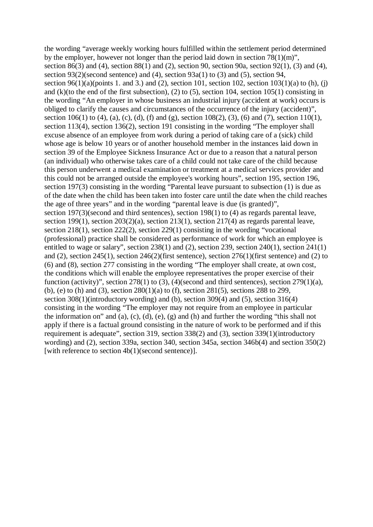the wording "average weekly working hours fulfilled within the settlement period determined by the employer, however not longer than the period laid down in section  $78(1)(m)$ ", section 86(3) and (4), section 88(1) and (2), section 90, section 90a, section 92(1), (3) and (4), section 93(2)(second sentence) and (4), section 93a(1) to (3) and (5), section 94, section 96(1)(a)(points 1. and 3.) and (2), section 101, section 102, section 103(1)(a) to (h), (j) and (k)(to the end of the first subsection), (2) to (5), section 104, section 105(1) consisting in the wording "An employer in whose business an industrial injury (accident at work) occurs is obliged to clarify the causes and circumstances of the occurrence of the injury (accident)", section 106(1) to (4), (a), (c), (d), (f) and (g), section 108(2), (3), (6) and (7), section 110(1), section 113(4), section 136(2), section 191 consisting in the wording "The employer shall excuse absence of an employee from work during a period of taking care of a (sick) child whose age is below 10 years or of another household member in the instances laid down in section 39 of the Employee Sickness Insurance Act or due to a reason that a natural person (an individual) who otherwise takes care of a child could not take care of the child because this person underwent a medical examination or treatment at a medical services provider and this could not be arranged outside the employee's working hours", section 195, section 196, section 197(3) consisting in the wording "Parental leave pursuant to subsection (1) is due as of the date when the child has been taken into foster care until the date when the child reaches the age of three years" and in the wording "parental leave is due (is granted)", section 197(3)(second and third sentences), section 198(1) to (4) as regards parental leave, section 199(1), section 203(2)(a), section 213(1), section 217(4) as regards parental leave, section 218(1), section 222(2), section 229(1) consisting in the wording "vocational (professional) practice shall be considered as performance of work for which an employee is entitled to wage or salary", section 238(1) and (2), section 239, section 240(1), section 241(1) and (2), section 245(1), section 246(2)(first sentence), section 276(1)(first sentence) and (2) to (6) and (8), section 277 consisting in the wording "The employer shall create, at own cost, the conditions which will enable the employee representatives the proper exercise of their function (activity)", section 278(1) to (3), (4)(second and third sentences), section 279(1)(a), (b), (e) to (h) and (3), section 280(1)(a) to (f), section 281(5), sections 288 to 299, section 308(1)(introductory wording) and (b), section 309(4) and (5), section 316(4) consisting in the wording "The employer may not require from an employee in particular the information on" and (a), (c), (d), (e), (g) and (h) and further the wording "this shall not apply if there is a factual ground consisting in the nature of work to be performed and if this requirement is adequate", section 319, section 338(2) and (3), section 339(1)(introductory wording) and (2), section 339a, section 340, section 345a, section 346b(4) and section 350(2) [with reference to section 4b(1)(second sentence)].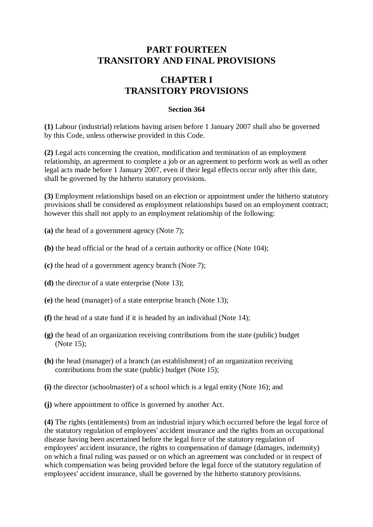# **PART FOURTEEN TRANSITORY AND FINAL PROVISIONS**

# **CHAPTER I TRANSITORY PROVISIONS**

## **Section 364**

**(1)** Labour (industrial) relations having arisen before 1 January 2007 shall also be governed by this Code, unless otherwise provided in this Code.

**(2)** Legal acts concerning the creation, modification and termination of an employment relationship, an agreement to complete a job or an agreement to perform work as well as other legal acts made before 1 January 2007, even if their legal effects occur only after this date, shall be governed by the hitherto statutory provisions.

**(3)** Employment relationships based on an election or appointment under the hitherto statutory provisions shall be considered as employment relationships based on an employment contract; however this shall not apply to an employment relationship of the following:

- **(a)** the head of a government agency (Note 7);
- **(b)** the head official or the head of a certain authority or office (Note 104);
- **(c)** the head of a government agency branch (Note 7);
- **(d)** the director of a state enterprise (Note 13);
- **(e)** the head (manager) of a state enterprise branch (Note 13);
- **(f)** the head of a state fund if it is headed by an individual (Note 14);
- **(g)** the head of an organization receiving contributions from the state (public) budget (Note 15);
- **(h)** the head (manager) of a branch (an establishment) of an organization receiving contributions from the state (public) budget (Note 15);
- **(i)** the director (schoolmaster) of a school which is a legal entity (Note 16); and
- **(j)** where appointment to office is governed by another Act.

**(4)** The rights (entitlements) from an industrial injury which occurred before the legal force of the statutory regulation of employees' accident insurance and the rights from an occupational disease having been ascertained before the legal force of the statutory regulation of employees' accident insurance, the rights to compensation of damage (damages, indemnity) on which a final ruling was passed or on which an agreement was concluded or in respect of which compensation was being provided before the legal force of the statutory regulation of employees' accident insurance, shall be governed by the hitherto statutory provisions.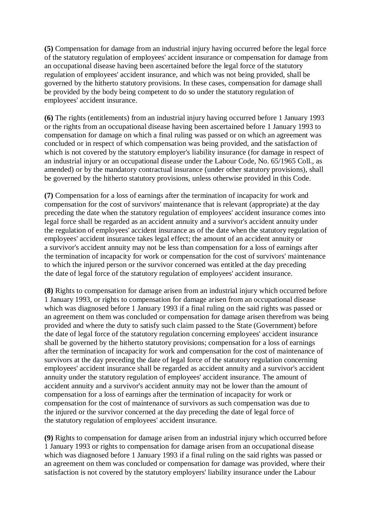**(5)** Compensation for damage from an industrial injury having occurred before the legal force of the statutory regulation of employees' accident insurance or compensation for damage from an occupational disease having been ascertained before the legal force of the statutory regulation of employees' accident insurance, and which was not being provided, shall be governed by the hitherto statutory provisions. In these cases, compensation for damage shall be provided by the body being competent to do so under the statutory regulation of employees' accident insurance.

**(6)** The rights (entitlements) from an industrial injury having occurred before 1 January 1993 or the rights from an occupational disease having been ascertained before 1 January 1993 to compensation for damage on which a final ruling was passed or on which an agreement was concluded or in respect of which compensation was being provided, and the satisfaction of which is not covered by the statutory employer's liability insurance (for damage in respect of an industrial injury or an occupational disease under the Labour Code, No. 65/1965 Coll., as amended) or by the mandatory contractual insurance (under other statutory provisions), shall be governed by the hitherto statutory provisions, unless otherwise provided in this Code.

**(7)** Compensation for a loss of earnings after the termination of incapacity for work and compensation for the cost of survivors' maintenance that is relevant (appropriate) at the day preceding the date when the statutory regulation of employees' accident insurance comes into legal force shall be regarded as an accident annuity and a survivor's accident annuity under the regulation of employees' accident insurance as of the date when the statutory regulation of employees' accident insurance takes legal effect; the amount of an accident annuity or a survivor's accident annuity may not be less than compensation for a loss of earnings after the termination of incapacity for work or compensation for the cost of survivors' maintenance to which the injured person or the survivor concerned was entitled at the day preceding the date of legal force of the statutory regulation of employees' accident insurance.

**(8)** Rights to compensation for damage arisen from an industrial injury which occurred before 1 January 1993, or rights to compensation for damage arisen from an occupational disease which was diagnosed before 1 January 1993 if a final ruling on the said rights was passed or an agreement on them was concluded or compensation for damage arisen therefrom was being provided and where the duty to satisfy such claim passed to the State (Government) before the date of legal force of the statutory regulation concerning employees' accident insurance shall be governed by the hitherto statutory provisions; compensation for a loss of earnings after the termination of incapacity for work and compensation for the cost of maintenance of survivors at the day preceding the date of legal force of the statutory regulation concerning employees' accident insurance shall be regarded as accident annuity and a survivor's accident annuity under the statutory regulation of employees' accident insurance. The amount of accident annuity and a survivor's accident annuity may not be lower than the amount of compensation for a loss of earnings after the termination of incapacity for work or compensation for the cost of maintenance of survivors as such compensation was due to the injured or the survivor concerned at the day preceding the date of legal force of the statutory regulation of employees' accident insurance.

**(9)** Rights to compensation for damage arisen from an industrial injury which occurred before 1 January 1993 or rights to compensation for damage arisen from an occupational disease which was diagnosed before 1 January 1993 if a final ruling on the said rights was passed or an agreement on them was concluded or compensation for damage was provided, where their satisfaction is not covered by the statutory employers' liability insurance under the Labour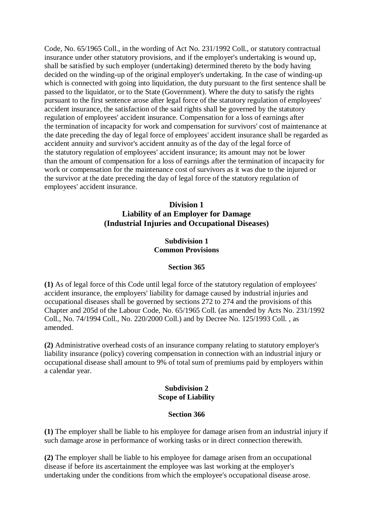Code, No. 65/1965 Coll., in the wording of Act No. 231/1992 Coll., or statutory contractual insurance under other statutory provisions, and if the employer's undertaking is wound up, shall be satisfied by such employer (undertaking) determined thereto by the body having decided on the winding-up of the original employer's undertaking. In the case of winding-up which is connected with going into liquidation, the duty pursuant to the first sentence shall be passed to the liquidator, or to the State (Government). Where the duty to satisfy the rights pursuant to the first sentence arose after legal force of the statutory regulation of employees' accident insurance, the satisfaction of the said rights shall be governed by the statutory regulation of employees' accident insurance. Compensation for a loss of earnings after the termination of incapacity for work and compensation for survivors' cost of maintenance at the date preceding the day of legal force of employees' accident insurance shall be regarded as accident annuity and survivor's accident annuity as of the day of the legal force of the statutory regulation of employees' accident insurance; its amount may not be lower than the amount of compensation for a loss of earnings after the termination of incapacity for work or compensation for the maintenance cost of survivors as it was due to the injured or the survivor at the date preceding the day of legal force of the statutory regulation of employees' accident insurance.

# **Division 1 Liability of an Employer for Damage (Industrial Injuries and Occupational Diseases)**

# **Subdivision 1 Common Provisions**

## **Section 365**

**(1)** As of legal force of this Code until legal force of the statutory regulation of employees' accident insurance, the employers' liability for damage caused by industrial injuries and occupational diseases shall be governed by sections 272 to 274 and the provisions of this Chapter and 205d of the Labour Code, No. 65/1965 Coll. (as amended by Acts No. 231/1992 Coll., No. 74/1994 Coll., No. 220/2000 Coll.) and by Decree No. 125/1993 Coll. , as amended.

**(2)** Administrative overhead costs of an insurance company relating to statutory employer's liability insurance (policy) covering compensation in connection with an industrial injury or occupational disease shall amount to 9% of total sum of premiums paid by employers within a calendar year.

#### **Subdivision 2 Scope of Liability**

#### **Section 366**

**(1)** The employer shall be liable to his employee for damage arisen from an industrial injury if such damage arose in performance of working tasks or in direct connection therewith.

**(2)** The employer shall be liable to his employee for damage arisen from an occupational disease if before its ascertainment the employee was last working at the employer's undertaking under the conditions from which the employee's occupational disease arose.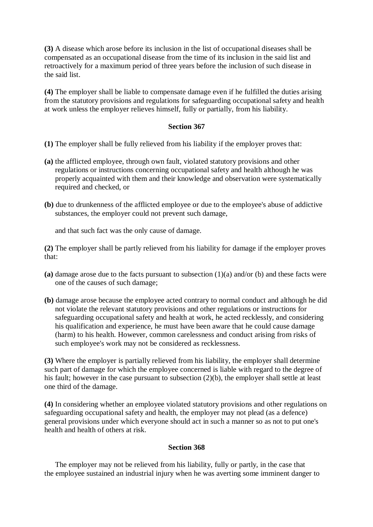**(3)** A disease which arose before its inclusion in the list of occupational diseases shall be compensated as an occupational disease from the time of its inclusion in the said list and retroactively for a maximum period of three years before the inclusion of such disease in the said list.

**(4)** The employer shall be liable to compensate damage even if he fulfilled the duties arising from the statutory provisions and regulations for safeguarding occupational safety and health at work unless the employer relieves himself, fully or partially, from his liability.

## **Section 367**

- **(1)** The employer shall be fully relieved from his liability if the employer proves that:
- **(a)** the afflicted employee, through own fault, violated statutory provisions and other regulations or instructions concerning occupational safety and health although he was properly acquainted with them and their knowledge and observation were systematically required and checked, or
- **(b)** due to drunkenness of the afflicted employee or due to the employee's abuse of addictive substances, the employer could not prevent such damage,

and that such fact was the only cause of damage.

**(2)** The employer shall be partly relieved from his liability for damage if the employer proves that:

- **(a)** damage arose due to the facts pursuant to subsection (1)(a) and/or (b) and these facts were one of the causes of such damage;
- **(b)** damage arose because the employee acted contrary to normal conduct and although he did not violate the relevant statutory provisions and other regulations or instructions for safeguarding occupational safety and health at work, he acted recklessly, and considering his qualification and experience, he must have been aware that he could cause damage (harm) to his health. However, common carelessness and conduct arising from risks of such employee's work may not be considered as recklessness.

**(3)** Where the employer is partially relieved from his liability, the employer shall determine such part of damage for which the employee concerned is liable with regard to the degree of his fault; however in the case pursuant to subsection (2)(b), the employer shall settle at least one third of the damage.

**(4)** In considering whether an employee violated statutory provisions and other regulations on safeguarding occupational safety and health, the employer may not plead (as a defence) general provisions under which everyone should act in such a manner so as not to put one's health and health of others at risk.

#### **Section 368**

The employer may not be relieved from his liability, fully or partly, in the case that the employee sustained an industrial injury when he was averting some imminent danger to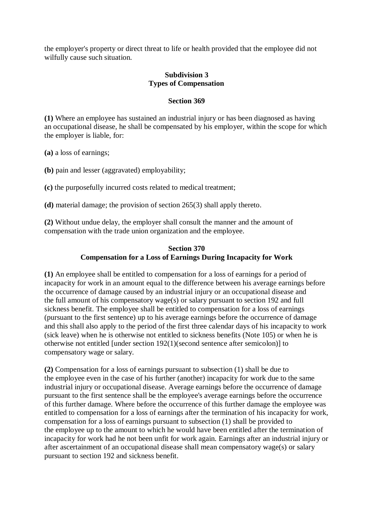the employer's property or direct threat to life or health provided that the employee did not wilfully cause such situation.

## **Subdivision 3 Types of Compensation**

#### **Section 369**

**(1)** Where an employee has sustained an industrial injury or has been diagnosed as having an occupational disease, he shall be compensated by his employer, within the scope for which the employer is liable, for:

**(a)** a loss of earnings;

**(b)** pain and lesser (aggravated) employability;

**(c)** the purposefully incurred costs related to medical treatment;

**(d)** material damage; the provision of section 265(3) shall apply thereto.

**(2)** Without undue delay, the employer shall consult the manner and the amount of compensation with the trade union organization and the employee.

#### **Section 370 Compensation for a Loss of Earnings During Incapacity for Work**

**(1)** An employee shall be entitled to compensation for a loss of earnings for a period of incapacity for work in an amount equal to the difference between his average earnings before the occurrence of damage caused by an industrial injury or an occupational disease and the full amount of his compensatory wage(s) or salary pursuant to section 192 and full sickness benefit. The employee shall be entitled to compensation for a loss of earnings (pursuant to the first sentence) up to his average earnings before the occurrence of damage and this shall also apply to the period of the first three calendar days of his incapacity to work (sick leave) when he is otherwise not entitled to sickness benefits (Note 105) or when he is otherwise not entitled [under section 192(1)(second sentence after semicolon)] to compensatory wage or salary.

**(2)** Compensation for a loss of earnings pursuant to subsection (1) shall be due to the employee even in the case of his further (another) incapacity for work due to the same industrial injury or occupational disease. Average earnings before the occurrence of damage pursuant to the first sentence shall be the employee's average earnings before the occurrence of this further damage. Where before the occurrence of this further damage the employee was entitled to compensation for a loss of earnings after the termination of his incapacity for work, compensation for a loss of earnings pursuant to subsection (1) shall be provided to the employee up to the amount to which he would have been entitled after the termination of incapacity for work had he not been unfit for work again. Earnings after an industrial injury or after ascertainment of an occupational disease shall mean compensatory wage(s) or salary pursuant to section 192 and sickness benefit.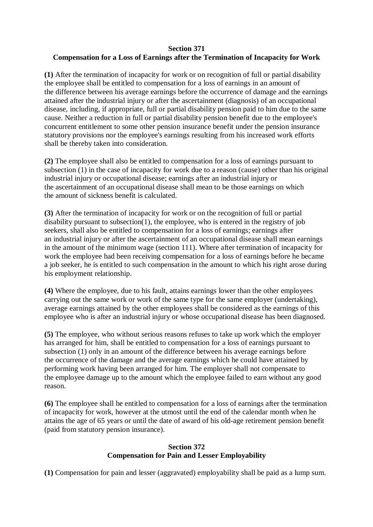## **Section 371**

# **Compensation for a Loss of Earnings after the Termination of Incapacity for Work**

**(1)** After the termination of incapacity for work or on recognition of full or partial disability the employee shall be entitled to compensation for a loss of earnings in an amount of the difference between his average earnings before the occurrence of damage and the earnings attained after the industrial injury or after the ascertainment (diagnosis) of an occupational disease, including, if appropriate, full or partial disability pension paid to him due to the same cause. Neither a reduction in full or partial disability pension benefit due to the employee's concurrent entitlement to some other pension insurance benefit under the pension insurance statutory provisions nor the employee's earnings resulting from his increased work efforts shall be thereby taken into consideration.

**(2)** The employee shall also be entitled to compensation for a loss of earnings pursuant to subsection (1) in the case of incapacity for work due to a reason (cause) other than his original industrial injury or occupational disease; earnings after an industrial injury or the ascertainment of an occupational disease shall mean to be those earnings on which the amount of sickness benefit is calculated.

**(3)** After the termination of incapacity for work or on the recognition of full or partial disability pursuant to subsection(1), the employee, who is entered in the registry of job seekers, shall also be entitled to compensation for a loss of earnings; earnings after an industrial injury or after the ascertainment of an occupational disease shall mean earnings in the amount of the minimum wage (section 111). Where after termination of incapacity for work the employee had been receiving compensation for a loss of earnings before he became a job seeker, he is entitled to such compensation in the amount to which his right arose during his employment relationship.

**(4)** Where the employee, due to his fault, attains earnings lower than the other employees carrying out the same work or work of the same type for the same employer (undertaking), average earnings attained by the other employees shall be considered as the earnings of this employee who is after an industrial injury or whose occupational disease has been diagnosed.

**(5)** The employee, who without serious reasons refuses to take up work which the employer has arranged for him, shall be entitled to compensation for a loss of earnings pursuant to subsection (1) only in an amount of the difference between his average earnings before the occurrence of the damage and the average earnings which he could have attained by performing work having been arranged for him. The employer shall not compensate to the employee damage up to the amount which the employee failed to earn without any good reason.

**(6)** The employee shall be entitled to compensation for a loss of earnings after the termination of incapacity for work, however at the utmost until the end of the calendar month when he attains the age of 65 years or until the date of award of his old-age retirement pension benefit (paid from statutory pension insurance).

# **Section 372 Compensation for Pain and Lesser Employability**

**(1)** Compensation for pain and lesser (aggravated) employability shall be paid as a lump sum.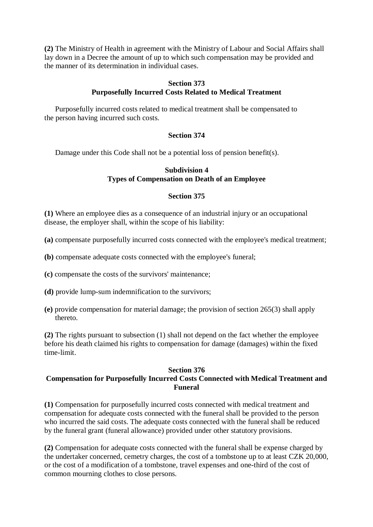**(2)** The Ministry of Health in agreement with the Ministry of Labour and Social Affairs shall lay down in a Decree the amount of up to which such compensation may be provided and the manner of its determination in individual cases.

## **Section 373 Purposefully Incurred Costs Related to Medical Treatment**

Purposefully incurred costs related to medical treatment shall be compensated to the person having incurred such costs.

# **Section 374**

Damage under this Code shall not be a potential loss of pension benefit(s).

## **Subdivision 4 Types of Compensation on Death of an Employee**

## **Section 375**

**(1)** Where an employee dies as a consequence of an industrial injury or an occupational disease, the employer shall, within the scope of his liability:

- **(a)** compensate purposefully incurred costs connected with the employee's medical treatment;
- **(b)** compensate adequate costs connected with the employee's funeral;
- **(c)** compensate the costs of the survivors' maintenance;
- **(d)** provide lump-sum indemnification to the survivors;
- **(e)** provide compensation for material damage; the provision of section 265(3) shall apply thereto.

**(2)** The rights pursuant to subsection (1) shall not depend on the fact whether the employee before his death claimed his rights to compensation for damage (damages) within the fixed time-limit.

#### **Section 376**

# **Compensation for Purposefully Incurred Costs Connected with Medical Treatment and Funeral**

**(1)** Compensation for purposefully incurred costs connected with medical treatment and compensation for adequate costs connected with the funeral shall be provided to the person who incurred the said costs. The adequate costs connected with the funeral shall be reduced by the funeral grant (funeral allowance) provided under other statutory provisions.

**(2)** Compensation for adequate costs connected with the funeral shall be expense charged by the undertaker concerned, cemetry charges, the cost of a tombstone up to at least CZK 20,000, or the cost of a modification of a tombstone, travel expenses and one-third of the cost of common mourning clothes to close persons.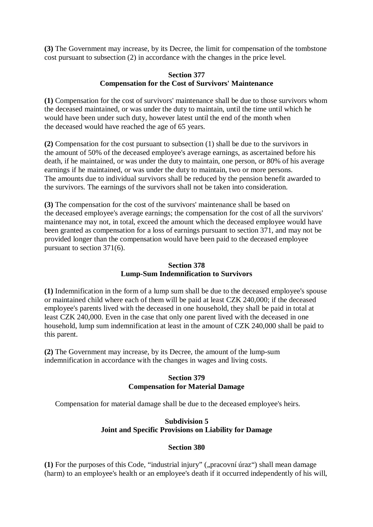**(3)** The Government may increase, by its Decree, the limit for compensation of the tombstone cost pursuant to subsection (2) in accordance with the changes in the price level.

### **Section 377 Compensation for the Cost of Survivors' Maintenance**

**(1)** Compensation for the cost of survivors' maintenance shall be due to those survivors whom the deceased maintained, or was under the duty to maintain, until the time until which he would have been under such duty, however latest until the end of the month when the deceased would have reached the age of 65 years.

**(2)** Compensation for the cost pursuant to subsection (1) shall be due to the survivors in the amount of 50% of the deceased employee's average earnings, as ascertained before his death, if he maintained, or was under the duty to maintain, one person, or 80% of his average earnings if he maintained, or was under the duty to maintain, two or more persons. The amounts due to individual survivors shall be reduced by the pension benefit awarded to the survivors. The earnings of the survivors shall not be taken into consideration.

**(3)** The compensation for the cost of the survivors' maintenance shall be based on the deceased employee's average earnings; the compensation for the cost of all the survivors' maintenance may not, in total, exceed the amount which the deceased employee would have been granted as compensation for a loss of earnings pursuant to section 371, and may not be provided longer than the compensation would have been paid to the deceased employee pursuant to section 371(6).

## **Section 378 Lump-Sum Indemnification to Survivors**

**(1)** Indemnification in the form of a lump sum shall be due to the deceased employee's spouse or maintained child where each of them will be paid at least CZK 240,000; if the deceased employee's parents lived with the deceased in one household, they shall be paid in total at least CZK 240,000. Even in the case that only one parent lived with the deceased in one household, lump sum indemnification at least in the amount of CZK 240,000 shall be paid to this parent.

**(2)** The Government may increase, by its Decree, the amount of the lump-sum indemnification in accordance with the changes in wages and living costs.

# **Section 379 Compensation for Material Damage**

Compensation for material damage shall be due to the deceased employee's heirs.

# **Subdivision 5 Joint and Specific Provisions on Liability for Damage**

# **Section 380**

(1) For the purposes of this Code, "industrial injury" ("pracovní úraz") shall mean damage (harm) to an employee's health or an employee's death if it occurred independently of his will,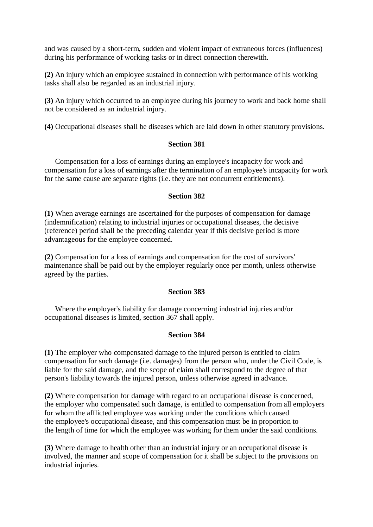and was caused by a short-term, sudden and violent impact of extraneous forces (influences) during his performance of working tasks or in direct connection therewith.

**(2)** An injury which an employee sustained in connection with performance of his working tasks shall also be regarded as an industrial injury.

**(3)** An injury which occurred to an employee during his journey to work and back home shall not be considered as an industrial injury.

**(4)** Occupational diseases shall be diseases which are laid down in other statutory provisions.

#### **Section 381**

Compensation for a loss of earnings during an employee's incapacity for work and compensation for a loss of earnings after the termination of an employee's incapacity for work for the same cause are separate rights (i.e. they are not concurrent entitlements).

#### **Section 382**

**(1)** When average earnings are ascertained for the purposes of compensation for damage (indemnification) relating to industrial injuries or occupational diseases, the decisive (reference) period shall be the preceding calendar year if this decisive period is more advantageous for the employee concerned.

**(2)** Compensation for a loss of earnings and compensation for the cost of survivors' maintenance shall be paid out by the employer regularly once per month, unless otherwise agreed by the parties.

#### **Section 383**

Where the employer's liability for damage concerning industrial injuries and/or occupational diseases is limited, section 367 shall apply.

#### **Section 384**

**(1)** The employer who compensated damage to the injured person is entitled to claim compensation for such damage (i.e. damages) from the person who, under the Civil Code, is liable for the said damage, and the scope of claim shall correspond to the degree of that person's liability towards the injured person, unless otherwise agreed in advance.

**(2)** Where compensation for damage with regard to an occupational disease is concerned, the employer who compensated such damage, is entitled to compensation from all employers for whom the afflicted employee was working under the conditions which caused the employee's occupational disease, and this compensation must be in proportion to the length of time for which the employee was working for them under the said conditions.

**(3)** Where damage to health other than an industrial injury or an occupational disease is involved, the manner and scope of compensation for it shall be subject to the provisions on industrial injuries.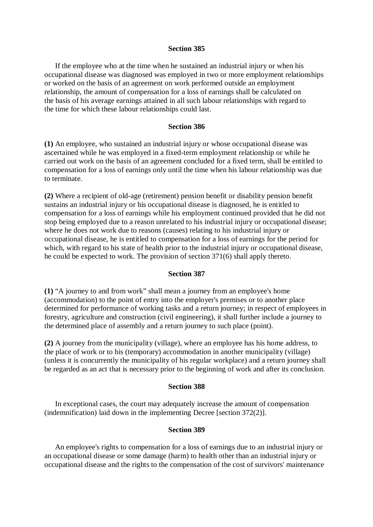#### **Section 385**

If the employee who at the time when he sustained an industrial injury or when his occupational disease was diagnosed was employed in two or more employment relationships or worked on the basis of an agreement on work performed outside an employment relationship, the amount of compensation for a loss of earnings shall be calculated on the basis of his average earnings attained in all such labour relationships with regard to the time for which these labour relationships could last.

#### **Section 386**

**(1)** An employee, who sustained an industrial injury or whose occupational disease was ascertained while he was employed in a fixed-term employment relationship or while he carried out work on the basis of an agreement concluded for a fixed term, shall be entitled to compensation for a loss of earnings only until the time when his labour relationship was due to terminate.

**(2)** Where a recipient of old-age (retirement) pension benefit or disability pension benefit sustains an industrial injury or his occupational disease is diagnosed, he is entitled to compensation for a loss of earnings while his employment continued provided that he did not stop being employed due to a reason unrelated to his industrial injury or occupational disease; where he does not work due to reasons (causes) relating to his industrial injury or occupational disease, he is entitled to compensation for a loss of earnings for the period for which, with regard to his state of health prior to the industrial injury or occupational disease, he could be expected to work. The provision of section 371(6) shall apply thereto.

#### **Section 387**

**(1)** "A journey to and from work" shall mean a journey from an employee's home (accommodation) to the point of entry into the employer's premises or to another place determined for performance of working tasks and a return journey; in respect of employees in forestry, agriculture and construction (civil engineering), it shall further include a journey to the determined place of assembly and a return journey to such place (point).

**(2)** A journey from the municipality (village), where an employee has his home address, to the place of work or to his (temporary) accommodation in another municipality (village) (unless it is concurrently the municipality of his regular workplace) and a return journey shall be regarded as an act that is necessary prior to the beginning of work and after its conclusion.

#### **Section 388**

In exceptional cases, the court may adequately increase the amount of compensation (indemnification) laid down in the implementing Decree [section 372(2)].

#### **Section 389**

An employee's rights to compensation for a loss of earnings due to an industrial injury or an occupational disease or some damage (harm) to health other than an industrial injury or occupational disease and the rights to the compensation of the cost of survivors' maintenance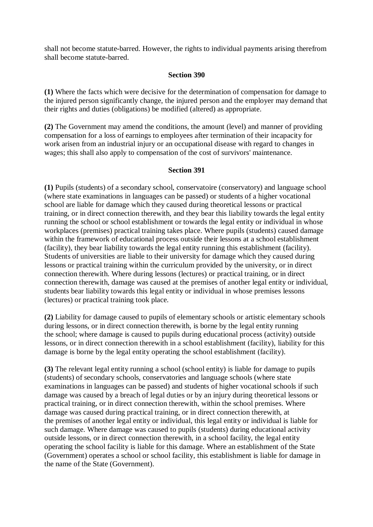shall not become statute-barred. However, the rights to individual payments arising therefrom shall become statute-barred.

#### **Section 390**

**(1)** Where the facts which were decisive for the determination of compensation for damage to the injured person significantly change, the injured person and the employer may demand that their rights and duties (obligations) be modified (altered) as appropriate.

**(2)** The Government may amend the conditions, the amount (level) and manner of providing compensation for a loss of earnings to employees after termination of their incapacity for work arisen from an industrial injury or an occupational disease with regard to changes in wages; this shall also apply to compensation of the cost of survivors' maintenance.

#### **Section 391**

**(1)** Pupils (students) of a secondary school, conservatoire (conservatory) and language school (where state examinations in languages can be passed) or students of a higher vocational school are liable for damage which they caused during theoretical lessons or practical training, or in direct connection therewith, and they bear this liability towards the legal entity running the school or school establishment or towards the legal entity or individual in whose workplaces (premises) practical training takes place. Where pupils (students) caused damage within the framework of educational process outside their lessons at a school establishment (facility), they bear liability towards the legal entity running this establishment (facility). Students of universities are liable to their university for damage which they caused during lessons or practical training within the curriculum provided by the university, or in direct connection therewith. Where during lessons (lectures) or practical training, or in direct connection therewith, damage was caused at the premises of another legal entity or individual, students bear liability towards this legal entity or individual in whose premises lessons (lectures) or practical training took place.

**(2)** Liability for damage caused to pupils of elementary schools or artistic elementary schools during lessons, or in direct connection therewith, is borne by the legal entity running the school; where damage is caused to pupils during educational process (activity) outside lessons, or in direct connection therewith in a school establishment (facility), liability for this damage is borne by the legal entity operating the school establishment (facility).

**(3)** The relevant legal entity running a school (school entity) is liable for damage to pupils (students) of secondary schools, conservatories and language schools (where state examinations in languages can be passed) and students of higher vocational schools if such damage was caused by a breach of legal duties or by an injury during theoretical lessons or practical training, or in direct connection therewith, within the school premises. Where damage was caused during practical training, or in direct connection therewith, at the premises of another legal entity or individual, this legal entity or individual is liable for such damage. Where damage was caused to pupils (students) during educational activity outside lessons, or in direct connection therewith, in a school facility, the legal entity operating the school facility is liable for this damage. Where an establishment of the State (Government) operates a school or school facility, this establishment is liable for damage in the name of the State (Government).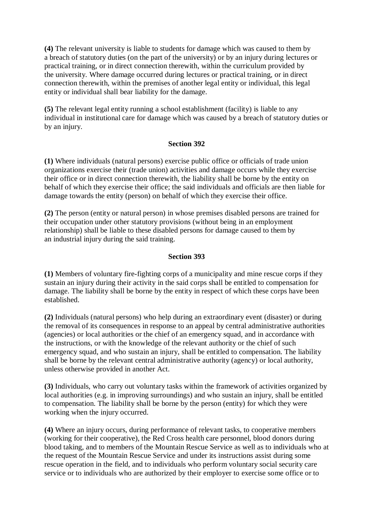**(4)** The relevant university is liable to students for damage which was caused to them by a breach of statutory duties (on the part of the university) or by an injury during lectures or practical training, or in direct connection therewith, within the curriculum provided by the university. Where damage occurred during lectures or practical training, or in direct connection therewith, within the premises of another legal entity or individual, this legal entity or individual shall bear liability for the damage.

**(5)** The relevant legal entity running a school establishment (facility) is liable to any individual in institutional care for damage which was caused by a breach of statutory duties or by an injury.

#### **Section 392**

**(1)** Where individuals (natural persons) exercise public office or officials of trade union organizations exercise their (trade union) activities and damage occurs while they exercise their office or in direct connection therewith, the liability shall be borne by the entity on behalf of which they exercise their office; the said individuals and officials are then liable for damage towards the entity (person) on behalf of which they exercise their office.

**(2)** The person (entity or natural person) in whose premises disabled persons are trained for their occupation under other statutory provisions (without being in an employment relationship) shall be liable to these disabled persons for damage caused to them by an industrial injury during the said training.

# **Section 393**

**(1)** Members of voluntary fire-fighting corps of a municipality and mine rescue corps if they sustain an injury during their activity in the said corps shall be entitled to compensation for damage. The liability shall be borne by the entity in respect of which these corps have been established.

**(2)** Individuals (natural persons) who help during an extraordinary event (disaster) or during the removal of its consequences in response to an appeal by central administrative authorities (agencies) or local authorities or the chief of an emergency squad, and in accordance with the instructions, or with the knowledge of the relevant authority or the chief of such emergency squad, and who sustain an injury, shall be entitled to compensation. The liability shall be borne by the relevant central administrative authority (agency) or local authority, unless otherwise provided in another Act.

**(3)** Individuals, who carry out voluntary tasks within the framework of activities organized by local authorities (e.g. in improving surroundings) and who sustain an injury, shall be entitled to compensation. The liability shall be borne by the person (entity) for which they were working when the injury occurred.

**(4)** Where an injury occurs, during performance of relevant tasks, to cooperative members (working for their cooperative), the Red Cross health care personnel, blood donors during blood taking, and to members of the Mountain Rescue Service as well as to individuals who at the request of the Mountain Rescue Service and under its instructions assist during some rescue operation in the field, and to individuals who perform voluntary social security care service or to individuals who are authorized by their employer to exercise some office or to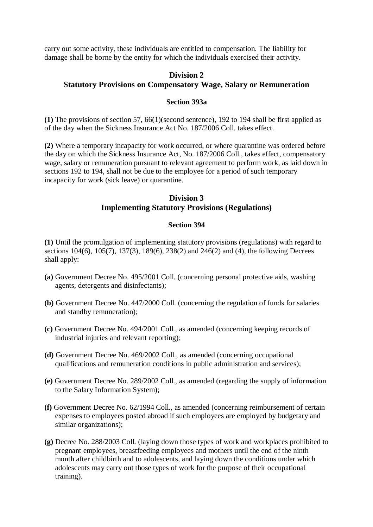carry out some activity, these individuals are entitled to compensation. The liability for damage shall be borne by the entity for which the individuals exercised their activity.

# **Division 2 Statutory Provisions on Compensatory Wage, Salary or Remuneration**

### **Section 393a**

**(1)** The provisions of section 57, 66(1)(second sentence), 192 to 194 shall be first applied as of the day when the Sickness Insurance Act No. 187/2006 Coll. takes effect.

**(2)** Where a temporary incapacity for work occurred, or where quarantine was ordered before the day on which the Sickness Insurance Act, No. 187/2006 Coll., takes effect, compensatory wage, salary or remuneration pursuant to relevant agreement to perform work, as laid down in sections 192 to 194, shall not be due to the employee for a period of such temporary incapacity for work (sick leave) or quarantine.

# **Division 3 Implementing Statutory Provisions (Regulations)**

## **Section 394**

**(1)** Until the promulgation of implementing statutory provisions (regulations) with regard to sections 104(6), 105(7), 137(3), 189(6), 238(2) and 246(2) and (4), the following Decrees shall apply:

- **(a)** Government Decree No. 495/2001 Coll. (concerning personal protective aids, washing agents, detergents and disinfectants);
- **(b)** Government Decree No. 447/2000 Coll. (concerning the regulation of funds for salaries and standby remuneration);
- **(c)** Government Decree No. 494/2001 Coll., as amended (concerning keeping records of industrial injuries and relevant reporting);
- **(d)** Government Decree No. 469/2002 Coll., as amended (concerning occupational qualifications and remuneration conditions in public administration and services);
- **(e)** Government Decree No. 289/2002 Coll., as amended (regarding the supply of information to the Salary Information System);
- **(f)** Government Decree No. 62/1994 Coll., as amended (concerning reimbursement of certain expenses to employees posted abroad if such employees are employed by budgetary and similar organizations);
- **(g)** Decree No. 288/2003 Coll. (laying down those types of work and workplaces prohibited to pregnant employees, breastfeeding employees and mothers until the end of the ninth month after childbirth and to adolescents, and laying down the conditions under which adolescents may carry out those types of work for the purpose of their occupational training).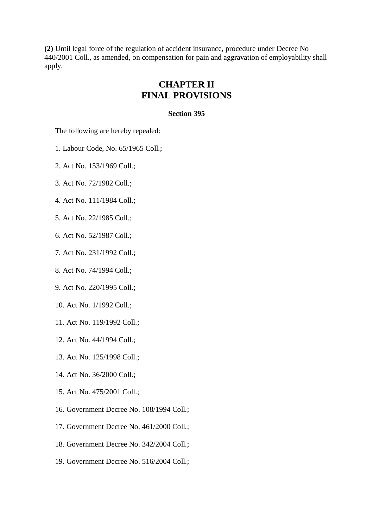**(2)** Until legal force of the regulation of accident insurance, procedure under Decree No 440/2001 Coll., as amended, on compensation for pain and aggravation of employability shall apply.

# **CHAPTER II FINAL PROVISIONS**

### **Section 395**

The following are hereby repealed:

1. Labour Code, No. 65/1965 Coll.;

2. Act No. 153/1969 Coll.;

- 3. Act No. 72/1982 Coll.;
- 4. Act No. 111/1984 Coll.;
- 5. Act No. 22/1985 Coll.;
- 6. Act No. 52/1987 Coll.;
- 7. Act No. 231/1992 Coll.;
- 8. Act No. 74/1994 Coll.;
- 9. Act No. 220/1995 Coll.;
- 10. Act No. 1/1992 Coll.;
- 11. Act No. 119/1992 Coll.;
- 12. Act No. 44/1994 Coll.;
- 13. Act No. 125/1998 Coll.;
- 14. Act No. 36/2000 Coll.;
- 15. Act No. 475/2001 Coll.;
- 16. Government Decree No. 108/1994 Coll.;
- 17. Government Decree No. 461/2000 Coll.;
- 18. Government Decree No. 342/2004 Coll.;
- 19. Government Decree No. 516/2004 Coll.;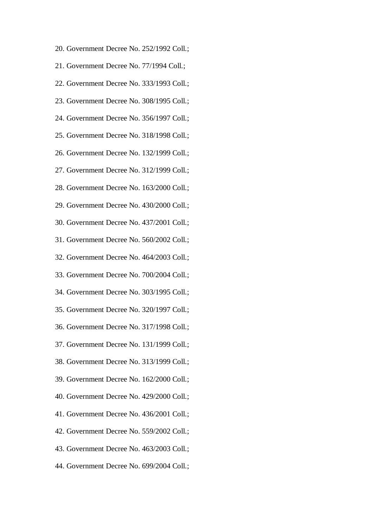20. Government Decree No. 252/1992 Coll.; 21. Government Decree No. 77/1994 Coll.; 22. Government Decree No. 333/1993 Coll.; 23. Government Decree No. 308/1995 Coll.; 24. Government Decree No. 356/1997 Coll.; 25. Government Decree No. 318/1998 Coll.; 26. Government Decree No. 132/1999 Coll.; 27. Government Decree No. 312/1999 Coll.; 28. Government Decree No. 163/2000 Coll.; 29. Government Decree No. 430/2000 Coll.; 30. Government Decree No. 437/2001 Coll.; 31. Government Decree No. 560/2002 Coll.; 32. Government Decree No. 464/2003 Coll.; 33. Government Decree No. 700/2004 Coll.; 34. Government Decree No. 303/1995 Coll.; 35. Government Decree No. 320/1997 Coll.; 36. Government Decree No. 317/1998 Coll.; 37. Government Decree No. 131/1999 Coll.; 38. Government Decree No. 313/1999 Coll.; 39. Government Decree No. 162/2000 Coll.; 40. Government Decree No. 429/2000 Coll.; 41. Government Decree No. 436/2001 Coll.; 42. Government Decree No. 559/2002 Coll.; 43. Government Decree No. 463/2003 Coll.; 44. Government Decree No. 699/2004 Coll.;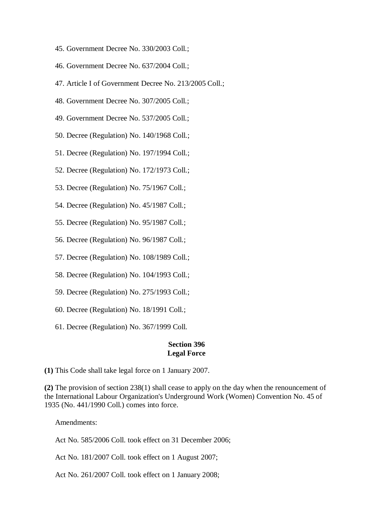- 45. Government Decree No. 330/2003 Coll.;
- 46. Government Decree No. 637/2004 Coll.;
- 47. Article I of Government Decree No. 213/2005 Coll.;
- 48. Government Decree No. 307/2005 Coll.;
- 49. Government Decree No. 537/2005 Coll.;
- 50. Decree (Regulation) No. 140/1968 Coll.;
- 51. Decree (Regulation) No. 197/1994 Coll.;
- 52. Decree (Regulation) No. 172/1973 Coll.;
- 53. Decree (Regulation) No. 75/1967 Coll.;
- 54. Decree (Regulation) No. 45/1987 Coll.;
- 55. Decree (Regulation) No. 95/1987 Coll.;
- 56. Decree (Regulation) No. 96/1987 Coll.;
- 57. Decree (Regulation) No. 108/1989 Coll.;
- 58. Decree (Regulation) No. 104/1993 Coll.;
- 59. Decree (Regulation) No. 275/1993 Coll.;
- 60. Decree (Regulation) No. 18/1991 Coll.;
- 61. Decree (Regulation) No. 367/1999 Coll.

## **Section 396 Legal Force**

**(1)** This Code shall take legal force on 1 January 2007.

**(2)** The provision of section 238(1) shall cease to apply on the day when the renouncement of the International Labour Organization's Underground Work (Women) Convention No. 45 of 1935 (No. 441/1990 Coll.) comes into force.

Amendments:

Act No. 585/2006 Coll. took effect on 31 December 2006;

Act No. 181/2007 Coll. took effect on 1 August 2007;

Act No. 261/2007 Coll. took effect on 1 January 2008;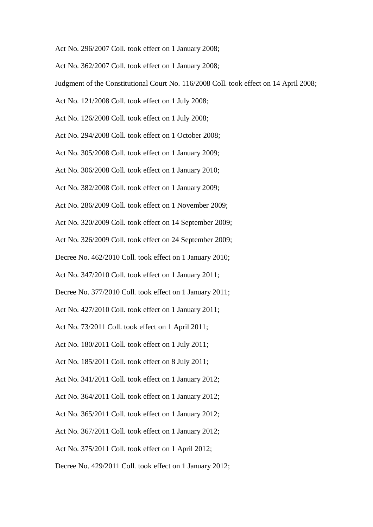Act No. 296/2007 Coll. took effect on 1 January 2008;

Act No. 362/2007 Coll. took effect on 1 January 2008;

Judgment of the Constitutional Court No. 116/2008 Coll. took effect on 14 April 2008;

Act No. 121/2008 Coll. took effect on 1 July 2008;

Act No. 126/2008 Coll. took effect on 1 July 2008;

Act No. 294/2008 Coll. took effect on 1 October 2008;

Act No. 305/2008 Coll. took effect on 1 January 2009;

Act No. 306/2008 Coll. took effect on 1 January 2010;

Act No. 382/2008 Coll. took effect on 1 January 2009;

Act No. 286/2009 Coll. took effect on 1 November 2009;

Act No. 320/2009 Coll. took effect on 14 September 2009;

Act No. 326/2009 Coll. took effect on 24 September 2009;

Decree No. 462/2010 Coll. took effect on 1 January 2010;

Act No. 347/2010 Coll. took effect on 1 January 2011;

Decree No. 377/2010 Coll. took effect on 1 January 2011;

Act No. 427/2010 Coll. took effect on 1 January 2011;

Act No. 73/2011 Coll. took effect on 1 April 2011;

Act No. 180/2011 Coll. took effect on 1 July 2011;

Act No. 185/2011 Coll. took effect on 8 July 2011;

Act No. 341/2011 Coll. took effect on 1 January 2012;

Act No. 364/2011 Coll. took effect on 1 January 2012;

Act No. 365/2011 Coll. took effect on 1 January 2012;

Act No. 367/2011 Coll. took effect on 1 January 2012;

Act No. 375/2011 Coll. took effect on 1 April 2012;

Decree No. 429/2011 Coll. took effect on 1 January 2012;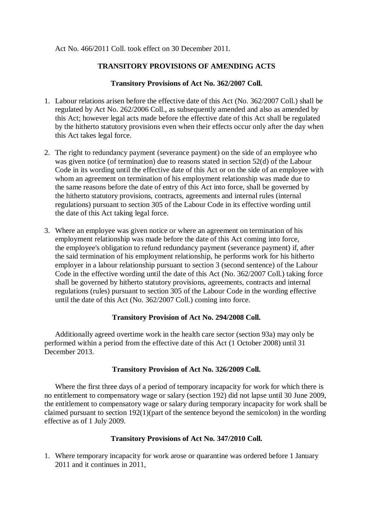#### Act No. 466/2011 Coll. took effect on 30 December 2011.

## **TRANSITORY PROVISIONS OF AMENDING ACTS**

#### **Transitory Provisions of Act No. 362/2007 Coll.**

- 1. Labour relations arisen before the effective date of this Act (No. 362/2007 Coll.) shall be regulated by Act No. 262/2006 Coll., as subsequently amended and also as amended by this Act; however legal acts made before the effective date of this Act shall be regulated by the hitherto statutory provisions even when their effects occur only after the day when this Act takes legal force.
- 2. The right to redundancy payment (severance payment) on the side of an employee who was given notice (of termination) due to reasons stated in section 52(d) of the Labour Code in its wording until the effective date of this Act or on the side of an employee with whom an agreement on termination of his employment relationship was made due to the same reasons before the date of entry of this Act into force, shall be governed by the hitherto statutory provisions, contracts, agreements and internal rules (internal regulations) pursuant to section 305 of the Labour Code in its effective wording until the date of this Act taking legal force.
- 3. Where an employee was given notice or where an agreement on termination of his employment relationship was made before the date of this Act coming into force, the employee's obligation to refund redundancy payment (severance payment) if, after the said termination of his employment relationship, he performs work for his hitherto employer in a labour relationship pursuant to section 3 (second sentence) of the Labour Code in the effective wording until the date of this Act (No. 362/2007 Coll.) taking force shall be governed by hitherto statutory provisions, agreements, contracts and internal regulations (rules) pursuant to section 305 of the Labour Code in the wording effective until the date of this Act (No. 362/2007 Coll.) coming into force.

#### **Transitory Provision of Act No. 294/2008 Coll.**

Additionally agreed overtime work in the health care sector (section 93a) may only be performed within a period from the effective date of this Act (1 October 2008) until 31 December 2013.

#### **Transitory Provision of Act No. 326/2009 Coll.**

Where the first three days of a period of temporary incapacity for work for which there is no entitlement to compensatory wage or salary (section 192) did not lapse until 30 June 2009, the entitlement to compensatory wage or salary during temporary incapacity for work shall be claimed pursuant to section 192(1)(part of the sentence beyond the semicolon) in the wording effective as of 1 July 2009.

#### **Transitory Provisions of Act No. 347/2010 Coll.**

1. Where temporary incapacity for work arose or quarantine was ordered before 1 January 2011 and it continues in 2011,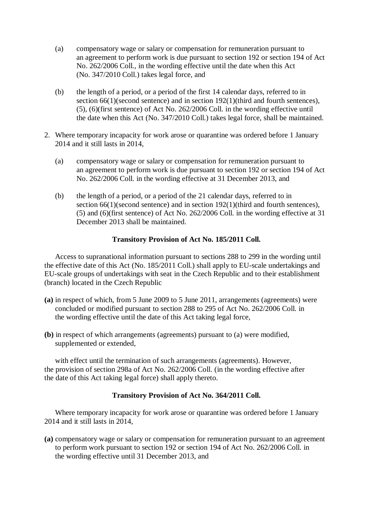- (a) compensatory wage or salary or compensation for remuneration pursuant to an agreement to perform work is due pursuant to section 192 or section 194 of Act No. 262/2006 Coll., in the wording effective until the date when this Act (No. 347/2010 Coll.) takes legal force, and
- (b) the length of a period, or a period of the first 14 calendar days, referred to in section 66(1)(second sentence) and in section 192(1)(third and fourth sentences), (5), (6)(first sentence) of Act No. 262/2006 Coll. in the wording effective until the date when this Act (No. 347/2010 Coll.) takes legal force, shall be maintained.
- 2. Where temporary incapacity for work arose or quarantine was ordered before 1 January 2014 and it still lasts in 2014,
	- (a) compensatory wage or salary or compensation for remuneration pursuant to an agreement to perform work is due pursuant to section 192 or section 194 of Act No. 262/2006 Coll. in the wording effective at 31 December 2013, and
	- (b) the length of a period, or a period of the 21 calendar days, referred to in section 66(1)(second sentence) and in section 192(1)(third and fourth sentences), (5) and (6)(first sentence) of Act No. 262/2006 Coll. in the wording effective at 31 December 2013 shall be maintained.

## **Transitory Provision of Act No. 185/2011 Coll.**

Access to supranational information pursuant to sections 288 to 299 in the wording until the effective date of this Act (No. 185/2011 Coll.) shall apply to EU-scale undertakings and EU-scale groups of undertakings with seat in the Czech Republic and to their establishment (branch) located in the Czech Republic

- **(a)** in respect of which, from 5 June 2009 to 5 June 2011, arrangements (agreements) were concluded or modified pursuant to section 288 to 295 of Act No. 262/2006 Coll. in the wording effective until the date of this Act taking legal force,
- **(b)** in respect of which arrangements (agreements) pursuant to (a) were modified, supplemented or extended,

with effect until the termination of such arrangements (agreements). However, the provision of section 298a of Act No. 262/2006 Coll. (in the wording effective after the date of this Act taking legal force) shall apply thereto.

#### **Transitory Provision of Act No. 364/2011 Coll.**

Where temporary incapacity for work arose or quarantine was ordered before 1 January 2014 and it still lasts in 2014,

**(a)** compensatory wage or salary or compensation for remuneration pursuant to an agreement to perform work pursuant to section 192 or section 194 of Act No. 262/2006 Coll. in the wording effective until 31 December 2013, and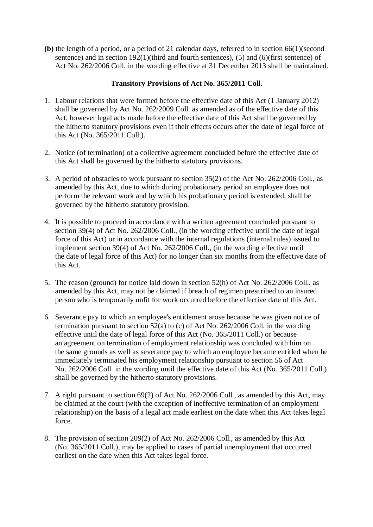**(b)** the length of a period, or a period of 21 calendar days, referred to in section 66(1)(second sentence) and in section 192(1)(third and fourth sentences), (5) and (6)(first sentence) of Act No. 262/2006 Coll. in the wording effective at 31 December 2013 shall be maintained.

# **Transitory Provisions of Act No. 365/2011 Coll.**

- 1. Labour relations that were formed before the effective date of this Act (1 January 2012) shall be governed by Act No. 262/2009 Coll. as amended as of the effective date of this Act, however legal acts made before the effective date of this Act shall be governed by the hitherto statutory provisions even if their effects occurs after the date of legal force of this Act (No. 365/2011 Coll.).
- 2. Notice (of termination) of a collective agreement concluded before the effective date of this Act shall be governed by the hitherto statutory provisions.
- 3. A period of obstacles to work pursuant to section 35(2) of the Act No. 262/2006 Coll., as amended by this Act, due to which during probationary period an employee does not perform the relevant work and by which his probationary period is extended, shall be governed by the hitherto statutory provision.
- 4. It is possible to proceed in accordance with a written agreement concluded pursuant to section 39(4) of Act No. 262/2006 Coll., (in the wording effective until the date of legal force of this Act) or in accordance with the internal regulations (internal rules) issued to implement section 39(4) of Act No. 262/2006 Coll., (in the wording effective until the date of legal force of this Act) for no longer than six months from the effective date of this Act.
- 5. The reason (ground) for notice laid down in section 52(h) of Act No. 262/2006 Coll., as amended by this Act, may not be claimed if breach of regimen prescribed to an insured person who is temporarily unfit for work occurred before the effective date of this Act.
- 6. Severance pay to which an employee's entitlement arose because he was given notice of termination pursuant to section 52(a) to (c) of Act No. 262/2006 Coll. in the wording effective until the date of legal force of this Act (No. 365/2011 Coll.) or because an agreement on termination of employment relationship was concluded with him on the same grounds as well as severance pay to which an employee became entitled when he immediately terminated his employment relationship pursuant to section 56 of Act No. 262/2006 Coll. in the wording until the effective date of this Act (No. 365/2011 Coll.) shall be governed by the hitherto statutory provisions.
- 7. A right pursuant to section 69(2) of Act No. 262/2006 Coll., as amended by this Act, may be claimed at the court (with the exception of ineffective termination of an employment relationship) on the basis of a legal act made earliest on the date when this Act takes legal force.
- 8. The provision of section 209(2) of Act No. 262/2006 Coll., as amended by this Act (No. 365/2011 Coll.), may be applied to cases of partial unemployment that occurred earliest on the date when this Act takes legal force.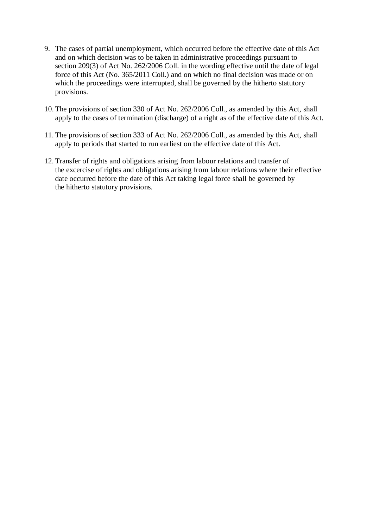- 9. The cases of partial unemployment, which occurred before the effective date of this Act and on which decision was to be taken in administrative proceedings pursuant to section 209(3) of Act No. 262/2006 Coll. in the wording effective until the date of legal force of this Act (No. 365/2011 Coll.) and on which no final decision was made or on which the proceedings were interrupted, shall be governed by the hitherto statutory provisions.
- 10. The provisions of section 330 of Act No. 262/2006 Coll., as amended by this Act, shall apply to the cases of termination (discharge) of a right as of the effective date of this Act.
- 11. The provisions of section 333 of Act No. 262/2006 Coll., as amended by this Act, shall apply to periods that started to run earliest on the effective date of this Act.
- 12. Transfer of rights and obligations arising from labour relations and transfer of the excercise of rights and obligations arising from labour relations where their effective date occurred before the date of this Act taking legal force shall be governed by the hitherto statutory provisions.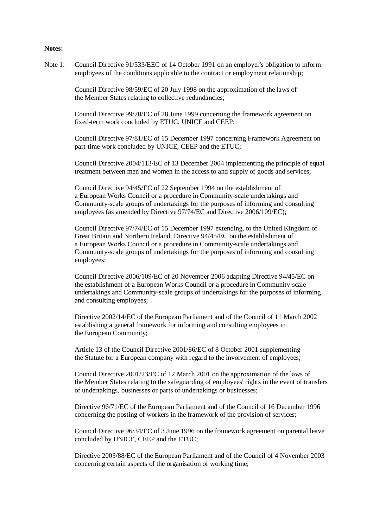#### **Notes:**

Note 1: Council Directive 91/533/EEC of 14 October 1991 on an employer's obligation to inform employees of the conditions applicable to the contract or employment relationship;

> Council Directive 98/59/EC of 20 July 1998 on the approximation of the laws of the Member States relating to collective redundancies;

Council Directive 99/70/EC of 28 June 1999 concerning the framework agreement on fixed-term work concluded by ETUC, UNICE and CEEP;

Council Directive 97/81/EC of 15 December 1997 concerning Framework Agreement on part-time work concluded by UNICE, CEEP and the ETUC;

Council Directive 2004/113/EC of 13 December 2004 implementing the principle of equal treatment between men and women in the access to and supply of goods and services;

Council Directive 94/45/EC of 22 September 1994 on the establishment of a European Works Council or a procedure in Community-scale undertakings and Community-scale groups of undertakings for the purposes of informing and consulting employees (as amended by Directive 97/74/EC and Directive 2006/109/EC);

Council Directive 97/74/EC of 15 December 1997 extending, to the United Kingdom of Great Britain and Northern Ireland, Directive 94/45/EC on the establishment of a European Works Council or a procedure in Community-scale undertakings and Community-scale groups of undertakings for the purposes of informing and consulting employees;

Council Directive 2006/109/EC of 20 November 2006 adapting Directive 94/45/EC on the establishment of a European Works Council or a procedure in Community-scale undertakings and Community-scale groups of undertakings for the purposes of informing and consulting employees;

Directive 2002/14/EC of the European Parliament and of the Council of 11 March 2002 establishing a general framework for informing and consulting employees in the European Community;

Article 13 of the Council Directive 2001/86/EC of 8 October 2001 supplementing the Statute for a European company with regard to the involvement of employees;

Council Directive 2001/23/EC of 12 March 2001 on the approximation of the laws of the Member States relating to the safeguarding of employees' rights in the event of transfers of undertakings, businesses or parts of undertakings or businesses;

Directive 96/71/EC of the European Parliament and of the Council of 16 December 1996 concerning the posting of workers in the framework of the provision of services;

Council Directive 96/34/EC of 3 June 1996 on the framework agreement on parental leave concluded by UNICE, CEEP and the ETUC;

Directive 2003/88/EC of the European Parliament and of the Council of 4 November 2003 concerning certain aspects of the organisation of working time;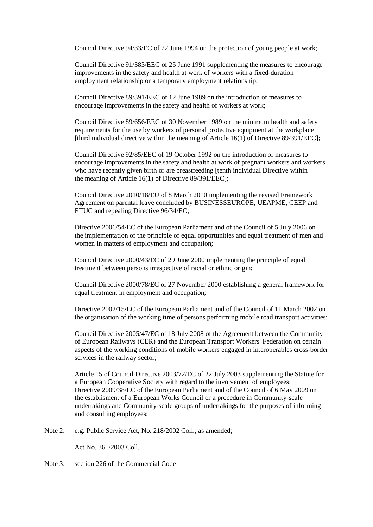Council Directive 94/33/EC of 22 June 1994 on the protection of young people at work;

Council Directive 91/383/EEC of 25 June 1991 supplementing the measures to encourage improvements in the safety and health at work of workers with a fixed-duration employment relationship or a temporary employment relationship;

Council Directive 89/391/EEC of 12 June 1989 on the introduction of measures to encourage improvements in the safety and health of workers at work;

Council Directive 89/656/EEC of 30 November 1989 on the minimum health and safety requirements for the use by workers of personal protective equipment at the workplace [third individual directive within the meaning of Article 16(1) of Directive 89/391/EEC];

Council Directive 92/85/EEC of 19 October 1992 on the introduction of measures to encourage improvements in the safety and health at work of pregnant workers and workers who have recently given birth or are breastfeeding [tenth individual Directive within the meaning of Article 16(1) of Directive 89/391/EEC];

Council Directive 2010/18/EU of 8 March 2010 implementing the revised Framework Agreement on parental leave concluded by BUSINESSEUROPE, UEAPME, CEEP and ETUC and repealing Directive 96/34/EC;

Directive 2006/54/EC of the European Parliament and of the Council of 5 July 2006 on the implementation of the principle of equal opportunities and equal treatment of men and women in matters of employment and occupation;

Council Directive 2000/43/EC of 29 June 2000 implementing the principle of equal treatment between persons irrespective of racial or ethnic origin;

Council Directive 2000/78/EC of 27 November 2000 establishing a general framework for equal treatment in employment and occupation;

Directive 2002/15/EC of the European Parliament and of the Council of 11 March 2002 on the organisation of the working time of persons performing mobile road transport activities;

Council Directive 2005/47/EC of 18 July 2008 of the Agreement between the Community of European Railways (CER) and the European Transport Workers' Federation on certain aspects of the working conditions of mobile workers engaged in interoperables cross-border services in the railway sector;

Article 15 of Council Directive 2003/72/EC of 22 July 2003 supplementing the Statute for a European Cooperative Society with regard to the involvement of employees; Directive 2009/38/EC of the European Parliament and of the Council of 6 May 2009 on the establisment of a European Works Council or a procedure in Community-scale undertakings and Community-scale groups of undertakings for the purposes of informing and consulting employees;

Note 2: e.g. Public Service Act, No. 218/2002 Coll., as amended:

Act No. 361/2003 Coll.

Note 3: section 226 of the Commercial Code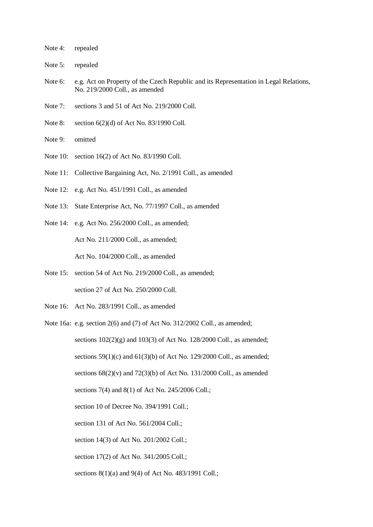- Note 4: repealed
- Note 5: repealed
- Note 6: e.g. Act on Property of the Czech Republic and its Representation in Legal Relations, No. 219/2000 Coll., as amended
- Note 7: sections 3 and 51 of Act No. 219/2000 Coll.
- Note 8: section 6(2)(d) of Act No. 83/1990 Coll.
- Note 9: omitted
- Note 10: section 16(2) of Act No. 83/1990 Coll.
- Note 11: Collective Bargaining Act, No. 2/1991 Coll., as amended
- Note 12: e.g. Act No. 451/1991 Coll., as amended
- Note 13: State Enterprise Act, No. 77/1997 Coll., as amended
- Note 14: e.g. Act No. 256/2000 Coll., as amended;

Act No. 211/2000 Coll., as amended;

Act No. 104/2000 Coll., as amended

- Note 15: section 54 of Act No. 219/2000 Coll., as amended; section 27 of Act No. 250/2000 Coll.
- Note 16: Act No. 283/1991 Coll., as amended
- Note 16a: e.g. section 2(6) and (7) of Act No. 312/2002 Coll., as amended; sections  $102(2)(g)$  and  $103(3)$  of Act No. 128/2000 Coll., as amended; sections  $59(1)(c)$  and  $61(3)(b)$  of Act No. 129/2000 Coll., as amended; sections  $68(2)(v)$  and  $72(3)(b)$  of Act No. 131/2000 Coll., as amended sections 7(4) and 8(1) of Act No. 245/2006 Coll.; section 10 of Decree No. 394/1991 Coll.; section 131 of Act No. 561/2004 Coll.; section 14(3) of Act No. 201/2002 Coll.; section 17(2) of Act No. 341/2005 Coll.; sections 8(1)(a) and 9(4) of Act No. 483/1991 Coll.;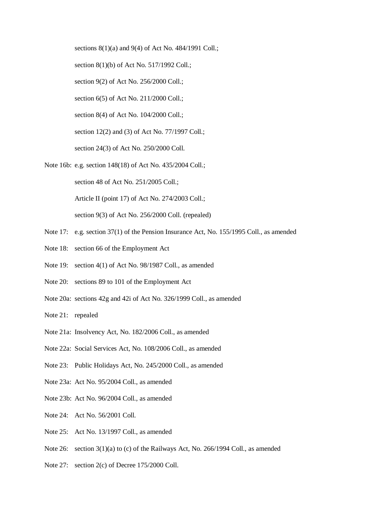sections 8(1)(a) and 9(4) of Act No. 484/1991 Coll.;

section 8(1)(b) of Act No. 517/1992 Coll.;

section 9(2) of Act No. 256/2000 Coll.;

section 6(5) of Act No. 211/2000 Coll.;

section 8(4) of Act No. 104/2000 Coll.;

section 12(2) and (3) of Act No. 77/1997 Coll.;

section 24(3) of Act No. 250/2000 Coll.

Note 16b: e.g. section 148(18) of Act No. 435/2004 Coll.;

section 48 of Act No. 251/2005 Coll.;

Article II (point 17) of Act No. 274/2003 Coll.;

section 9(3) of Act No. 256/2000 Coll. (repealed)

- Note 17: e.g. section 37(1) of the Pension Insurance Act, No. 155/1995 Coll., as amended
- Note 18: section 66 of the Employment Act
- Note 19: section 4(1) of Act No. 98/1987 Coll., as amended
- Note 20: sections 89 to 101 of the Employment Act
- Note 20a: sections 42g and 42i of Act No. 326/1999 Coll., as amended
- Note 21: repealed
- Note 21a: Insolvency Act, No. 182/2006 Coll., as amended
- Note 22a: Social Services Act, No. 108/2006 Coll., as amended
- Note 23: Public Holidays Act, No. 245/2000 Coll., as amended
- Note 23a: Act No. 95/2004 Coll., as amended
- Note 23b: Act No. 96/2004 Coll., as amended
- Note 24: Act No. 56/2001 Coll.
- Note 25: Act No. 13/1997 Coll., as amended
- Note 26: section 3(1)(a) to (c) of the Railways Act, No. 266/1994 Coll., as amended
- Note 27: section 2(c) of Decree 175/2000 Coll.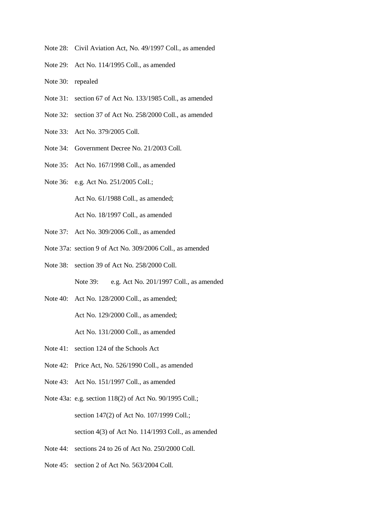- Note 28: Civil Aviation Act, No. 49/1997 Coll., as amended
- Note 29: Act No. 114/1995 Coll., as amended
- Note 30: repealed
- Note 31: section 67 of Act No. 133/1985 Coll., as amended
- Note 32: section 37 of Act No. 258/2000 Coll., as amended
- Note 33: Act No. 379/2005 Coll.
- Note 34: Government Decree No. 21/2003 Coll.
- Note 35: Act No. 167/1998 Coll., as amended
- Note 36: e.g. Act No. 251/2005 Coll.;

Act No. 61/1988 Coll., as amended;

Act No. 18/1997 Coll., as amended

- Note 37: Act No. 309/2006 Coll., as amended
- Note 37a: section 9 of Act No. 309/2006 Coll., as amended
- Note 38: section 39 of Act No. 258/2000 Coll. Note 39: e.g. Act No. 201/1997 Coll., as amended
- Note 40: Act No. 128/2000 Coll., as amended; Act No. 129/2000 Coll., as amended; Act No. 131/2000 Coll., as amended
- Note 41: section 124 of the Schools Act
- Note 42: Price Act, No. 526/1990 Coll., as amended
- Note 43: Act No. 151/1997 Coll., as amended
- Note 43a: e.g. section 118(2) of Act No. 90/1995 Coll.; section 147(2) of Act No. 107/1999 Coll.; section 4(3) of Act No. 114/1993 Coll., as amended
- Note 44: sections 24 to 26 of Act No. 250/2000 Coll.
- Note 45: section 2 of Act No. 563/2004 Coll.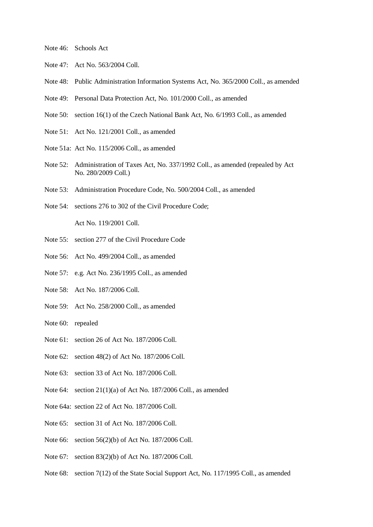- Note 46: Schools Act
- Note 47: Act No. 563/2004 Coll.
- Note 48: Public Administration Information Systems Act, No. 365/2000 Coll., as amended
- Note 49: Personal Data Protection Act, No. 101/2000 Coll., as amended
- Note 50: section 16(1) of the Czech National Bank Act, No. 6/1993 Coll., as amended
- Note 51: Act No. 121/2001 Coll., as amended
- Note 51a: Act No. 115/2006 Coll., as amended
- Note 52: Administration of Taxes Act, No. 337/1992 Coll., as amended (repealed by Act No. 280/2009 Coll.)
- Note 53: Administration Procedure Code, No. 500/2004 Coll., as amended
- Note 54: sections 276 to 302 of the Civil Procedure Code; Act No. 119/2001 Coll.
- Note 55: section 277 of the Civil Procedure Code
- Note 56: Act No. 499/2004 Coll., as amended
- Note 57: e.g. Act No. 236/1995 Coll., as amended
- Note 58: Act No. 187/2006 Coll.
- Note 59: Act No. 258/2000 Coll., as amended
- Note 60: repealed
- Note 61: section 26 of Act No. 187/2006 Coll.
- Note 62: section 48(2) of Act No. 187/2006 Coll.
- Note 63: section 33 of Act No. 187/2006 Coll.
- Note 64: section 21(1)(a) of Act No. 187/2006 Coll., as amended
- Note 64a: section 22 of Act No. 187/2006 Coll.
- Note 65: section 31 of Act No. 187/2006 Coll.
- Note 66: section 56(2)(b) of Act No. 187/2006 Coll.
- Note 67: section 83(2)(b) of Act No. 187/2006 Coll.
- Note 68: section 7(12) of the State Social Support Act, No. 117/1995 Coll., as amended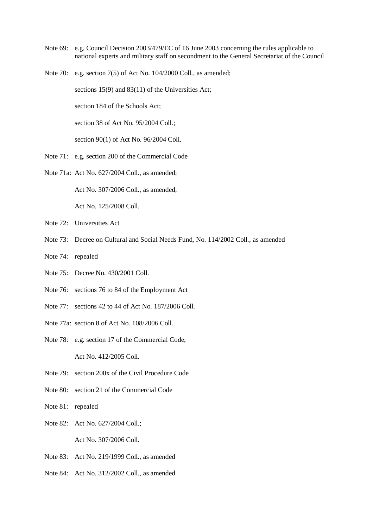- Note 69: e.g. Council Decision 2003/479/EC of 16 June 2003 concerning the rules applicable to national experts and military staff on secondment to the General Secretariat of the Council
- Note 70: e.g. section 7(5) of Act No. 104/2000 Coll., as amended;

sections 15(9) and 83(11) of the Universities Act;

section 184 of the Schools Act;

section 38 of Act No. 95/2004 Coll.;

section 90(1) of Act No. 96/2004 Coll.

- Note 71: e.g. section 200 of the Commercial Code
- Note 71a: Act No. 627/2004 Coll., as amended;

Act No. 307/2006 Coll., as amended; Act No. 125/2008 Coll.

- Note 72: Universities Act
- Note 73: Decree on Cultural and Social Needs Fund, No. 114/2002 Coll., as amended
- Note 74: repealed
- Note 75: Decree No. 430/2001 Coll.
- Note 76: sections 76 to 84 of the Employment Act
- Note 77: sections 42 to 44 of Act No. 187/2006 Coll.
- Note 77a: section 8 of Act No. 108/2006 Coll.
- Note 78: e.g. section 17 of the Commercial Code; Act No. 412/2005 Coll.
- Note 79: section 200x of the Civil Procedure Code
- Note 80: section 21 of the Commercial Code
- Note 81: repealed
- Note 82: Act No. 627/2004 Coll.; Act No. 307/2006 Coll.
- Note 83: Act No. 219/1999 Coll., as amended
- Note 84: Act No. 312/2002 Coll., as amended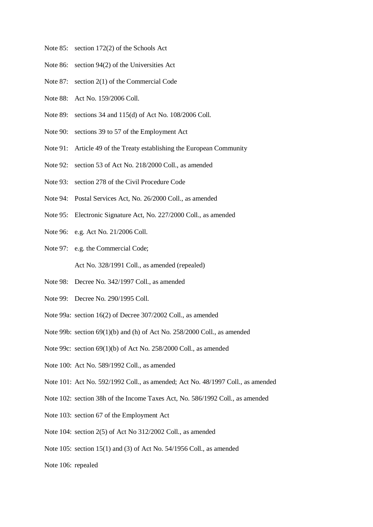- Note 85: section 172(2) of the Schools Act
- Note 86: section 94(2) of the Universities Act
- Note 87: section 2(1) of the Commercial Code
- Note 88: Act No. 159/2006 Coll.
- Note 89: sections 34 and 115(d) of Act No. 108/2006 Coll.
- Note 90: sections 39 to 57 of the Employment Act
- Note 91: Article 49 of the Treaty establishing the European Community
- Note 92: section 53 of Act No. 218/2000 Coll., as amended
- Note 93: section 278 of the Civil Procedure Code
- Note 94: Postal Services Act, No. 26/2000 Coll., as amended
- Note 95: Electronic Signature Act, No. 227/2000 Coll., as amended
- Note 96: e.g. Act No. 21/2006 Coll.
- Note 97: e.g. the Commercial Code; Act No. 328/1991 Coll., as amended (repealed)
- Note 98: Decree No. 342/1997 Coll., as amended
- Note 99: Decree No. 290/1995 Coll.
- Note 99a: section 16(2) of Decree 307/2002 Coll., as amended
- Note 99b: section 69(1)(b) and (h) of Act No. 258/2000 Coll., as amended
- Note 99c: section 69(1)(b) of Act No. 258/2000 Coll., as amended
- Note 100: Act No. 589/1992 Coll., as amended
- Note 101: Act No. 592/1992 Coll., as amended; Act No. 48/1997 Coll., as amended
- Note 102: section 38h of the Income Taxes Act, No. 586/1992 Coll., as amended
- Note 103: section 67 of the Employment Act
- Note 104: section 2(5) of Act No 312/2002 Coll., as amended
- Note 105: section 15(1) and (3) of Act No. 54/1956 Coll., as amended
- Note 106: repealed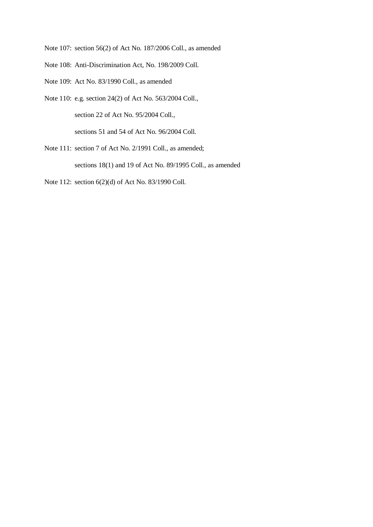Note 107: section 56(2) of Act No. 187/2006 Coll., as amended

Note 108: Anti-Discrimination Act, No. 198/2009 Coll.

- Note 109: Act No. 83/1990 Coll., as amended
- Note 110: e.g. section 24(2) of Act No. 563/2004 Coll.,

section 22 of Act No. 95/2004 Coll.,

sections 51 and 54 of Act No. 96/2004 Coll.

Note 111: section 7 of Act No. 2/1991 Coll., as amended;

sections 18(1) and 19 of Act No. 89/1995 Coll., as amended

Note 112: section 6(2)(d) of Act No. 83/1990 Coll.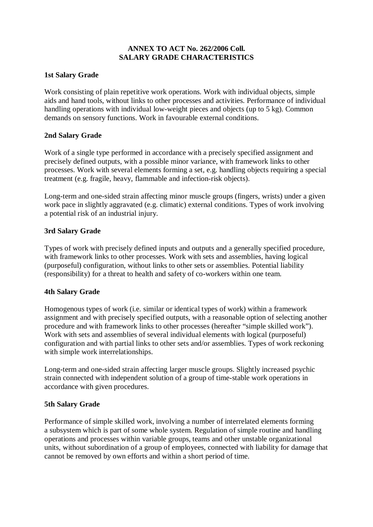# **ANNEX TO ACT No. 262/2006 Coll. SALARY GRADE CHARACTERISTICS**

# **1st Salary Grade**

Work consisting of plain repetitive work operations. Work with individual objects, simple aids and hand tools, without links to other processes and activities. Performance of individual handling operations with individual low-weight pieces and objects (up to 5 kg). Common demands on sensory functions. Work in favourable external conditions.

## **2nd Salary Grade**

Work of a single type performed in accordance with a precisely specified assignment and precisely defined outputs, with a possible minor variance, with framework links to other processes. Work with several elements forming a set, e.g. handling objects requiring a special treatment (e.g. fragile, heavy, flammable and infection-risk objects).

Long-term and one-sided strain affecting minor muscle groups (fingers, wrists) under a given work pace in slightly aggravated (e.g. climatic) external conditions. Types of work involving a potential risk of an industrial injury.

# **3rd Salary Grade**

Types of work with precisely defined inputs and outputs and a generally specified procedure, with framework links to other processes. Work with sets and assemblies, having logical (purposeful) configuration, without links to other sets or assemblies. Potential liability (responsibility) for a threat to health and safety of co-workers within one team.

# **4th Salary Grade**

Homogenous types of work (i.e. similar or identical types of work) within a framework assignment and with precisely specified outputs, with a reasonable option of selecting another procedure and with framework links to other processes (hereafter "simple skilled work"). Work with sets and assemblies of several individual elements with logical (purposeful) configuration and with partial links to other sets and/or assemblies. Types of work reckoning with simple work interrelationships.

Long-term and one-sided strain affecting larger muscle groups. Slightly increased psychic strain connected with independent solution of a group of time-stable work operations in accordance with given procedures.

# **5th Salary Grade**

Performance of simple skilled work, involving a number of interrelated elements forming a subsystem which is part of some whole system. Regulation of simple routine and handling operations and processes within variable groups, teams and other unstable organizational units, without subordination of a group of employees, connected with liability for damage that cannot be removed by own efforts and within a short period of time.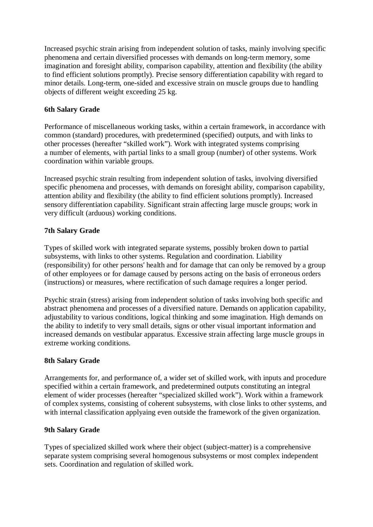Increased psychic strain arising from independent solution of tasks, mainly involving specific phenomena and certain diversified processes with demands on long-term memory, some imagination and foresight ability, comparison capability, attention and flexibility (the ability to find efficient solutions promptly). Precise sensory differentiation capability with regard to minor details. Long-term, one-sided and excessive strain on muscle groups due to handling objects of different weight exceeding 25 kg.

# **6th Salary Grade**

Performance of miscellaneous working tasks, within a certain framework, in accordance with common (standard) procedures, with predetermined (specified) outputs, and with links to other processes (hereafter "skilled work"). Work with integrated systems comprising a number of elements, with partial links to a small group (number) of other systems. Work coordination within variable groups.

Increased psychic strain resulting from independent solution of tasks, involving diversified specific phenomena and processes, with demands on foresight ability, comparison capability, attention ability and flexibility (the ability to find efficient solutions promptly). Increased sensory differentiation capability. Significant strain affecting large muscle groups; work in very difficult (arduous) working conditions.

# **7th Salary Grade**

Types of skilled work with integrated separate systems, possibly broken down to partial subsystems, with links to other systems. Regulation and coordination. Liability (responsibility) for other persons' health and for damage that can only be removed by a group of other employees or for damage caused by persons acting on the basis of erroneous orders (instructions) or measures, where rectification of such damage requires a longer period.

Psychic strain (stress) arising from independent solution of tasks involving both specific and abstract phenomena and processes of a diversified nature. Demands on application capability, adjustability to various conditions, logical thinking and some imagination. High demands on the ability to indetify to very small details, signs or other visual important information and increased demands on vestibular apparatus. Excessive strain affecting large muscle groups in extreme working conditions.

# **8th Salary Grade**

Arrangements for, and performance of, a wider set of skilled work, with inputs and procedure specified within a certain framework, and predetermined outputs constituting an integral element of wider processes (hereafter "specialized skilled work"). Work within a framework of complex systems, consisting of coherent subsystems, with close links to other systems, and with internal classification applyaing even outside the framework of the given organization.

# **9th Salary Grade**

Types of specialized skilled work where their object (subject-matter) is a comprehensive separate system comprising several homogenous subsystems or most complex independent sets. Coordination and regulation of skilled work.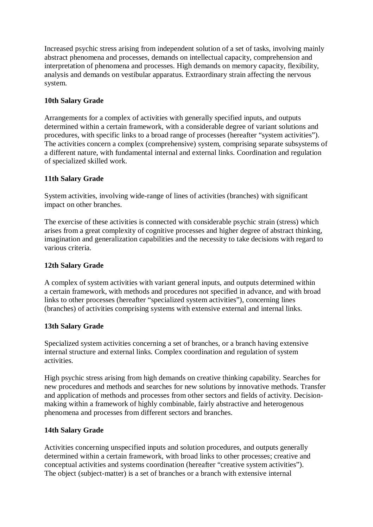Increased psychic stress arising from independent solution of a set of tasks, involving mainly abstract phenomena and processes, demands on intellectual capacity, comprehension and interpretation of phenomena and processes. High demands on memory capacity, flexibility, analysis and demands on vestibular apparatus. Extraordinary strain affecting the nervous system.

# **10th Salary Grade**

Arrangements for a complex of activities with generally specified inputs, and outputs determined within a certain framework, with a considerable degree of variant solutions and procedures, with specific links to a broad range of processes (hereafter "system activities"). The activities concern a complex (comprehensive) system, comprising separate subsystems of a different nature, with fundamental internal and external links. Coordination and regulation of specialized skilled work.

# **11th Salary Grade**

System activities, involving wide-range of lines of activities (branches) with significant impact on other branches.

The exercise of these activities is connected with considerable psychic strain (stress) which arises from a great complexity of cognitive processes and higher degree of abstract thinking, imagination and generalization capabilities and the necessity to take decisions with regard to various criteria.

# **12th Salary Grade**

A complex of system activities with variant general inputs, and outputs determined within a certain framework, with methods and procedures not specified in advance, and with broad links to other processes (hereafter "specialized system activities"), concerning lines (branches) of activities comprising systems with extensive external and internal links.

# **13th Salary Grade**

Specialized system activities concerning a set of branches, or a branch having extensive internal structure and external links. Complex coordination and regulation of system activities.

High psychic stress arising from high demands on creative thinking capability. Searches for new procedures and methods and searches for new solutions by innovative methods. Transfer and application of methods and processes from other sectors and fields of activity. Decisionmaking within a framework of highly combinable, fairly abstractive and heterogenous phenomena and processes from different sectors and branches.

# **14th Salary Grade**

Activities concerning unspecified inputs and solution procedures, and outputs generally determined within a certain framework, with broad links to other processes; creative and conceptual activities and systems coordination (hereafter "creative system activities"). The object (subject-matter) is a set of branches or a branch with extensive internal